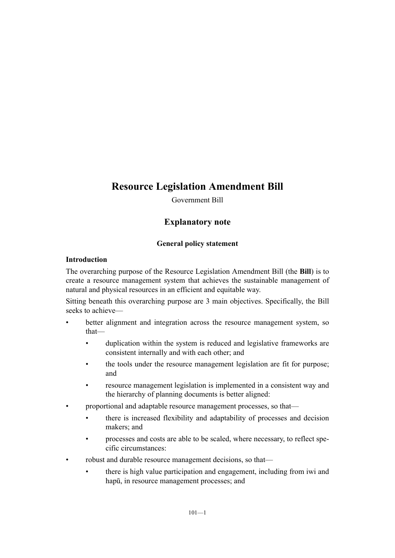# **Resource Legislation Amendment Bill**

Government Bill

## **Explanatory note**

## **General policy statement**

## **Introduction**

The overarching purpose of the Resource Legislation Amendment Bill (the **Bill**) is to create a resource management system that achieves the sustainable management of natural and physical resources in an efficient and equitable way.

Sitting beneath this overarching purpose are 3 main objectives. Specifically, the Bill seeks to achieve—

- better alignment and integration across the resource management system, so that
	- duplication within the system is reduced and legislative frameworks are consistent internally and with each other; and
	- the tools under the resource management legislation are fit for purpose; and
	- resource management legislation is implemented in a consistent way and the hierarchy of planning documents is better aligned:
- proportional and adaptable resource management processes, so that—
	- there is increased flexibility and adaptability of processes and decision makers; and
	- processes and costs are able to be scaled, where necessary, to reflect specific circumstances:
- robust and durable resource management decisions, so that—
	- there is high value participation and engagement, including from iwi and hapū, in resource management processes; and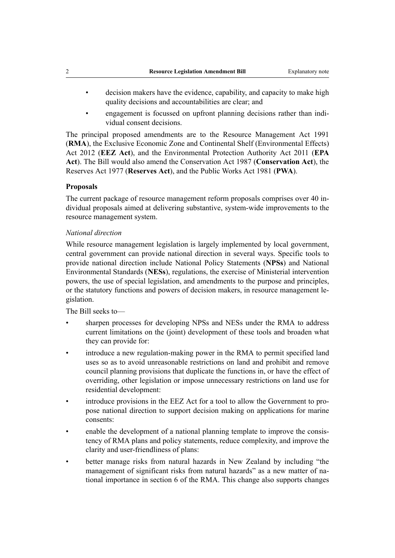- decision makers have the evidence, capability, and capacity to make high quality decisions and accountabilities are clear; and
- engagement is focussed on upfront planning decisions rather than individual consent decisions.

The principal proposed amendments are to the Resource Management Act 1991 (**RMA**), the Exclusive Economic Zone and Continental Shelf (Environmental Effects) Act 2012 (**EEZ Act**), and the Environmental Protection Authority Act 2011 (**EPA Act**). The Bill would also amend the Conservation Act 1987 (**Conservation Act**), the Reserves Act 1977 (**Reserves Act**), and the Public Works Act 1981 (**PWA**).

## **Proposals**

The current package of resource management reform proposals comprises over 40 individual proposals aimed at delivering substantive, system-wide improvements to the resource management system.

#### *National direction*

While resource management legislation is largely implemented by local government, central government can provide national direction in several ways. Specific tools to provide national direction include National Policy Statements (**NPSs**) and National Environmental Standards (**NESs**), regulations, the exercise of Ministerial intervention powers, the use of special legislation, and amendments to the purpose and principles, or the statutory functions and powers of decision makers, in resource management legislation.

The Bill seeks to—

- sharpen processes for developing NPSs and NESs under the RMA to address current limitations on the (joint) development of these tools and broaden what they can provide for:
- introduce a new regulation-making power in the RMA to permit specified land uses so as to avoid unreasonable restrictions on land and prohibit and remove council planning provisions that duplicate the functions in, or have the effect of overriding, other legislation or impose unnecessary restrictions on land use for residential development:
- introduce provisions in the EEZ Act for a tool to allow the Government to propose national direction to support decision making on applications for marine consents:
- enable the development of a national planning template to improve the consistency of RMA plans and policy statements, reduce complexity, and improve the clarity and user-friendliness of plans:
- better manage risks from natural hazards in New Zealand by including "the management of significant risks from natural hazards" as a new matter of national importance in section 6 of the RMA. This change also supports changes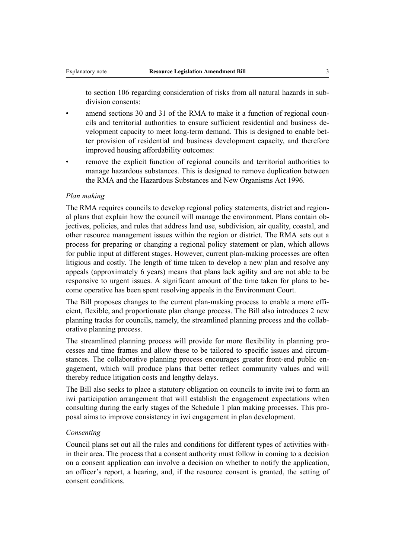to section 106 regarding consideration of risks from all natural hazards in subdivision consents:

- amend sections 30 and 31 of the RMA to make it a function of regional councils and territorial authorities to ensure sufficient residential and business development capacity to meet long-term demand. This is designed to enable better provision of residential and business development capacity, and therefore improved housing affordability outcomes:
- remove the explicit function of regional councils and territorial authorities to manage hazardous substances. This is designed to remove duplication between the RMA and the Hazardous Substances and New Organisms Act 1996.

## *Plan making*

The RMA requires councils to develop regional policy statements, district and regional plans that explain how the council will manage the environment. Plans contain objectives, policies, and rules that address land use, subdivision, air quality, coastal, and other resource management issues within the region or district. The RMA sets out a process for preparing or changing a regional policy statement or plan, which allows for public input at different stages. However, current plan-making processes are often litigious and costly. The length of time taken to develop a new plan and resolve any appeals (approximately 6 years) means that plans lack agility and are not able to be responsive to urgent issues. A significant amount of the time taken for plans to become operative has been spent resolving appeals in the Environment Court.

The Bill proposes changes to the current plan-making process to enable a more efficient, flexible, and proportionate plan change process. The Bill also introduces 2 new planning tracks for councils, namely, the streamlined planning process and the collaborative planning process.

The streamlined planning process will provide for more flexibility in planning processes and time frames and allow these to be tailored to specific issues and circumstances. The collaborative planning process encourages greater front-end public engagement, which will produce plans that better reflect community values and will thereby reduce litigation costs and lengthy delays.

The Bill also seeks to place a statutory obligation on councils to invite iwi to form an iwi participation arrangement that will establish the engagement expectations when consulting during the early stages of the Schedule 1 plan making processes. This proposal aims to improve consistency in iwi engagement in plan development.

#### *Consenting*

Council plans set out all the rules and conditions for different types of activities within their area. The process that a consent authority must follow in coming to a decision on a consent application can involve a decision on whether to notify the application, an officer's report, a hearing, and, if the resource consent is granted, the setting of consent conditions.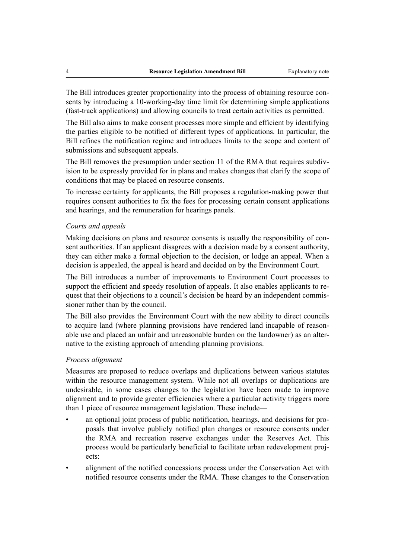The Bill introduces greater proportionality into the process of obtaining resource consents by introducing a 10-working-day time limit for determining simple applications (fast-track applications) and allowing councils to treat certain activities as permitted.

The Bill also aims to make consent processes more simple and efficient by identifying the parties eligible to be notified of different types of applications. In particular, the Bill refines the notification regime and introduces limits to the scope and content of submissions and subsequent appeals.

The Bill removes the presumption under section 11 of the RMA that requires subdivision to be expressly provided for in plans and makes changes that clarify the scope of conditions that may be placed on resource consents.

To increase certainty for applicants, the Bill proposes a regulation-making power that requires consent authorities to fix the fees for processing certain consent applications and hearings, and the remuneration for hearings panels.

#### *Courts and appeals*

Making decisions on plans and resource consents is usually the responsibility of consent authorities. If an applicant disagrees with a decision made by a consent authority, they can either make a formal objection to the decision, or lodge an appeal. When a decision is appealed, the appeal is heard and decided on by the Environment Court.

The Bill introduces a number of improvements to Environment Court processes to support the efficient and speedy resolution of appeals. It also enables applicants to request that their objections to a council's decision be heard by an independent commissioner rather than by the council.

The Bill also provides the Environment Court with the new ability to direct councils to acquire land (where planning provisions have rendered land incapable of reasonable use and placed an unfair and unreasonable burden on the landowner) as an alternative to the existing approach of amending planning provisions.

#### *Process alignment*

Measures are proposed to reduce overlaps and duplications between various statutes within the resource management system. While not all overlaps or duplications are undesirable, in some cases changes to the legislation have been made to improve alignment and to provide greater efficiencies where a particular activity triggers more than 1 piece of resource management legislation. These include—

- an optional joint process of public notification, hearings, and decisions for proposals that involve publicly notified plan changes or resource consents under the RMA and recreation reserve exchanges under the Reserves Act. This process would be particularly beneficial to facilitate urban redevelopment projects:
- alignment of the notified concessions process under the Conservation Act with notified resource consents under the RMA. These changes to the Conservation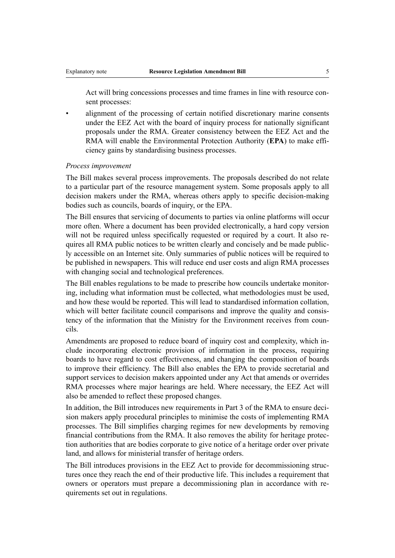Act will bring concessions processes and time frames in line with resource consent processes:

• alignment of the processing of certain notified discretionary marine consents under the EEZ Act with the board of inquiry process for nationally significant proposals under the RMA. Greater consistency between the EEZ Act and the RMA will enable the Environmental Protection Authority (**EPA**) to make efficiency gains by standardising business processes.

#### *Process improvement*

The Bill makes several process improvements. The proposals described do not relate to a particular part of the resource management system. Some proposals apply to all decision makers under the RMA, whereas others apply to specific decision-making bodies such as councils, boards of inquiry, or the EPA.

The Bill ensures that servicing of documents to parties via online platforms will occur more often. Where a document has been provided electronically, a hard copy version will not be required unless specifically requested or required by a court. It also requires all RMA public notices to be written clearly and concisely and be made publicly accessible on an Internet site. Only summaries of public notices will be required to be published in newspapers. This will reduce end user costs and align RMA processes with changing social and technological preferences.

The Bill enables regulations to be made to prescribe how councils undertake monitoring, including what information must be collected, what methodologies must be used, and how these would be reported. This will lead to standardised information collation, which will better facilitate council comparisons and improve the quality and consistency of the information that the Ministry for the Environment receives from councils.

Amendments are proposed to reduce board of inquiry cost and complexity, which include incorporating electronic provision of information in the process, requiring boards to have regard to cost effectiveness, and changing the composition of boards to improve their efficiency. The Bill also enables the EPA to provide secretarial and support services to decision makers appointed under any Act that amends or overrides RMA processes where major hearings are held. Where necessary, the EEZ Act will also be amended to reflect these proposed changes.

In addition, the Bill introduces new requirements in Part 3 of the RMA to ensure decision makers apply procedural principles to minimise the costs of implementing RMA processes. The Bill simplifies charging regimes for new developments by removing financial contributions from the RMA. It also removes the ability for heritage protection authorities that are bodies corporate to give notice of a heritage order over private land, and allows for ministerial transfer of heritage orders.

The Bill introduces provisions in the EEZ Act to provide for decommissioning structures once they reach the end of their productive life. This includes a requirement that owners or operators must prepare a decommissioning plan in accordance with requirements set out in regulations.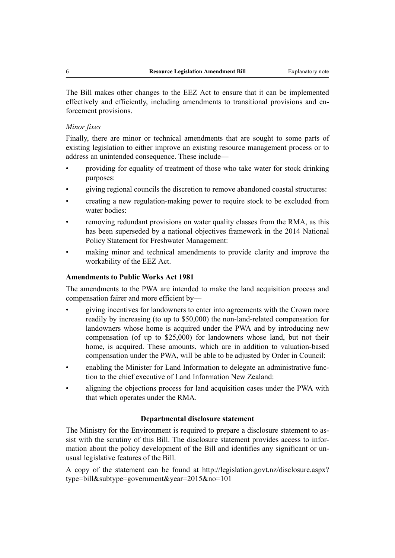The Bill makes other changes to the EEZ Act to ensure that it can be implemented effectively and efficiently, including amendments to transitional provisions and enforcement provisions.

## *Minor fixes*

Finally, there are minor or technical amendments that are sought to some parts of existing legislation to either improve an existing resource management process or to address an unintended consequence. These include—

- providing for equality of treatment of those who take water for stock drinking purposes:
- giving regional councils the discretion to remove abandoned coastal structures:
- creating a new regulation-making power to require stock to be excluded from water bodies:
- removing redundant provisions on water quality classes from the RMA, as this has been superseded by a national objectives framework in the 2014 National Policy Statement for Freshwater Management:
- making minor and technical amendments to provide clarity and improve the workability of the EEZ Act.

#### **Amendments to Public Works Act 1981**

The amendments to the PWA are intended to make the land acquisition process and compensation fairer and more efficient by—

- giving incentives for landowners to enter into agreements with the Crown more readily by increasing (to up to \$50,000) the non-land-related compensation for landowners whose home is acquired under the PWA and by introducing new compensation (of up to \$25,000) for landowners whose land, but not their home, is acquired. These amounts, which are in addition to valuation-based compensation under the PWA, will be able to be adjusted by Order in Council:
- enabling the Minister for Land Information to delegate an administrative function to the chief executive of Land Information New Zealand:
- aligning the objections process for land acquisition cases under the PWA with that which operates under the RMA.

#### **Departmental disclosure statement**

The Ministry for the Environment is required to prepare a disclosure statement to assist with the scrutiny of this Bill. The disclosure statement provides access to information about the policy development of the Bill and identifies any significant or unusual legislative features of the Bill.

A copy of the statement can be found at [http://legislation.govt.nz/disclosure.aspx?](http://legislation.govt.nz/disclosure.aspx?type=bill&subtype=government&year=2015&no=101) [type=bill&subtype=government&year=2015&no=101](http://legislation.govt.nz/disclosure.aspx?type=bill&subtype=government&year=2015&no=101)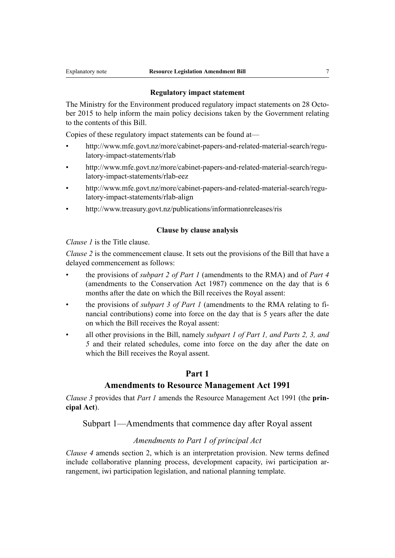#### **Regulatory impact statement**

The Ministry for the Environment produced regulatory impact statements on 28 October 2015 to help inform the main policy decisions taken by the Government relating to the contents of this Bill.

Copies of these regulatory impact statements can be found at—

- [http://www.mfe.govt.nz/more/cabinet-papers-and-related-material-search/regu](http://www.mfe.govt.nz/more/cabinet-papers-and-related-material-search/regulatory-impact-statements/rlab)[latory-impact-statements/rlab](http://www.mfe.govt.nz/more/cabinet-papers-and-related-material-search/regulatory-impact-statements/rlab)
- [http://www.mfe.govt.nz/more/cabinet-papers-and-related-material-search/regu](http://www.mfe.govt.nz/more/cabinet-papers-and-related-material-search/regulatory-impact-statements/rlab-eez)[latory-impact-statements/rlab-eez](http://www.mfe.govt.nz/more/cabinet-papers-and-related-material-search/regulatory-impact-statements/rlab-eez)
- [http://www.mfe.govt.nz/more/cabinet-papers-and-related-material-search/regu](http://www.mfe.govt.nz/more/cabinet-papers-and-related-material-search/regulatory-impact-statements/rlab-align)[latory-impact-statements/rlab-align](http://www.mfe.govt.nz/more/cabinet-papers-and-related-material-search/regulatory-impact-statements/rlab-align)
- <http://www.treasury.govt.nz/publications/informationreleases/ris>

#### **Clause by clause analysis**

*Clause 1* is the Title clause.

*Clause 2* is the commencement clause. It sets out the provisions of the Bill that have a delayed commencement as follows:

- the provisions of *subpart 2 of Part 1* (amendments to the RMA) and of *Part 4* (amendments to the Conservation Act 1987) commence on the day that is 6 months after the date on which the Bill receives the Royal assent:
- the provisions of *subpart 3 of Part 1* (amendments to the RMA relating to financial contributions) come into force on the day that is 5 years after the date on which the Bill receives the Royal assent:
- all other provisions in the Bill, namely *subpart 1 of Part 1, and Parts 2, 3, and 5* and their related schedules, come into force on the day after the date on which the Bill receives the Royal assent.

## **Part 1**

## **Amendments to Resource Management Act 1991**

*Clause 3* provides that *Part 1* amends the Resource Management Act 1991 (the **principal Act**).

Subpart 1—Amendments that commence day after Royal assent

## *Amendments to Part 1 of principal Act*

*Clause 4* amends section 2, which is an interpretation provision. New terms defined include collaborative planning process, development capacity, iwi participation arrangement, iwi participation legislation, and national planning template.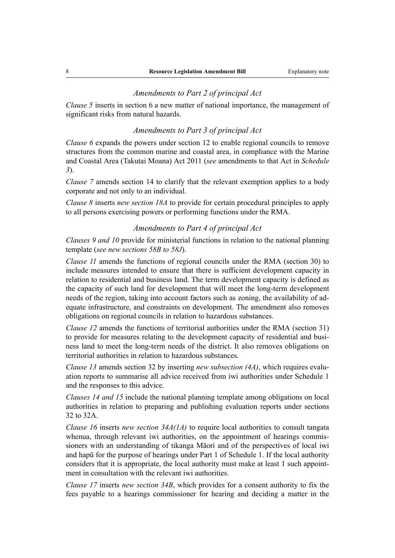## *Amendments to Part 2 of principal Act*

*Clause 5* inserts in section 6 a new matter of national importance, the management of significant risks from natural hazards.

#### *Amendments to Part 3 of principal Act*

*Clause 6* expands the powers under section 12 to enable regional councils to remove structures from the common marine and coastal area, in compliance with the Marine and Coastal Area (Takutai Moana) Act 2011 (*see* amendments to that Act in *Schedule 3*).

*Clause* 7 amends section 14 to clarify that the relevant exemption applies to a body corporate and not only to an individual.

*Clause 8* inserts *new section 18A* to provide for certain procedural principles to apply to all persons exercising powers or performing functions under the RMA.

## *Amendments to Part 4 of principal Act*

*Clauses 9 and 10* provide for ministerial functions in relation to the national planning template (*see new sections 58B to 58J*).

*Clause 11* amends the functions of regional councils under the RMA (section 30) to include measures intended to ensure that there is sufficient development capacity in relation to residential and business land. The term development capacity is defined as the capacity of such land for development that will meet the long-term development needs of the region, taking into account factors such as zoning, the availability of adequate infrastructure, and constraints on development. The amendment also removes obligations on regional councils in relation to hazardous substances.

*Clause 12* amends the functions of territorial authorities under the RMA (section 31) to provide for measures relating to the development capacity of residential and business land to meet the long-term needs of the district. It also removes obligations on territorial authorities in relation to hazardous substances.

*Clause 13* amends section 32 by inserting *new subsection (4A)*, which requires evaluation reports to summarise all advice received from iwi authorities under Schedule 1 and the responses to this advice.

*Clauses 14 and 15* include the national planning template among obligations on local authorities in relation to preparing and publishing evaluation reports under sections 32 to 32A.

*Clause 16* inserts *new section 34A(1A)* to require local authorities to consult tangata whenua, through relevant iwi authorities, on the appointment of hearings commissioners with an understanding of tikanga Māori and of the perspectives of local iwi and hapū for the purpose of hearings under Part 1 of Schedule 1. If the local authority considers that it is appropriate, the local authority must make at least 1 such appointment in consultation with the relevant iwi authorities.

*Clause 17* inserts *new section 34B*, which provides for a consent authority to fix the fees payable to a hearings commissioner for hearing and deciding a matter in the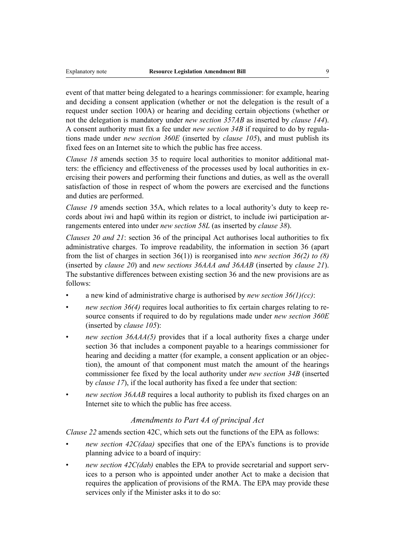event of that matter being delegated to a hearings commissioner: for example, hearing and deciding a consent application (whether or not the delegation is the result of a request under section 100A) or hearing and deciding certain objections (whether or not the delegation is mandatory under *new section 357AB* as inserted by *clause 144*). A consent authority must fix a fee under *new section 34B* if required to do by regulations made under *new section 360E* (inserted by *clause 105*), and must publish its fixed fees on an Internet site to which the public has free access.

*Clause 18* amends section 35 to require local authorities to monitor additional matters: the efficiency and effectiveness of the processes used by local authorities in exercising their powers and performing their functions and duties, as well as the overall satisfaction of those in respect of whom the powers are exercised and the functions and duties are performed.

*Clause 19* amends section 35A, which relates to a local authority's duty to keep records about iwi and hapū within its region or district, to include iwi participation arrangements entered into under *new section 58L* (as inserted by *clause 38*).

*Clauses 20 and 21*: section 36 of the principal Act authorises local authorities to fix administrative charges. To improve readability, the information in section 36 (apart from the list of charges in section 36(1)) is reorganised into *new section 36(2) to (8)* (inserted by *clause 20*) and *new sections 36AAA and 36AAB* (inserted by *clause 21*). The substantive differences between existing section 36 and the new provisions are as follows:

- a new kind of administrative charge is authorised by *new section 36(1)(cc)*:
- *new section 36(4)* requires local authorities to fix certain charges relating to resource consents if required to do by regulations made under *new section 360E* (inserted by *clause 105*):
- *new section 36AAA(5)* provides that if a local authority fixes a charge under section 36 that includes a component payable to a hearings commissioner for hearing and deciding a matter (for example, a consent application or an objection), the amount of that component must match the amount of the hearings commissioner fee fixed by the local authority under *new section 34B* (inserted by *clause 17*), if the local authority has fixed a fee under that section:
- *new section 36AAB* requires a local authority to publish its fixed charges on an Internet site to which the public has free access.

## *Amendments to Part 4A of principal Act*

*Clause 22* amends section 42C, which sets out the functions of the EPA as follows:

- *new section 42C(daa)* specifies that one of the EPA's functions is to provide planning advice to a board of inquiry:
- *new section 42C(dab)* enables the EPA to provide secretarial and support services to a person who is appointed under another Act to make a decision that requires the application of provisions of the RMA. The EPA may provide these services only if the Minister asks it to do so: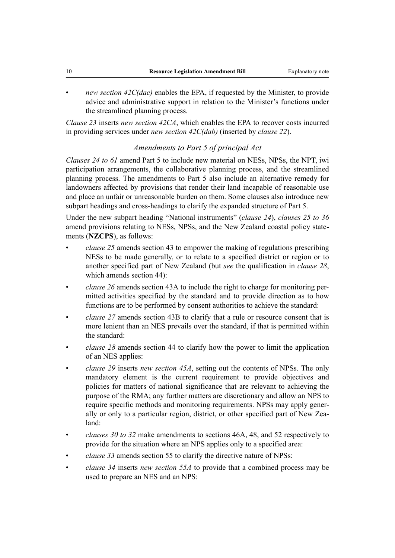• *new section 42C(dac)* enables the EPA, if requested by the Minister, to provide advice and administrative support in relation to the Minister's functions under the streamlined planning process.

*Clause 23* inserts *new section 42CA*, which enables the EPA to recover costs incurred in providing services under *new section 42C(dab)* (inserted by *clause 22*).

## *Amendments to Part 5 of principal Act*

*Clauses 24 to 61* amend Part 5 to include new material on NESs, NPSs, the NPT, iwi participation arrangements, the collaborative planning process, and the streamlined planning process. The amendments to Part 5 also include an alternative remedy for landowners affected by provisions that render their land incapable of reasonable use and place an unfair or unreasonable burden on them. Some clauses also introduce new subpart headings and cross-headings to clarify the expanded structure of Part 5.

Under the new subpart heading "National instruments" (*clause 24*), *clauses 25 to 36* amend provisions relating to NESs, NPSs, and the New Zealand coastal policy statements (**NZCPS**), as follows:

- *clause 25* amends section 43 to empower the making of regulations prescribing NESs to be made generally, or to relate to a specified district or region or to another specified part of New Zealand (but *see* the qualification in *clause 28*, which amends section 44):
- *clause 26* amends section 43A to include the right to charge for monitoring permitted activities specified by the standard and to provide direction as to how functions are to be performed by consent authorities to achieve the standard:
- *clause 27* amends section 43B to clarify that a rule or resource consent that is more lenient than an NES prevails over the standard, if that is permitted within the standard:
- *clause 28* amends section 44 to clarify how the power to limit the application of an NES applies:
- *clause 29* inserts *new section 45A*, setting out the contents of NPSs. The only mandatory element is the current requirement to provide objectives and policies for matters of national significance that are relevant to achieving the purpose of the RMA; any further matters are discretionary and allow an NPS to require specific methods and monitoring requirements. NPSs may apply generally or only to a particular region, district, or other specified part of New Zealand:
- *clauses 30 to 32* make amendments to sections 46A, 48, and 52 respectively to provide for the situation where an NPS applies only to a specified area:
- *clause 33* amends section 55 to clarify the directive nature of NPSs:
- *clause 34* inserts *new section 55A* to provide that a combined process may be used to prepare an NES and an NPS: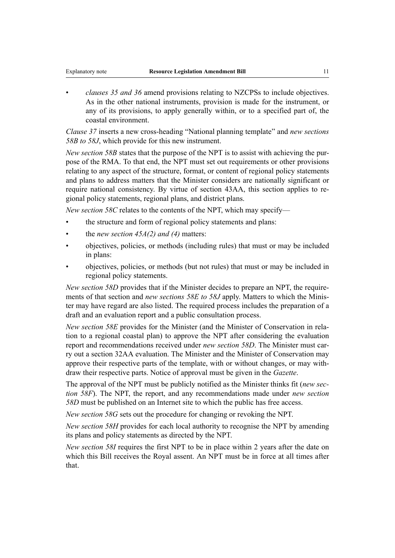• *clauses 35 and 36* amend provisions relating to NZCPSs to include objectives. As in the other national instruments, provision is made for the instrument, or any of its provisions, to apply generally within, or to a specified part of, the coastal environment.

*Clause 37* inserts a new cross-heading "National planning template" and *new sections 58B to 58J*, which provide for this new instrument.

*New section 58B* states that the purpose of the NPT is to assist with achieving the purpose of the RMA. To that end, the NPT must set out requirements or other provisions relating to any aspect of the structure, format, or content of regional policy statements and plans to address matters that the Minister considers are nationally significant or require national consistency. By virtue of section 43AA, this section applies to regional policy statements, regional plans, and district plans.

*New section 58C* relates to the contents of the NPT, which may specify—

- the structure and form of regional policy statements and plans:
- the *new section 45A(2) and (4)* matters:
- objectives, policies, or methods (including rules) that must or may be included in plans:
- objectives, policies, or methods (but not rules) that must or may be included in regional policy statements.

*New section 58D* provides that if the Minister decides to prepare an NPT, the requirements of that section and *new sections 58E to 58J* apply. Matters to which the Minister may have regard are also listed. The required process includes the preparation of a draft and an evaluation report and a public consultation process.

*New section 58E* provides for the Minister (and the Minister of Conservation in relation to a regional coastal plan) to approve the NPT after considering the evaluation report and recommendations received under *new section 58D*. The Minister must carry out a section 32AA evaluation. The Minister and the Minister of Conservation may approve their respective parts of the template, with or without changes, or may withdraw their respective parts. Notice of approval must be given in the *Gazette*.

The approval of the NPT must be publicly notified as the Minister thinks fit (*new section 58F*). The NPT, the report, and any recommendations made under *new section 58D* must be published on an Internet site to which the public has free access.

*New section 58G* sets out the procedure for changing or revoking the NPT.

*New section 58H* provides for each local authority to recognise the NPT by amending its plans and policy statements as directed by the NPT.

*New section 58I* requires the first NPT to be in place within 2 years after the date on which this Bill receives the Royal assent. An NPT must be in force at all times after that.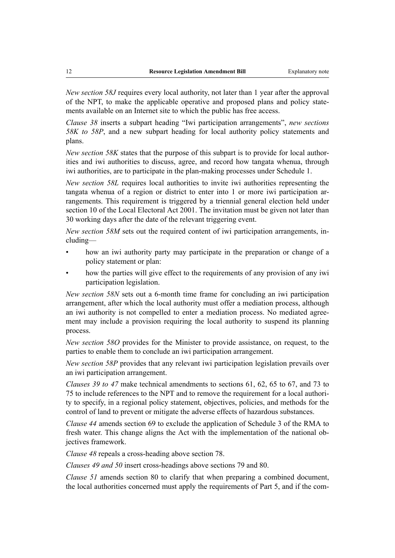*New section 58J* requires every local authority, not later than 1 year after the approval of the NPT, to make the applicable operative and proposed plans and policy statements available on an Internet site to which the public has free access.

*Clause 38* inserts a subpart heading "Iwi participation arrangements", *new sections 58K to 58P*, and a new subpart heading for local authority policy statements and plans.

*New section 58K* states that the purpose of this subpart is to provide for local authorities and iwi authorities to discuss, agree, and record how tangata whenua, through iwi authorities, are to participate in the plan-making processes under Schedule 1.

*New section 58L* requires local authorities to invite iwi authorities representing the tangata whenua of a region or district to enter into 1 or more iwi participation arrangements. This requirement is triggered by a triennial general election held under section 10 of the Local Electoral Act 2001. The invitation must be given not later than 30 working days after the date of the relevant triggering event.

*New section 58M* sets out the required content of iwi participation arrangements, including—

- how an iwi authority party may participate in the preparation or change of a policy statement or plan:
- how the parties will give effect to the requirements of any provision of any iwi participation legislation.

*New section 58N* sets out a 6-month time frame for concluding an iwi participation arrangement, after which the local authority must offer a mediation process, although an iwi authority is not compelled to enter a mediation process. No mediated agreement may include a provision requiring the local authority to suspend its planning process.

*New section 58O* provides for the Minister to provide assistance, on request, to the parties to enable them to conclude an iwi participation arrangement.

*New section 58P* provides that any relevant iwi participation legislation prevails over an iwi participation arrangement.

*Clauses 39 to 47* make technical amendments to sections 61, 62, 65 to 67, and 73 to 75 to include references to the NPT and to remove the requirement for a local authority to specify, in a regional policy statement, objectives, policies, and methods for the control of land to prevent or mitigate the adverse effects of hazardous substances.

*Clause 44* amends section 69 to exclude the application of Schedule 3 of the RMA to fresh water. This change aligns the Act with the implementation of the national objectives framework.

*Clause 48* repeals a cross-heading above section 78.

*Clauses 49 and 50* insert cross-headings above sections 79 and 80.

*Clause 51* amends section 80 to clarify that when preparing a combined document, the local authorities concerned must apply the requirements of Part 5, and if the com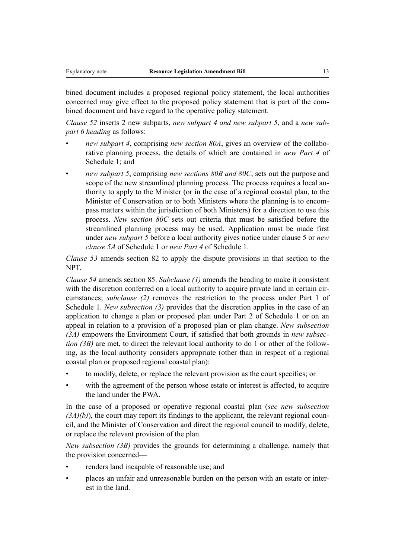bined document includes a proposed regional policy statement, the local authorities concerned may give effect to the proposed policy statement that is part of the combined document and have regard to the operative policy statement.

*Clause 52* inserts 2 new subparts, *new subpart 4 and new subpart 5*, and a *new subpart 6 heading* as follows:

- *new subpart 4*, comprising *new section 80A*, gives an overview of the collaborative planning process, the details of which are contained in *new Part 4* of Schedule 1; and
- *new subpart 5*, comprising *new sections 80B and 80C*, sets out the purpose and scope of the new streamlined planning process. The process requires a local authority to apply to the Minister (or in the case of a regional coastal plan, to the Minister of Conservation or to both Ministers where the planning is to encompass matters within the jurisdiction of both Ministers) for a direction to use this process. *New section 80C* sets out criteria that must be satisfied before the streamlined planning process may be used. Application must be made first under *new subpart 5* before a local authority gives notice under clause 5 or *new clause 5A* of Schedule 1 or *new Part 4* of Schedule 1.

*Clause 53* amends section 82 to apply the dispute provisions in that section to the NPT.

*Clause 54* amends section 85. *Subclause (1)* amends the heading to make it consistent with the discretion conferred on a local authority to acquire private land in certain circumstances; *subclause (2)* removes the restriction to the process under Part 1 of Schedule 1. *New subsection (3)* provides that the discretion applies in the case of an application to change a plan or proposed plan under Part 2 of Schedule 1 or on an appeal in relation to a provision of a proposed plan or plan change. *New subsection (3A)* empowers the Environment Court, if satisfied that both grounds in *new subsection (3B)* are met, to direct the relevant local authority to do 1 or other of the following, as the local authority considers appropriate (other than in respect of a regional coastal plan or proposed regional coastal plan):

- to modify, delete, or replace the relevant provision as the court specifies; or
- with the agreement of the person whose estate or interest is affected, to acquire the land under the PWA

In the case of a proposed or operative regional coastal plan (*see new subsection*  $(3A)(b)$ ), the court may report its findings to the applicant, the relevant regional council, and the Minister of Conservation and direct the regional council to modify, delete, or replace the relevant provision of the plan.

*New subsection (3B)* provides the grounds for determining a challenge, namely that the provision concerned—

- renders land incapable of reasonable use; and
- places an unfair and unreasonable burden on the person with an estate or interest in the land.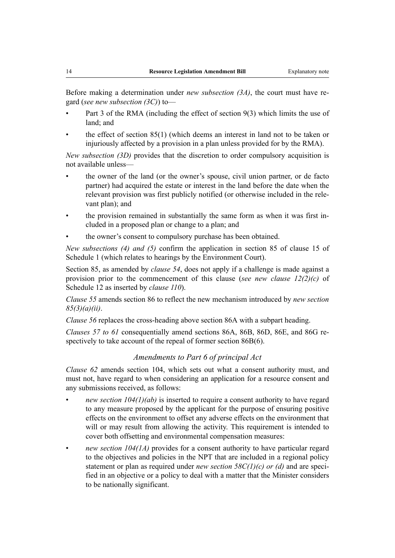Before making a determination under *new subsection (3A)*, the court must have regard (*see new subsection (3C)*) to—

- Part 3 of the RMA (including the effect of section 9(3) which limits the use of land; and
- the effect of section  $85(1)$  (which deems an interest in land not to be taken or injuriously affected by a provision in a plan unless provided for by the RMA).

*New subsection (3D)* provides that the discretion to order compulsory acquisition is not available unless—

- the owner of the land (or the owner's spouse, civil union partner, or de facto partner) had acquired the estate or interest in the land before the date when the relevant provision was first publicly notified (or otherwise included in the relevant plan); and
- the provision remained in substantially the same form as when it was first included in a proposed plan or change to a plan; and
- the owner's consent to compulsory purchase has been obtained.

*New subsections (4) and (5)* confirm the application in section 85 of clause 15 of Schedule 1 (which relates to hearings by the Environment Court).

Section 85, as amended by *clause 54*, does not apply if a challenge is made against a provision prior to the commencement of this clause (*see new clause 12(2)(c)* of Schedule 12 as inserted by *clause 110*).

*Clause 55* amends section 86 to reflect the new mechanism introduced by *new section 85(3)(a)(ii)*.

*Clause 56* replaces the cross-heading above section 86A with a subpart heading.

*Clauses 57 to 61* consequentially amend sections 86A, 86B, 86D, 86E, and 86G respectively to take account of the repeal of former section 86B(6).

## *Amendments to Part 6 of principal Act*

*Clause 62* amends section 104, which sets out what a consent authority must, and must not, have regard to when considering an application for a resource consent and any submissions received, as follows:

- *new section*  $104(1)(ab)$  is inserted to require a consent authority to have regard to any measure proposed by the applicant for the purpose of ensuring positive effects on the environment to offset any adverse effects on the environment that will or may result from allowing the activity. This requirement is intended to cover both offsetting and environmental compensation measures:
- *new section 104(1A)* provides for a consent authority to have particular regard to the objectives and policies in the NPT that are included in a regional policy statement or plan as required under *new section 58C(1)(c) or (d)* and are specified in an objective or a policy to deal with a matter that the Minister considers to be nationally significant.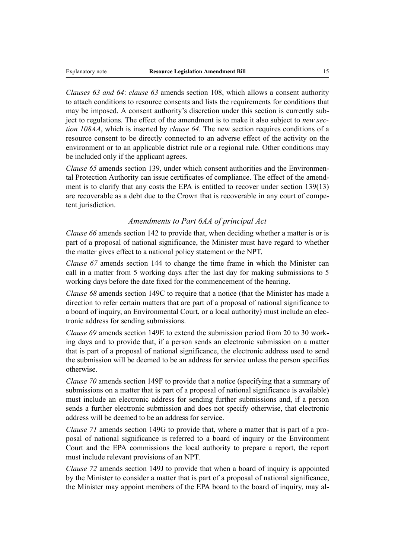*Clauses 63 and 64*: *clause 63* amends section 108, which allows a consent authority to attach conditions to resource consents and lists the requirements for conditions that may be imposed. A consent authority's discretion under this section is currently subject to regulations. The effect of the amendment is to make it also subject to *new section 108AA*, which is inserted by *clause 64*. The new section requires conditions of a resource consent to be directly connected to an adverse effect of the activity on the environment or to an applicable district rule or a regional rule. Other conditions may be included only if the applicant agrees.

*Clause 65* amends section 139, under which consent authorities and the Environmental Protection Authority can issue certificates of compliance. The effect of the amendment is to clarify that any costs the EPA is entitled to recover under section 139(13) are recoverable as a debt due to the Crown that is recoverable in any court of competent jurisdiction.

## *Amendments to Part 6AA of principal Act*

*Clause 66* amends section 142 to provide that, when deciding whether a matter is or is part of a proposal of national significance, the Minister must have regard to whether the matter gives effect to a national policy statement or the NPT.

*Clause 67* amends section 144 to change the time frame in which the Minister can call in a matter from 5 working days after the last day for making submissions to 5 working days before the date fixed for the commencement of the hearing.

*Clause 68* amends section 149C to require that a notice (that the Minister has made a direction to refer certain matters that are part of a proposal of national significance to a board of inquiry, an Environmental Court, or a local authority) must include an electronic address for sending submissions.

*Clause 69* amends section 149E to extend the submission period from 20 to 30 working days and to provide that, if a person sends an electronic submission on a matter that is part of a proposal of national significance, the electronic address used to send the submission will be deemed to be an address for service unless the person specifies otherwise.

*Clause 70* amends section 149F to provide that a notice (specifying that a summary of submissions on a matter that is part of a proposal of national significance is available) must include an electronic address for sending further submissions and, if a person sends a further electronic submission and does not specify otherwise, that electronic address will be deemed to be an address for service.

*Clause 71* amends section 149G to provide that, where a matter that is part of a proposal of national significance is referred to a board of inquiry or the Environment Court and the EPA commissions the local authority to prepare a report, the report must include relevant provisions of an NPT.

*Clause 72* amends section 149J to provide that when a board of inquiry is appointed by the Minister to consider a matter that is part of a proposal of national significance, the Minister may appoint members of the EPA board to the board of inquiry, may al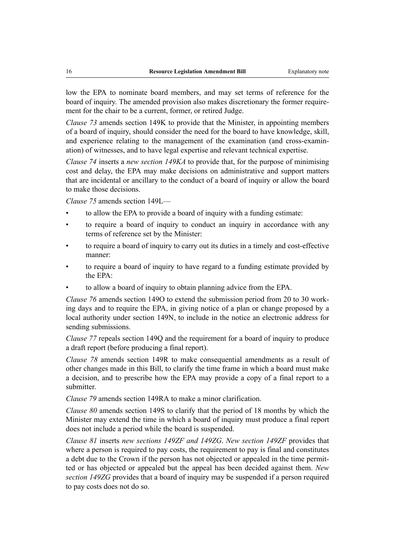low the EPA to nominate board members, and may set terms of reference for the board of inquiry. The amended provision also makes discretionary the former requirement for the chair to be a current, former, or retired Judge.

*Clause 73* amends section 149K to provide that the Minister, in appointing members of a board of inquiry, should consider the need for the board to have knowledge, skill, and experience relating to the management of the examination (and cross-examination) of witnesses, and to have legal expertise and relevant technical expertise.

*Clause 74* inserts a *new section 149KA* to provide that, for the purpose of minimising cost and delay, the EPA may make decisions on administrative and support matters that are incidental or ancillary to the conduct of a board of inquiry or allow the board to make those decisions.

*Clause 75* amends section 149L—

- to allow the EPA to provide a board of inquiry with a funding estimate:
- to require a board of inquiry to conduct an inquiry in accordance with any terms of reference set by the Minister:
- to require a board of inquiry to carry out its duties in a timely and cost-effective manner:
- to require a board of inquiry to have regard to a funding estimate provided by the EPA:
- to allow a board of inquiry to obtain planning advice from the EPA.

*Clause 76* amends section 149O to extend the submission period from 20 to 30 working days and to require the EPA, in giving notice of a plan or change proposed by a local authority under section 149N, to include in the notice an electronic address for sending submissions.

*Clause 77* repeals section 149Q and the requirement for a board of inquiry to produce a draft report (before producing a final report).

*Clause 78* amends section 149R to make consequential amendments as a result of other changes made in this Bill, to clarify the time frame in which a board must make a decision, and to prescribe how the EPA may provide a copy of a final report to a submitter.

*Clause 79* amends section 149RA to make a minor clarification.

*Clause 80* amends section 149S to clarify that the period of 18 months by which the Minister may extend the time in which a board of inquiry must produce a final report does not include a period while the board is suspended.

*Clause 81* inserts *new sections 149ZF and 149ZG*. *New section 149ZF* provides that where a person is required to pay costs, the requirement to pay is final and constitutes a debt due to the Crown if the person has not objected or appealed in the time permitted or has objected or appealed but the appeal has been decided against them. *New section 149ZG* provides that a board of inquiry may be suspended if a person required to pay costs does not do so.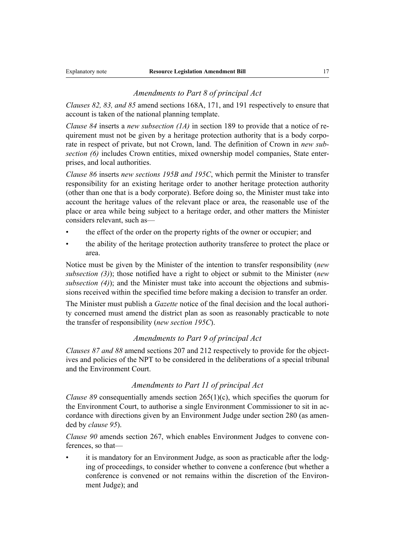## *Amendments to Part 8 of principal Act*

*Clauses 82, 83, and 85* amend sections 168A, 171, and 191 respectively to ensure that account is taken of the national planning template.

*Clause 84* inserts a *new subsection (1A)* in section 189 to provide that a notice of requirement must not be given by a heritage protection authority that is a body corporate in respect of private, but not Crown, land. The definition of Crown in *new subsection (6)* includes Crown entities, mixed ownership model companies, State enterprises, and local authorities.

*Clause 86* inserts *new sections 195B and 195C*, which permit the Minister to transfer responsibility for an existing heritage order to another heritage protection authority (other than one that is a body corporate). Before doing so, the Minister must take into account the heritage values of the relevant place or area, the reasonable use of the place or area while being subject to a heritage order, and other matters the Minister considers relevant, such as—

- the effect of the order on the property rights of the owner or occupier; and
- the ability of the heritage protection authority transferee to protect the place or area.

Notice must be given by the Minister of the intention to transfer responsibility (*new subsection (3)*); those notified have a right to object or submit to the Minister (*new subsection (4)*); and the Minister must take into account the objections and submissions received within the specified time before making a decision to transfer an order.

The Minister must publish a *Gazette* notice of the final decision and the local authority concerned must amend the district plan as soon as reasonably practicable to note the transfer of responsibility (*new section 195C*).

## *Amendments to Part 9 of principal Act*

*Clauses 87 and 88* amend sections 207 and 212 respectively to provide for the objectives and policies of the NPT to be considered in the deliberations of a special tribunal and the Environment Court.

## *Amendments to Part 11 of principal Act*

*Clause 89* consequentially amends section 265(1)(c), which specifies the quorum for the Environment Court, to authorise a single Environment Commissioner to sit in accordance with directions given by an Environment Judge under section 280 (as amended by *clause 95*).

*Clause 90* amends section 267, which enables Environment Judges to convene conferences, so that—

it is mandatory for an Environment Judge, as soon as practicable after the lodging of proceedings, to consider whether to convene a conference (but whether a conference is convened or not remains within the discretion of the Environment Judge); and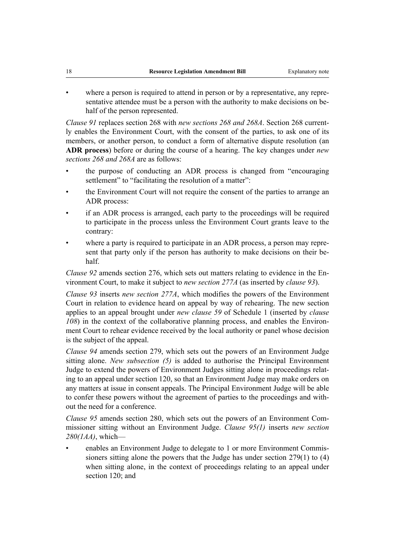where a person is required to attend in person or by a representative, any representative attendee must be a person with the authority to make decisions on behalf of the person represented.

*Clause 91* replaces section 268 with *new sections 268 and 268A*. Section 268 currently enables the Environment Court, with the consent of the parties, to ask one of its members, or another person, to conduct a form of alternative dispute resolution (an **ADR process**) before or during the course of a hearing. The key changes under *new sections 268 and 268A* are as follows:

- the purpose of conducting an ADR process is changed from "encouraging settlement" to "facilitating the resolution of a matter":
- the Environment Court will not require the consent of the parties to arrange an ADR process:
- if an ADR process is arranged, each party to the proceedings will be required to participate in the process unless the Environment Court grants leave to the contrary:
- where a party is required to participate in an ADR process, a person may represent that party only if the person has authority to make decisions on their behalf.

*Clause 92* amends section 276, which sets out matters relating to evidence in the Environment Court, to make it subject to *new section 277A* (as inserted by *clause 93*).

*Clause 93* inserts *new section 277A*, which modifies the powers of the Environment Court in relation to evidence heard on appeal by way of rehearing. The new section applies to an appeal brought under *new clause 59* of Schedule 1 (inserted by *clause 108*) in the context of the collaborative planning process, and enables the Environment Court to rehear evidence received by the local authority or panel whose decision is the subject of the appeal.

*Clause 94* amends section 279, which sets out the powers of an Environment Judge sitting alone. *New subsection (5)* is added to authorise the Principal Environment Judge to extend the powers of Environment Judges sitting alone in proceedings relating to an appeal under section 120, so that an Environment Judge may make orders on any matters at issue in consent appeals. The Principal Environment Judge will be able to confer these powers without the agreement of parties to the proceedings and without the need for a conference.

*Clause 95* amends section 280, which sets out the powers of an Environment Commissioner sitting without an Environment Judge. *Clause 95(1)* inserts *new section 280(1AA)*, which—

• enables an Environment Judge to delegate to 1 or more Environment Commissioners sitting alone the powers that the Judge has under section 279(1) to (4) when sitting alone, in the context of proceedings relating to an appeal under section 120; and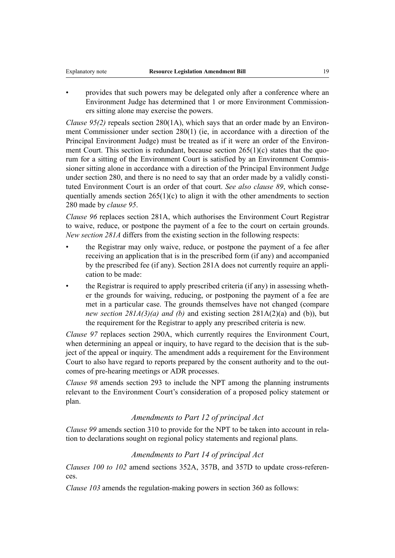• provides that such powers may be delegated only after a conference where an Environment Judge has determined that 1 or more Environment Commissioners sitting alone may exercise the powers.

*Clause 95(2)* repeals section 280(1A), which says that an order made by an Environment Commissioner under section 280(1) (ie, in accordance with a direction of the Principal Environment Judge) must be treated as if it were an order of the Environment Court. This section is redundant, because section 265(1)(c) states that the quorum for a sitting of the Environment Court is satisfied by an Environment Commissioner sitting alone in accordance with a direction of the Principal Environment Judge under section 280, and there is no need to say that an order made by a validly constituted Environment Court is an order of that court. *See also clause 89*, which consequentially amends section  $265(1)(c)$  to align it with the other amendments to section 280 made by *clause 95*.

*Clause 96* replaces section 281A, which authorises the Environment Court Registrar to waive, reduce, or postpone the payment of a fee to the court on certain grounds. *New section 281A* differs from the existing section in the following respects:

- the Registrar may only waive, reduce, or postpone the payment of a fee after receiving an application that is in the prescribed form (if any) and accompanied by the prescribed fee (if any). Section 281A does not currently require an application to be made:
- the Registrar is required to apply prescribed criteria (if any) in assessing whether the grounds for waiving, reducing, or postponing the payment of a fee are met in a particular case. The grounds themselves have not changed (compare *new section 281A(3)(a) and (b)* and existing section 281A(2)(a) and (b)), but the requirement for the Registrar to apply any prescribed criteria is new.

*Clause 97* replaces section 290A, which currently requires the Environment Court, when determining an appeal or inquiry, to have regard to the decision that is the subject of the appeal or inquiry. The amendment adds a requirement for the Environment Court to also have regard to reports prepared by the consent authority and to the outcomes of pre-hearing meetings or ADR processes.

*Clause 98* amends section 293 to include the NPT among the planning instruments relevant to the Environment Court's consideration of a proposed policy statement or plan.

## *Amendments to Part 12 of principal Act*

*Clause 99* amends section 310 to provide for the NPT to be taken into account in relation to declarations sought on regional policy statements and regional plans.

## *Amendments to Part 14 of principal Act*

*Clauses 100 to 102* amend sections 352A, 357B, and 357D to update cross-references.

*Clause 103* amends the regulation-making powers in section 360 as follows: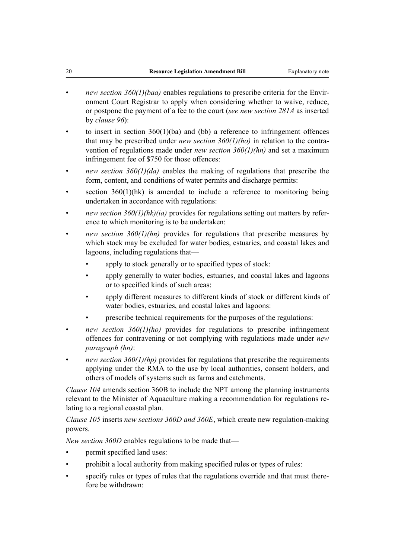- *new section 360(1)(baa)* enables regulations to prescribe criteria for the Environment Court Registrar to apply when considering whether to waive, reduce, or postpone the payment of a fee to the court (*see new section 281A* as inserted by *clause 96*):
- to insert in section  $360(1)(ba)$  and (bb) a reference to infringement offences that may be prescribed under *new section 360(1)(ho)* in relation to the contravention of regulations made under *new section 360(1)(hn)* and set a maximum infringement fee of \$750 for those offences:
- *new section 360(1)(da)* enables the making of regulations that prescribe the form, content, and conditions of water permits and discharge permits:
- section  $360(1)(hk)$  is amended to include a reference to monitoring being undertaken in accordance with regulations:
- *new section 360(1)(hk)(ia)* provides for regulations setting out matters by reference to which monitoring is to be undertaken:
- *new section 360(1)(hn)* provides for regulations that prescribe measures by which stock may be excluded for water bodies, estuaries, and coastal lakes and lagoons, including regulations that
	- apply to stock generally or to specified types of stock:
	- apply generally to water bodies, estuaries, and coastal lakes and lagoons or to specified kinds of such areas:
	- apply different measures to different kinds of stock or different kinds of water bodies, estuaries, and coastal lakes and lagoons:
	- prescribe technical requirements for the purposes of the regulations:
- *new section 360(1)(ho)* provides for regulations to prescribe infringement offences for contravening or not complying with regulations made under *new paragraph (hn)*:
- *new section 360(1)(hp)* provides for regulations that prescribe the requirements applying under the RMA to the use by local authorities, consent holders, and others of models of systems such as farms and catchments.

*Clause 104* amends section 360B to include the NPT among the planning instruments relevant to the Minister of Aquaculture making a recommendation for regulations relating to a regional coastal plan.

*Clause 105* inserts *new sections 360D and 360E*, which create new regulation-making powers.

*New section 360D* enables regulations to be made that—

- permit specified land uses:
- prohibit a local authority from making specified rules or types of rules:
- specify rules or types of rules that the regulations override and that must therefore be withdrawn: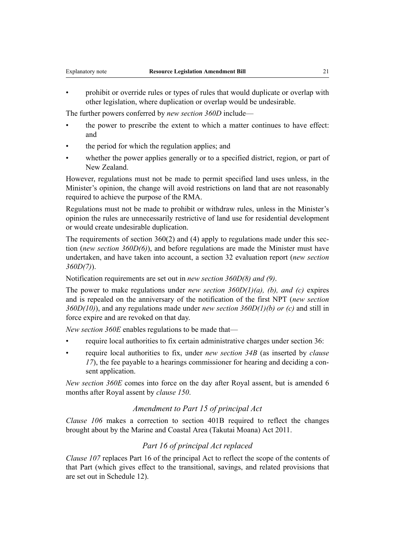• prohibit or override rules or types of rules that would duplicate or overlap with other legislation, where duplication or overlap would be undesirable.

The further powers conferred by *new section 360D* include—

- the power to prescribe the extent to which a matter continues to have effect: and
- the period for which the regulation applies; and
- whether the power applies generally or to a specified district, region, or part of New Zealand.

However, regulations must not be made to permit specified land uses unless, in the Minister's opinion, the change will avoid restrictions on land that are not reasonably required to achieve the purpose of the RMA.

Regulations must not be made to prohibit or withdraw rules, unless in the Minister's opinion the rules are unnecessarily restrictive of land use for residential development or would create undesirable duplication.

The requirements of section 360(2) and (4) apply to regulations made under this section (*new section 360D(6)*), and before regulations are made the Minister must have undertaken, and have taken into account, a section 32 evaluation report (*new section 360D(7)*).

Notification requirements are set out in *new section 360D(8) and (9)*.

The power to make regulations under *new section 360D(1)(a), (b), and (c)* expires and is repealed on the anniversary of the notification of the first NPT (*new section 360D(10)*), and any regulations made under *new section 360D(1)(b) or (c)* and still in force expire and are revoked on that day.

*New section 360E* enables regulations to be made that—

- require local authorities to fix certain administrative charges under section 36:
- require local authorities to fix, under *new section 34B* (as inserted by *clause 17*), the fee payable to a hearings commissioner for hearing and deciding a consent application.

*New section 360E* comes into force on the day after Royal assent, but is amended 6 months after Royal assent by *clause 150*.

## *Amendment to Part 15 of principal Act*

*Clause 106* makes a correction to section 401B required to reflect the changes brought about by the Marine and Coastal Area (Takutai Moana) Act 2011.

## *Part 16 of principal Act replaced*

*Clause 107* replaces Part 16 of the principal Act to reflect the scope of the contents of that Part (which gives effect to the transitional, savings, and related provisions that are set out in Schedule 12).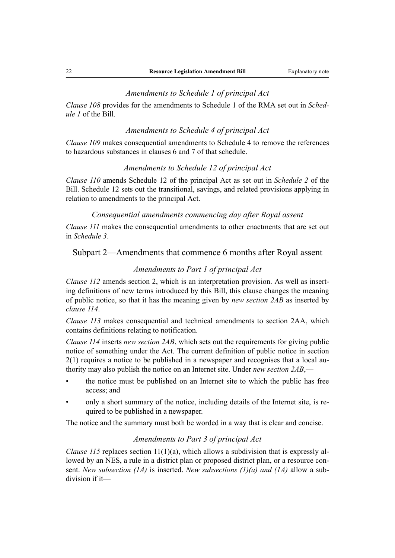#### *Amendments to Schedule 1 of principal Act*

*Clause 108* provides for the amendments to Schedule 1 of the RMA set out in *Schedule 1* of the Bill.

#### *Amendments to Schedule 4 of principal Act*

*Clause 109* makes consequential amendments to Schedule 4 to remove the references to hazardous substances in clauses 6 and 7 of that schedule.

#### *Amendments to Schedule 12 of principal Act*

*Clause 110* amends Schedule 12 of the principal Act as set out in *Schedule 2* of the Bill. Schedule 12 sets out the transitional, savings, and related provisions applying in relation to amendments to the principal Act.

## *Consequential amendments commencing day after Royal assent*

*Clause 111* makes the consequential amendments to other enactments that are set out in *Schedule 3*.

## Subpart 2—Amendments that commence 6 months after Royal assent

## *Amendments to Part 1 of principal Act*

*Clause 112* amends section 2, which is an interpretation provision. As well as inserting definitions of new terms introduced by this Bill, this clause changes the meaning of public notice, so that it has the meaning given by *new section 2AB* as inserted by *clause 114*.

*Clause 113* makes consequential and technical amendments to section 2AA, which contains definitions relating to notification.

*Clause 114* inserts *new section 2AB*, which sets out the requirements for giving public notice of something under the Act. The current definition of public notice in section 2(1) requires a notice to be published in a newspaper and recognises that a local authority may also publish the notice on an Internet site. Under *new section 2AB*,—

- the notice must be published on an Internet site to which the public has free access; and
- only a short summary of the notice, including details of the Internet site, is required to be published in a newspaper.

The notice and the summary must both be worded in a way that is clear and concise.

## *Amendments to Part 3 of principal Act*

*Clause 115* replaces section  $11(1)(a)$ , which allows a subdivision that is expressly allowed by an NES, a rule in a district plan or proposed district plan, or a resource consent. *New subsection (1A)* is inserted. *New subsections (1)(a) and (1A)* allow a subdivision if it—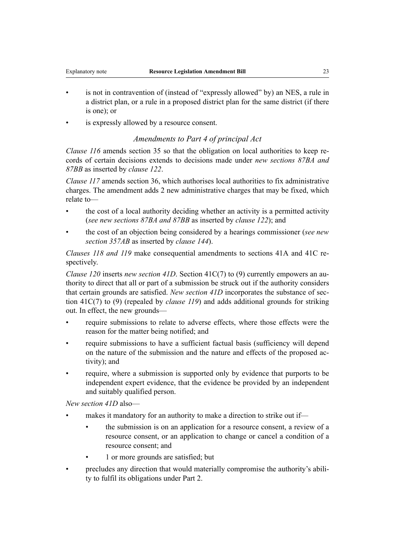- is not in contravention of (instead of "expressly allowed" by) an NES, a rule in a district plan, or a rule in a proposed district plan for the same district (if there is one); or
- is expressly allowed by a resource consent.

## *Amendments to Part 4 of principal Act*

*Clause 116* amends section 35 so that the obligation on local authorities to keep records of certain decisions extends to decisions made under *new sections 87BA and 87BB* as inserted by *clause 122*.

*Clause 117* amends section 36, which authorises local authorities to fix administrative charges. The amendment adds 2 new administrative charges that may be fixed, which relate to—

- the cost of a local authority deciding whether an activity is a permitted activity (*see new sections 87BA and 87BB* as inserted by *clause 122*); and
- the cost of an objection being considered by a hearings commissioner (*see new section 357AB* as inserted by *clause 144*).

*Clauses 118 and 119* make consequential amendments to sections 41A and 41C respectively.

*Clause 120* inserts *new section 41D*. Section 41C(7) to (9) currently empowers an authority to direct that all or part of a submission be struck out if the authority considers that certain grounds are satisfied. *New section 41D* incorporates the substance of section 41C(7) to (9) (repealed by *clause 119*) and adds additional grounds for striking out. In effect, the new grounds—

- require submissions to relate to adverse effects, where those effects were the reason for the matter being notified; and
- require submissions to have a sufficient factual basis (sufficiency will depend on the nature of the submission and the nature and effects of the proposed activity); and
- require, where a submission is supported only by evidence that purports to be independent expert evidence, that the evidence be provided by an independent and suitably qualified person.

*New section 41D* also—

- makes it mandatory for an authority to make a direction to strike out if—
	- the submission is on an application for a resource consent, a review of a resource consent, or an application to change or cancel a condition of a resource consent; and
	- 1 or more grounds are satisfied; but
- precludes any direction that would materially compromise the authority's ability to fulfil its obligations under Part 2.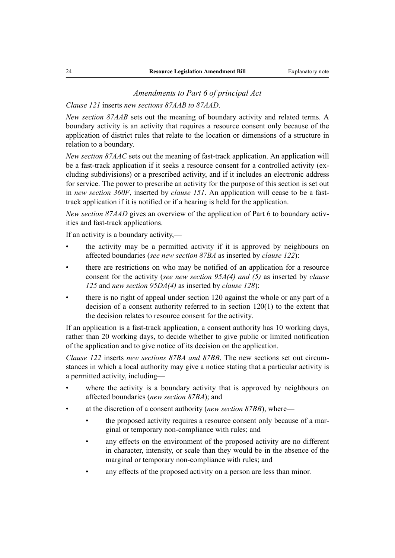#### *Amendments to Part 6 of principal Act*

## *Clause 121* inserts *new sections 87AAB to 87AAD*.

*New section 87AAB* sets out the meaning of boundary activity and related terms. A boundary activity is an activity that requires a resource consent only because of the application of district rules that relate to the location or dimensions of a structure in relation to a boundary.

*New section 87AAC* sets out the meaning of fast-track application. An application will be a fast-track application if it seeks a resource consent for a controlled activity (excluding subdivisions) or a prescribed activity, and if it includes an electronic address for service. The power to prescribe an activity for the purpose of this section is set out in *new section 360F*, inserted by *clause 151*. An application will cease to be a fasttrack application if it is notified or if a hearing is held for the application.

*New section 87AAD* gives an overview of the application of Part 6 to boundary activities and fast-track applications.

If an activity is a boundary activity,—

- the activity may be a permitted activity if it is approved by neighbours on affected boundaries (*see new section 87BA* as inserted by *clause 122*):
- there are restrictions on who may be notified of an application for a resource consent for the activity (*see new section 95A(4) and (5)* as inserted by *clause 125* and *new section 95DA(4)* as inserted by *clause 128*):
- there is no right of appeal under section 120 against the whole or any part of a decision of a consent authority referred to in section 120(1) to the extent that the decision relates to resource consent for the activity.

If an application is a fast-track application, a consent authority has 10 working days, rather than 20 working days, to decide whether to give public or limited notification of the application and to give notice of its decision on the application.

*Clause 122* inserts *new sections 87BA and 87BB*. The new sections set out circumstances in which a local authority may give a notice stating that a particular activity is a permitted activity, including—

- where the activity is a boundary activity that is approved by neighbours on affected boundaries (*new section 87BA*); and
- at the discretion of a consent authority (*new section 87BB*), where—
	- the proposed activity requires a resource consent only because of a marginal or temporary non-compliance with rules; and
	- any effects on the environment of the proposed activity are no different in character, intensity, or scale than they would be in the absence of the marginal or temporary non-compliance with rules; and
	- any effects of the proposed activity on a person are less than minor.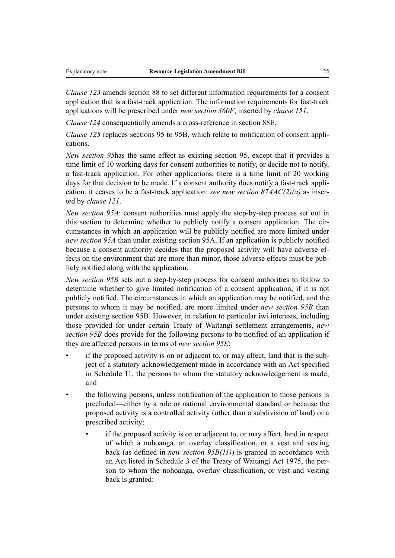*Clause 123* amends section 88 to set different information requirements for a consent application that is a fast-track application. The information requirements for fast-track applications will be prescribed under *new section 360F*, inserted by *clause 151*.

*Clause 124* consequentially amends a cross-reference in section 88E.

*Clause 125* replaces sections 95 to 95B, which relate to notification of consent applications.

*New section 95*has the same effect as existing section 95, except that it provides a time limit of 10 working days for consent authorities to notify, or decide not to notify, a fast-track application. For other applications, there is a time limit of 20 working days for that decision to be made. If a consent authority does notify a fast-track application, it ceases to be a fast-track application: *see new section 87AAC(2)(a)* as inserted by *clause 121*.

*New section 95A*: consent authorities must apply the step-by-step process set out in this section to determine whether to publicly notify a consent application. The circumstances in which an application will be publicly notified are more limited under *new section 95A* than under existing section 95A. If an application is publicly notified because a consent authority decides that the proposed activity will have adverse effects on the environment that are more than minor, those adverse effects must be publicly notified along with the application.

*New section 95B* sets out a step-by-step process for consent authorities to follow to determine whether to give limited notification of a consent application, if it is not publicly notified. The circumstances in which an application may be notified, and the persons to whom it may be notified, are more limited under *new section 95B* than under existing section 95B. However, in relation to particular iwi interests, including those provided for under certain Treaty of Waitangi settlement arrangements, *new section 95B* does provide for the following persons to be notified of an application if they are affected persons in terms of *new section 95E*:

- if the proposed activity is on or adjacent to, or may affect, land that is the subject of a statutory acknowledgement made in accordance with an Act specified in Schedule 11, the persons to whom the statutory acknowledgement is made; and
- the following persons, unless notification of the application to those persons is precluded—either by a rule or national environmental standard or because the proposed activity is a controlled activity (other than a subdivision of land) or a prescribed activity:
	- if the proposed activity is on or adjacent to, or may affect, land in respect of which a nohoanga, an overlay classification, or a vest and vesting back (as defined in *new section 95B(11)*) is granted in accordance with an Act listed in Schedule 3 of the Treaty of Waitangi Act 1975, the person to whom the nohoanga, overlay classification, or vest and vesting back is granted: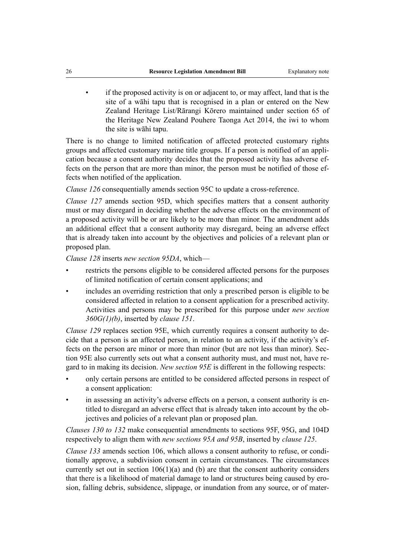• if the proposed activity is on or adjacent to, or may affect, land that is the site of a wāhi tapu that is recognised in a plan or entered on the New Zealand Heritage List/Rārangi Kōrero maintained under section 65 of the Heritage New Zealand Pouhere Taonga Act 2014, the iwi to whom the site is wāhi tapu.

There is no change to limited notification of affected protected customary rights groups and affected customary marine title groups. If a person is notified of an application because a consent authority decides that the proposed activity has adverse effects on the person that are more than minor, the person must be notified of those effects when notified of the application.

*Clause 126* consequentially amends section 95C to update a cross-reference.

*Clause 127* amends section 95D, which specifies matters that a consent authority must or may disregard in deciding whether the adverse effects on the environment of a proposed activity will be or are likely to be more than minor. The amendment adds an additional effect that a consent authority may disregard, being an adverse effect that is already taken into account by the objectives and policies of a relevant plan or proposed plan.

*Clause 128* inserts *new section 95DA*, which—

- restricts the persons eligible to be considered affected persons for the purposes of limited notification of certain consent applications; and
- includes an overriding restriction that only a prescribed person is eligible to be considered affected in relation to a consent application for a prescribed activity. Activities and persons may be prescribed for this purpose under *new section 360G(1)(b)*, inserted by *clause 151*.

*Clause 129* replaces section 95E, which currently requires a consent authority to decide that a person is an affected person, in relation to an activity, if the activity's effects on the person are minor or more than minor (but are not less than minor). Section 95E also currently sets out what a consent authority must, and must not, have regard to in making its decision. *New section 95E* is different in the following respects:

- only certain persons are entitled to be considered affected persons in respect of a consent application:
- in assessing an activity's adverse effects on a person, a consent authority is entitled to disregard an adverse effect that is already taken into account by the objectives and policies of a relevant plan or proposed plan.

*Clauses 130 to 132* make consequential amendments to sections 95F, 95G, and 104D respectively to align them with *new sections 95A and 95B*, inserted by *clause 125*.

*Clause 133* amends section 106, which allows a consent authority to refuse, or conditionally approve, a subdivision consent in certain circumstances. The circumstances currently set out in section  $106(1)(a)$  and (b) are that the consent authority considers that there is a likelihood of material damage to land or structures being caused by erosion, falling debris, subsidence, slippage, or inundation from any source, or of mater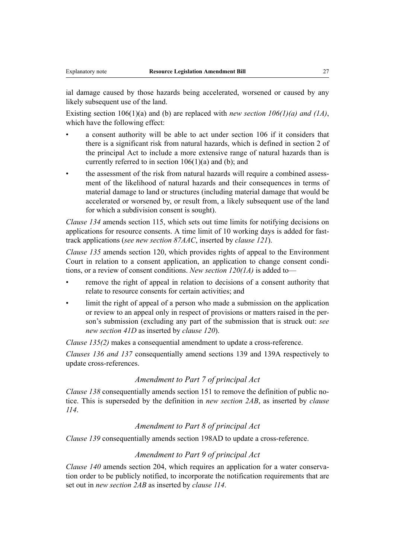ial damage caused by those hazards being accelerated, worsened or caused by any likely subsequent use of the land.

Existing section 106(1)(a) and (b) are replaced with *new section 106(1)(a) and (1A)*, which have the following effect:

- a consent authority will be able to act under section 106 if it considers that there is a significant risk from natural hazards, which is defined in section 2 of the principal Act to include a more extensive range of natural hazards than is currently referred to in section 106(1)(a) and (b); and
- the assessment of the risk from natural hazards will require a combined assessment of the likelihood of natural hazards and their consequences in terms of material damage to land or structures (including material damage that would be accelerated or worsened by, or result from, a likely subsequent use of the land for which a subdivision consent is sought).

*Clause 134* amends section 115, which sets out time limits for notifying decisions on applications for resource consents. A time limit of 10 working days is added for fasttrack applications (*see new section 87AAC*, inserted by *clause 121*).

*Clause 135* amends section 120, which provides rights of appeal to the Environment Court in relation to a consent application, an application to change consent conditions, or a review of consent conditions. *New section 120(1A)* is added to—

- remove the right of appeal in relation to decisions of a consent authority that relate to resource consents for certain activities; and
- limit the right of appeal of a person who made a submission on the application or review to an appeal only in respect of provisions or matters raised in the person's submission (excluding any part of the submission that is struck out: *see new section 41D* as inserted by *clause 120*).

*Clause 135(2)* makes a consequential amendment to update a cross-reference.

*Clauses 136 and 137* consequentially amend sections 139 and 139A respectively to update cross-references.

## *Amendment to Part 7 of principal Act*

*Clause 138* consequentially amends section 151 to remove the definition of public notice. This is superseded by the definition in *new section 2AB*, as inserted by *clause 114*.

## *Amendment to Part 8 of principal Act*

*Clause 139* consequentially amends section 198AD to update a cross-reference.

## *Amendment to Part 9 of principal Act*

*Clause 140* amends section 204, which requires an application for a water conservation order to be publicly notified, to incorporate the notification requirements that are set out in *new section 2AB* as inserted by *clause 114*.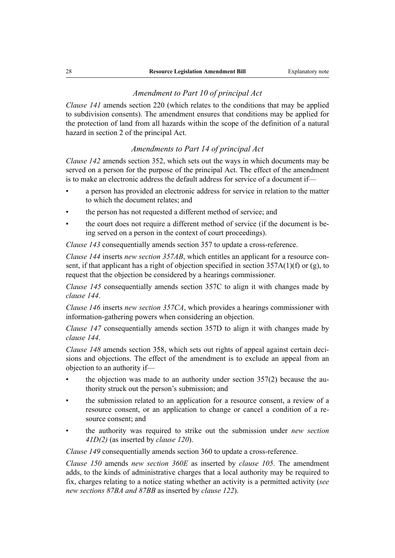## *Amendment to Part 10 of principal Act*

*Clause 141* amends section 220 (which relates to the conditions that may be applied to subdivision consents). The amendment ensures that conditions may be applied for the protection of land from all hazards within the scope of the definition of a natural hazard in section 2 of the principal Act.

## *Amendments to Part 14 of principal Act*

*Clause 142* amends section 352, which sets out the ways in which documents may be served on a person for the purpose of the principal Act. The effect of the amendment is to make an electronic address the default address for service of a document if—

- a person has provided an electronic address for service in relation to the matter to which the document relates; and
- the person has not requested a different method of service; and
- the court does not require a different method of service (if the document is being served on a person in the context of court proceedings).

*Clause 143* consequentially amends section 357 to update a cross-reference.

*Clause 144* inserts *new section 357AB*, which entitles an applicant for a resource consent, if that applicant has a right of objection specified in section 357A(1)(f) or (g), to request that the objection be considered by a hearings commissioner.

*Clause 145* consequentially amends section 357C to align it with changes made by *clause 144*.

*Clause 146* inserts *new section 357CA*, which provides a hearings commissioner with information-gathering powers when considering an objection.

*Clause 147* consequentially amends section 357D to align it with changes made by *clause 144*.

*Clause 148* amends section 358, which sets out rights of appeal against certain decisions and objections. The effect of the amendment is to exclude an appeal from an objection to an authority if—

- the objection was made to an authority under section  $357(2)$  because the authority struck out the person's submission; and
- the submission related to an application for a resource consent, a review of a resource consent, or an application to change or cancel a condition of a resource consent; and
- the authority was required to strike out the submission under *new section 41D(2)* (as inserted by *clause 120*).

*Clause 149* consequentially amends section 360 to update a cross-reference.

*Clause 150* amends *new section 360E* as inserted by *clause 105*. The amendment adds, to the kinds of administrative charges that a local authority may be required to fix, charges relating to a notice stating whether an activity is a permitted activity (*see new sections 87BA and 87BB* as inserted by *clause 122*).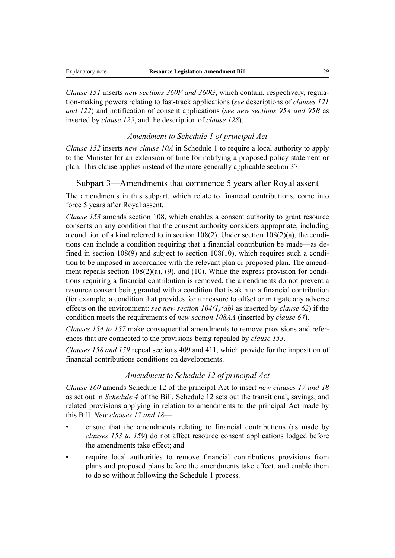*Clause 151* inserts *new sections 360F and 360G*, which contain, respectively, regulation-making powers relating to fast-track applications (*see* descriptions of *clauses 121 and 122*) and notification of consent applications (*see new sections 95A and 95B* as inserted by *clause 125*, and the description of *clause 128*).

#### *Amendment to Schedule 1 of principal Act*

*Clause 152* inserts *new clause 10A* in Schedule 1 to require a local authority to apply to the Minister for an extension of time for notifying a proposed policy statement or plan. This clause applies instead of the more generally applicable section 37.

## Subpart 3—Amendments that commence 5 years after Royal assent

The amendments in this subpart, which relate to financial contributions, come into force 5 years after Royal assent.

*Clause 153* amends section 108, which enables a consent authority to grant resource consents on any condition that the consent authority considers appropriate, including a condition of a kind referred to in section 108(2). Under section 108(2)(a), the conditions can include a condition requiring that a financial contribution be made—as defined in section 108(9) and subject to section 108(10), which requires such a condition to be imposed in accordance with the relevant plan or proposed plan. The amendment repeals section 108(2)(a), (9), and (10). While the express provision for conditions requiring a financial contribution is removed, the amendments do not prevent a resource consent being granted with a condition that is akin to a financial contribution (for example, a condition that provides for a measure to offset or mitigate any adverse effects on the environment: *see new section 104(1)(ab)* as inserted by *clause 62*) if the condition meets the requirements of *new section 108AA* (inserted by *clause 64*).

*Clauses 154 to 157* make consequential amendments to remove provisions and references that are connected to the provisions being repealed by *clause 153*.

*Clauses 158 and 159* repeal sections 409 and 411, which provide for the imposition of financial contributions conditions on developments.

## *Amendment to Schedule 12 of principal Act*

*Clause 160* amends Schedule 12 of the principal Act to insert *new clauses 17 and 18* as set out in *Schedule 4* of the Bill. Schedule 12 sets out the transitional, savings, and related provisions applying in relation to amendments to the principal Act made by this Bill. *New clauses 17 and 18*—

- ensure that the amendments relating to financial contributions (as made by *clauses 153 to 159*) do not affect resource consent applications lodged before the amendments take effect; and
- require local authorities to remove financial contributions provisions from plans and proposed plans before the amendments take effect, and enable them to do so without following the Schedule 1 process.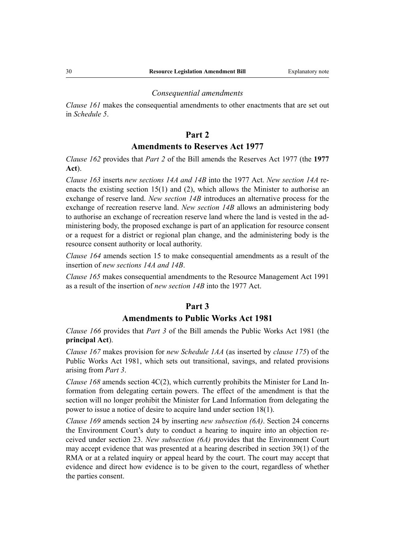#### *Consequential amendments*

*Clause 161* makes the consequential amendments to other enactments that are set out in *Schedule 5*.

## **Part 2**

## **Amendments to Reserves Act 1977**

*Clause 162* provides that *Part 2* of the Bill amends the Reserves Act 1977 (the **1977 Act**).

*Clause 163* inserts *new sections 14A and 14B* into the 1977 Act. *New section 14A* reenacts the existing section  $15(1)$  and  $(2)$ , which allows the Minister to authorise an exchange of reserve land. *New section 14B* introduces an alternative process for the exchange of recreation reserve land. *New section 14B* allows an administering body to authorise an exchange of recreation reserve land where the land is vested in the administering body, the proposed exchange is part of an application for resource consent or a request for a district or regional plan change, and the administering body is the resource consent authority or local authority.

*Clause 164* amends section 15 to make consequential amendments as a result of the insertion of *new sections 14A and 14B*.

*Clause 165* makes consequential amendments to the Resource Management Act 1991 as a result of the insertion of *new section 14B* into the 1977 Act.

## **Part 3**

## **Amendments to Public Works Act 1981**

*Clause 166* provides that *Part 3* of the Bill amends the Public Works Act 1981 (the **principal Act**).

*Clause 167* makes provision for *new Schedule 1AA* (as inserted by *clause 175*) of the Public Works Act 1981, which sets out transitional, savings, and related provisions arising from *Part 3*.

*Clause 168* amends section 4C(2), which currently prohibits the Minister for Land Information from delegating certain powers. The effect of the amendment is that the section will no longer prohibit the Minister for Land Information from delegating the power to issue a notice of desire to acquire land under section 18(1).

*Clause 169* amends section 24 by inserting *new subsection (6A)*. Section 24 concerns the Environment Court's duty to conduct a hearing to inquire into an objection received under section 23. *New subsection (6A)* provides that the Environment Court may accept evidence that was presented at a hearing described in section 39(1) of the RMA or at a related inquiry or appeal heard by the court. The court may accept that evidence and direct how evidence is to be given to the court, regardless of whether the parties consent.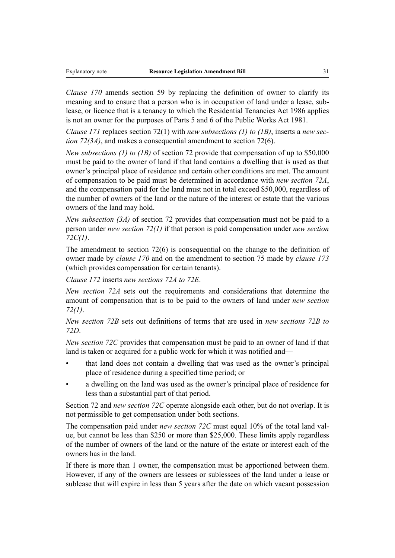*Clause 170* amends section 59 by replacing the definition of owner to clarify its meaning and to ensure that a person who is in occupation of land under a lease, sublease, or licence that is a tenancy to which the Residential Tenancies Act 1986 applies is not an owner for the purposes of Parts 5 and 6 of the Public Works Act 1981.

*Clause 171* replaces section 72(1) with *new subsections (1) to (1B)*, inserts a *new section 72(3A)*, and makes a consequential amendment to section 72(6).

*New subsections (1) to (1B)* of section 72 provide that compensation of up to \$50,000 must be paid to the owner of land if that land contains a dwelling that is used as that owner's principal place of residence and certain other conditions are met. The amount of compensation to be paid must be determined in accordance with *new section 72A*, and the compensation paid for the land must not in total exceed \$50,000, regardless of the number of owners of the land or the nature of the interest or estate that the various owners of the land may hold.

*New subsection (3A)* of section 72 provides that compensation must not be paid to a person under *new section 72(1)* if that person is paid compensation under *new section 72C(1)*.

The amendment to section 72(6) is consequential on the change to the definition of owner made by *clause 170* and on the amendment to section 75 made by *clause 173* (which provides compensation for certain tenants).

*Clause 172* inserts *new sections 72A to 72E*.

*New section 72A* sets out the requirements and considerations that determine the amount of compensation that is to be paid to the owners of land under *new section 72(1)*.

*New section 72B* sets out definitions of terms that are used in *new sections 72B to 72D*.

*New section 72C* provides that compensation must be paid to an owner of land if that land is taken or acquired for a public work for which it was notified and—

- that land does not contain a dwelling that was used as the owner's principal place of residence during a specified time period; or
- a dwelling on the land was used as the owner's principal place of residence for less than a substantial part of that period.

Section 72 and *new section 72C* operate alongside each other, but do not overlap. It is not permissible to get compensation under both sections.

The compensation paid under *new section 72C* must equal 10% of the total land value, but cannot be less than \$250 or more than \$25,000. These limits apply regardless of the number of owners of the land or the nature of the estate or interest each of the owners has in the land.

If there is more than 1 owner, the compensation must be apportioned between them. However, if any of the owners are lessees or sublessees of the land under a lease or sublease that will expire in less than 5 years after the date on which vacant possession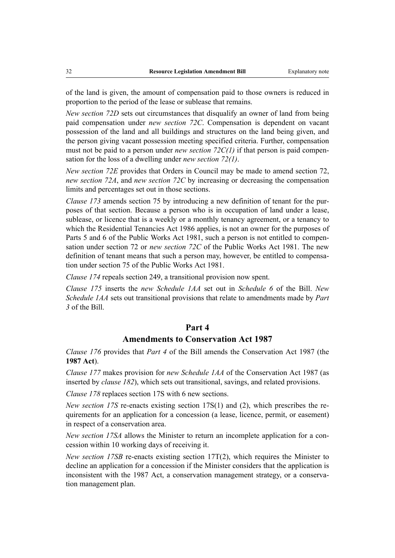of the land is given, the amount of compensation paid to those owners is reduced in proportion to the period of the lease or sublease that remains.

*New section 72D* sets out circumstances that disqualify an owner of land from being paid compensation under *new section 72C*. Compensation is dependent on vacant possession of the land and all buildings and structures on the land being given, and the person giving vacant possession meeting specified criteria. Further, compensation must not be paid to a person under *new section 72C(1)* if that person is paid compensation for the loss of a dwelling under *new section 72(1)*.

*New section 72E* provides that Orders in Council may be made to amend section 72, *new section 72A*, and *new section 72C* by increasing or decreasing the compensation limits and percentages set out in those sections.

*Clause 173* amends section 75 by introducing a new definition of tenant for the purposes of that section. Because a person who is in occupation of land under a lease, sublease, or licence that is a weekly or a monthly tenancy agreement, or a tenancy to which the Residential Tenancies Act 1986 applies, is not an owner for the purposes of Parts 5 and 6 of the Public Works Act 1981, such a person is not entitled to compensation under section 72 or *new section 72C* of the Public Works Act 1981. The new definition of tenant means that such a person may, however, be entitled to compensation under section 75 of the Public Works Act 1981.

*Clause 174* repeals section 249, a transitional provision now spent.

*Clause 175* inserts the *new Schedule 1AA* set out in *Schedule 6* of the Bill. *New Schedule 1AA* sets out transitional provisions that relate to amendments made by *Part 3* of the Bill.

## **Part 4**

## **Amendments to Conservation Act 1987**

*Clause 176* provides that *Part 4* of the Bill amends the Conservation Act 1987 (the **1987 Act**).

*Clause 177* makes provision for *new Schedule 1AA* of the Conservation Act 1987 (as inserted by *clause 182*), which sets out transitional, savings, and related provisions.

*Clause 178* replaces section 17S with 6 new sections.

*New section 17S* re-enacts existing section 17S(1) and (2), which prescribes the requirements for an application for a concession (a lease, licence, permit, or easement) in respect of a conservation area.

*New section 17SA* allows the Minister to return an incomplete application for a concession within 10 working days of receiving it.

*New section 17SB* re-enacts existing section 17T(2), which requires the Minister to decline an application for a concession if the Minister considers that the application is inconsistent with the 1987 Act, a conservation management strategy, or a conservation management plan.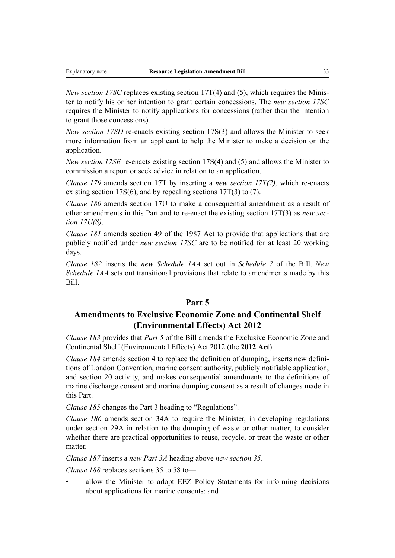*New section 17SC* replaces existing section 17T(4) and (5), which requires the Minister to notify his or her intention to grant certain concessions. The *new section 17SC* requires the Minister to notify applications for concessions (rather than the intention to grant those concessions).

*New section 17SD* re-enacts existing section 17S(3) and allows the Minister to seek more information from an applicant to help the Minister to make a decision on the application.

*New section 17SE* re-enacts existing section 17S(4) and (5) and allows the Minister to commission a report or seek advice in relation to an application.

*Clause 179* amends section 17T by inserting a *new section 17T(2)*, which re-enacts existing section 17S(6), and by repealing sections 17T(3) to (7).

*Clause 180* amends section 17U to make a consequential amendment as a result of other amendments in this Part and to re-enact the existing section 17T(3) as *new section 17U(8)*.

*Clause 181* amends section 49 of the 1987 Act to provide that applications that are publicly notified under *new section 17SC* are to be notified for at least 20 working days.

*Clause 182* inserts the *new Schedule 1AA* set out in *Schedule 7* of the Bill. *New Schedule 1AA* sets out transitional provisions that relate to amendments made by this Bill.

## **Part 5**

## **Amendments to Exclusive Economic Zone and Continental Shelf (Environmental Effects) Act 2012**

*Clause 183* provides that *Part 5* of the Bill amends the Exclusive Economic Zone and Continental Shelf (Environmental Effects) Act 2012 (the **2012 Act**).

*Clause 184* amends section 4 to replace the definition of dumping, inserts new definitions of London Convention, marine consent authority, publicly notifiable application, and section 20 activity, and makes consequential amendments to the definitions of marine discharge consent and marine dumping consent as a result of changes made in this Part.

*Clause 185* changes the Part 3 heading to "Regulations".

*Clause 186* amends section 34A to require the Minister, in developing regulations under section 29A in relation to the dumping of waste or other matter, to consider whether there are practical opportunities to reuse, recycle, or treat the waste or other matter.

*Clause 187* inserts a *new Part 3A* heading above *new section 35*.

*Clause 188* replaces sections 35 to 58 to—

allow the Minister to adopt EEZ Policy Statements for informing decisions about applications for marine consents; and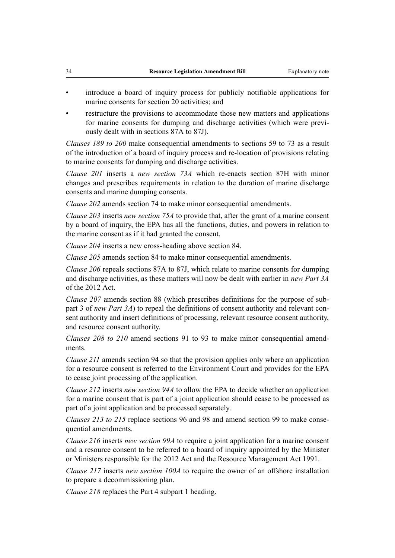- introduce a board of inquiry process for publicly notifiable applications for marine consents for section 20 activities; and
- restructure the provisions to accommodate those new matters and applications for marine consents for dumping and discharge activities (which were previously dealt with in sections 87A to 87J).

*Clauses 189 to 200* make consequential amendments to sections 59 to 73 as a result of the introduction of a board of inquiry process and re-location of provisions relating to marine consents for dumping and discharge activities.

*Clause 201* inserts a *new section 73A* which re-enacts section 87H with minor changes and prescribes requirements in relation to the duration of marine discharge consents and marine dumping consents.

*Clause 202* amends section 74 to make minor consequential amendments.

*Clause 203* inserts *new section 75A* to provide that, after the grant of a marine consent by a board of inquiry, the EPA has all the functions, duties, and powers in relation to the marine consent as if it had granted the consent.

*Clause 204* inserts a new cross-heading above section 84.

*Clause 205* amends section 84 to make minor consequential amendments.

*Clause 206* repeals sections 87A to 87J, which relate to marine consents for dumping and discharge activities, as these matters will now be dealt with earlier in *new Part 3A* of the 2012 Act.

*Clause 207* amends section 88 (which prescribes definitions for the purpose of subpart 3 of *new Part 3A*) to repeal the definitions of consent authority and relevant consent authority and insert definitions of processing, relevant resource consent authority, and resource consent authority.

*Clauses 208 to 210* amend sections 91 to 93 to make minor consequential amendments.

*Clause 211* amends section 94 so that the provision applies only where an application for a resource consent is referred to the Environment Court and provides for the EPA to cease joint processing of the application.

*Clause 212* inserts *new section 94A* to allow the EPA to decide whether an application for a marine consent that is part of a joint application should cease to be processed as part of a joint application and be processed separately.

*Clauses 213 to 215* replace sections 96 and 98 and amend section 99 to make consequential amendments.

*Clause 216* inserts *new section 99A* to require a joint application for a marine consent and a resource consent to be referred to a board of inquiry appointed by the Minister or Ministers responsible for the 2012 Act and the Resource Management Act 1991.

*Clause 217* inserts *new section 100A* to require the owner of an offshore installation to prepare a decommissioning plan.

*Clause 218* replaces the Part 4 subpart 1 heading.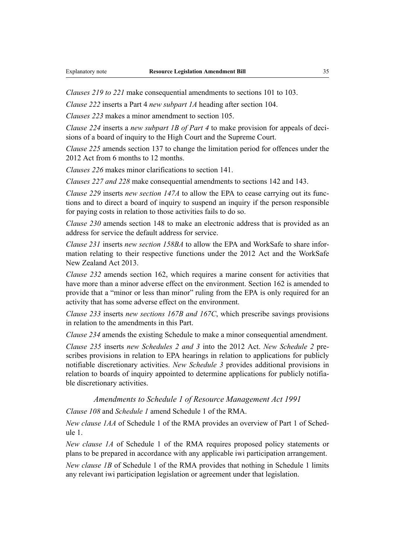*Clauses 219 to 221* make consequential amendments to sections 101 to 103.

*Clause 222* inserts a Part 4 *new subpart 1A* heading after section 104.

*Clauses 223* makes a minor amendment to section 105.

*Clause 224* inserts a *new subpart 1B of Part 4* to make provision for appeals of decisions of a board of inquiry to the High Court and the Supreme Court.

*Clause 225* amends section 137 to change the limitation period for offences under the 2012 Act from 6 months to 12 months.

*Clauses 226* makes minor clarifications to section 141.

*Clauses 227 and 228* make consequential amendments to sections 142 and 143.

*Clause 229* inserts *new section 147A* to allow the EPA to cease carrying out its functions and to direct a board of inquiry to suspend an inquiry if the person responsible for paying costs in relation to those activities fails to do so.

*Clause 230* amends section 148 to make an electronic address that is provided as an address for service the default address for service.

*Clause 231* inserts *new section 158BA* to allow the EPA and WorkSafe to share information relating to their respective functions under the 2012 Act and the WorkSafe New Zealand Act 2013.

*Clause 232* amends section 162, which requires a marine consent for activities that have more than a minor adverse effect on the environment. Section 162 is amended to provide that a "minor or less than minor" ruling from the EPA is only required for an activity that has some adverse effect on the environment.

*Clause 233* inserts *new sections 167B and 167C*, which prescribe savings provisions in relation to the amendments in this Part.

*Clause 234* amends the existing Schedule to make a minor consequential amendment.

*Clause 235* inserts *new Schedules 2 and 3* into the 2012 Act. *New Schedule 2* prescribes provisions in relation to EPA hearings in relation to applications for publicly notifiable discretionary activities. *New Schedule 3* provides additional provisions in relation to boards of inquiry appointed to determine applications for publicly notifiable discretionary activities.

*Amendments to Schedule 1 of Resource Management Act 1991*

*Clause 108* and *Schedule 1* amend Schedule 1 of the RMA.

*New clause 1AA* of Schedule 1 of the RMA provides an overview of Part 1 of Schedule 1.

*New clause 1A* of Schedule 1 of the RMA requires proposed policy statements or plans to be prepared in accordance with any applicable iwi participation arrangement.

*New clause 1B* of Schedule 1 of the RMA provides that nothing in Schedule 1 limits any relevant iwi participation legislation or agreement under that legislation.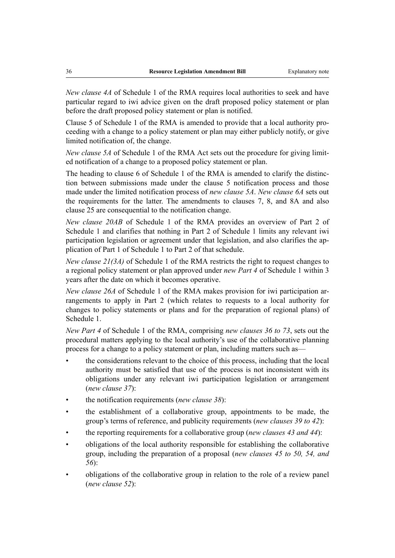*New clause 4A* of Schedule 1 of the RMA requires local authorities to seek and have particular regard to iwi advice given on the draft proposed policy statement or plan before the draft proposed policy statement or plan is notified.

Clause 5 of Schedule 1 of the RMA is amended to provide that a local authority proceeding with a change to a policy statement or plan may either publicly notify, or give limited notification of, the change.

*New clause 5A* of Schedule 1 of the RMA Act sets out the procedure for giving limited notification of a change to a proposed policy statement or plan.

The heading to clause 6 of Schedule 1 of the RMA is amended to clarify the distinction between submissions made under the clause 5 notification process and those made under the limited notification process of *new clause 5A*. *New clause 6A* sets out the requirements for the latter. The amendments to clauses 7, 8, and 8A and also clause 25 are consequential to the notification change.

*New clause 20AB* of Schedule 1 of the RMA provides an overview of Part 2 of Schedule 1 and clarifies that nothing in Part 2 of Schedule 1 limits any relevant iwi participation legislation or agreement under that legislation, and also clarifies the application of Part 1 of Schedule 1 to Part 2 of that schedule.

*New clause 21(3A)* of Schedule 1 of the RMA restricts the right to request changes to a regional policy statement or plan approved under *new Part 4* of Schedule 1 within 3 years after the date on which it becomes operative.

*New clause 26A* of Schedule 1 of the RMA makes provision for iwi participation arrangements to apply in Part 2 (which relates to requests to a local authority for changes to policy statements or plans and for the preparation of regional plans) of Schedule 1.

*New Part 4* of Schedule 1 of the RMA, comprising *new clauses 36 to 73*, sets out the procedural matters applying to the local authority's use of the collaborative planning process for a change to a policy statement or plan, including matters such as—

- the considerations relevant to the choice of this process, including that the local authority must be satisfied that use of the process is not inconsistent with its obligations under any relevant iwi participation legislation or arrangement (*new clause 37*):
- the notification requirements (*new clause 38*):
- the establishment of a collaborative group, appointments to be made, the group's terms of reference, and publicity requirements (*new clauses 39 to 42*):
- the reporting requirements for a collaborative group (*new clauses 43 and 44*):
- obligations of the local authority responsible for establishing the collaborative group, including the preparation of a proposal (*new clauses 45 to 50, 54, and 56*):
- obligations of the collaborative group in relation to the role of a review panel (*new clause 52*):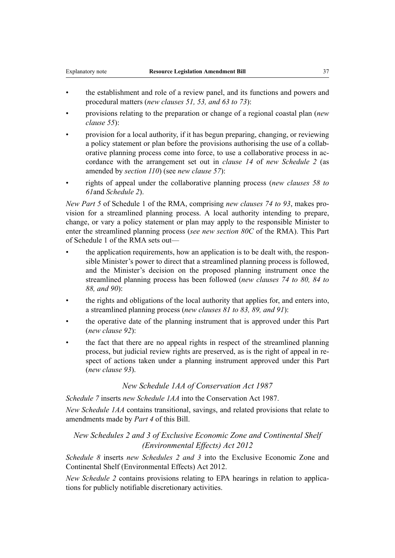- the establishment and role of a review panel, and its functions and powers and procedural matters (*new clauses 51, 53, and 63 to 73*):
- provisions relating to the preparation or change of a regional coastal plan (*new clause 55*):
- provision for a local authority, if it has begun preparing, changing, or reviewing a policy statement or plan before the provisions authorising the use of a collaborative planning process come into force, to use a collaborative process in accordance with the arrangement set out in *clause 14* of *new Schedule 2* (as amended by *section 110*) (see *new clause 57*):
- rights of appeal under the collaborative planning process (*new clauses 58 to 61*and *Schedule 2*).

*New Part 5* of Schedule 1 of the RMA, comprising *new clauses 74 to 93*, makes provision for a streamlined planning process. A local authority intending to prepare, change, or vary a policy statement or plan may apply to the responsible Minister to enter the streamlined planning process (*see new section 80C* of the RMA). This Part of Schedule 1 of the RMA sets out—

- the application requirements, how an application is to be dealt with, the responsible Minister's power to direct that a streamlined planning process is followed, and the Minister's decision on the proposed planning instrument once the streamlined planning process has been followed (*new clauses 74 to 80, 84 to 88, and 90*):
- the rights and obligations of the local authority that applies for, and enters into, a streamlined planning process (*new clauses 81 to 83, 89, and 91*):
- the operative date of the planning instrument that is approved under this Part (*new clause 92*):
- the fact that there are no appeal rights in respect of the streamlined planning process, but judicial review rights are preserved, as is the right of appeal in respect of actions taken under a planning instrument approved under this Part (*new clause 93*).

#### *New Schedule 1AA of Conservation Act 1987*

*Schedule 7* inserts *new Schedule 1AA* into the Conservation Act 1987.

*New Schedule 1AA* contains transitional, savings, and related provisions that relate to amendments made by *Part 4* of this Bill.

# *New Schedules 2 and 3 of Exclusive Economic Zone and Continental Shelf (Environmental Effects) Act 2012*

*Schedule 8* inserts *new Schedules 2 and 3* into the Exclusive Economic Zone and Continental Shelf (Environmental Effects) Act 2012.

*New Schedule 2* contains provisions relating to EPA hearings in relation to applications for publicly notifiable discretionary activities.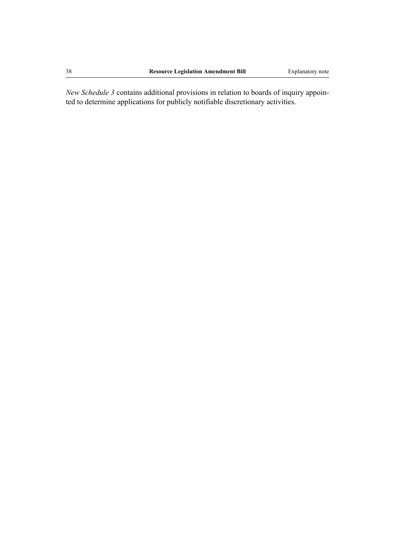*New Schedule 3* contains additional provisions in relation to boards of inquiry appointed to determine applications for publicly notifiable discretionary activities.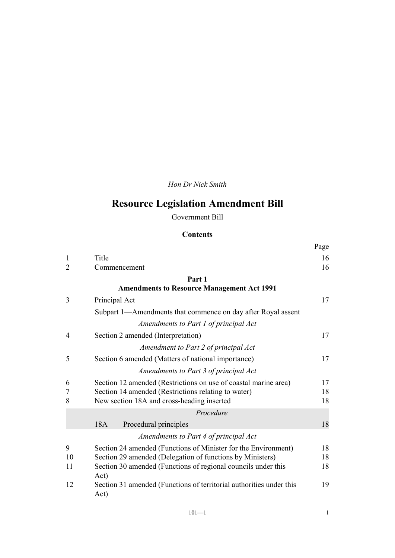*Hon Dr Nick Smith*

# **Resource Legislation Amendment Bill**

Government Bill

# **Contents**

|                |                                                                             | Page |
|----------------|-----------------------------------------------------------------------------|------|
| 1              | Title                                                                       | 16   |
| $\overline{2}$ | Commencement                                                                | 16   |
|                | Part 1                                                                      |      |
|                | <b>Amendments to Resource Management Act 1991</b>                           |      |
| 3              | Principal Act                                                               | 17   |
|                | Subpart 1—Amendments that commence on day after Royal assent                |      |
|                | Amendments to Part 1 of principal Act                                       |      |
| $\overline{4}$ | Section 2 amended (Interpretation)                                          | 17   |
|                | Amendment to Part 2 of principal Act                                        |      |
| 5              | Section 6 amended (Matters of national importance)                          | 17   |
|                | Amendments to Part 3 of principal Act                                       |      |
| 6              | Section 12 amended (Restrictions on use of coastal marine area)             | 17   |
| 7              | Section 14 amended (Restrictions relating to water)                         | 18   |
| 8              | New section 18A and cross-heading inserted                                  | 18   |
|                | Procedure                                                                   |      |
|                | 18A<br>Procedural principles                                                | 18   |
|                | Amendments to Part 4 of principal Act                                       |      |
| 9              | Section 24 amended (Functions of Minister for the Environment)              | 18   |
| 10             | Section 29 amended (Delegation of functions by Ministers)                   | 18   |
| 11             | Section 30 amended (Functions of regional councils under this<br>Act)       | 18   |
| 12             | Section 31 amended (Functions of territorial authorities under this<br>Act) | 19   |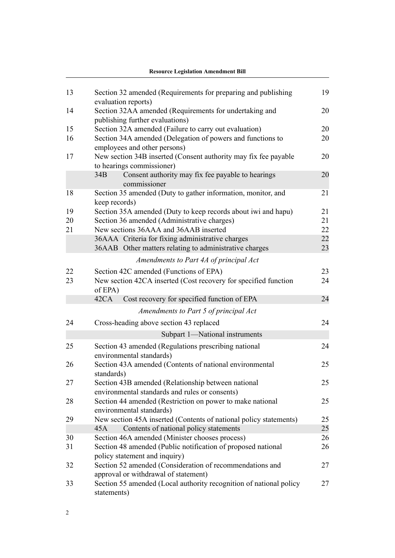|    | <b>Resource Legislation Amendment Bill</b>                                                           |    |
|----|------------------------------------------------------------------------------------------------------|----|
| 13 | Section 32 amended (Requirements for preparing and publishing<br>evaluation reports)                 | 19 |
| 14 | Section 32AA amended (Requirements for undertaking and<br>publishing further evaluations)            | 20 |
| 15 | Section 32A amended (Failure to carry out evaluation)                                                | 20 |
| 16 | Section 34A amended (Delegation of powers and functions to<br>employees and other persons)           | 20 |
| 17 | New section 34B inserted (Consent authority may fix fee payable<br>to hearings commissioner)         | 20 |
|    | 34B<br>Consent authority may fix fee payable to hearings<br>commissioner                             | 20 |
| 18 | Section 35 amended (Duty to gather information, monitor, and<br>keep records)                        | 21 |
| 19 | Section 35A amended (Duty to keep records about iwi and hapu)                                        | 21 |
| 20 | Section 36 amended (Administrative charges)                                                          | 21 |
| 21 | New sections 36AAA and 36AAB inserted                                                                | 22 |
|    | 36AAA Criteria for fixing administrative charges                                                     | 22 |
|    | 36AAB Other matters relating to administrative charges                                               | 23 |
|    | Amendments to Part 4A of principal Act                                                               |    |
| 22 | Section 42C amended (Functions of EPA)                                                               | 23 |
| 23 | New section 42CA inserted (Cost recovery for specified function<br>of EPA)                           | 24 |
|    | 42CA<br>Cost recovery for specified function of EPA                                                  | 24 |
|    | Amendments to Part 5 of principal Act                                                                |    |
| 24 | Cross-heading above section 43 replaced                                                              | 24 |
|    | Subpart 1-National instruments                                                                       |    |
| 25 | Section 43 amended (Regulations prescribing national<br>environmental standards)                     | 24 |
| 26 | Section 43A amended (Contents of national environmental<br>standards)                                | 25 |
| 27 | Section 43B amended (Relationship between national<br>environmental standards and rules or consents) | 25 |
| 28 | Section 44 amended (Restriction on power to make national<br>environmental standards)                | 25 |
| 29 | New section 45A inserted (Contents of national policy statements)                                    | 25 |
|    | Contents of national policy statements<br>45A                                                        | 25 |
| 30 | Section 46A amended (Minister chooses process)                                                       | 26 |
| 31 | Section 48 amended (Public notification of proposed national<br>policy statement and inquiry)        | 26 |
| 32 | Section 52 amended (Consideration of recommendations and<br>approval or withdrawal of statement)     | 27 |
| 33 | Section 55 amended (Local authority recognition of national policy<br>statements)                    | 27 |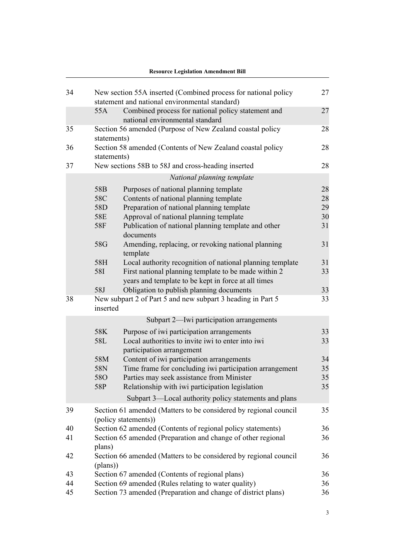|    |                      | <b>Resource Legislation Amendment Bill</b>                                                                       |    |
|----|----------------------|------------------------------------------------------------------------------------------------------------------|----|
| 34 |                      | New section 55A inserted (Combined process for national policy<br>statement and national environmental standard) | 27 |
|    | 55A                  | Combined process for national policy statement and<br>national environmental standard                            | 27 |
| 35 | statements)          | Section 56 amended (Purpose of New Zealand coastal policy                                                        | 28 |
| 36 | statements)          | Section 58 amended (Contents of New Zealand coastal policy                                                       | 28 |
| 37 |                      | New sections 58B to 58J and cross-heading inserted                                                               | 28 |
|    |                      | National planning template                                                                                       |    |
|    | 58B                  | Purposes of national planning template                                                                           | 28 |
|    | 58C                  | Contents of national planning template                                                                           | 28 |
|    | 58D                  | Preparation of national planning template                                                                        | 29 |
|    | 58E                  | Approval of national planning template                                                                           | 30 |
|    | 58F<br>documents     | Publication of national planning template and other                                                              | 31 |
|    | 58G<br>template      | Amending, replacing, or revoking national planning                                                               | 31 |
|    | 58H                  | Local authority recognition of national planning template                                                        | 31 |
|    | 58I                  | First national planning template to be made within 2                                                             | 33 |
|    |                      | years and template to be kept in force at all times                                                              |    |
|    | 58J                  | Obligation to publish planning documents                                                                         | 33 |
| 38 | inserted             | New subpart 2 of Part 5 and new subpart 3 heading in Part 5                                                      | 33 |
|    |                      | Subpart 2—Iwi participation arrangements                                                                         |    |
|    | 58K                  | Purpose of iwi participation arrangements                                                                        | 33 |
|    | 58L                  | Local authorities to invite iwi to enter into iwi<br>participation arrangement                                   | 33 |
|    | 58M                  | Content of iwi participation arrangements                                                                        | 34 |
|    | 58N                  | Time frame for concluding iwi participation arrangement                                                          | 35 |
|    | <b>58O</b>           | Parties may seek assistance from Minister                                                                        | 35 |
|    | 58P                  | Relationship with iwi participation legislation                                                                  | 35 |
|    |                      | Subpart 3—Local authority policy statements and plans                                                            |    |
| 39 |                      | Section 61 amended (Matters to be considered by regional council                                                 | 35 |
|    | (policy statements)) |                                                                                                                  |    |
| 40 |                      | Section 62 amended (Contents of regional policy statements)                                                      | 36 |
| 41 | plans)               | Section 65 amended (Preparation and change of other regional                                                     | 36 |
| 42 | (plans))             | Section 66 amended (Matters to be considered by regional council                                                 | 36 |
| 43 |                      | Section 67 amended (Contents of regional plans)                                                                  | 36 |
| 44 |                      | Section 69 amended (Rules relating to water quality)                                                             | 36 |
| 45 |                      | Section 73 amended (Preparation and change of district plans)                                                    | 36 |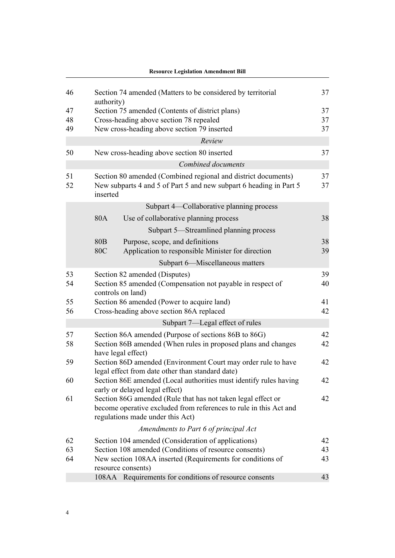|          | <b>Resource Legislation Amendment Bill</b>                                                                                                                            |          |
|----------|-----------------------------------------------------------------------------------------------------------------------------------------------------------------------|----------|
| 46       | Section 74 amended (Matters to be considered by territorial<br>authority)                                                                                             | 37       |
| 47       | Section 75 amended (Contents of district plans)                                                                                                                       | 37       |
| 48       | Cross-heading above section 78 repealed                                                                                                                               | 37       |
| 49       | New cross-heading above section 79 inserted                                                                                                                           | 37       |
|          | Review                                                                                                                                                                |          |
| 50       | New cross-heading above section 80 inserted                                                                                                                           | 37       |
|          | Combined documents                                                                                                                                                    |          |
| 51<br>52 | Section 80 amended (Combined regional and district documents)<br>New subparts 4 and 5 of Part 5 and new subpart 6 heading in Part 5<br>inserted                       | 37<br>37 |
|          | Subpart 4—Collaborative planning process                                                                                                                              |          |
|          | 80A<br>Use of collaborative planning process                                                                                                                          | 38       |
|          | Subpart 5-Streamlined planning process                                                                                                                                |          |
|          | 80 <sub>B</sub><br>Purpose, scope, and definitions                                                                                                                    | 38       |
|          | <b>80C</b><br>Application to responsible Minister for direction                                                                                                       | 39       |
|          | Subpart 6—Miscellaneous matters                                                                                                                                       |          |
| 53<br>54 | Section 82 amended (Disputes)<br>Section 85 amended (Compensation not payable in respect of<br>controls on land)                                                      | 39<br>40 |
| 55<br>56 | Section 86 amended (Power to acquire land)<br>Cross-heading above section 86A replaced                                                                                | 41<br>42 |
|          | Subpart 7—Legal effect of rules                                                                                                                                       |          |
| 57<br>58 | Section 86A amended (Purpose of sections 86B to 86G)<br>Section 86B amended (When rules in proposed plans and changes<br>have legal effect)                           | 42<br>42 |
| 59       | Section 86D amended (Environment Court may order rule to have<br>legal effect from date other than standard date)                                                     | 42       |
| 60       | Section 86E amended (Local authorities must identify rules having<br>early or delayed legal effect)                                                                   | 42       |
| 61       | Section 86G amended (Rule that has not taken legal effect or<br>become operative excluded from references to rule in this Act and<br>regulations made under this Act) | 42       |
|          | Amendments to Part 6 of principal Act                                                                                                                                 |          |
| 62       | Section 104 amended (Consideration of applications)                                                                                                                   | 42       |
| 63       | Section 108 amended (Conditions of resource consents)                                                                                                                 | 43       |
| 64       | New section 108AA inserted (Requirements for conditions of<br>resource consents)                                                                                      | 43       |
|          | 108AA Requirements for conditions of resource consents                                                                                                                | 43       |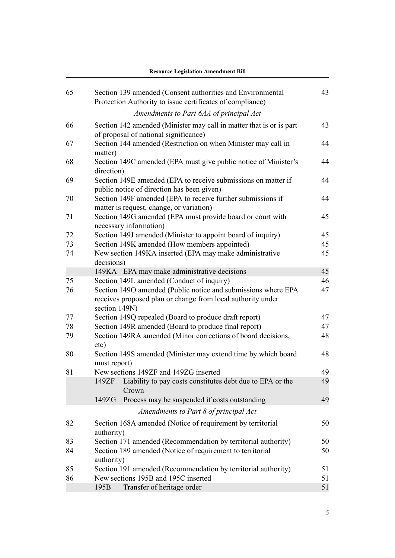|    | <b>Resource Legislation Amendment Bill</b>                                                                                                    |    |
|----|-----------------------------------------------------------------------------------------------------------------------------------------------|----|
| 65 | Section 139 amended (Consent authorities and Environmental<br>Protection Authority to issue certificates of compliance)                       | 43 |
|    | Amendments to Part 6AA of principal Act                                                                                                       |    |
| 66 | Section 142 amended (Minister may call in matter that is or is part<br>of proposal of national significance)                                  | 43 |
| 67 | Section 144 amended (Restriction on when Minister may call in<br>matter)                                                                      | 44 |
| 68 | Section 149C amended (EPA must give public notice of Minister's<br>direction)                                                                 | 44 |
| 69 | Section 149E amended (EPA to receive submissions on matter if<br>public notice of direction has been given)                                   | 44 |
| 70 | Section 149F amended (EPA to receive further submissions if<br>matter is request, change, or variation)                                       | 44 |
| 71 | Section 149G amended (EPA must provide board or court with<br>necessary information)                                                          | 45 |
| 72 | Section 149J amended (Minister to appoint board of inquiry)                                                                                   | 45 |
| 73 | Section 149K amended (How members appointed)                                                                                                  | 45 |
| 74 | New section 149KA inserted (EPA may make administrative<br>decisions)                                                                         | 45 |
|    | 149KA EPA may make administrative decisions                                                                                                   | 45 |
| 75 | Section 149L amended (Conduct of inquiry)                                                                                                     | 46 |
| 76 | Section 1490 amended (Public notice and submissions where EPA<br>receives proposed plan or change from local authority under<br>section 149N) | 47 |
| 77 | Section 149Q repealed (Board to produce draft report)                                                                                         | 47 |
| 78 | Section 149R amended (Board to produce final report)                                                                                          | 47 |
| 79 | Section 149RA amended (Minor corrections of board decisions,<br>etc)                                                                          | 48 |
| 80 | Section 149S amended (Minister may extend time by which board<br>must report)                                                                 | 48 |
| 81 | New sections 149ZF and 149ZG inserted                                                                                                         | 49 |
|    | Liability to pay costs constitutes debt due to EPA or the<br>149ZF<br>Crown                                                                   | 49 |
|    | Process may be suspended if costs outstanding<br>149ZG                                                                                        | 49 |
|    | Amendments to Part 8 of principal Act                                                                                                         |    |
| 82 | Section 168A amended (Notice of requirement by territorial<br>authority)                                                                      | 50 |
| 83 | Section 171 amended (Recommendation by territorial authority)                                                                                 | 50 |
| 84 | Section 189 amended (Notice of requirement to territorial<br>authority)                                                                       | 50 |
| 85 | Section 191 amended (Recommendation by territorial authority)                                                                                 | 51 |
| 86 | New sections 195B and 195C inserted                                                                                                           | 51 |
|    | Transfer of heritage order<br>195B                                                                                                            | 51 |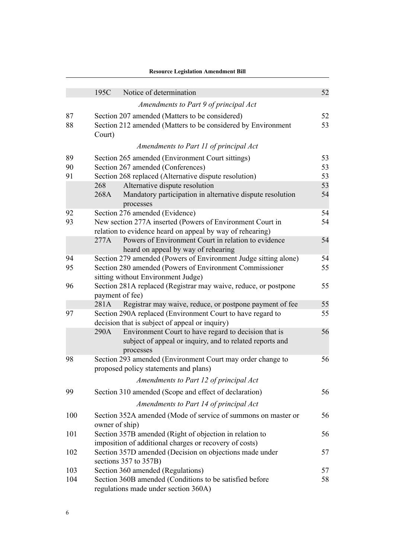|          | <b>Resource Legislation Amendment Bill</b>                                                                                                                       |          |
|----------|------------------------------------------------------------------------------------------------------------------------------------------------------------------|----------|
|          | 195C<br>Notice of determination                                                                                                                                  | 52       |
|          | Amendments to Part 9 of principal Act                                                                                                                            |          |
|          |                                                                                                                                                                  |          |
| 87<br>88 | Section 207 amended (Matters to be considered)<br>Section 212 amended (Matters to be considered by Environment<br>Court)                                         | 52<br>53 |
|          | Amendments to Part 11 of principal Act                                                                                                                           |          |
| 89       | Section 265 amended (Environment Court sittings)                                                                                                                 | 53       |
| 90       | Section 267 amended (Conferences)                                                                                                                                | 53       |
| 91       | Section 268 replaced (Alternative dispute resolution)                                                                                                            | 53       |
|          | Alternative dispute resolution<br>268<br>Mandatory participation in alternative dispute resolution<br>268A<br>processes                                          | 53<br>54 |
| 92       | Section 276 amended (Evidence)                                                                                                                                   | 54       |
| 93       | New section 277A inserted (Powers of Environment Court in<br>relation to evidence heard on appeal by way of rehearing)                                           | 54       |
|          | Powers of Environment Court in relation to evidence<br>277A                                                                                                      | 54       |
|          | heard on appeal by way of rehearing                                                                                                                              |          |
| 94<br>95 | Section 279 amended (Powers of Environment Judge sitting alone)<br>Section 280 amended (Powers of Environment Commissioner<br>sitting without Environment Judge) | 54<br>55 |
| 96       | Section 281A replaced (Registrar may waive, reduce, or postpone<br>payment of fee)                                                                               | 55       |
|          | Registrar may waive, reduce, or postpone payment of fee<br>281A                                                                                                  | 55       |
| 97       | Section 290A replaced (Environment Court to have regard to<br>decision that is subject of appeal or inquiry)                                                     | 55       |
|          | Environment Court to have regard to decision that is<br>290A<br>subject of appeal or inquiry, and to related reports and<br>processes                            | 56       |
| 98       | Section 293 amended (Environment Court may order change to<br>proposed policy statements and plans)                                                              | 56       |
|          | Amendments to Part 12 of principal Act                                                                                                                           |          |
| 99       | Section 310 amended (Scope and effect of declaration)                                                                                                            | 56       |
|          | Amendments to Part 14 of principal Act                                                                                                                           |          |
| 100      | Section 352A amended (Mode of service of summons on master or<br>owner of ship)                                                                                  | 56       |
| 101      | Section 357B amended (Right of objection in relation to<br>imposition of additional charges or recovery of costs)                                                | 56       |
| 102      | Section 357D amended (Decision on objections made under<br>sections 357 to 357B)                                                                                 | 57       |
| 103      | Section 360 amended (Regulations)                                                                                                                                | 57       |
| 104      | Section 360B amended (Conditions to be satisfied before<br>regulations made under section 360A)                                                                  | 58       |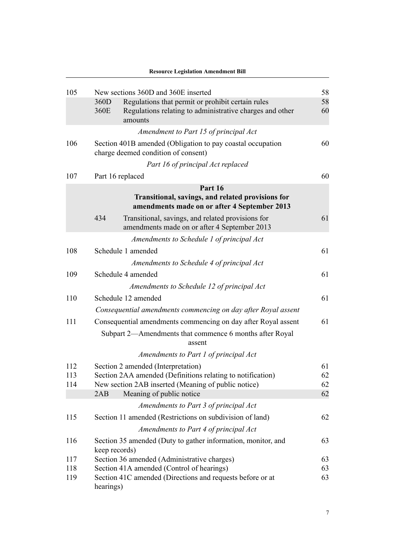|     | <b>Resource Legislation Amendment Bill</b>                                                               |    |
|-----|----------------------------------------------------------------------------------------------------------|----|
| 105 | New sections 360D and 360E inserted                                                                      | 58 |
|     | 360D<br>Regulations that permit or prohibit certain rules                                                | 58 |
|     | 360E<br>Regulations relating to administrative charges and other<br>amounts                              | 60 |
|     | Amendment to Part 15 of principal Act                                                                    |    |
| 106 | Section 401B amended (Obligation to pay coastal occupation<br>charge deemed condition of consent)        | 60 |
|     | Part 16 of principal Act replaced                                                                        |    |
| 107 | Part 16 replaced                                                                                         | 60 |
|     | Part 16                                                                                                  |    |
|     | Transitional, savings, and related provisions for<br>amendments made on or after 4 September 2013        |    |
|     | 434<br>Transitional, savings, and related provisions for<br>amendments made on or after 4 September 2013 | 61 |
|     | Amendments to Schedule 1 of principal Act                                                                |    |
| 108 | Schedule 1 amended                                                                                       | 61 |
|     | Amendments to Schedule 4 of principal Act                                                                |    |
| 109 | Schedule 4 amended                                                                                       | 61 |
|     | Amendments to Schedule 12 of principal Act                                                               |    |
| 110 | Schedule 12 amended                                                                                      | 61 |
|     | Consequential amendments commencing on day after Royal assent                                            |    |
| 111 | Consequential amendments commencing on day after Royal assent                                            | 61 |
|     | Subpart 2—Amendments that commence 6 months after Royal<br>assent                                        |    |
|     | Amendments to Part 1 of principal Act                                                                    |    |
| 112 | Section 2 amended (Interpretation)                                                                       | 61 |
| 113 | Section 2AA amended (Definitions relating to notification)                                               | 62 |
| 114 | New section 2AB inserted (Meaning of public notice)                                                      | 62 |
|     | Meaning of public notice<br>2AB                                                                          | 62 |
|     | Amendments to Part 3 of principal Act                                                                    |    |
| 115 | Section 11 amended (Restrictions on subdivision of land)                                                 | 62 |
|     | Amendments to Part 4 of principal Act                                                                    |    |
| 116 | Section 35 amended (Duty to gather information, monitor, and<br>keep records)                            | 63 |
| 117 | Section 36 amended (Administrative charges)                                                              | 63 |
| 118 | Section 41A amended (Control of hearings)                                                                | 63 |
| 119 | Section 41C amended (Directions and requests before or at<br>hearings)                                   | 63 |

7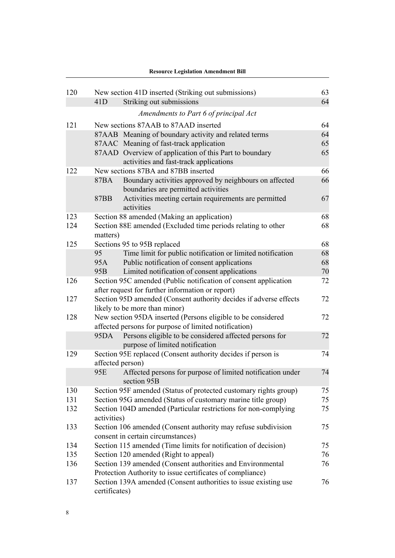|     |                 | <b>Resource Legislation Amendment Bill</b>                                                         |    |
|-----|-----------------|----------------------------------------------------------------------------------------------------|----|
| 120 |                 | New section 41D inserted (Striking out submissions)                                                | 63 |
|     | 41D             | Striking out submissions                                                                           | 64 |
|     |                 | Amendments to Part 6 of principal Act                                                              |    |
|     |                 |                                                                                                    |    |
| 121 |                 | New sections 87AAB to 87AAD inserted                                                               | 64 |
|     |                 | 87AAB Meaning of boundary activity and related terms                                               | 64 |
|     |                 | 87AAC Meaning of fast-track application                                                            | 65 |
|     |                 | 87AAD Overview of application of this Part to boundary                                             | 65 |
|     |                 | activities and fast-track applications                                                             |    |
| 122 |                 | New sections 87BA and 87BB inserted                                                                | 66 |
|     | 87BA            | Boundary activities approved by neighbours on affected<br>boundaries are permitted activities      | 66 |
|     | 87BB            | Activities meeting certain requirements are permitted<br>activities                                | 67 |
| 123 |                 | Section 88 amended (Making an application)                                                         | 68 |
| 124 | matters)        | Section 88E amended (Excluded time periods relating to other                                       | 68 |
| 125 |                 | Sections 95 to 95B replaced                                                                        | 68 |
|     | 95              | Time limit for public notification or limited notification                                         | 68 |
|     | 95A             | Public notification of consent applications                                                        | 68 |
|     | 95 <sub>B</sub> | Limited notification of consent applications                                                       | 70 |
| 126 |                 | Section 95C amended (Public notification of consent application                                    | 72 |
|     |                 | after request for further information or report)                                                   |    |
| 127 |                 | Section 95D amended (Consent authority decides if adverse effects                                  | 72 |
|     |                 | likely to be more than minor)                                                                      |    |
| 128 |                 | New section 95DA inserted (Persons eligible to be considered                                       | 72 |
|     |                 | affected persons for purpose of limited notification)                                              |    |
|     | 95DA            | Persons eligible to be considered affected persons for<br>purpose of limited notification          | 72 |
| 129 |                 | Section 95E replaced (Consent authority decides if person is                                       | 74 |
|     |                 | affected person)                                                                                   |    |
|     | 95E             | Affected persons for purpose of limited notification under<br>section 95B                          | 74 |
| 130 |                 | Section 95F amended (Status of protected customary rights group)                                   | 75 |
| 131 |                 | Section 95G amended (Status of customary marine title group)                                       | 75 |
| 132 | activities)     | Section 104D amended (Particular restrictions for non-complying                                    | 75 |
| 133 |                 | Section 106 amended (Consent authority may refuse subdivision<br>consent in certain circumstances) | 75 |
| 134 |                 | Section 115 amended (Time limits for notification of decision)                                     | 75 |
| 135 |                 | Section 120 amended (Right to appeal)                                                              | 76 |
| 136 |                 | Section 139 amended (Consent authorities and Environmental                                         | 76 |
|     |                 | Protection Authority to issue certificates of compliance)                                          |    |
| 137 |                 | Section 139A amended (Consent authorities to issue existing use                                    | 76 |
|     | certificates)   |                                                                                                    |    |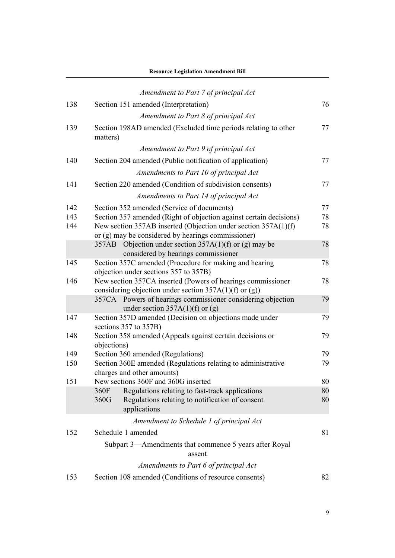|     | <b>Resource Legislation Amendment Bill</b>                                                       |    |
|-----|--------------------------------------------------------------------------------------------------|----|
|     | Amendment to Part 7 of principal Act                                                             |    |
| 138 | Section 151 amended (Interpretation)                                                             | 76 |
|     |                                                                                                  |    |
|     | Amendment to Part 8 of principal Act                                                             |    |
| 139 | Section 198AD amended (Excluded time periods relating to other<br>matters)                       | 77 |
|     | Amendment to Part 9 of principal Act                                                             |    |
| 140 | Section 204 amended (Public notification of application)                                         | 77 |
|     | Amendments to Part 10 of principal Act                                                           |    |
| 141 | Section 220 amended (Condition of subdivision consents)                                          | 77 |
|     | Amendments to Part 14 of principal Act                                                           |    |
| 142 | Section 352 amended (Service of documents)                                                       | 77 |
| 143 | Section 357 amended (Right of objection against certain decisions)                               | 78 |
| 144 | New section 357AB inserted (Objection under section 357A(1)(f)                                   | 78 |
|     | or (g) may be considered by hearings commissioner)                                               |    |
|     | 357AB Objection under section 357A(1)(f) or (g) may be                                           | 78 |
|     | considered by hearings commissioner                                                              |    |
| 145 | Section 357C amended (Procedure for making and hearing<br>objection under sections 357 to 357B)  | 78 |
| 146 | New section 357CA inserted (Powers of hearings commissioner                                      | 78 |
|     | considering objection under section $357A(1)(f)$ or (g))                                         |    |
|     | 357CA Powers of hearings commissioner considering objection<br>under section $357A(1)(f)$ or (g) | 79 |
| 147 | Section 357D amended (Decision on objections made under                                          | 79 |
|     | sections 357 to 357B)                                                                            |    |
| 148 | Section 358 amended (Appeals against certain decisions or                                        | 79 |
|     | objections)                                                                                      |    |
| 149 | Section 360 amended (Regulations)                                                                | 79 |
| 150 | Section 360E amended (Regulations relating to administrative                                     | 79 |
|     | charges and other amounts)                                                                       |    |
| 151 | New sections 360F and 360G inserted                                                              | 80 |
|     | 360F<br>Regulations relating to fast-track applications<br>360G                                  | 80 |
|     | Regulations relating to notification of consent<br>applications                                  | 80 |
|     | Amendment to Schedule 1 of principal Act                                                         |    |
|     | Schedule 1 amended                                                                               |    |
| 152 |                                                                                                  | 81 |
|     | Subpart 3—Amendments that commence 5 years after Royal<br>assent                                 |    |
|     | Amendments to Part 6 of principal Act                                                            |    |
| 153 | Section 108 amended (Conditions of resource consents)                                            | 82 |
|     |                                                                                                  |    |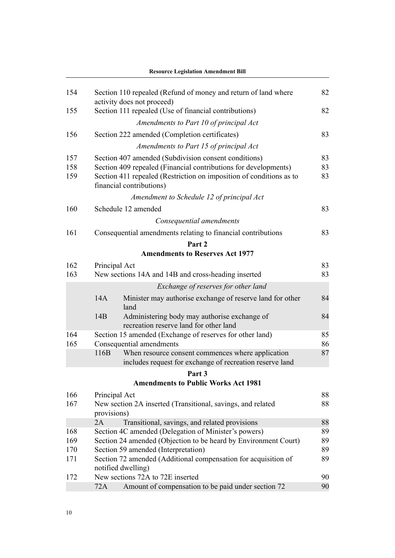|     |                                     | <b>Resource Legislation Amendment Bill</b>                                                                    |    |
|-----|-------------------------------------|---------------------------------------------------------------------------------------------------------------|----|
| 154 |                                     | Section 110 repealed (Refund of money and return of land where<br>activity does not proceed)                  | 82 |
| 155 |                                     | Section 111 repealed (Use of financial contributions)                                                         | 82 |
|     |                                     | Amendments to Part 10 of principal Act                                                                        |    |
| 156 |                                     | Section 222 amended (Completion certificates)                                                                 | 83 |
|     |                                     | Amendments to Part 15 of principal Act                                                                        |    |
| 157 |                                     | Section 407 amended (Subdivision consent conditions)                                                          | 83 |
| 158 |                                     | Section 409 repealed (Financial contributions for developments)                                               | 83 |
| 159 |                                     | Section 411 repealed (Restriction on imposition of conditions as to<br>financial contributions)               | 83 |
|     |                                     | Amendment to Schedule 12 of principal Act                                                                     |    |
| 160 |                                     | Schedule 12 amended                                                                                           | 83 |
|     |                                     | Consequential amendments                                                                                      |    |
| 161 |                                     | Consequential amendments relating to financial contributions                                                  | 83 |
|     |                                     | Part 2                                                                                                        |    |
|     |                                     | <b>Amendments to Reserves Act 1977</b>                                                                        |    |
| 162 | Principal Act                       |                                                                                                               | 83 |
| 163 |                                     | New sections 14A and 14B and cross-heading inserted                                                           | 83 |
|     |                                     | Exchange of reserves for other land                                                                           |    |
|     | 14A                                 | Minister may authorise exchange of reserve land for other<br>land                                             | 84 |
|     | 14B                                 | Administering body may authorise exchange of<br>recreation reserve land for other land                        | 84 |
| 164 |                                     | Section 15 amended (Exchange of reserves for other land)                                                      | 85 |
| 165 |                                     | Consequential amendments                                                                                      | 86 |
|     | 116B                                | When resource consent commences where application<br>includes request for exchange of recreation reserve land | 87 |
|     |                                     | Part 3                                                                                                        |    |
|     |                                     | <b>Amendments to Public Works Act 1981</b>                                                                    |    |
| 166 | Principal Act                       |                                                                                                               | 88 |
| 167 |                                     | New section 2A inserted (Transitional, savings, and related                                                   | 88 |
|     | provisions)<br>2A                   | Transitional, savings, and related provisions                                                                 | 88 |
| 168 |                                     | Section 4C amended (Delegation of Minister's powers)                                                          | 89 |
| 169 |                                     | Section 24 amended (Objection to be heard by Environment Court)                                               | 89 |
| 170 | Section 59 amended (Interpretation) |                                                                                                               | 89 |
| 171 |                                     | Section 72 amended (Additional compensation for acquisition of                                                | 89 |
|     |                                     | notified dwelling)                                                                                            |    |
| 172 |                                     | New sections 72A to 72E inserted                                                                              | 90 |
|     | 72A                                 | Amount of compensation to be paid under section 72                                                            | 90 |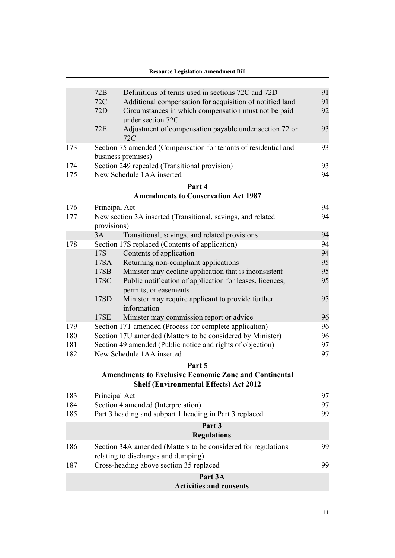|     | Definitions of terms used in sections 72C and 72D<br>72B                                                      | 91 |
|-----|---------------------------------------------------------------------------------------------------------------|----|
|     | 72C<br>Additional compensation for acquisition of notified land                                               | 91 |
|     | 72D<br>Circumstances in which compensation must not be paid<br>under section 72C                              | 92 |
|     | 72E<br>Adjustment of compensation payable under section 72 or<br>72C                                          | 93 |
| 173 | Section 75 amended (Compensation for tenants of residential and<br>business premises)                         | 93 |
| 174 | Section 249 repealed (Transitional provision)                                                                 | 93 |
| 175 | New Schedule 1AA inserted                                                                                     | 94 |
|     | Part 4                                                                                                        |    |
|     | <b>Amendments to Conservation Act 1987</b>                                                                    |    |
| 176 | Principal Act                                                                                                 | 94 |
| 177 | New section 3A inserted (Transitional, savings, and related<br>provisions)                                    | 94 |
|     | Transitional, savings, and related provisions<br>3A                                                           | 94 |
| 178 | Section 17S replaced (Contents of application)                                                                | 94 |
|     | 17S<br>Contents of application                                                                                | 94 |
|     | Returning non-compliant applications<br>17SA                                                                  | 95 |
|     | Minister may decline application that is inconsistent<br>17SB                                                 | 95 |
|     | 17SC<br>Public notification of application for leases, licences,<br>permits, or easements                     | 95 |
|     | 17SD<br>Minister may require applicant to provide further<br>information                                      | 95 |
|     | 17SE<br>Minister may commission report or advice                                                              | 96 |
| 179 | Section 17T amended (Process for complete application)                                                        | 96 |
| 180 | Section 17U amended (Matters to be considered by Minister)                                                    | 96 |
| 181 | Section 49 amended (Public notice and rights of objection)                                                    | 97 |
| 182 | New Schedule 1AA inserted                                                                                     | 97 |
|     | Part 5                                                                                                        |    |
|     | <b>Amendments to Exclusive Economic Zone and Continental</b><br><b>Shelf (Environmental Effects) Act 2012</b> |    |
| 183 | Principal Act                                                                                                 | 97 |
| 184 | Section 4 amended (Interpretation)                                                                            | 97 |
| 185 | Part 3 heading and subpart 1 heading in Part 3 replaced                                                       | 99 |
|     | Part 3                                                                                                        |    |
|     | <b>Regulations</b>                                                                                            |    |
| 186 | Section 34A amended (Matters to be considered for regulations<br>relating to discharges and dumping)          | 99 |
| 187 | Cross-heading above section 35 replaced                                                                       | 99 |
|     | Part 3A                                                                                                       |    |
|     | <b>Activities and consents</b>                                                                                |    |
|     |                                                                                                               |    |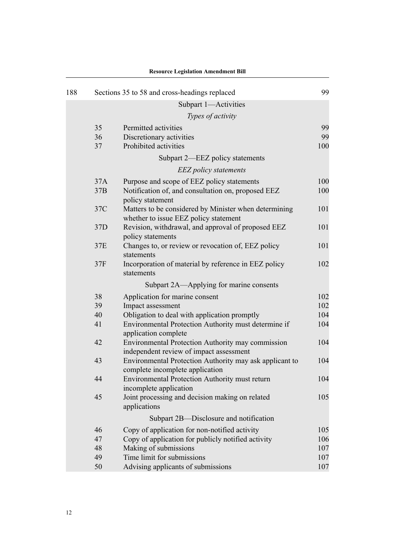| 188 |     | Sections 35 to 58 and cross-headings replaced                                                  | 99  |
|-----|-----|------------------------------------------------------------------------------------------------|-----|
|     |     | Subpart 1-Activities                                                                           |     |
|     |     | Types of activity                                                                              |     |
|     | 35  | Permitted activities                                                                           | 99  |
|     | 36  | Discretionary activities                                                                       | 99  |
|     | 37  | Prohibited activities                                                                          | 100 |
|     |     | Subpart 2—EEZ policy statements                                                                |     |
|     |     | <b>EEZ</b> policy statements                                                                   |     |
|     | 37A | Purpose and scope of EEZ policy statements                                                     | 100 |
|     | 37B | Notification of, and consultation on, proposed EEZ<br>policy statement                         | 100 |
|     | 37C | Matters to be considered by Minister when determining<br>whether to issue EEZ policy statement | 101 |
|     | 37D | Revision, withdrawal, and approval of proposed EEZ<br>policy statements                        | 101 |
|     | 37E | Changes to, or review or revocation of, EEZ policy<br>statements                               | 101 |
|     | 37F | Incorporation of material by reference in EEZ policy<br>statements                             | 102 |
|     |     | Subpart 2A—Applying for marine consents                                                        |     |
|     | 38  | Application for marine consent                                                                 | 102 |
|     | 39  | Impact assessment                                                                              | 102 |
|     | 40  | Obligation to deal with application promptly                                                   | 104 |
|     | 41  | Environmental Protection Authority must determine if<br>application complete                   | 104 |
|     | 42  | Environmental Protection Authority may commission<br>independent review of impact assessment   | 104 |
|     | 43  | Environmental Protection Authority may ask applicant to<br>complete incomplete application     | 104 |
|     | 44  | Environmental Protection Authority must return<br>incomplete application                       | 104 |
|     | 45  | Joint processing and decision making on related<br>applications                                | 105 |
|     |     | Subpart 2B—Disclosure and notification                                                         |     |
|     | 46  | Copy of application for non-notified activity                                                  | 105 |
|     | 47  | Copy of application for publicly notified activity                                             | 106 |
|     | 48  | Making of submissions                                                                          | 107 |
|     | 49  | Time limit for submissions                                                                     | 107 |
|     | 50  | Advising applicants of submissions                                                             | 107 |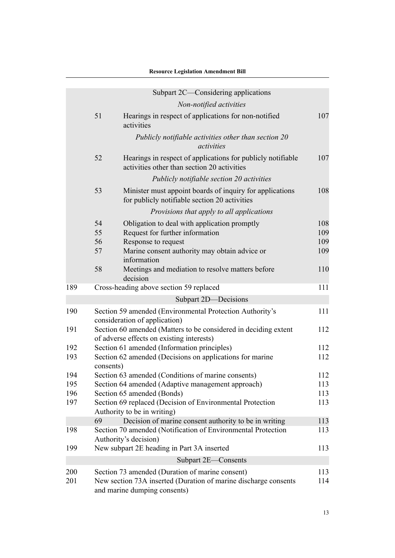|            |                                                                       | resource Legislation Amendment Di                                                                                                                                      |                          |
|------------|-----------------------------------------------------------------------|------------------------------------------------------------------------------------------------------------------------------------------------------------------------|--------------------------|
|            |                                                                       | Subpart 2C—Considering applications                                                                                                                                    |                          |
|            |                                                                       | Non-notified activities                                                                                                                                                |                          |
|            | 51                                                                    | Hearings in respect of applications for non-notified<br>activities                                                                                                     | 107                      |
|            |                                                                       | Publicly notifiable activities other than section 20<br>activities                                                                                                     |                          |
|            | 52                                                                    | Hearings in respect of applications for publicly notifiable<br>activities other than section 20 activities                                                             | 107                      |
|            |                                                                       | Publicly notifiable section 20 activities                                                                                                                              |                          |
|            | 53                                                                    | Minister must appoint boards of inquiry for applications<br>for publicly notifiable section 20 activities                                                              | 108                      |
|            |                                                                       | Provisions that apply to all applications                                                                                                                              |                          |
|            | 54<br>55<br>56<br>57                                                  | Obligation to deal with application promptly<br>Request for further information<br>Response to request<br>Marine consent authority may obtain advice or<br>information | 108<br>109<br>109<br>109 |
|            | 58                                                                    | Meetings and mediation to resolve matters before<br>decision                                                                                                           | 110                      |
| 189        |                                                                       | Cross-heading above section 59 replaced                                                                                                                                | 111                      |
|            |                                                                       | Subpart 2D-Decisions                                                                                                                                                   |                          |
| 190        |                                                                       | Section 59 amended (Environmental Protection Authority's<br>consideration of application)                                                                              | 111                      |
| 191        |                                                                       | Section 60 amended (Matters to be considered in deciding extent<br>of adverse effects on existing interests)                                                           | 112                      |
| 192        | Section 61 amended (Information principles)                           |                                                                                                                                                                        | 112                      |
| 193        | Section 62 amended (Decisions on applications for marine<br>consents) |                                                                                                                                                                        | 112                      |
| 194        |                                                                       | Section 63 amended (Conditions of marine consents)                                                                                                                     | 112                      |
| 195        |                                                                       | Section 64 amended (Adaptive management approach)                                                                                                                      | 113                      |
| 196<br>197 |                                                                       | Section 65 amended (Bonds)<br>Section 69 replaced (Decision of Environmental Protection<br>Authority to be in writing)                                                 | 113<br>113               |
|            | 69                                                                    | Decision of marine consent authority to be in writing                                                                                                                  | 113                      |
| 198        |                                                                       | Section 70 amended (Notification of Environmental Protection<br>Authority's decision)                                                                                  | 113                      |
| 199        |                                                                       | New subpart 2E heading in Part 3A inserted                                                                                                                             | 113                      |
|            |                                                                       | Subpart 2E-Consents                                                                                                                                                    |                          |
| 200<br>201 |                                                                       | Section 73 amended (Duration of marine consent)<br>New section 73A inserted (Duration of marine discharge consents<br>and marine dumping consents)                     | 113<br>114               |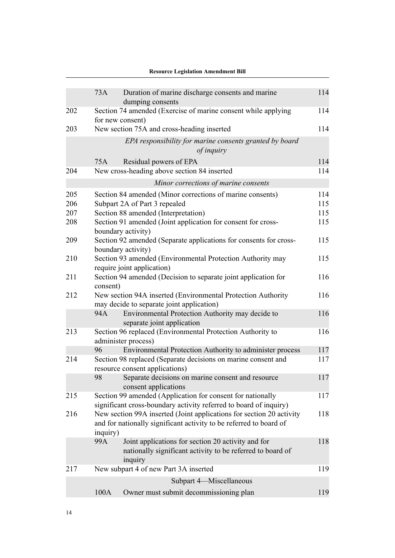| 114<br>114<br>114<br>114<br>114 |
|---------------------------------|
|                                 |
|                                 |
|                                 |
|                                 |
|                                 |
|                                 |
|                                 |
|                                 |
| 114                             |
| 115                             |
| 115                             |
| 115                             |
| 115                             |
| 115                             |
| 116                             |
| 116                             |
|                                 |
| 116                             |
| 116                             |
|                                 |
| 117                             |
| 117                             |
| 117                             |
| 117                             |
| 118                             |
| 118                             |
| 119                             |
|                                 |
| 119                             |
|                                 |

#### **Resource Legislation Amendment Bill**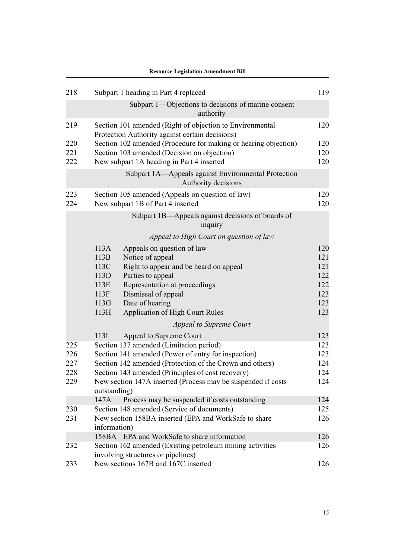|                                                                                     | <b>Resource Legislation Amendment Bill</b>                                                                  |            |  |  |
|-------------------------------------------------------------------------------------|-------------------------------------------------------------------------------------------------------------|------------|--|--|
| 218                                                                                 | Subpart 1 heading in Part 4 replaced                                                                        | 119        |  |  |
|                                                                                     | Subpart 1—Objections to decisions of marine consent<br>authority                                            |            |  |  |
| 219                                                                                 | Section 101 amended (Right of objection to Environmental<br>Protection Authority against certain decisions) | 120        |  |  |
| 220                                                                                 | Section 102 amended (Procedure for making or hearing objection)                                             | 120        |  |  |
| 221                                                                                 | Section 103 amended (Decision on objection)                                                                 | 120        |  |  |
| 222                                                                                 | New subpart 1A heading in Part 4 inserted                                                                   | 120        |  |  |
|                                                                                     | Subpart 1A—Appeals against Environmental Protection<br>Authority decisions                                  |            |  |  |
| 223<br>224                                                                          | Section 105 amended (Appeals on question of law)<br>New subpart 1B of Part 4 inserted                       | 120<br>120 |  |  |
|                                                                                     | Subpart 1B—Appeals against decisions of boards of<br>inquiry                                                |            |  |  |
|                                                                                     | Appeal to High Court on question of law                                                                     |            |  |  |
|                                                                                     | 113A<br>Appeals on question of law                                                                          | 120        |  |  |
|                                                                                     | 113B<br>Notice of appeal                                                                                    | 121        |  |  |
|                                                                                     | 113C<br>Right to appear and be heard on appeal                                                              | 121        |  |  |
|                                                                                     | 113D<br>Parties to appeal                                                                                   | 122        |  |  |
|                                                                                     | 113E<br>Representation at proceedings                                                                       | 122        |  |  |
|                                                                                     | 113F<br>Dismissal of appeal                                                                                 | 123        |  |  |
|                                                                                     | 113G<br>Date of hearing                                                                                     | 123        |  |  |
|                                                                                     | 113H<br><b>Application of High Court Rules</b>                                                              | 123        |  |  |
|                                                                                     | Appeal to Supreme Court                                                                                     |            |  |  |
|                                                                                     | 113I<br>Appeal to Supreme Court                                                                             | 123        |  |  |
| 225                                                                                 | Section 137 amended (Limitation period)                                                                     | 123        |  |  |
| 226                                                                                 | Section 141 amended (Power of entry for inspection)                                                         | 123        |  |  |
| 227                                                                                 | Section 142 amended (Protection of the Crown and others)                                                    | 124        |  |  |
| 228                                                                                 | Section 143 amended (Principles of cost recovery)                                                           | 124        |  |  |
| New section 147A inserted (Process may be suspended if costs<br>229<br>outstanding) |                                                                                                             | 124        |  |  |
|                                                                                     | 147A<br>Process may be suspended if costs outstanding                                                       | 124        |  |  |
| 230                                                                                 | Section 148 amended (Service of documents)                                                                  | 125        |  |  |
| 231                                                                                 | New section 158BA inserted (EPA and WorkSafe to share                                                       |            |  |  |
|                                                                                     | information)                                                                                                |            |  |  |
|                                                                                     | 158BA EPA and WorkSafe to share information                                                                 | 126        |  |  |
| 232                                                                                 | Section 162 amended (Existing petroleum mining activities<br>involving structures or pipelines)             | 126        |  |  |
| 233                                                                                 | New sections 167B and 167C inserted                                                                         | 126        |  |  |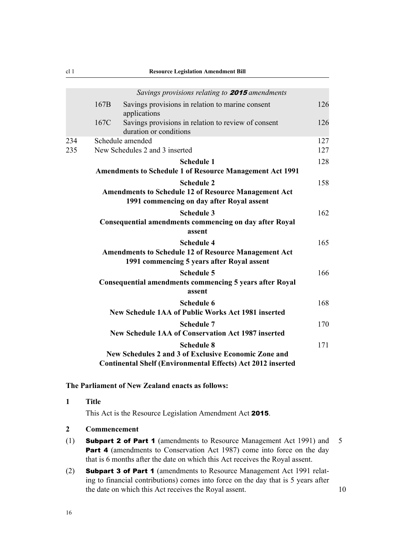<span id="page-53-0"></span>

|            |      | Savings provisions relating to <b>2015</b> amendments                                                                                           |            |
|------------|------|-------------------------------------------------------------------------------------------------------------------------------------------------|------------|
|            | 167B | Savings provisions in relation to marine consent<br>applications                                                                                | 126        |
|            | 167C | Savings provisions in relation to review of consent<br>duration or conditions                                                                   | 126        |
| 234<br>235 |      | Schedule amended<br>New Schedules 2 and 3 inserted                                                                                              | 127<br>127 |
|            |      | <b>Schedule 1</b><br><b>Amendments to Schedule 1 of Resource Management Act 1991</b>                                                            | 128        |
|            |      | <b>Schedule 2</b><br><b>Amendments to Schedule 12 of Resource Management Act</b><br>1991 commencing on day after Royal assent                   | 158        |
|            |      | <b>Schedule 3</b><br><b>Consequential amendments commencing on day after Royal</b><br>assent                                                    | 162        |
|            |      | <b>Schedule 4</b><br><b>Amendments to Schedule 12 of Resource Management Act</b><br>1991 commencing 5 years after Royal assent                  | 165        |
|            |      | <b>Schedule 5</b><br><b>Consequential amendments commencing 5 years after Royal</b><br>assent                                                   | 166        |
|            |      | <b>Schedule 6</b><br><b>New Schedule 1AA of Public Works Act 1981 inserted</b>                                                                  | 168        |
|            |      | <b>Schedule 7</b><br><b>New Schedule 1AA of Conservation Act 1987 inserted</b>                                                                  | 170        |
|            |      | <b>Schedule 8</b><br>New Schedules 2 and 3 of Exclusive Economic Zone and<br><b>Continental Shelf (Environmental Effects) Act 2012 inserted</b> | 171        |

#### **The Parliament of New Zealand enacts as follows:**

| <b>Title</b> |
|--------------|
|              |

This Act is the Resource Legislation Amendment Act 2015.

- **2 Commencement**
- (1) Subpart 2 of Part 1 (amendments to Resource Management Act 1991) and 5 Part 4 (amendments to Conservation Act 1987) come into force on the day that is 6 months after the date on which this Act receives the Royal assent.
- (2) Subpart 3 of Part 1 (amendments to Resource Management Act 1991 relating to financial contributions) comes into force on the day that is 5 years after the date on which this Act receives the Royal assent. 10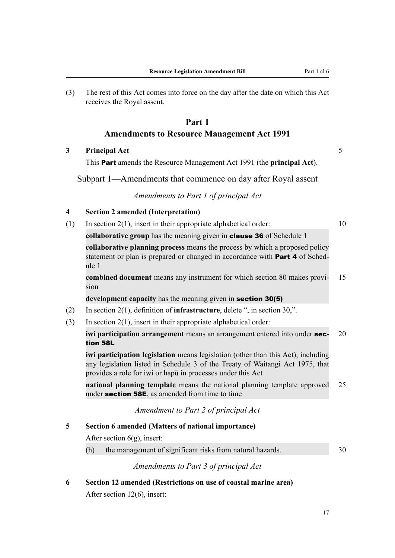<span id="page-54-0"></span>(3) The rest of this Act comes into force on the day after the date on which this Act receives the Royal assent.

# **Part 1 Amendments to Resource Management Act 1991**

**3 Principal Act** 5

This Part amends the Resource Management Act 1991 (the **principal Act**).

Subpart 1—Amendments that commence on day after Royal assent

*Amendments to Part 1 of principal Act*

#### **4 Section 2 amended (Interpretation)**

(1) In section 2(1), insert in their appropriate alphabetical order: 10

**collaborative group** has the meaning given in clause 36 of Schedule 1

**collaborative planning process** means the process by which a proposed policy statement or plan is prepared or changed in accordance with **Part 4** of Schedule 1

**combined document** means any instrument for which section 80 makes provi- 15 sion

**development capacity** has the meaning given in section 30(5)

- (2) In section 2(1), definition of **infrastructure**, delete ", in section 30,".
- (3) In section 2(1), insert in their appropriate alphabetical order:

**iwi participation arrangement** means an arrangement entered into under **sec-** 20 tion 58L

**iwi participation legislation** means legislation (other than this Act), including any legislation listed in Schedule 3 of the Treaty of Waitangi Act 1975, that provides a role for iwi or hapū in processes under this Act

**national planning template** means the national planning template approved 25 under **section 58E**, as amended from time to time

*Amendment to Part 2 of principal Act*

#### **5 Section 6 amended (Matters of national importance)**

After section 6(g), insert:

(h) the management of significant risks from natural hazards. 30

*Amendments to Part 3 of principal Act*

**6 Section 12 amended (Restrictions on use of coastal marine area)** After section 12(6), insert: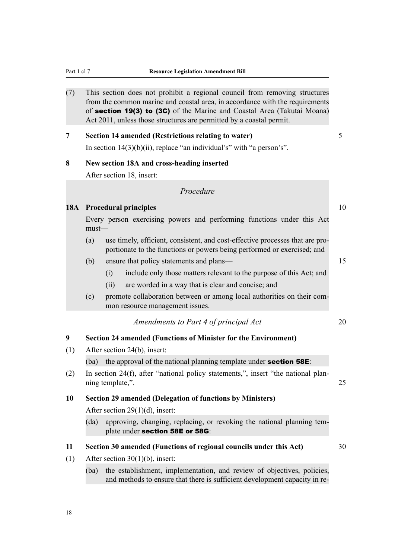<span id="page-55-0"></span>(7) This section does not prohibit a regional council from removing structures from the common marine and coastal area, in accordance with the requirements of section 19(3) to (3C) of the Marine and Coastal Area (Takutai Moana) Act 2011, unless those structures are permitted by a coastal permit.

# **7 Section 14 amended (Restrictions relating to water)** 5 In section  $14(3)(b)(ii)$ , replace "an individual's" with "a person's".

# **8 New section 18A and cross-heading inserted**

After section 18, insert:

#### *Procedure*

# **18A Procedural principles** 10

Every person exercising powers and performing functions under this Act must—

- (a) use timely, efficient, consistent, and cost-effective processes that are proportionate to the functions or powers being performed or exercised; and
- (b) ensure that policy statements and plans— 15
	- (i) include only those matters relevant to the purpose of this Act; and
	- (ii) are worded in a way that is clear and concise; and
- (c) promote collaboration between or among local authorities on their common resource management issues.

#### *Amendments to Part 4 of principal Act* 20

# **9 Section 24 amended (Functions of Minister for the Environment)**

(1) After section 24(b), insert:

(ba) the approval of the national planning template under **section 58E**:

(2) In section 24(f), after "national policy statements,", insert "the national planning template,". 25

#### **10 Section 29 amended (Delegation of functions by Ministers)**

After section 29(1)(d), insert:

(da) approving, changing, replacing, or revoking the national planning template under section 58E or 58G:

#### **11 Section 30 amended (Functions of regional councils under this Act)** 30

- (1) After section 30(1)(b), insert:
	- (ba) the establishment, implementation, and review of objectives, policies, and methods to ensure that there is sufficient development capacity in re-

18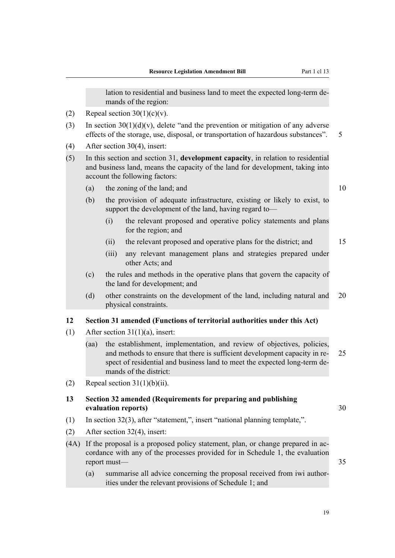lation to residential and business land to meet the expected long-term demands of the region:

- <span id="page-56-0"></span>(2) Repeal section  $30(1)(c)(v)$ .
- (3) In section  $30(1)(d)(v)$ , delete "and the prevention or mitigation of any adverse effects of the storage, use, disposal, or transportation of hazardous substances". 5
- (4) After section 30(4), insert:
- (5) In this section and section 31, **development capacity**, in relation to residential and business land, means the capacity of the land for development, taking into account the following factors:
	- (a) the zoning of the land; and  $10$
	- (b) the provision of adequate infrastructure, existing or likely to exist, to support the development of the land, having regard to—
		- (i) the relevant proposed and operative policy statements and plans for the region; and
		- (ii) the relevant proposed and operative plans for the district; and 15
		- (iii) any relevant management plans and strategies prepared under other Acts; and
	- (c) the rules and methods in the operative plans that govern the capacity of the land for development; and
	- (d) other constraints on the development of the land, including natural and 20 physical constraints.

#### **12 Section 31 amended (Functions of territorial authorities under this Act)**

- (1) After section  $31(1)(a)$ , insert:
	- (aa) the establishment, implementation, and review of objectives, policies, and methods to ensure that there is sufficient development capacity in re- 25 spect of residential and business land to meet the expected long-term demands of the district:
- (2) Repeal section  $31(1)(b)(ii)$ .

### **13 Section 32 amended (Requirements for preparing and publishing evaluation reports)** 30

- (1) In section 32(3), after "statement,", insert "national planning template,".
- (2) After section 32(4), insert:
- (4A) If the proposal is a proposed policy statement, plan, or change prepared in accordance with any of the processes provided for in Schedule 1, the evaluation report must— $\sim$  35
	- (a) summarise all advice concerning the proposal received from iwi authorities under the relevant provisions of Schedule 1; and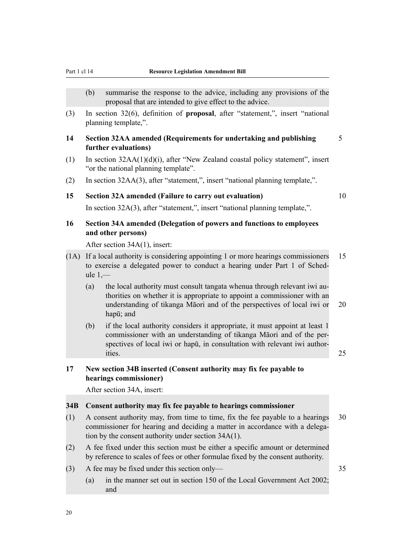- <span id="page-57-0"></span>(b) summarise the response to the advice, including any provisions of the proposal that are intended to give effect to the advice.
- (3) In section 32(6), definition of **proposal**, after "statement,", insert "national planning template,".
- **14 Section 32AA amended (Requirements for undertaking and publishing** 5 **further evaluations)**
- (1) In section 32AA(1)(d)(i), after "New Zealand coastal policy statement", insert "or the national planning template".
- (2) In section 32AA(3), after "statement,", insert "national planning template,".

# **15 Section 32A amended (Failure to carry out evaluation)** 10

In section 32A(3), after "statement,", insert "national planning template,".

# **16 Section 34A amended (Delegation of powers and functions to employees and other persons)**

After section 34A(1), insert:

- (1A) If a local authority is considering appointing 1 or more hearings commissioners 15 to exercise a delegated power to conduct a hearing under Part 1 of Schedule  $1$ .
	- (a) the local authority must consult tangata whenua through relevant iwi authorities on whether it is appropriate to appoint a commissioner with an understanding of tikanga Māori and of the perspectives of local iwi or 20 hapū; and
	- (b) if the local authority considers it appropriate, it must appoint at least 1 commissioner with an understanding of tikanga Māori and of the perspectives of local iwi or hapū, in consultation with relevant iwi authorities. 25

**17 New section 34B inserted (Consent authority may fix fee payable to hearings commissioner)**

After section 34A, insert:

#### **34B Consent authority may fix fee payable to hearings commissioner**

- (1) A consent authority may, from time to time, fix the fee payable to a hearings 30 commissioner for hearing and deciding a matter in accordance with a delegation by the consent authority under section 34A(1).
- (2) A fee fixed under this section must be either a specific amount or determined by reference to scales of fees or other formulae fixed by the consent authority.
- (3) A fee may be fixed under this section only— 35
	- (a) in the manner set out in section 150 of the Local Government Act 2002; and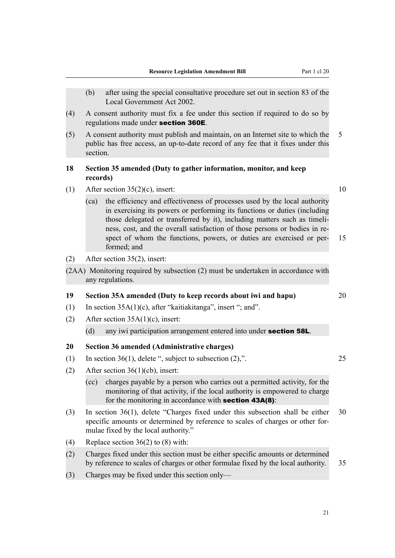- <span id="page-58-0"></span>(b) after using the special consultative procedure set out in section 83 of the Local Government Act 2002.
- (4) A consent authority must fix a fee under this section if required to do so by regulations made under section 360E.
- (5) A consent authority must publish and maintain, on an Internet site to which the 5 public has free access, an up-to-date record of any fee that it fixes under this section.

### **18 Section 35 amended (Duty to gather information, monitor, and keep records)**

- (1) After section  $35(2)(c)$ , insert: 10
	- (ca) the efficiency and effectiveness of processes used by the local authority in exercising its powers or performing its functions or duties (including those delegated or transferred by it), including matters such as timeliness, cost, and the overall satisfaction of those persons or bodies in respect of whom the functions, powers, or duties are exercised or per- 15 formed; and
- (2) After section 35(2), insert:
- (2AA) Monitoring required by subsection (2) must be undertaken in accordance with any regulations.

#### **19 Section 35A amended (Duty to keep records about iwi and hapu)** 20

- (1) In section 35A(1)(c), after "kaitiakitanga", insert "; and".
- (2) After section 35A(1)(c), insert:

#### (d) any iwi participation arrangement entered into under **section 58L**.

#### **20 Section 36 amended (Administrative charges)**

- (1) In section 36(1), delete ", subject to subsection (2),". 25
- (2) After section 36(1)(cb), insert:
	- (cc) charges payable by a person who carries out a permitted activity, for the monitoring of that activity, if the local authority is empowered to charge for the monitoring in accordance with **section 43A(8)**:
- (3) In section 36(1), delete "Charges fixed under this subsection shall be either 30 specific amounts or determined by reference to scales of charges or other formulae fixed by the local authority."
- (4) Replace section 36(2) to (8) with:
- (2) Charges fixed under this section must be either specific amounts or determined by reference to scales of charges or other formulae fixed by the local authority. 35
- (3) Charges may be fixed under this section only—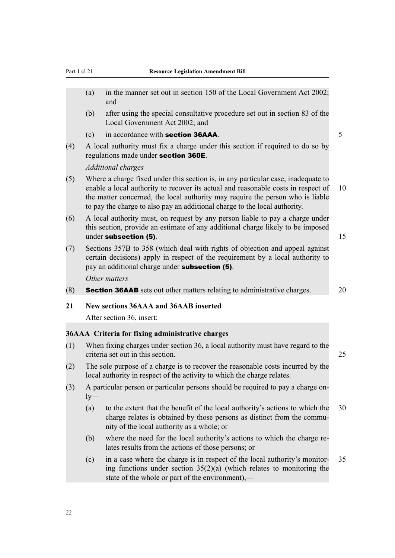- <span id="page-59-0"></span>(a) in the manner set out in section 150 of the Local Government Act 2002; and
- (b) after using the special consultative procedure set out in section 83 of the Local Government Act 2002; and
- (c) in accordance with **section 36AAA**.  $5$
- (4) A local authority must fix a charge under this section if required to do so by regulations made under section 360E.

#### *Additional charges*

- (5) Where a charge fixed under this section is, in any particular case, inadequate to enable a local authority to recover its actual and reasonable costs in respect of 10 the matter concerned, the local authority may require the person who is liable to pay the charge to also pay an additional charge to the local authority.
- (6) A local authority must, on request by any person liable to pay a charge under this section, provide an estimate of any additional charge likely to be imposed under subsection (5). 15
- (7) Sections 357B to 358 (which deal with rights of objection and appeal against certain decisions) apply in respect of the requirement by a local authority to pay an additional charge under subsection (5). *Other matters*
- (8) **Section 36AAB** sets out other matters relating to administrative charges.  $\qquad$  20

#### **21 New sections 36AAA and 36AAB inserted**

After section 36, insert:

#### **36AAA Criteria for fixing administrative charges**

- (1) When fixing charges under section 36, a local authority must have regard to the criteria set out in this section. 25
- (2) The sole purpose of a charge is to recover the reasonable costs incurred by the local authority in respect of the activity to which the charge relates.
- (3) A particular person or particular persons should be required to pay a charge on $l$ <sub>y</sub>—
	- (a) to the extent that the benefit of the local authority's actions to which the 30 charge relates is obtained by those persons as distinct from the community of the local authority as a whole; or
	- (b) where the need for the local authority's actions to which the charge relates results from the actions of those persons; or
	- (c) in a case where the charge is in respect of the local authority's monitor- 35 ing functions under section  $35(2)(a)$  (which relates to monitoring the state of the whole or part of the environment),—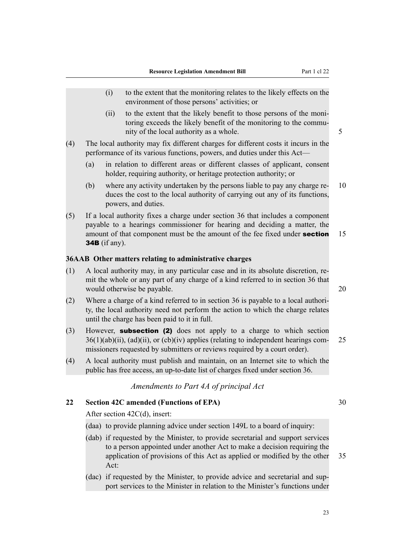- <span id="page-60-0"></span>(i) to the extent that the monitoring relates to the likely effects on the environment of those persons' activities; or
- (ii) to the extent that the likely benefit to those persons of the monitoring exceeds the likely benefit of the monitoring to the community of the local authority as a whole. 5
- (4) The local authority may fix different charges for different costs it incurs in the performance of its various functions, powers, and duties under this Act—
	- (a) in relation to different areas or different classes of applicant, consent holder, requiring authority, or heritage protection authority; or
	- (b) where any activity undertaken by the persons liable to pay any charge re- 10 duces the cost to the local authority of carrying out any of its functions, powers, and duties.
- (5) If a local authority fixes a charge under section 36 that includes a component payable to a hearings commissioner for hearing and deciding a matter, the amount of that component must be the amount of the fee fixed under **section** 15 34B (if any).

#### **36AAB Other matters relating to administrative charges**

- (1) A local authority may, in any particular case and in its absolute discretion, remit the whole or any part of any charge of a kind referred to in section 36 that would otherwise be payable. 20 and 20 and 20 and 20 and 20 and 20 and 20 and 20 and 20 and 20 and 20 and 20 and 20 and 20 and 20 and 20 and 20 and 20 and 20 and 20 and 20 and 20 and 20 and 20 and 20 and 20 and 20 and 20 an
- (2) Where a charge of a kind referred to in section 36 is payable to a local authority, the local authority need not perform the action to which the charge relates until the charge has been paid to it in full.
- (3) However, subsection (2) does not apply to a charge to which section  $36(1)(ab)(ii)$ ,  $(ad)(ii)$ , or  $(cb)(iv)$  applies (relating to independent hearings com- 25 missioners requested by submitters or reviews required by a court order).
- (4) A local authority must publish and maintain, on an Internet site to which the public has free access, an up-to-date list of charges fixed under section 36.

*Amendments to Part 4A of principal Act*

#### **22 Section 42C amended (Functions of EPA)** 30

After section 42C(d), insert:

- (daa) to provide planning advice under section 149L to a board of inquiry:
- (dab) if requested by the Minister, to provide secretarial and support services to a person appointed under another Act to make a decision requiring the application of provisions of this Act as applied or modified by the other 35 Act:
- (dac) if requested by the Minister, to provide advice and secretarial and support services to the Minister in relation to the Minister's functions under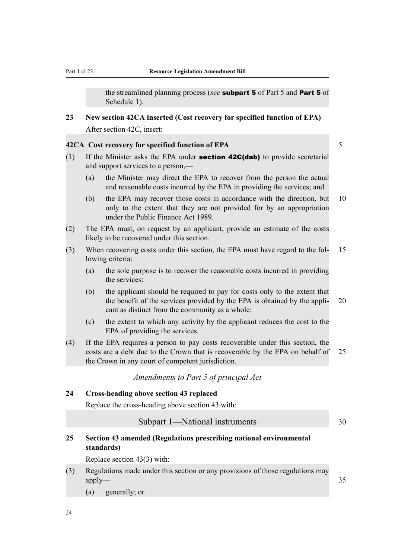the streamlined planning process (*see* subpart 5 of Part 5 and Part 5 of Schedule 1).

<span id="page-61-0"></span>**23 New section 42CA inserted (Cost recovery for specified function of EPA)** After section 42C, insert:

#### **42CA Cost recovery for specified function of EPA** 5

- (1) If the Minister asks the EPA under **section 42C(dab)** to provide secretarial and support services to a person,—
	- (a) the Minister may direct the EPA to recover from the person the actual and reasonable costs incurred by the EPA in providing the services; and
	- (b) the EPA may recover those costs in accordance with the direction, but 10 only to the extent that they are not provided for by an appropriation under the Public Finance Act 1989.
- (2) The EPA must, on request by an applicant, provide an estimate of the costs likely to be recovered under this section.
- (3) When recovering costs under this section, the EPA must have regard to the fol- 15 lowing criteria:
	- (a) the sole purpose is to recover the reasonable costs incurred in providing the services:
	- (b) the applicant should be required to pay for costs only to the extent that the benefit of the services provided by the EPA is obtained by the appli- 20 cant as distinct from the community as a whole:
	- (c) the extent to which any activity by the applicant reduces the cost to the EPA of providing the services.
- (4) If the EPA requires a person to pay costs recoverable under this section, the costs are a debt due to the Crown that is recoverable by the EPA on behalf of 25 the Crown in any court of competent jurisdiction.

*Amendments to Part 5 of principal Act*

#### **24 Cross-heading above section 43 replaced**

Replace the cross-heading above section 43 with:

| Subpart 1—National instruments |  |
|--------------------------------|--|
|--------------------------------|--|

# **25 Section 43 amended (Regulations prescribing national environmental standards)**

Replace section 43(3) with:

- (3) Regulations made under this section or any provisions of those regulations may apply—35
	- (a) generally; or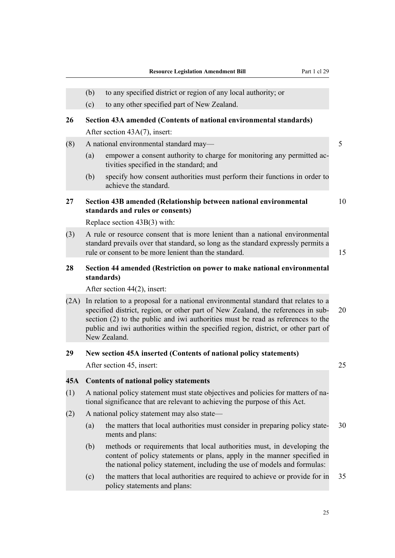- <span id="page-62-0"></span>(b) to any specified district or region of any local authority; or
- (c) to any other specified part of New Zealand.

### **26 Section 43A amended (Contents of national environmental standards)**

After section 43A(7), insert:

#### (8) A national environmental standard may— 5

- (a) empower a consent authority to charge for monitoring any permitted activities specified in the standard; and
- (b) specify how consent authorities must perform their functions in order to achieve the standard.

# **27 Section 43B amended (Relationship between national environmental** 10 **standards and rules or consents)**

Replace section 43B(3) with:

(3) A rule or resource consent that is more lenient than a national environmental standard prevails over that standard, so long as the standard expressly permits a rule or consent to be more lenient than the standard. 15

### **28 Section 44 amended (Restriction on power to make national environmental standards)**

After section 44(2), insert:

(2A) In relation to a proposal for a national environmental standard that relates to a specified district, region, or other part of New Zealand, the references in sub- 20 section (2) to the public and iwi authorities must be read as references to the public and iwi authorities within the specified region, district, or other part of New Zealand.

#### **29 New section 45A inserted (Contents of national policy statements)**

After section 45, insert: 25

#### **45A Contents of national policy statements**

- (1) A national policy statement must state objectives and policies for matters of national significance that are relevant to achieving the purpose of this Act.
- (2) A national policy statement may also state—
	- (a) the matters that local authorities must consider in preparing policy state- 30 ments and plans:
	- (b) methods or requirements that local authorities must, in developing the content of policy statements or plans, apply in the manner specified in the national policy statement, including the use of models and formulas:
	- (c) the matters that local authorities are required to achieve or provide for in 35 policy statements and plans: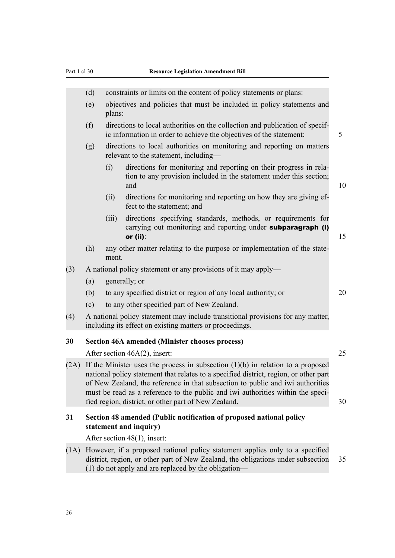<span id="page-63-0"></span>

|      | (d)                                                                                                                                                                                                                                                                                                                                                                                                     |                                                                                  | constraints or limits on the content of policy statements or plans:                                                                                 |    |  |
|------|---------------------------------------------------------------------------------------------------------------------------------------------------------------------------------------------------------------------------------------------------------------------------------------------------------------------------------------------------------------------------------------------------------|----------------------------------------------------------------------------------|-----------------------------------------------------------------------------------------------------------------------------------------------------|----|--|
|      | (e)                                                                                                                                                                                                                                                                                                                                                                                                     | objectives and policies that must be included in policy statements and<br>plans: |                                                                                                                                                     |    |  |
|      | (f)                                                                                                                                                                                                                                                                                                                                                                                                     |                                                                                  | directions to local authorities on the collection and publication of specif-<br>ic information in order to achieve the objectives of the statement: | 5  |  |
|      | (g)                                                                                                                                                                                                                                                                                                                                                                                                     |                                                                                  | directions to local authorities on monitoring and reporting on matters<br>relevant to the statement, including-                                     |    |  |
|      |                                                                                                                                                                                                                                                                                                                                                                                                         | (i)                                                                              | directions for monitoring and reporting on their progress in rela-<br>tion to any provision included in the statement under this section;<br>and    | 10 |  |
|      |                                                                                                                                                                                                                                                                                                                                                                                                         | (ii)                                                                             | directions for monitoring and reporting on how they are giving ef-<br>fect to the statement; and                                                    |    |  |
|      |                                                                                                                                                                                                                                                                                                                                                                                                         | (iii)                                                                            | directions specifying standards, methods, or requirements for<br>carrying out monitoring and reporting under subparagraph (i)<br>or (ii):           | 15 |  |
|      | (h)                                                                                                                                                                                                                                                                                                                                                                                                     | ment.                                                                            | any other matter relating to the purpose or implementation of the state-                                                                            |    |  |
| (3)  | A national policy statement or any provisions of it may apply—                                                                                                                                                                                                                                                                                                                                          |                                                                                  |                                                                                                                                                     |    |  |
|      | (a)                                                                                                                                                                                                                                                                                                                                                                                                     |                                                                                  | generally; or                                                                                                                                       |    |  |
|      | (b)                                                                                                                                                                                                                                                                                                                                                                                                     |                                                                                  | to any specified district or region of any local authority; or                                                                                      | 20 |  |
|      | (c)                                                                                                                                                                                                                                                                                                                                                                                                     |                                                                                  | to any other specified part of New Zealand.                                                                                                         |    |  |
| (4)  | A national policy statement may include transitional provisions for any matter,<br>including its effect on existing matters or proceedings.                                                                                                                                                                                                                                                             |                                                                                  |                                                                                                                                                     |    |  |
| 30   |                                                                                                                                                                                                                                                                                                                                                                                                         |                                                                                  | <b>Section 46A amended (Minister chooses process)</b>                                                                                               |    |  |
|      |                                                                                                                                                                                                                                                                                                                                                                                                         |                                                                                  | After section $46A(2)$ , insert:                                                                                                                    | 25 |  |
| (2A) | If the Minister uses the process in subsection $(1)(b)$ in relation to a proposed<br>national policy statement that relates to a specified district, region, or other part<br>of New Zealand, the reference in that subsection to public and iwi authorities<br>must be read as a reference to the public and iwi authorities within the speci-<br>fied region, district, or other part of New Zealand. |                                                                                  |                                                                                                                                                     | 30 |  |
| 31   | Section 48 amended (Public notification of proposed national policy                                                                                                                                                                                                                                                                                                                                     |                                                                                  |                                                                                                                                                     |    |  |
|      |                                                                                                                                                                                                                                                                                                                                                                                                         |                                                                                  | statement and inquiry)                                                                                                                              |    |  |
|      |                                                                                                                                                                                                                                                                                                                                                                                                         |                                                                                  | After section $48(1)$ , insert:                                                                                                                     |    |  |
| (1A) | However, if a proposed national policy statement applies only to a specified<br>district, region, or other part of New Zealand, the obligations under subsection<br>(1) do not apply and are replaced by the obligation—                                                                                                                                                                                |                                                                                  | 35                                                                                                                                                  |    |  |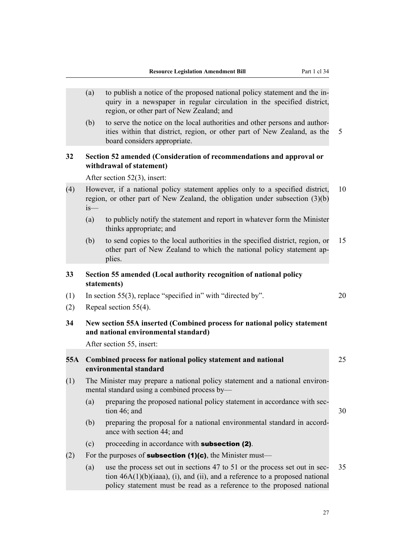<span id="page-64-0"></span>

|     | (a)                                                                                                                          | to publish a notice of the proposed national policy statement and the in-<br>quiry in a newspaper in regular circulation in the specified district,<br>region, or other part of New Zealand; and                                       |    |  |
|-----|------------------------------------------------------------------------------------------------------------------------------|----------------------------------------------------------------------------------------------------------------------------------------------------------------------------------------------------------------------------------------|----|--|
|     | (b)                                                                                                                          | to serve the notice on the local authorities and other persons and author-<br>ities within that district, region, or other part of New Zealand, as the<br>board considers appropriate.                                                 | 5  |  |
| 32  | Section 52 amended (Consideration of recommendations and approval or<br>withdrawal of statement)                             |                                                                                                                                                                                                                                        |    |  |
|     |                                                                                                                              | After section $52(3)$ , insert:                                                                                                                                                                                                        |    |  |
| (4) | $is$ —                                                                                                                       | However, if a national policy statement applies only to a specified district,<br>region, or other part of New Zealand, the obligation under subsection (3)(b)                                                                          | 10 |  |
|     | (a)                                                                                                                          | to publicly notify the statement and report in whatever form the Minister<br>thinks appropriate; and                                                                                                                                   |    |  |
|     | (b)                                                                                                                          | to send copies to the local authorities in the specified district, region, or<br>other part of New Zealand to which the national policy statement ap-<br>plies.                                                                        | 15 |  |
| 33  | Section 55 amended (Local authority recognition of national policy<br>statements)                                            |                                                                                                                                                                                                                                        |    |  |
| (1) |                                                                                                                              | In section 55(3), replace "specified in" with "directed by".                                                                                                                                                                           | 20 |  |
| (2) | Repeal section $55(4)$ .                                                                                                     |                                                                                                                                                                                                                                        |    |  |
| 34  |                                                                                                                              | New section 55A inserted (Combined process for national policy statement<br>and national environmental standard)                                                                                                                       |    |  |
|     |                                                                                                                              | After section 55, insert:                                                                                                                                                                                                              |    |  |
| 55A | Combined process for national policy statement and national<br>environmental standard                                        |                                                                                                                                                                                                                                        | 25 |  |
| (1) | The Minister may prepare a national policy statement and a national environ-<br>mental standard using a combined process by- |                                                                                                                                                                                                                                        |    |  |
|     | (a)                                                                                                                          | preparing the proposed national policy statement in accordance with sec-<br>tion 46; and                                                                                                                                               | 30 |  |
|     | (b)                                                                                                                          | preparing the proposal for a national environmental standard in accord-<br>ance with section 44; and                                                                                                                                   |    |  |
|     | (c)                                                                                                                          | proceeding in accordance with <b>subsection (2)</b> .                                                                                                                                                                                  |    |  |
| (2) |                                                                                                                              | For the purposes of <b>subsection (1)(c)</b> , the Minister must—                                                                                                                                                                      |    |  |
|     | (a)                                                                                                                          | use the process set out in sections 47 to 51 or the process set out in sec-<br>tion $46A(1)(b)(iaaa)$ , (i), and (ii), and a reference to a proposed national<br>policy statement must be read as a reference to the proposed national | 35 |  |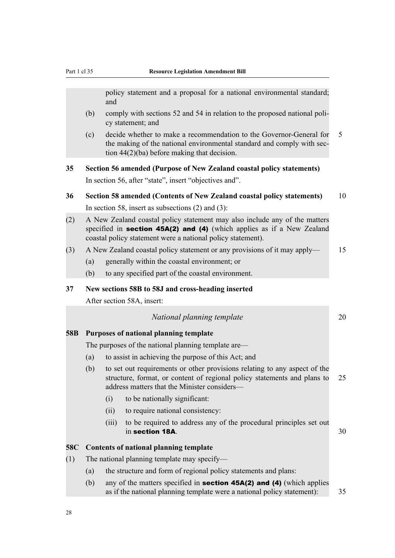<span id="page-65-0"></span>policy statement and a proposal for a national environmental standard; and

- (b) comply with sections 52 and 54 in relation to the proposed national policy statement; and
- (c) decide whether to make a recommendation to the Governor-General for 5 the making of the national environmental standard and comply with section 44(2)(ba) before making that decision.

**35 Section 56 amended (Purpose of New Zealand coastal policy statements)** In section 56, after "state", insert "objectives and".

- **36 Section 58 amended (Contents of New Zealand coastal policy statements)** 10 In section 58, insert as subsections (2) and (3):
- (2) A New Zealand coastal policy statement may also include any of the matters specified in **section 45A(2) and (4)** (which applies as if a New Zealand coastal policy statement were a national policy statement).
- (3) A New Zealand coastal policy statement or any provisions of it may apply— 15
	- (a) generally within the coastal environment; or
	- (b) to any specified part of the coastal environment.

#### **37 New sections 58B to 58J and cross-heading inserted**

After section 58A, insert:

|  | National planning template |  |
|--|----------------------------|--|
|--|----------------------------|--|

#### **58B Purposes of national planning template**

The purposes of the national planning template are—

- (a) to assist in achieving the purpose of this Act; and
- (b) to set out requirements or other provisions relating to any aspect of the structure, format, or content of regional policy statements and plans to 25 address matters that the Minister considers—
	- (i) to be nationally significant:
	- (ii) to require national consistency:
	- (iii) to be required to address any of the procedural principles set out  $\frac{1}{10}$  section 18A.  $\frac{30}{10}$

#### **58C Contents of national planning template**

- (1) The national planning template may specify—
	- (a) the structure and form of regional policy statements and plans:
	- (b) any of the matters specified in **section 45A(2) and (4)** (which applies as if the national planning template were a national policy statement): 35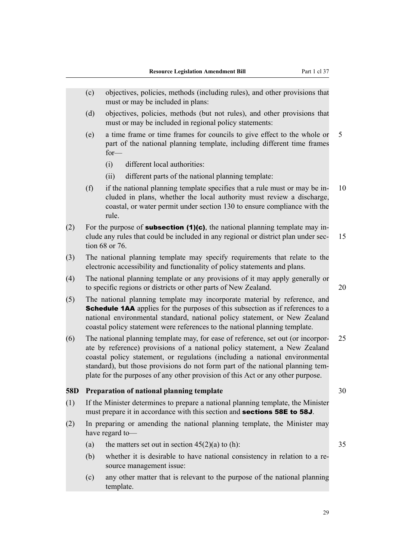- <span id="page-66-0"></span>(c) objectives, policies, methods (including rules), and other provisions that must or may be included in plans:
- (d) objectives, policies, methods (but not rules), and other provisions that must or may be included in regional policy statements:
- (e) a time frame or time frames for councils to give effect to the whole or 5 part of the national planning template, including different time frames for—
	- (i) different local authorities:
	- (ii) different parts of the national planning template:
- (f) if the national planning template specifies that a rule must or may be in- 10 cluded in plans, whether the local authority must review a discharge, coastal, or water permit under section 130 to ensure compliance with the rule.
- (2) For the purpose of **subsection (1)(c)**, the national planning template may include any rules that could be included in any regional or district plan under sec- 15 tion 68 or 76.
- (3) The national planning template may specify requirements that relate to the electronic accessibility and functionality of policy statements and plans.
- (4) The national planning template or any provisions of it may apply generally or to specific regions or districts or other parts of New Zealand. 20
- (5) The national planning template may incorporate material by reference, and **Schedule 1AA** applies for the purposes of this subsection as if references to a national environmental standard, national policy statement, or New Zealand coastal policy statement were references to the national planning template.
- (6) The national planning template may, for ease of reference, set out (or incorpor- 25 ate by reference) provisions of a national policy statement, a New Zealand coastal policy statement, or regulations (including a national environmental standard), but those provisions do not form part of the national planning template for the purposes of any other provision of this Act or any other purpose.

#### **58D Preparation of national planning template** 30

- (1) If the Minister determines to prepare a national planning template, the Minister must prepare it in accordance with this section and **sections 58E to 58J**.
- (2) In preparing or amending the national planning template, the Minister may have regard to—
	- (a) the matters set out in section  $45(2)(a)$  to (h): 35
	- (b) whether it is desirable to have national consistency in relation to a resource management issue:
	- (c) any other matter that is relevant to the purpose of the national planning template.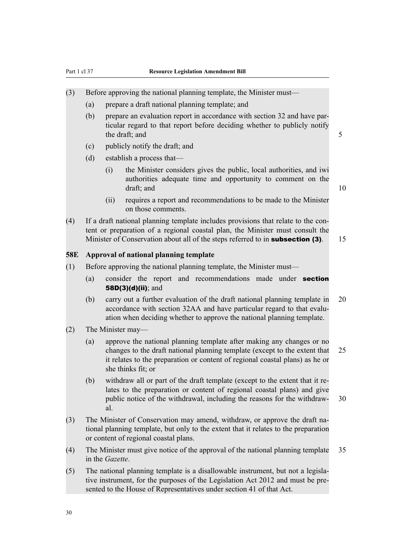- <span id="page-67-0"></span>(3) Before approving the national planning template, the Minister must—
	- (a) prepare a draft national planning template; and
	- (b) prepare an evaluation report in accordance with section 32 and have particular regard to that report before deciding whether to publicly notify the draft; and 5
	- (c) publicly notify the draft; and
	- (d) establish a process that—
		- (i) the Minister considers gives the public, local authorities, and iwi authorities adequate time and opportunity to comment on the draft; and 10
		- (ii) requires a report and recommendations to be made to the Minister on those comments.
- (4) If a draft national planning template includes provisions that relate to the content or preparation of a regional coastal plan, the Minister must consult the Minister of Conservation about all of the steps referred to in **subsection (3)**. 15

#### **58E Approval of national planning template**

- (1) Before approving the national planning template, the Minister must—
	- (a) consider the report and recommendations made under section 58D(3)(d)(ii); and
	- (b) carry out a further evaluation of the draft national planning template in 20 accordance with section 32AA and have particular regard to that evaluation when deciding whether to approve the national planning template.
- (2) The Minister may—
	- (a) approve the national planning template after making any changes or no changes to the draft national planning template (except to the extent that 25 it relates to the preparation or content of regional coastal plans) as he or she thinks fit; or
	- (b) withdraw all or part of the draft template (except to the extent that it relates to the preparation or content of regional coastal plans) and give public notice of the withdrawal, including the reasons for the withdraw- 30 al.
- (3) The Minister of Conservation may amend, withdraw, or approve the draft national planning template, but only to the extent that it relates to the preparation or content of regional coastal plans.
- (4) The Minister must give notice of the approval of the national planning template 35 in the *Gazette*.
- (5) The national planning template is a disallowable instrument, but not a legislative instrument, for the purposes of the Legislation Act 2012 and must be presented to the House of Representatives under section 41 of that Act.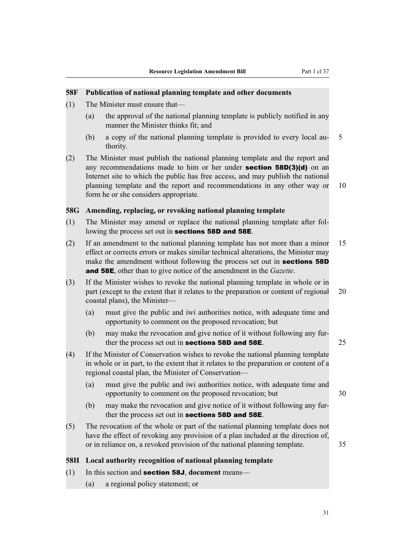#### <span id="page-68-0"></span>**58F Publication of national planning template and other documents**

- (1) The Minister must ensure that—
	- (a) the approval of the national planning template is publicly notified in any manner the Minister thinks fit; and
	- (b) a copy of the national planning template is provided to every local au- 5 thority.
- (2) The Minister must publish the national planning template and the report and any recommendations made to him or her under section 58D(3)(d) on an Internet site to which the public has free access, and may publish the national planning template and the report and recommendations in any other way or 10 form he or she considers appropriate.

#### **58G Amending, replacing, or revoking national planning template**

- (1) The Minister may amend or replace the national planning template after following the process set out in sections 58D and 58E.
- (2) If an amendment to the national planning template has not more than a minor 15 effect or corrects errors or makes similar technical alterations, the Minister may make the amendment without following the process set out in **sections 58D** and 58E, other than to give notice of the amendment in the *Gazette*.
- (3) If the Minister wishes to revoke the national planning template in whole or in part (except to the extent that it relates to the preparation or content of regional 20 coastal plans), the Minister—
	- (a) must give the public and iwi authorities notice, with adequate time and opportunity to comment on the proposed revocation; but
	- (b) may make the revocation and give notice of it without following any further the process set out in **sections 58D and 58E**.  $25$
- (4) If the Minister of Conservation wishes to revoke the national planning template in whole or in part, to the extent that it relates to the preparation or content of a regional coastal plan, the Minister of Conservation—
	- (a) must give the public and iwi authorities notice, with adequate time and opportunity to comment on the proposed revocation; but 30
	- (b) may make the revocation and give notice of it without following any further the process set out in sections 58D and 58E.
- (5) The revocation of the whole or part of the national planning template does not have the effect of revoking any provision of a plan included at the direction of, or in reliance on, a revoked provision of the national planning template. 35

#### **58H Local authority recognition of national planning template**

#### (1) In this section and section 58J, **document** means—

(a) a regional policy statement; or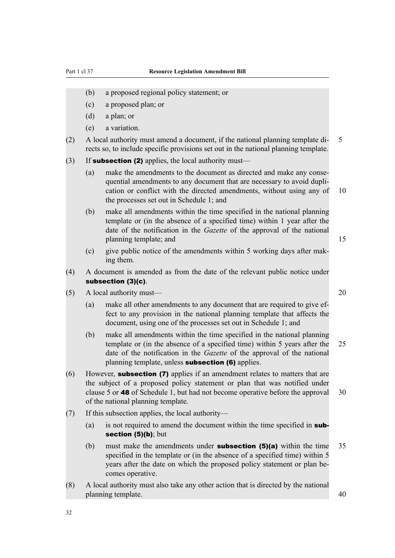- (b) a proposed regional policy statement; or
- (c) a proposed plan; or
- (d) a plan; or
- (e) a variation.
- (2) A local authority must amend a document, if the national planning template di- 5 rects so, to include specific provisions set out in the national planning template.
- (3) If **subsection (2)** applies, the local authority must—
	- (a) make the amendments to the document as directed and make any consequential amendments to any document that are necessary to avoid duplication or conflict with the directed amendments, without using any of 10 the processes set out in Schedule 1; and
	- (b) make all amendments within the time specified in the national planning template or (in the absence of a specified time) within 1 year after the date of the notification in the *Gazette* of the approval of the national planning template; and 15
	- (c) give public notice of the amendments within 5 working days after making them.
- (4) A document is amended as from the date of the relevant public notice under subsection (3)(c).
- (5) A local authority must— 20
	- (a) make all other amendments to any document that are required to give effect to any provision in the national planning template that affects the document, using one of the processes set out in Schedule 1; and
	- (b) make all amendments within the time specified in the national planning template or (in the absence of a specified time) within 5 years after the 25 date of the notification in the *Gazette* of the approval of the national planning template, unless **subsection (6)** applies.
- (6) However, subsection (7) applies if an amendment relates to matters that are the subject of a proposed policy statement or plan that was notified under clause 5 or 48 of Schedule 1, but had not become operative before the approval 30 of the national planning template.
- (7) If this subsection applies, the local authority—
	- (a) is not required to amend the document within the time specified in  $\mathsf{sub}$ section (5)(b); but
	- (b) must make the amendments under **subsection (5)(a)** within the time  $35$ specified in the template or (in the absence of a specified time) within 5 years after the date on which the proposed policy statement or plan becomes operative.
- (8) A local authority must also take any other action that is directed by the national planning template. 40

32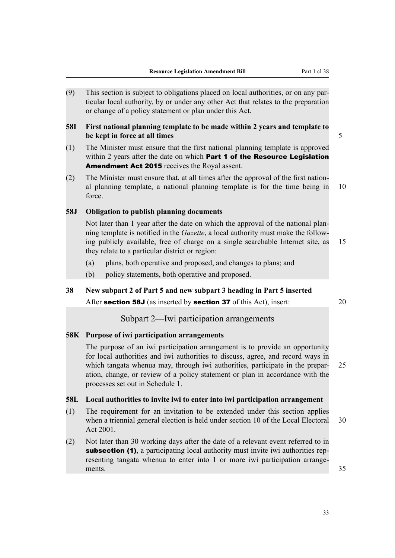<span id="page-70-0"></span>(9) This section is subject to obligations placed on local authorities, or on any particular local authority, by or under any other Act that relates to the preparation or change of a policy statement or plan under this Act.

#### **58I First national planning template to be made within 2 years and template to be kept in force at all times** 5

- (1) The Minister must ensure that the first national planning template is approved within 2 years after the date on which **Part 1 of the Resource Legislation** Amendment Act 2015 receives the Royal assent.
- (2) The Minister must ensure that, at all times after the approval of the first national planning template, a national planning template is for the time being in 10 force.

### **58J Obligation to publish planning documents**

Not later than 1 year after the date on which the approval of the national planning template is notified in the *Gazette*, a local authority must make the following publicly available, free of charge on a single searchable Internet site, as 15 they relate to a particular district or region:

- (a) plans, both operative and proposed, and changes to plans; and
- (b) policy statements, both operative and proposed.

#### **38 New subpart 2 of Part 5 and new subpart 3 heading in Part 5 inserted**

After **section 58J** (as inserted by **section 37** of this Act), insert: 20

# Subpart 2—Iwi participation arrangements

### **58K Purpose of iwi participation arrangements**

The purpose of an iwi participation arrangement is to provide an opportunity for local authorities and iwi authorities to discuss, agree, and record ways in which tangata whenua may, through iwi authorities, participate in the prepar- 25 ation, change, or review of a policy statement or plan in accordance with the processes set out in Schedule 1.

#### **58L Local authorities to invite iwi to enter into iwi participation arrangement**

- (1) The requirement for an invitation to be extended under this section applies when a triennial general election is held under section 10 of the Local Electoral 30 Act 2001.
- (2) Not later than 30 working days after the date of a relevant event referred to in subsection (1), a participating local authority must invite iwi authorities representing tangata whenua to enter into 1 or more iwi participation arrangements. 35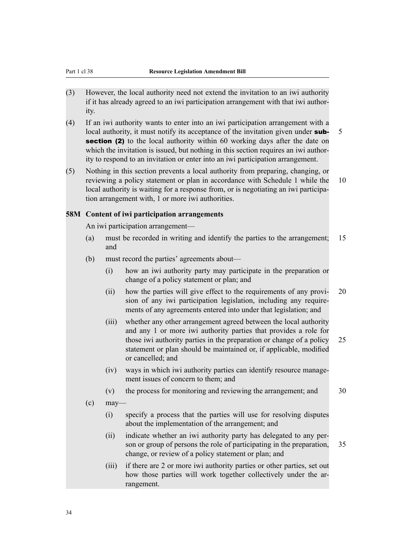- <span id="page-71-0"></span>(3) However, the local authority need not extend the invitation to an iwi authority if it has already agreed to an iwi participation arrangement with that iwi authority.
- (4) If an iwi authority wants to enter into an iwi participation arrangement with a local authority, it must notify its acceptance of the invitation given under **sub-** 5 section (2) to the local authority within 60 working days after the date on which the invitation is issued, but nothing in this section requires an iwi authority to respond to an invitation or enter into an iwi participation arrangement.
- (5) Nothing in this section prevents a local authority from preparing, changing, or reviewing a policy statement or plan in accordance with Schedule 1 while the 10 local authority is waiting for a response from, or is negotiating an iwi participation arrangement with, 1 or more iwi authorities.

#### **58M Content of iwi participation arrangements**

An iwi participation arrangement—

- (a) must be recorded in writing and identify the parties to the arrangement; 15 and
- (b) must record the parties' agreements about—
	- (i) how an iwi authority party may participate in the preparation or change of a policy statement or plan; and
	- (ii) how the parties will give effect to the requirements of any provi- 20 sion of any iwi participation legislation, including any requirements of any agreements entered into under that legislation; and
	- (iii) whether any other arrangement agreed between the local authority and any 1 or more iwi authority parties that provides a role for those iwi authority parties in the preparation or change of a policy 25 statement or plan should be maintained or, if applicable, modified or cancelled; and
	- (iv) ways in which iwi authority parties can identify resource management issues of concern to them; and
	- (v) the process for monitoring and reviewing the arrangement; and 30
- $\alpha$  may—
	- (i) specify a process that the parties will use for resolving disputes about the implementation of the arrangement; and
	- (ii) indicate whether an iwi authority party has delegated to any person or group of persons the role of participating in the preparation, 35 change, or review of a policy statement or plan; and
	- (iii) if there are 2 or more iwi authority parties or other parties, set out how those parties will work together collectively under the arrangement.

34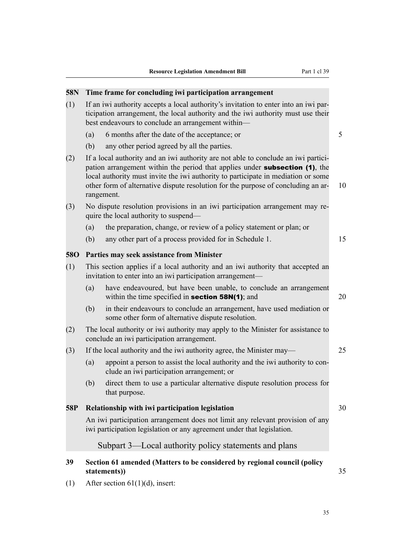### **58N Time frame for concluding iwi participation arrangement**

- (1) If an iwi authority accepts a local authority's invitation to enter into an iwi participation arrangement, the local authority and the iwi authority must use their best endeavours to conclude an arrangement within—
	- (a) 6 months after the date of the acceptance; or 5
	- (b) any other period agreed by all the parties.
- (2) If a local authority and an iwi authority are not able to conclude an iwi participation arrangement within the period that applies under **subsection (1)**, the local authority must invite the iwi authority to participate in mediation or some other form of alternative dispute resolution for the purpose of concluding an ar- 10 rangement.
- (3) No dispute resolution provisions in an iwi participation arrangement may require the local authority to suspend—
	- (a) the preparation, change, or review of a policy statement or plan; or
	- (b) any other part of a process provided for in Schedule 1. 15

### **58O Parties may seek assistance from Minister**

- (1) This section applies if a local authority and an iwi authority that accepted an invitation to enter into an iwi participation arrangement—
	- (a) have endeavoured, but have been unable, to conclude an arrangement within the time specified in **section 58N(1)**; and  $20$
	- (b) in their endeavours to conclude an arrangement, have used mediation or some other form of alternative dispute resolution.
- (2) The local authority or iwi authority may apply to the Minister for assistance to conclude an iwi participation arrangement.
- (3) If the local authority and the iwi authority agree, the Minister may— 25
	- (a) appoint a person to assist the local authority and the iwi authority to conclude an iwi participation arrangement; or
	- (b) direct them to use a particular alternative dispute resolution process for that purpose.

### **58P Relationship with iwi participation legislation 1999 Relationship with iwi participation legislation**

An iwi participation arrangement does not limit any relevant provision of any iwi participation legislation or any agreement under that legislation.

# Subpart 3—Local authority policy statements and plans

# **39 Section 61 amended (Matters to be considered by regional council (policy statements))** 35

(1) After section 61(1)(d), insert: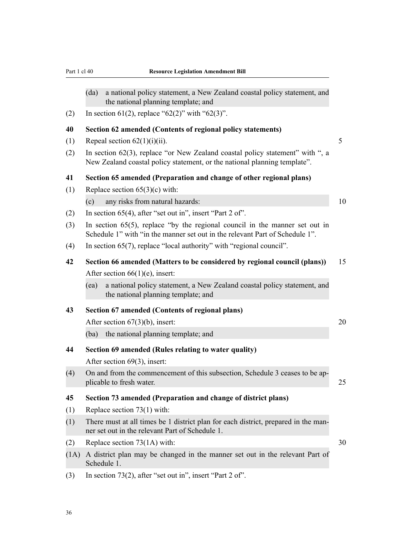- (da) a national policy statement, a New Zealand coastal policy statement, and the national planning template; and
- (2) In section 61(2), replace "62(2)" with "62(3)".

#### **40 Section 62 amended (Contents of regional policy statements)**

- (1) Repeal section  $62(1)(i)(ii)$ . 5
- (2) In section 62(3), replace "or New Zealand coastal policy statement" with ", a New Zealand coastal policy statement, or the national planning template".

### **41 Section 65 amended (Preparation and change of other regional plans)**

- (1) Replace section 65(3)(c) with:
	- (c) any risks from natural hazards: 10
- (2) In section 65(4), after "set out in", insert "Part 2 of".
- (3) In section 65(5), replace "by the regional council in the manner set out in Schedule 1" with "in the manner set out in the relevant Part of Schedule 1".
- (4) In section 65(7), replace "local authority" with "regional council".

# **42 Section 66 amended (Matters to be considered by regional council (plans))** 15 After section 66(1)(e), insert:

(ea) a national policy statement, a New Zealand coastal policy statement, and the national planning template; and

#### **43 Section 67 amended (Contents of regional plans)**

After section  $67(3)(b)$ , insert: 20

(ba) the national planning template; and

**44 Section 69 amended (Rules relating to water quality)**

After section 69(3), insert:

(4) On and from the commencement of this subsection, Schedule 3 ceases to be applicable to fresh water. 25

### **45 Section 73 amended (Preparation and change of district plans)**

- (1) Replace section 73(1) with:
- (1) There must at all times be 1 district plan for each district, prepared in the manner set out in the relevant Part of Schedule 1.
- (2) Replace section 73(1A) with:  $30$
- (1A) A district plan may be changed in the manner set out in the relevant Part of Schedule 1.
- (3) In section 73(2), after "set out in", insert "Part 2 of".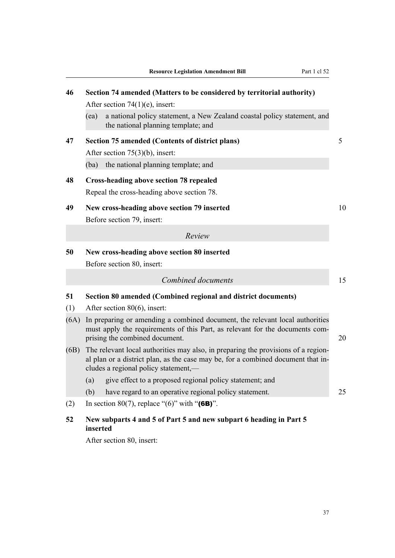| 46   | Section 74 amended (Matters to be considered by territorial authority)                                                                                                                                        |    |  |  |  |  |  |  |
|------|---------------------------------------------------------------------------------------------------------------------------------------------------------------------------------------------------------------|----|--|--|--|--|--|--|
|      | After section $74(1)(e)$ , insert:                                                                                                                                                                            |    |  |  |  |  |  |  |
|      | a national policy statement, a New Zealand coastal policy statement, and<br>(ea)<br>the national planning template; and                                                                                       |    |  |  |  |  |  |  |
| 47   | <b>Section 75 amended (Contents of district plans)</b>                                                                                                                                                        | 5  |  |  |  |  |  |  |
|      | After section $75(3)(b)$ , insert:                                                                                                                                                                            |    |  |  |  |  |  |  |
|      | the national planning template; and<br>(ba)                                                                                                                                                                   |    |  |  |  |  |  |  |
| 48   | <b>Cross-heading above section 78 repealed</b>                                                                                                                                                                |    |  |  |  |  |  |  |
|      | Repeal the cross-heading above section 78.                                                                                                                                                                    |    |  |  |  |  |  |  |
| 49   | New cross-heading above section 79 inserted                                                                                                                                                                   | 10 |  |  |  |  |  |  |
|      | Before section 79, insert:                                                                                                                                                                                    |    |  |  |  |  |  |  |
|      | Review                                                                                                                                                                                                        |    |  |  |  |  |  |  |
| 50   | New cross-heading above section 80 inserted<br>Before section 80, insert:                                                                                                                                     |    |  |  |  |  |  |  |
|      | Combined documents                                                                                                                                                                                            | 15 |  |  |  |  |  |  |
| 51   | Section 80 amended (Combined regional and district documents)                                                                                                                                                 |    |  |  |  |  |  |  |
| (1)  | After section $80(6)$ , insert:                                                                                                                                                                               |    |  |  |  |  |  |  |
| (6A) | In preparing or amending a combined document, the relevant local authorities<br>must apply the requirements of this Part, as relevant for the documents com-<br>prising the combined document.                | 20 |  |  |  |  |  |  |
| (6B) | The relevant local authorities may also, in preparing the provisions of a region-<br>al plan or a district plan, as the case may be, for a combined document that in-<br>cludes a regional policy statement,— |    |  |  |  |  |  |  |
|      | give effect to a proposed regional policy statement; and<br>(a)                                                                                                                                               |    |  |  |  |  |  |  |
|      | (b)<br>have regard to an operative regional policy statement.                                                                                                                                                 | 25 |  |  |  |  |  |  |
| (2)  | In section 80(7), replace "(6)" with " $(6B)$ ".                                                                                                                                                              |    |  |  |  |  |  |  |
| 52   | New subparts 4 and 5 of Part 5 and new subpart 6 heading in Part 5                                                                                                                                            |    |  |  |  |  |  |  |

### **inserted**

After section 80, insert: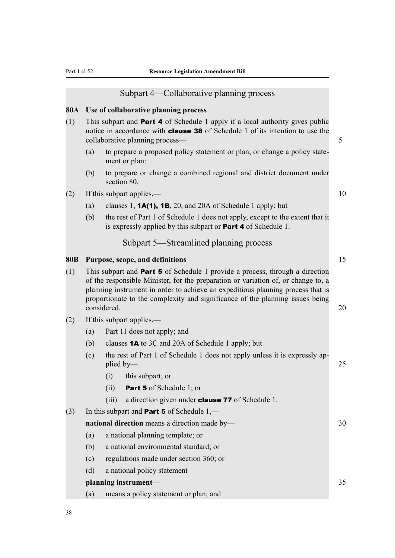#### Subpart 4—Collaborative planning process

#### **80A Use of collaborative planning process**

- (1) This subpart and **Part 4** of Schedule 1 apply if a local authority gives public notice in accordance with **clause 38** of Schedule 1 of its intention to use the collaborative planning process— 5
	- (a) to prepare a proposed policy statement or plan, or change a policy statement or plan:
	- (b) to prepare or change a combined regional and district document under section 80.
- (2) If this subpart applies,— 10
	- (a) clauses 1, **1A(1), 1B**, 20, and 20A of Schedule 1 apply; but
	- (b) the rest of Part 1 of Schedule 1 does not apply, except to the extent that it is expressly applied by this subpart or Part 4 of Schedule 1.

# Subpart 5—Streamlined planning process

#### **80B Purpose, scope, and definitions** 15

- (1) This subpart and Part 5 of Schedule 1 provide a process, through a direction of the responsible Minister, for the preparation or variation of, or change to, a planning instrument in order to achieve an expeditious planning process that is proportionate to the complexity and significance of the planning issues being considered. 20
- (2) If this subpart applies,—
	- (a) Part 11 does not apply; and
	- (b) clauses 1A to 3C and 20A of Schedule 1 apply; but
	- (c) the rest of Part 1 of Schedule 1 does not apply unless it is expressly applied by— 25
		- (i) this subpart; or
		- (ii) Part 5 of Schedule 1; or
		- (iii) a direction given under **clause 77** of Schedule 1.
- (3) In this subpart and **Part 5** of Schedule  $1$ ,—

| <b>national direction</b> means a direction made by- |                                       |  |  |  |  |  |
|------------------------------------------------------|---------------------------------------|--|--|--|--|--|
| a national planning template; or<br>(a)              |                                       |  |  |  |  |  |
| (b)                                                  | a national environmental standard; or |  |  |  |  |  |
|                                                      | requisions made under section 260; or |  |  |  |  |  |

- (c) regulations made under section 360; or
- (d) a national policy statement

# **planning instrument—** 35

(a) means a policy statement or plan; and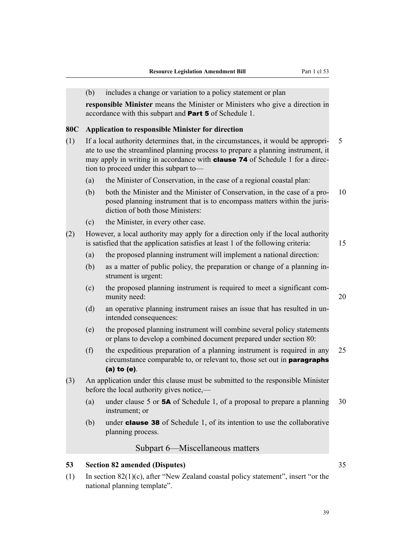|     | (b)                                                                                                                                                                                                                                                                                                    | includes a change or variation to a policy statement or plan                                                                                                                              |    |  |  |  |  |
|-----|--------------------------------------------------------------------------------------------------------------------------------------------------------------------------------------------------------------------------------------------------------------------------------------------------------|-------------------------------------------------------------------------------------------------------------------------------------------------------------------------------------------|----|--|--|--|--|
|     |                                                                                                                                                                                                                                                                                                        | responsible Minister means the Minister or Ministers who give a direction in<br>accordance with this subpart and <b>Part 5</b> of Schedule 1.                                             |    |  |  |  |  |
| 80C |                                                                                                                                                                                                                                                                                                        | <b>Application to responsible Minister for direction</b>                                                                                                                                  |    |  |  |  |  |
| (1) | If a local authority determines that, in the circumstances, it would be appropri-<br>ate to use the streamlined planning process to prepare a planning instrument, it<br>may apply in writing in accordance with <b>clause 74</b> of Schedule 1 for a direc-<br>tion to proceed under this subpart to- |                                                                                                                                                                                           |    |  |  |  |  |
|     | (a)                                                                                                                                                                                                                                                                                                    | the Minister of Conservation, in the case of a regional coastal plan:                                                                                                                     |    |  |  |  |  |
|     | (b)                                                                                                                                                                                                                                                                                                    | both the Minister and the Minister of Conservation, in the case of a pro-<br>posed planning instrument that is to encompass matters within the juris-<br>diction of both those Ministers: | 10 |  |  |  |  |
|     | (c)                                                                                                                                                                                                                                                                                                    | the Minister, in every other case.                                                                                                                                                        |    |  |  |  |  |
| (2) |                                                                                                                                                                                                                                                                                                        | However, a local authority may apply for a direction only if the local authority<br>is satisfied that the application satisfies at least 1 of the following criteria:                     | 15 |  |  |  |  |
|     | (a)                                                                                                                                                                                                                                                                                                    | the proposed planning instrument will implement a national direction:                                                                                                                     |    |  |  |  |  |
|     | (b)                                                                                                                                                                                                                                                                                                    | as a matter of public policy, the preparation or change of a planning in-<br>strument is urgent:                                                                                          |    |  |  |  |  |
|     | (c)                                                                                                                                                                                                                                                                                                    | the proposed planning instrument is required to meet a significant com-<br>munity need:                                                                                                   | 20 |  |  |  |  |
|     | (d)                                                                                                                                                                                                                                                                                                    | an operative planning instrument raises an issue that has resulted in un-<br>intended consequences:                                                                                       |    |  |  |  |  |
|     | (e)                                                                                                                                                                                                                                                                                                    | the proposed planning instrument will combine several policy statements<br>or plans to develop a combined document prepared under section 80:                                             |    |  |  |  |  |
|     | (f)                                                                                                                                                                                                                                                                                                    | the expeditious preparation of a planning instrument is required in any<br>circumstance comparable to, or relevant to, those set out in <b>paragraphs</b><br>$(a)$ to $(e)$ .             | 25 |  |  |  |  |
| (3) |                                                                                                                                                                                                                                                                                                        | An application under this clause must be submitted to the responsible Minister<br>before the local authority gives notice,—                                                               |    |  |  |  |  |
|     | (a)                                                                                                                                                                                                                                                                                                    | under clause 5 or 5A of Schedule 1, of a proposal to prepare a planning<br>instrument; or                                                                                                 | 30 |  |  |  |  |
|     | (b)                                                                                                                                                                                                                                                                                                    | under <b>clause 38</b> of Schedule 1, of its intention to use the collaborative<br>planning process.                                                                                      |    |  |  |  |  |
|     |                                                                                                                                                                                                                                                                                                        | Subpart 6—Miscellaneous matters                                                                                                                                                           |    |  |  |  |  |
| 53  |                                                                                                                                                                                                                                                                                                        | <b>Section 82 amended (Disputes)</b>                                                                                                                                                      | 35 |  |  |  |  |
| (1) | In section $82(1)(c)$ , after "New Zealand coastal policy statement", insert "or the                                                                                                                                                                                                                   |                                                                                                                                                                                           |    |  |  |  |  |

national planning template".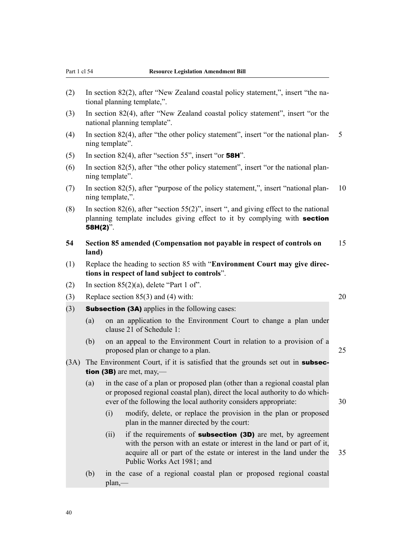- (2) In section 82(2), after "New Zealand coastal policy statement,", insert "the national planning template,".
- (3) In section 82(4), after "New Zealand coastal policy statement", insert "or the national planning template".
- (4) In section 82(4), after "the other policy statement", insert "or the national plan- 5 ning template".
- (5) In section 82(4), after "section 55", insert "or **58H**".
- (6) In section 82(5), after "the other policy statement", insert "or the national planning template".
- (7) In section 82(5), after "purpose of the policy statement,", insert "national plan- 10 ning template,".
- (8) In section 82(6), after "section 55(2)", insert ", and giving effect to the national planning template includes giving effect to it by complying with **section** 58H(2)".
- **54 Section 85 amended (Compensation not payable in respect of controls on** 15 **land)**
- (1) Replace the heading to section 85 with "**Environment Court may give directions in respect of land subject to controls**".
- (2) In section  $85(2)(a)$ , delete "Part 1 of".
- (3) Replace section  $85(3)$  and (4) with: 20
- $(3)$  **Subsection (3A)** applies in the following cases:
	- (a) on an application to the Environment Court to change a plan under clause 21 of Schedule 1:
	- (b) on an appeal to the Environment Court in relation to a provision of a proposed plan or change to a plan. 25
- (3A) The Environment Court, if it is satisfied that the grounds set out in **subsec**tion (3B) are met,  $may$ —
	- (a) in the case of a plan or proposed plan (other than a regional coastal plan or proposed regional coastal plan), direct the local authority to do whichever of the following the local authority considers appropriate: 30
		- (i) modify, delete, or replace the provision in the plan or proposed plan in the manner directed by the court:
		- (ii) if the requirements of **subsection (3D)** are met, by agreement with the person with an estate or interest in the land or part of it, acquire all or part of the estate or interest in the land under the 35 Public Works Act 1981; and
	- (b) in the case of a regional coastal plan or proposed regional coastal plan,—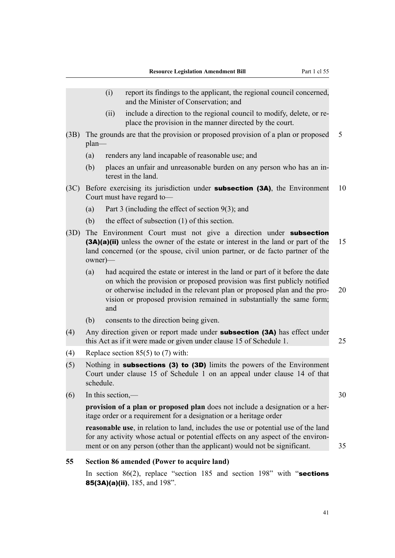- (i) report its findings to the applicant, the regional council concerned, and the Minister of Conservation; and
- (ii) include a direction to the regional council to modify, delete, or replace the provision in the manner directed by the court.
- (3B) The grounds are that the provision or proposed provision of a plan or proposed 5 plan—
	- (a) renders any land incapable of reasonable use; and
	- (b) places an unfair and unreasonable burden on any person who has an interest in the land.
- (3C) Before exercising its jurisdiction under **subsection (3A)**, the Environment 10 Court must have regard to—
	- (a) Part 3 (including the effect of section 9(3); and
	- (b) the effect of subsection (1) of this section.
- (3D) The Environment Court must not give a direction under **subsection** (3A)(a)(ii) unless the owner of the estate or interest in the land or part of the 15 land concerned (or the spouse, civil union partner, or de facto partner of the owner)—
	- (a) had acquired the estate or interest in the land or part of it before the date on which the provision or proposed provision was first publicly notified or otherwise included in the relevant plan or proposed plan and the pro- 20 vision or proposed provision remained in substantially the same form; and
	- (b) consents to the direction being given.
- (4) Any direction given or report made under subsection (3A) has effect under this Act as if it were made or given under clause 15 of Schedule 1. 25
- (4) Replace section 85(5) to (7) with:
- (5) Nothing in **subsections (3) to (3D)** limits the powers of the Environment Court under clause 15 of Schedule 1 on an appeal under clause 14 of that schedule.
- $(6)$  In this section,  $-$  30

**provision of a plan or proposed plan** does not include a designation or a heritage order or a requirement for a designation or a heritage order

**reasonable use**, in relation to land, includes the use or potential use of the land for any activity whose actual or potential effects on any aspect of the environment or on any person (other than the applicant) would not be significant.  $\frac{35}{2}$ 

**55 Section 86 amended (Power to acquire land)**

In section 86(2), replace "section 185 and section 198" with "sections" 85(3A)(a)(ii), 185, and 198".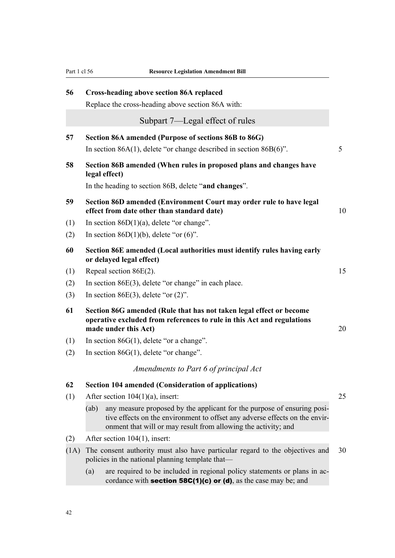| 56   | <b>Cross-heading above section 86A replaced</b>                                                                                                                                                                                  |    |
|------|----------------------------------------------------------------------------------------------------------------------------------------------------------------------------------------------------------------------------------|----|
|      | Replace the cross-heading above section 86A with:                                                                                                                                                                                |    |
|      | Subpart 7—Legal effect of rules                                                                                                                                                                                                  |    |
| 57   | Section 86A amended (Purpose of sections 86B to 86G)                                                                                                                                                                             |    |
|      | In section $86A(1)$ , delete "or change described in section $86B(6)$ ".                                                                                                                                                         | 5  |
| 58   | Section 86B amended (When rules in proposed plans and changes have<br>legal effect)                                                                                                                                              |    |
|      | In the heading to section 86B, delete "and changes".                                                                                                                                                                             |    |
| 59   | Section 86D amended (Environment Court may order rule to have legal<br>effect from date other than standard date)                                                                                                                | 10 |
| (1)  | In section $86D(1)(a)$ , delete "or change".                                                                                                                                                                                     |    |
| (2)  | In section 86D(1)(b), delete "or $(6)$ ".                                                                                                                                                                                        |    |
| 60   | Section 86E amended (Local authorities must identify rules having early<br>or delayed legal effect)                                                                                                                              |    |
| (1)  | Repeal section $86E(2)$ .                                                                                                                                                                                                        | 15 |
| (2)  | In section $86E(3)$ , delete "or change" in each place.                                                                                                                                                                          |    |
| (3)  | In section 86E(3), delete "or $(2)$ ".                                                                                                                                                                                           |    |
| 61   | Section 86G amended (Rule that has not taken legal effect or become<br>operative excluded from references to rule in this Act and regulations<br>made under this Act)                                                            | 20 |
| (1)  | In section $86G(1)$ , delete "or a change".                                                                                                                                                                                      |    |
| (2)  | In section $86G(1)$ , delete "or change".                                                                                                                                                                                        |    |
|      | Amendments to Part 6 of principal Act                                                                                                                                                                                            |    |
| 62   | <b>Section 104 amended (Consideration of applications)</b>                                                                                                                                                                       |    |
| (1)  | After section $104(1)(a)$ , insert:                                                                                                                                                                                              | 25 |
|      | any measure proposed by the applicant for the purpose of ensuring posi-<br>(ab)<br>tive effects on the environment to offset any adverse effects on the envir-<br>onment that will or may result from allowing the activity; and |    |
| (2)  | After section 104(1), insert:                                                                                                                                                                                                    |    |
| (1A) | The consent authority must also have particular regard to the objectives and<br>policies in the national planning template that—                                                                                                 | 30 |
|      | are required to be included in regional policy statements or plans in ac-<br>(a)<br>cordance with <b>section 58C(1)(c) or (d)</b> , as the case may be; and                                                                      |    |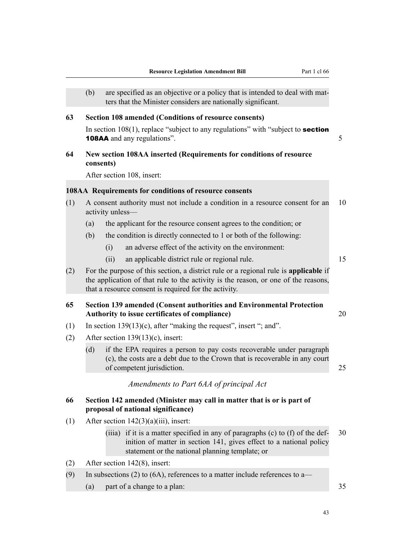|     | (b)       |                  | are specified as an objective or a policy that is intended to deal with mat-<br>ters that the Minister considers are nationally significant.                                                                                        |    |
|-----|-----------|------------------|-------------------------------------------------------------------------------------------------------------------------------------------------------------------------------------------------------------------------------------|----|
| 63  |           |                  | <b>Section 108 amended (Conditions of resource consents)</b>                                                                                                                                                                        |    |
|     |           |                  | In section $108(1)$ , replace "subject to any regulations" with "subject to <b>section</b><br><b>108AA</b> and any regulations".                                                                                                    | 5  |
| 64  | consents) |                  | New section 108AA inserted (Requirements for conditions of resource                                                                                                                                                                 |    |
|     |           |                  | After section 108, insert:                                                                                                                                                                                                          |    |
|     |           |                  | 108AA Requirements for conditions of resource consents                                                                                                                                                                              |    |
| (1) |           | activity unless- | A consent authority must not include a condition in a resource consent for an                                                                                                                                                       | 10 |
|     | (a)       |                  | the applicant for the resource consent agrees to the condition; or                                                                                                                                                                  |    |
|     | (b)       |                  | the condition is directly connected to 1 or both of the following:                                                                                                                                                                  |    |
|     |           | (i)              | an adverse effect of the activity on the environment:                                                                                                                                                                               |    |
|     |           | (ii)             | an applicable district rule or regional rule.                                                                                                                                                                                       | 15 |
| (2) |           |                  | For the purpose of this section, a district rule or a regional rule is applicable if<br>the application of that rule to the activity is the reason, or one of the reasons,<br>that a resource consent is required for the activity. |    |
| 65  |           |                  | Section 139 amended (Consent authorities and Environmental Protection<br>Authority to issue certificates of compliance)                                                                                                             | 20 |
| (1) |           |                  | In section $139(13)(c)$ , after "making the request", insert "; and".                                                                                                                                                               |    |
| (2) |           |                  | After section $139(13)(c)$ , insert:                                                                                                                                                                                                |    |
|     | (d)       |                  | if the EPA requires a person to pay costs recoverable under paragraph<br>(c), the costs are a debt due to the Crown that is recoverable in any court<br>of competent jurisdiction.                                                  | 25 |
|     |           |                  | Amendments to Part 6AA of principal Act                                                                                                                                                                                             |    |
| 66  |           |                  | Section 142 amended (Minister may call in matter that is or is part of<br>proposal of national significance)                                                                                                                        |    |
| (1) |           |                  | After section $142(3)(a)(iii)$ , insert:                                                                                                                                                                                            |    |
|     |           |                  | (iiia) if it is a matter specified in any of paragraphs $(c)$ to $(f)$ of the def-<br>inition of matter in section 141, gives effect to a national policy<br>statement or the national planning template; or                        | 30 |
| (2) |           |                  | After section 142(8), insert:                                                                                                                                                                                                       |    |
| (9) |           |                  | In subsections (2) to (6A), references to a matter include references to a—                                                                                                                                                         |    |

(a) part of a change to a plan: 35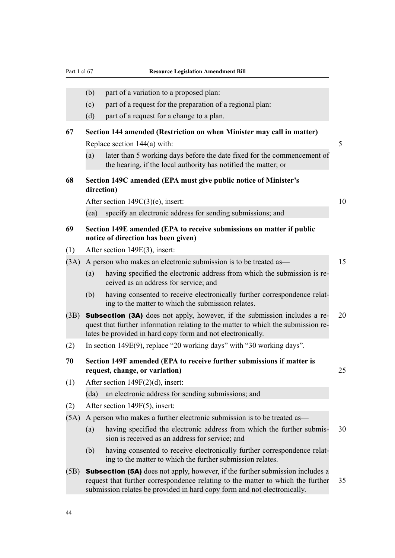|      | (b)                                                                           | part of a variation to a proposed plan:                                                                                                                                                                                                                                                                                             |    |  |  |  |
|------|-------------------------------------------------------------------------------|-------------------------------------------------------------------------------------------------------------------------------------------------------------------------------------------------------------------------------------------------------------------------------------------------------------------------------------|----|--|--|--|
|      | (c)                                                                           | part of a request for the preparation of a regional plan:                                                                                                                                                                                                                                                                           |    |  |  |  |
|      | (d)                                                                           | part of a request for a change to a plan.                                                                                                                                                                                                                                                                                           |    |  |  |  |
| 67   |                                                                               | Section 144 amended (Restriction on when Minister may call in matter)                                                                                                                                                                                                                                                               |    |  |  |  |
|      |                                                                               | Replace section $144(a)$ with:                                                                                                                                                                                                                                                                                                      | 5  |  |  |  |
|      | (a)                                                                           | later than 5 working days before the date fixed for the commencement of<br>the hearing, if the local authority has notified the matter; or                                                                                                                                                                                          |    |  |  |  |
| 68   | Section 149C amended (EPA must give public notice of Minister's<br>direction) |                                                                                                                                                                                                                                                                                                                                     |    |  |  |  |
|      |                                                                               | After section $149C(3)(e)$ , insert:                                                                                                                                                                                                                                                                                                | 10 |  |  |  |
|      | (ea)                                                                          | specify an electronic address for sending submissions; and                                                                                                                                                                                                                                                                          |    |  |  |  |
| 69   |                                                                               | Section 149E amended (EPA to receive submissions on matter if public<br>notice of direction has been given)                                                                                                                                                                                                                         |    |  |  |  |
| (1)  |                                                                               | After section $149E(3)$ , insert:                                                                                                                                                                                                                                                                                                   |    |  |  |  |
| (3A) |                                                                               | A person who makes an electronic submission is to be treated as—                                                                                                                                                                                                                                                                    | 15 |  |  |  |
|      | (a)                                                                           | having specified the electronic address from which the submission is re-<br>ceived as an address for service; and                                                                                                                                                                                                                   |    |  |  |  |
|      |                                                                               | $\mathcal{L}$ $\mathbf{h}$ $\mathbf{h}$ $\mathbf{h}$ $\mathbf{h}$ $\mathbf{h}$ $\mathbf{h}$ $\mathbf{h}$ $\mathbf{h}$ $\mathbf{h}$ $\mathbf{h}$ $\mathbf{h}$ $\mathbf{h}$ $\mathbf{h}$ $\mathbf{h}$ $\mathbf{h}$ $\mathbf{h}$ $\mathbf{h}$ $\mathbf{h}$ $\mathbf{h}$ $\mathbf{h}$ $\mathbf{h}$ $\mathbf{h}$ $\mathbf{h}$ $\mathbf{$ |    |  |  |  |

- (b) having consented to receive electronically further correspondence relating to the matter to which the submission relates.
- (3B) Subsection (3A) does not apply, however, if the submission includes a re- 20 quest that further information relating to the matter to which the submission relates be provided in hard copy form and not electronically.
- (2) In section 149E(9), replace "20 working days" with "30 working days".
- **70 Section 149F amended (EPA to receive further submissions if matter is request, change, or variation)** 25
- (1) After section 149F(2)(d), insert: (da) an electronic address for sending submissions; and
- (2) After section 149F(5), insert:
- (5A) A person who makes a further electronic submission is to be treated as—
	- (a) having specified the electronic address from which the further submis- 30 sion is received as an address for service; and
	- (b) having consented to receive electronically further correspondence relating to the matter to which the further submission relates.
- (5B) Subsection (5A) does not apply, however, if the further submission includes a request that further correspondence relating to the matter to which the further 35 submission relates be provided in hard copy form and not electronically.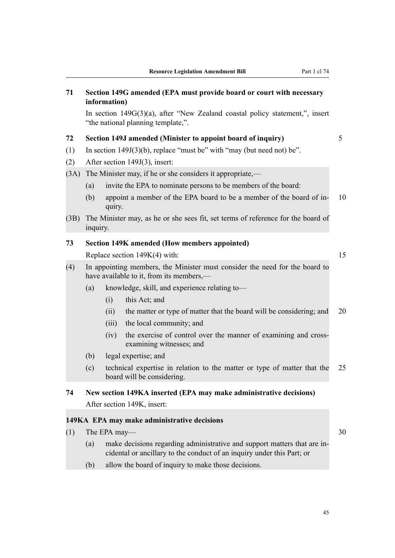| 71   | Section 149G amended (EPA must provide board or court with necessary<br>information)                                    |              |                                                                                                                                                    |    |  |  |  |
|------|-------------------------------------------------------------------------------------------------------------------------|--------------|----------------------------------------------------------------------------------------------------------------------------------------------------|----|--|--|--|
|      |                                                                                                                         |              | In section $149G(3)(a)$ , after "New Zealand coastal policy statement,", insert<br>"the national planning template,".                              |    |  |  |  |
| 72   |                                                                                                                         |              | Section 149J amended (Minister to appoint board of inquiry)                                                                                        | 5  |  |  |  |
| (1)  |                                                                                                                         |              | In section $149J(3)(b)$ , replace "must be" with "may (but need not) be".                                                                          |    |  |  |  |
| (2)  |                                                                                                                         |              | After section 149J(3), insert:                                                                                                                     |    |  |  |  |
| (3A) |                                                                                                                         |              | The Minister may, if he or she considers it appropriate,—                                                                                          |    |  |  |  |
|      | (a)                                                                                                                     |              | invite the EPA to nominate persons to be members of the board:                                                                                     |    |  |  |  |
|      | (b)                                                                                                                     | quiry.       | appoint a member of the EPA board to be a member of the board of in-                                                                               | 10 |  |  |  |
| (3B) | inquiry.                                                                                                                |              | The Minister may, as he or she sees fit, set terms of reference for the board of                                                                   |    |  |  |  |
| 73   |                                                                                                                         |              | <b>Section 149K amended (How members appointed)</b>                                                                                                |    |  |  |  |
|      | 15<br>Replace section $149K(4)$ with:                                                                                   |              |                                                                                                                                                    |    |  |  |  |
| (4)  | In appointing members, the Minister must consider the need for the board to<br>have available to it, from its members,— |              |                                                                                                                                                    |    |  |  |  |
|      | (a)                                                                                                                     |              | knowledge, skill, and experience relating to-                                                                                                      |    |  |  |  |
|      |                                                                                                                         | (i)          | this Act; and                                                                                                                                      |    |  |  |  |
|      |                                                                                                                         | (ii)         | the matter or type of matter that the board will be considering; and                                                                               | 20 |  |  |  |
|      |                                                                                                                         | (iii)        | the local community; and                                                                                                                           |    |  |  |  |
|      |                                                                                                                         | (iv)         | the exercise of control over the manner of examining and cross-<br>examining witnesses; and                                                        |    |  |  |  |
|      | (b)                                                                                                                     |              | legal expertise; and                                                                                                                               |    |  |  |  |
|      | (c)                                                                                                                     |              | technical expertise in relation to the matter or type of matter that the<br>board will be considering.                                             | 25 |  |  |  |
| 74   |                                                                                                                         |              | New section 149KA inserted (EPA may make administrative decisions)                                                                                 |    |  |  |  |
|      |                                                                                                                         |              | After section 149K, insert:                                                                                                                        |    |  |  |  |
|      |                                                                                                                         |              | 149KA EPA may make administrative decisions                                                                                                        |    |  |  |  |
| (1)  |                                                                                                                         | The EPA may- |                                                                                                                                                    | 30 |  |  |  |
|      | (a)                                                                                                                     |              | make decisions regarding administrative and support matters that are in-<br>cidental or ancillary to the conduct of an inquiry under this Part; or |    |  |  |  |

(b) allow the board of inquiry to make those decisions.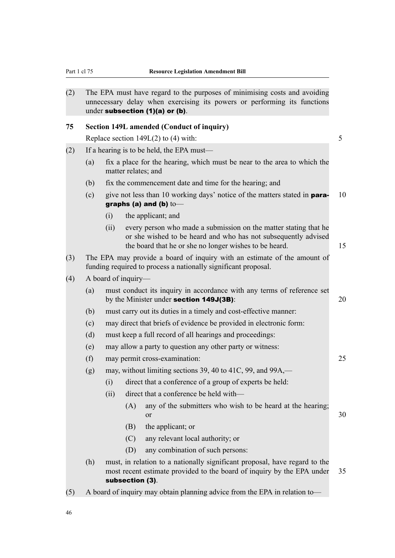| (2) |                                           |      | under subsection (1)(a) or (b).           | The EPA must have regard to the purposes of minimising costs and avoiding<br>unnecessary delay when exercising its powers or performing its functions                                        |    |  |
|-----|-------------------------------------------|------|-------------------------------------------|----------------------------------------------------------------------------------------------------------------------------------------------------------------------------------------------|----|--|
| 75  |                                           |      | Section 149L amended (Conduct of inquiry) |                                                                                                                                                                                              |    |  |
|     |                                           |      | Replace section $149L(2)$ to (4) with:    |                                                                                                                                                                                              | 5  |  |
| (2) | If a hearing is to be held, the EPA must— |      |                                           |                                                                                                                                                                                              |    |  |
|     | (a)                                       |      | matter relates; and                       | fix a place for the hearing, which must be near to the area to which the                                                                                                                     |    |  |
|     | (b)                                       |      |                                           | fix the commencement date and time for the hearing; and                                                                                                                                      |    |  |
|     | (c)                                       |      | graphs (a) and (b) $\text{to}$            | give not less than 10 working days' notice of the matters stated in <b>para-</b>                                                                                                             | 10 |  |
|     |                                           | (i)  | the applicant; and                        |                                                                                                                                                                                              |    |  |
|     |                                           | (ii) |                                           | every person who made a submission on the matter stating that he<br>or she wished to be heard and who has not subsequently advised<br>the board that he or she no longer wishes to be heard. | 15 |  |
| (3) |                                           |      |                                           | The EPA may provide a board of inquiry with an estimate of the amount of<br>funding required to process a nationally significant proposal.                                                   |    |  |
| (4) |                                           |      | A board of inquiry—                       |                                                                                                                                                                                              |    |  |
|     | (a)                                       |      | by the Minister under section 149J(3B):   | must conduct its inquiry in accordance with any terms of reference set                                                                                                                       | 20 |  |
|     | (b)                                       |      |                                           | must carry out its duties in a timely and cost-effective manner:                                                                                                                             |    |  |
|     | (c)                                       |      |                                           | may direct that briefs of evidence be provided in electronic form:                                                                                                                           |    |  |
|     | (d)                                       |      |                                           | must keep a full record of all hearings and proceedings:                                                                                                                                     |    |  |
|     | (e)                                       |      |                                           | may allow a party to question any other party or witness:                                                                                                                                    |    |  |
|     | (f)                                       |      | may permit cross-examination:             |                                                                                                                                                                                              | 25 |  |
|     | (g)                                       |      |                                           | may, without limiting sections 39, 40 to 41C, 99, and 99A,—                                                                                                                                  |    |  |
|     |                                           | (i)  |                                           | direct that a conference of a group of experts be held:                                                                                                                                      |    |  |
|     |                                           | (ii) |                                           | direct that a conference be held with-                                                                                                                                                       |    |  |
|     |                                           |      | (A)<br>or                                 | any of the submitters who wish to be heard at the hearing;                                                                                                                                   | 30 |  |
|     |                                           |      | the applicant; or<br>(B)                  |                                                                                                                                                                                              |    |  |
|     |                                           |      | (C)                                       | any relevant local authority; or                                                                                                                                                             |    |  |
|     |                                           |      | (D)                                       | any combination of such persons:                                                                                                                                                             |    |  |
|     | (h)                                       |      | subsection (3).                           | must, in relation to a nationally significant proposal, have regard to the<br>most recent estimate provided to the board of inquiry by the EPA under                                         | 35 |  |
| (5) |                                           |      |                                           | A board of inquiry may obtain planning advice from the EPA in relation to-                                                                                                                   |    |  |

46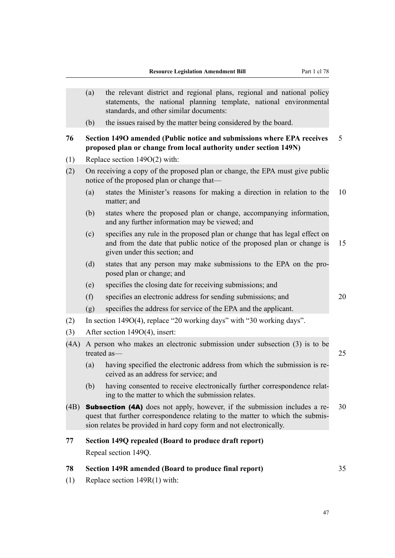|      | (a)                                                                                      | the relevant district and regional plans, regional and national policy<br>statements, the national planning template, national environmental<br>standards, and other similar documents:                                                 |    |  |  |  |  |
|------|------------------------------------------------------------------------------------------|-----------------------------------------------------------------------------------------------------------------------------------------------------------------------------------------------------------------------------------------|----|--|--|--|--|
|      | (b)                                                                                      | the issues raised by the matter being considered by the board.                                                                                                                                                                          |    |  |  |  |  |
| 76   |                                                                                          | Section 149O amended (Public notice and submissions where EPA receives<br>proposed plan or change from local authority under section 149N)                                                                                              | 5  |  |  |  |  |
| (1)  |                                                                                          | Replace section $149O(2)$ with:                                                                                                                                                                                                         |    |  |  |  |  |
| (2)  |                                                                                          | On receiving a copy of the proposed plan or change, the EPA must give public<br>notice of the proposed plan or change that—                                                                                                             |    |  |  |  |  |
|      | (a)                                                                                      | states the Minister's reasons for making a direction in relation to the<br>matter; and                                                                                                                                                  | 10 |  |  |  |  |
|      | (b)                                                                                      | states where the proposed plan or change, accompanying information,<br>and any further information may be viewed; and                                                                                                                   |    |  |  |  |  |
|      | (c)                                                                                      | specifies any rule in the proposed plan or change that has legal effect on<br>and from the date that public notice of the proposed plan or change is<br>given under this section; and                                                   | 15 |  |  |  |  |
|      | (d)                                                                                      | states that any person may make submissions to the EPA on the pro-<br>posed plan or change; and                                                                                                                                         |    |  |  |  |  |
|      | (e)                                                                                      | specifies the closing date for receiving submissions; and                                                                                                                                                                               |    |  |  |  |  |
|      | (f)                                                                                      | specifies an electronic address for sending submissions; and                                                                                                                                                                            | 20 |  |  |  |  |
|      | (g)                                                                                      | specifies the address for service of the EPA and the applicant.                                                                                                                                                                         |    |  |  |  |  |
| (2)  |                                                                                          | In section $149O(4)$ , replace "20 working days" with "30 working days".                                                                                                                                                                |    |  |  |  |  |
| (3)  |                                                                                          | After section 149O(4), insert:                                                                                                                                                                                                          |    |  |  |  |  |
| (4A) | A person who makes an electronic submission under subsection (3) is to be<br>treated as- |                                                                                                                                                                                                                                         |    |  |  |  |  |
|      | (a)                                                                                      | having specified the electronic address from which the submission is re-<br>ceived as an address for service; and                                                                                                                       |    |  |  |  |  |
|      | (b)                                                                                      | having consented to receive electronically further correspondence relat-<br>ing to the matter to which the submission relates.                                                                                                          |    |  |  |  |  |
| (4B) |                                                                                          | <b>Subsection (4A)</b> does not apply, however, if the submission includes a re-<br>quest that further correspondence relating to the matter to which the submis-<br>sion relates be provided in hard copy form and not electronically. | 30 |  |  |  |  |
| 77   |                                                                                          | Section 149Q repealed (Board to produce draft report)                                                                                                                                                                                   |    |  |  |  |  |
|      |                                                                                          | Repeal section 149Q.                                                                                                                                                                                                                    |    |  |  |  |  |
| 78   |                                                                                          | Section 149R amended (Board to produce final report)                                                                                                                                                                                    | 35 |  |  |  |  |
| (1)  | Replace section $149R(1)$ with:                                                          |                                                                                                                                                                                                                                         |    |  |  |  |  |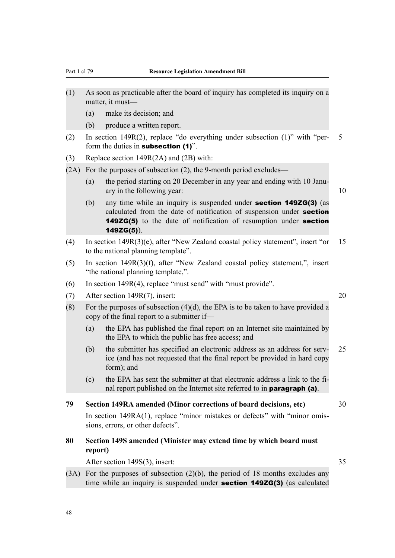- (1) As soon as practicable after the board of inquiry has completed its inquiry on a matter, it must—
	- (a) make its decision; and
	- (b) produce a written report.
- (2) In section 149R(2), replace "do everything under subsection (1)" with "per- 5 form the duties in **subsection** (1)".
- (3) Replace section 149R(2A) and (2B) with:
- (2A) For the purposes of subsection (2), the 9-month period excludes—
	- (a) the period starting on 20 December in any year and ending with 10 January in the following year: 10

- (b) any time while an inquiry is suspended under section 149ZG(3) (as calculated from the date of notification of suspension under section 149ZG(5) to the date of notification of resumption under section 149ZG(5)).
- (4) In section 149R(3)(e), after "New Zealand coastal policy statement", insert "or 15 to the national planning template".
- (5) In section 149R(3)(f), after "New Zealand coastal policy statement,", insert "the national planning template,".
- (6) In section 149R(4), replace "must send" with "must provide".
- (7) After section 149R(7), insert: 20
- (8) For the purposes of subsection  $(4)(d)$ , the EPA is to be taken to have provided a copy of the final report to a submitter if—
	- (a) the EPA has published the final report on an Internet site maintained by the EPA to which the public has free access; and
	- (b) the submitter has specified an electronic address as an address for serv- 25 ice (and has not requested that the final report be provided in hard copy form); and
	- (c) the EPA has sent the submitter at that electronic address a link to the final report published on the Internet site referred to in paragraph (a).
- **79 Section 149RA amended (Minor corrections of board decisions, etc)** 30
	- In section 149RA(1), replace "minor mistakes or defects" with "minor omissions, errors, or other defects".
- **80 Section 149S amended (Minister may extend time by which board must report)**

After section 149S(3), insert: 35

 $(3A)$  For the purposes of subsection  $(2)(b)$ , the period of 18 months excludes any time while an inquiry is suspended under section 149ZG(3) (as calculated

48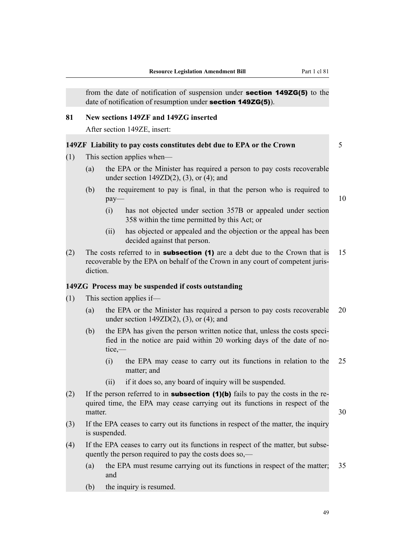from the date of notification of suspension under section 149ZG(5) to the date of notification of resumption under **section 149ZG(5)**.

#### **81 New sections 149ZF and 149ZG inserted**

After section 149ZE, insert:

### **149ZF Liability to pay costs constitutes debt due to EPA or the Crown** 5

- (1) This section applies when—
	- (a) the EPA or the Minister has required a person to pay costs recoverable under section  $149ZD(2)$ ,  $(3)$ , or  $(4)$ ; and
	- (b) the requirement to pay is final, in that the person who is required to  $pay \rightarrow$  10
		- (i) has not objected under section 357B or appealed under section 358 within the time permitted by this Act; or
		- (ii) has objected or appealed and the objection or the appeal has been decided against that person.
- (2) The costs referred to in **subsection (1)** are a debt due to the Crown that is 15 recoverable by the EPA on behalf of the Crown in any court of competent jurisdiction.

#### **149ZG Process may be suspended if costs outstanding**

- (1) This section applies if—
	- (a) the EPA or the Minister has required a person to pay costs recoverable 20 under section  $149ZD(2)$ ,  $(3)$ , or  $(4)$ ; and
	- (b) the EPA has given the person written notice that, unless the costs specified in the notice are paid within 20 working days of the date of notice,—
		- (i) the EPA may cease to carry out its functions in relation to the 25 matter; and
		- (ii) if it does so, any board of inquiry will be suspended.
- (2) If the person referred to in **subsection (1)(b)** fails to pay the costs in the required time, the EPA may cease carrying out its functions in respect of the matter.  $30$
- (3) If the EPA ceases to carry out its functions in respect of the matter, the inquiry is suspended.
- (4) If the EPA ceases to carry out its functions in respect of the matter, but subsequently the person required to pay the costs does so,—
	- (a) the EPA must resume carrying out its functions in respect of the matter; 35 and
	- (b) the inquiry is resumed.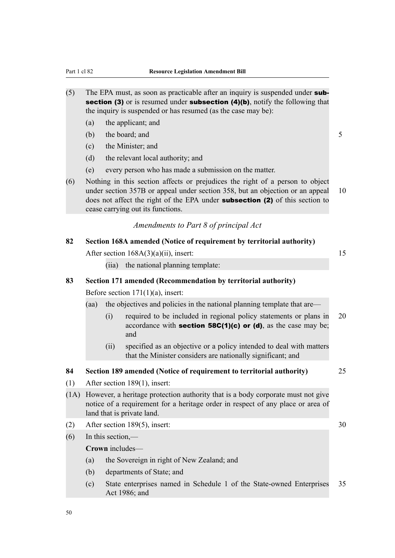- (5) The EPA must, as soon as practicable after an inquiry is suspended under  $sub$ section (3) or is resumed under subsection (4)(b), notify the following that the inquiry is suspended or has resumed (as the case may be):
	- (a) the applicant; and
	- (b) the board; and  $5$
	- (c) the Minister; and
	- (d) the relevant local authority; and
	- (e) every person who has made a submission on the matter.
- (6) Nothing in this section affects or prejudices the right of a person to object under section 357B or appeal under section 358, but an objection or an appeal 10 does not affect the right of the EPA under **subsection (2)** of this section to cease carrying out its functions.

### *Amendments to Part 8 of principal Act*

| 82   | Section 168A amended (Notice of requirement by territorial authority)                                                                                                                            |                   |                                                                                                                                                   |    |  |  |  |
|------|--------------------------------------------------------------------------------------------------------------------------------------------------------------------------------------------------|-------------------|---------------------------------------------------------------------------------------------------------------------------------------------------|----|--|--|--|
|      |                                                                                                                                                                                                  |                   | After section $168A(3)(a)(ii)$ , insert:                                                                                                          | 15 |  |  |  |
|      |                                                                                                                                                                                                  | (iia)             | the national planning template:                                                                                                                   |    |  |  |  |
| 83   |                                                                                                                                                                                                  |                   | Section 171 amended (Recommendation by territorial authority)                                                                                     |    |  |  |  |
|      |                                                                                                                                                                                                  |                   | Before section $171(1)(a)$ , insert:                                                                                                              |    |  |  |  |
|      | (aa)                                                                                                                                                                                             |                   | the objectives and policies in the national planning template that are—                                                                           |    |  |  |  |
|      |                                                                                                                                                                                                  | (i)               | required to be included in regional policy statements or plans in<br>accordance with <b>section 58C(1)(c) or (d)</b> , as the case may be;<br>and | 20 |  |  |  |
|      |                                                                                                                                                                                                  | (ii)              | specified as an objective or a policy intended to deal with matters<br>that the Minister considers are nationally significant; and                |    |  |  |  |
| 84   |                                                                                                                                                                                                  |                   | Section 189 amended (Notice of requirement to territorial authority)                                                                              | 25 |  |  |  |
| (1)  |                                                                                                                                                                                                  |                   | After section 189(1), insert:                                                                                                                     |    |  |  |  |
| (1A) | However, a heritage protection authority that is a body corporate must not give<br>notice of a requirement for a heritage order in respect of any place or area of<br>land that is private land. |                   |                                                                                                                                                   |    |  |  |  |
| (2)  |                                                                                                                                                                                                  |                   | After section 189(5), insert:                                                                                                                     | 30 |  |  |  |
| (6)  |                                                                                                                                                                                                  | In this section,— |                                                                                                                                                   |    |  |  |  |
|      |                                                                                                                                                                                                  |                   | Crown includes-                                                                                                                                   |    |  |  |  |
|      | (a)                                                                                                                                                                                              |                   | the Sovereign in right of New Zealand; and                                                                                                        |    |  |  |  |
|      | (b)                                                                                                                                                                                              |                   | departments of State; and                                                                                                                         |    |  |  |  |
|      | (c)                                                                                                                                                                                              |                   | State enterprises named in Schedule 1 of the State-owned Enterprises<br>Act 1986; and                                                             | 35 |  |  |  |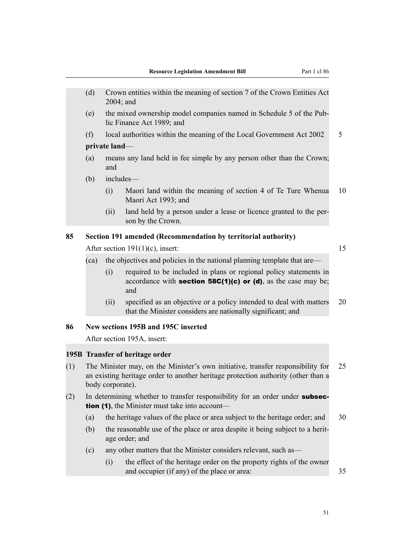|                                                                                                                                                                                                                                    | (d)  | $2004$ ; and                                                                                                                           | Crown entities within the meaning of section 7 of the Crown Entities Act                                                                         |    |  |  |  |  |
|------------------------------------------------------------------------------------------------------------------------------------------------------------------------------------------------------------------------------------|------|----------------------------------------------------------------------------------------------------------------------------------------|--------------------------------------------------------------------------------------------------------------------------------------------------|----|--|--|--|--|
|                                                                                                                                                                                                                                    | (e)  | the mixed ownership model companies named in Schedule 5 of the Pub-<br>lic Finance Act 1989; and                                       |                                                                                                                                                  |    |  |  |  |  |
|                                                                                                                                                                                                                                    | (f)  |                                                                                                                                        | local authorities within the meaning of the Local Government Act 2002                                                                            | 5  |  |  |  |  |
|                                                                                                                                                                                                                                    |      | private land-                                                                                                                          |                                                                                                                                                  |    |  |  |  |  |
|                                                                                                                                                                                                                                    | (a)  | and                                                                                                                                    | means any land held in fee simple by any person other than the Crown;                                                                            |    |  |  |  |  |
|                                                                                                                                                                                                                                    | (b)  | includes-                                                                                                                              |                                                                                                                                                  |    |  |  |  |  |
|                                                                                                                                                                                                                                    |      | (i)                                                                                                                                    | Maori land within the meaning of section 4 of Te Ture Whenua<br>Maori Act 1993; and                                                              | 10 |  |  |  |  |
|                                                                                                                                                                                                                                    |      | (ii)                                                                                                                                   | land held by a person under a lease or licence granted to the per-<br>son by the Crown.                                                          |    |  |  |  |  |
| 85                                                                                                                                                                                                                                 |      |                                                                                                                                        | Section 191 amended (Recommendation by territorial authority)                                                                                    |    |  |  |  |  |
|                                                                                                                                                                                                                                    |      |                                                                                                                                        | After section $191(1)(c)$ , insert:                                                                                                              | 15 |  |  |  |  |
|                                                                                                                                                                                                                                    | (ca) |                                                                                                                                        | the objectives and policies in the national planning template that are—                                                                          |    |  |  |  |  |
|                                                                                                                                                                                                                                    |      | (i)                                                                                                                                    | required to be included in plans or regional policy statements in<br>accordance with <b>section 58C(1)(c)</b> or (d), as the case may be;<br>and |    |  |  |  |  |
|                                                                                                                                                                                                                                    |      | (ii)                                                                                                                                   | specified as an objective or a policy intended to deal with matters<br>that the Minister considers are nationally significant; and               | 20 |  |  |  |  |
| 86                                                                                                                                                                                                                                 |      |                                                                                                                                        | New sections 195B and 195C inserted                                                                                                              |    |  |  |  |  |
|                                                                                                                                                                                                                                    |      |                                                                                                                                        | After section 195A, insert:                                                                                                                      |    |  |  |  |  |
|                                                                                                                                                                                                                                    |      |                                                                                                                                        |                                                                                                                                                  |    |  |  |  |  |
| 195B Transfer of heritage order<br>The Minister may, on the Minister's own initiative, transfer responsibility for<br>(1)<br>an existing heritage order to another heritage protection authority (other than a<br>body corporate). |      |                                                                                                                                        |                                                                                                                                                  |    |  |  |  |  |
| (2)                                                                                                                                                                                                                                |      | In determining whether to transfer responsibility for an order under subsec-<br><b>tion (1)</b> , the Minister must take into account— |                                                                                                                                                  |    |  |  |  |  |
|                                                                                                                                                                                                                                    | (a)  |                                                                                                                                        | the heritage values of the place or area subject to the heritage order; and                                                                      | 30 |  |  |  |  |
|                                                                                                                                                                                                                                    | (b)  |                                                                                                                                        | the reasonable use of the place or area despite it being subject to a herit-<br>age order; and                                                   |    |  |  |  |  |
|                                                                                                                                                                                                                                    | (c)  |                                                                                                                                        | any other matters that the Minister considers relevant, such as—                                                                                 |    |  |  |  |  |
|                                                                                                                                                                                                                                    |      | (i)                                                                                                                                    | the effect of the heritage order on the property rights of the owner<br>and occupier (if any) of the place or area:                              | 35 |  |  |  |  |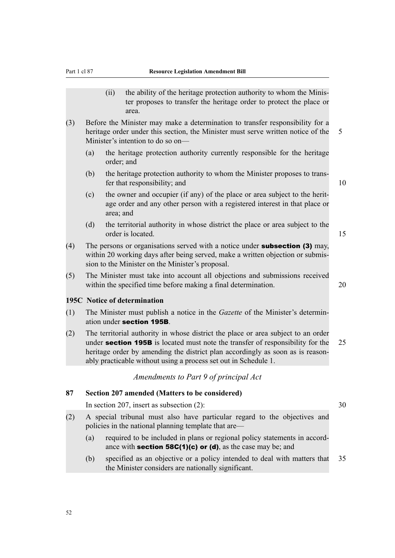- (ii) the ability of the heritage protection authority to whom the Minister proposes to transfer the heritage order to protect the place or area.
- (3) Before the Minister may make a determination to transfer responsibility for a heritage order under this section, the Minister must serve written notice of the 5 Minister's intention to do so on—
	- (a) the heritage protection authority currently responsible for the heritage order; and
	- (b) the heritage protection authority to whom the Minister proposes to transfer that responsibility; and 10

- (c) the owner and occupier (if any) of the place or area subject to the heritage order and any other person with a registered interest in that place or area; and
- (d) the territorial authority in whose district the place or area subject to the order is located. 15
- (4) The persons or organisations served with a notice under **subsection (3)** may, within 20 working days after being served, make a written objection or submission to the Minister on the Minister's proposal.
- (5) The Minister must take into account all objections and submissions received within the specified time before making a final determination. 20

### **195C Notice of determination**

- (1) The Minister must publish a notice in the *Gazette* of the Minister's determination under section 195B.
- (2) The territorial authority in whose district the place or area subject to an order under **section 195B** is located must note the transfer of responsibility for the 25 heritage order by amending the district plan accordingly as soon as is reasonably practicable without using a process set out in Schedule 1.

### *Amendments to Part 9 of principal Act*

### **87 Section 207 amended (Matters to be considered)**

In section 207, insert as subsection  $(2)$ :  $30$ 

- (2) A special tribunal must also have particular regard to the objectives and policies in the national planning template that are—
	- (a) required to be included in plans or regional policy statements in accordance with **section 58C(1)(c) or (d)**, as the case may be; and
	- (b) specified as an objective or a policy intended to deal with matters that 35 the Minister considers are nationally significant.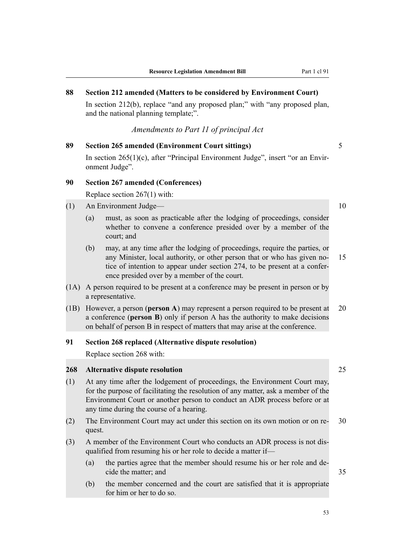**88 Section 212 amended (Matters to be considered by Environment Court)**

# In section 212(b), replace "and any proposed plan;" with "any proposed plan, and the national planning template;". *Amendments to Part 11 of principal Act* **89 Section 265 amended (Environment Court sittings)** 5 In section 265(1)(c), after "Principal Environment Judge", insert "or an Environment Judge". **90 Section 267 amended (Conferences)** Replace section 267(1) with: (1) An Environment Judge— 10 (a) must, as soon as practicable after the lodging of proceedings, consider whether to convene a conference presided over by a member of the court; and (b) may, at any time after the lodging of proceedings, require the parties, or any Minister, local authority, or other person that or who has given no- 15 tice of intention to appear under section 274, to be present at a conference presided over by a member of the court. (1A) A person required to be present at a conference may be present in person or by a representative. (1B) However, a person (**person A**) may represent a person required to be present at 20 a conference (**person B**) only if person A has the authority to make decisions on behalf of person B in respect of matters that may arise at the conference. **91 Section 268 replaced (Alternative dispute resolution)** Replace section 268 with: **268 Alternative dispute resolution** 25 (1) At any time after the lodgement of proceedings, the Environment Court may, for the purpose of facilitating the resolution of any matter, ask a member of the Environment Court or another person to conduct an ADR process before or at any time during the course of a hearing. (2) The Environment Court may act under this section on its own motion or on re- 30 quest.

- (3) A member of the Environment Court who conducts an ADR process is not disqualified from resuming his or her role to decide a matter if—
	- (a) the parties agree that the member should resume his or her role and decide the matter; and 35
	- (b) the member concerned and the court are satisfied that it is appropriate for him or her to do so.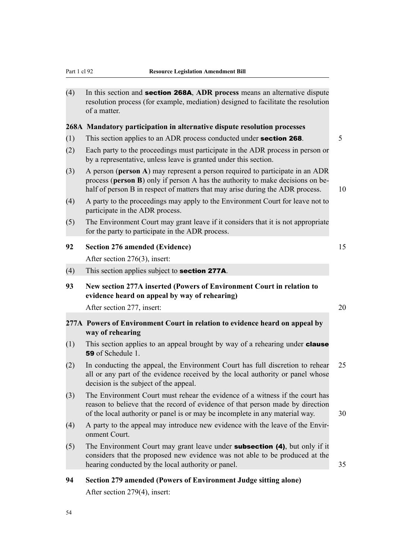(4) In this section and section 268A, **ADR process** means an alternative dispute resolution process (for example, mediation) designed to facilitate the resolution of a matter.

### **268A Mandatory participation in alternative dispute resolution processes**

- (1) This section applies to an ADR process conducted under **section 268**.  $\frac{5}{5}$
- (2) Each party to the proceedings must participate in the ADR process in person or by a representative, unless leave is granted under this section.
- (3) A person (**person A**) may represent a person required to participate in an ADR process (**person B**) only if person A has the authority to make decisions on behalf of person B in respect of matters that may arise during the ADR process. 10
- (4) A party to the proceedings may apply to the Environment Court for leave not to participate in the ADR process.
- (5) The Environment Court may grant leave if it considers that it is not appropriate for the party to participate in the ADR process.

### **92 Section 276 amended (Evidence)** 15

After section 276(3), insert:

- (4) This section applies subject to section 277A.
- **93 New section 277A inserted (Powers of Environment Court in relation to evidence heard on appeal by way of rehearing)**

After section 277, insert: 20

### **277A Powers of Environment Court in relation to evidence heard on appeal by way of rehearing**

- (1) This section applies to an appeal brought by way of a rehearing under **clause** 59 of Schedule 1.
- (2) In conducting the appeal, the Environment Court has full discretion to rehear 25 all or any part of the evidence received by the local authority or panel whose decision is the subject of the appeal.
- (3) The Environment Court must rehear the evidence of a witness if the court has reason to believe that the record of evidence of that person made by direction of the local authority or panel is or may be incomplete in any material way. 30
- (4) A party to the appeal may introduce new evidence with the leave of the Environment Court.
- (5) The Environment Court may grant leave under **subsection (4)**, but only if it considers that the proposed new evidence was not able to be produced at the hearing conducted by the local authority or panel. 35
- **94 Section 279 amended (Powers of Environment Judge sitting alone)** After section 279(4), insert: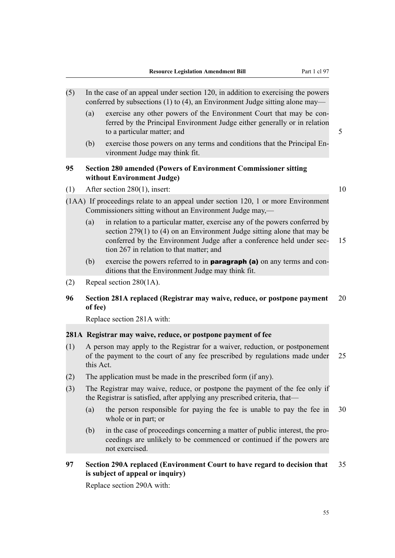- (5) In the case of an appeal under section 120, in addition to exercising the powers conferred by subsections (1) to (4), an Environment Judge sitting alone may—
	- (a) exercise any other powers of the Environment Court that may be conferred by the Principal Environment Judge either generally or in relation to a particular matter; and 5
		-
	- (b) exercise those powers on any terms and conditions that the Principal Environment Judge may think fit.

### **95 Section 280 amended (Powers of Environment Commissioner sitting without Environment Judge)**

(1) After section 280(1), insert:  $10$ 

- (1AA) If proceedings relate to an appeal under section 120, 1 or more Environment Commissioners sitting without an Environment Judge may,—
	- (a) in relation to a particular matter, exercise any of the powers conferred by section 279(1) to (4) on an Environment Judge sitting alone that may be conferred by the Environment Judge after a conference held under sec- 15 tion 267 in relation to that matter; and
	- (b) exercise the powers referred to in paragraph (a) on any terms and conditions that the Environment Judge may think fit.
- (2) Repeal section 280(1A).

### **96 Section 281A replaced (Registrar may waive, reduce, or postpone payment** 20 **of fee)**

Replace section 281A with:

### **281A Registrar may waive, reduce, or postpone payment of fee**

- (1) A person may apply to the Registrar for a waiver, reduction, or postponement of the payment to the court of any fee prescribed by regulations made under 25 this Act.
- (2) The application must be made in the prescribed form (if any).
- (3) The Registrar may waive, reduce, or postpone the payment of the fee only if the Registrar is satisfied, after applying any prescribed criteria, that—
	- (a) the person responsible for paying the fee is unable to pay the fee in 30 whole or in part; or
	- (b) in the case of proceedings concerning a matter of public interest, the proceedings are unlikely to be commenced or continued if the powers are not exercised.
- **97 Section 290A replaced (Environment Court to have regard to decision that** 35 **is subject of appeal or inquiry)**

Replace section 290A with: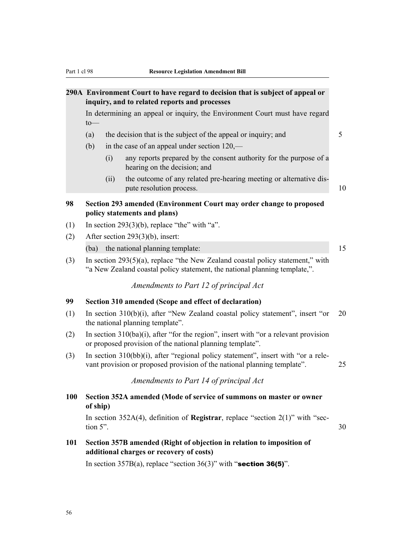### **290A Environment Court to have regard to decision that is subject of appeal or inquiry, and to related reports and processes**

In determining an appeal or inquiry, the Environment Court must have regard to—

- (a) the decision that is the subject of the appeal or inquiry; and  $\frac{5}{5}$
- (b) in the case of an appeal under section 120,—
	- (i) any reports prepared by the consent authority for the purpose of a hearing on the decision; and
	- (ii) the outcome of any related pre-hearing meeting or alternative dispute resolution process. 10

# **98 Section 293 amended (Environment Court may order change to proposed policy statements and plans)**

- (1) In section  $293(3)(b)$ , replace "the" with "a".
- (2) After section 293(3)(b), insert:

(ba) the national planning template: 15

(3) In section 293(5)(a), replace "the New Zealand coastal policy statement," with "a New Zealand coastal policy statement, the national planning template,".

*Amendments to Part 12 of principal Act*

### **99 Section 310 amended (Scope and effect of declaration)**

- (1) In section 310(b)(i), after "New Zealand coastal policy statement", insert "or 20 the national planning template".
- (2) In section 310(ba)(i), after "for the region", insert with "or a relevant provision or proposed provision of the national planning template".
- (3) In section 310(bb)(i), after "regional policy statement", insert with "or a relevant provision or proposed provision of the national planning template". 25

*Amendments to Part 14 of principal Act*

**100 Section 352A amended (Mode of service of summons on master or owner of ship)**

In section 352A(4), definition of **Registrar**, replace "section 2(1)" with "sec- $\frac{1}{30}$   $\frac{30}{30}$ 

**101 Section 357B amended (Right of objection in relation to imposition of additional charges or recovery of costs)**

In section  $357B(a)$ , replace "section  $36(3)$ " with "section 36(5)".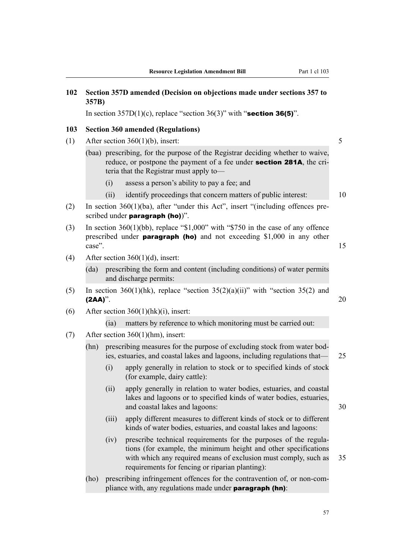| 102 | Section 357D amended (Decision on objections made under sections 357 to<br>357B) |       |                                                                                                                                                                                                                                                           |    |  |  |  |  |
|-----|----------------------------------------------------------------------------------|-------|-----------------------------------------------------------------------------------------------------------------------------------------------------------------------------------------------------------------------------------------------------------|----|--|--|--|--|
|     |                                                                                  |       | In section $357D(1)(c)$ , replace "section $36(3)$ " with "section 36(5)".                                                                                                                                                                                |    |  |  |  |  |
| 103 |                                                                                  |       | <b>Section 360 amended (Regulations)</b>                                                                                                                                                                                                                  |    |  |  |  |  |
| (1) |                                                                                  |       | After section $360(1)(b)$ , insert:                                                                                                                                                                                                                       | 5  |  |  |  |  |
|     |                                                                                  |       | (baa) prescribing, for the purpose of the Registrar deciding whether to waive,<br>reduce, or postpone the payment of a fee under <b>section 281A</b> , the cri-<br>teria that the Registrar must apply to-                                                |    |  |  |  |  |
|     |                                                                                  | (i)   | assess a person's ability to pay a fee; and                                                                                                                                                                                                               |    |  |  |  |  |
|     |                                                                                  | (ii)  | identify proceedings that concern matters of public interest:                                                                                                                                                                                             | 10 |  |  |  |  |
| (2) |                                                                                  |       | In section $360(1)(ba)$ , after "under this Act", insert "(including offences pre-<br>scribed under <b>paragraph</b> (ho)".                                                                                                                               |    |  |  |  |  |
| (3) | case".                                                                           |       | In section $360(1)(bb)$ , replace "\$1,000" with "\$750 in the case of any offence<br>prescribed under <b>paragraph</b> (ho) and not exceeding \$1,000 in any other                                                                                       | 15 |  |  |  |  |
| (4) |                                                                                  |       | After section $360(1)(d)$ , insert:                                                                                                                                                                                                                       |    |  |  |  |  |
|     | (da)                                                                             |       | prescribing the form and content (including conditions) of water permits<br>and discharge permits:                                                                                                                                                        |    |  |  |  |  |
| (5) | $(2AA)$ ".                                                                       |       | In section 360(1)(hk), replace "section 35(2)(a)(ii)" with "section 35(2) and                                                                                                                                                                             | 20 |  |  |  |  |
| (6) |                                                                                  |       | After section $360(1)(hk)(i)$ , insert:                                                                                                                                                                                                                   |    |  |  |  |  |
|     |                                                                                  | (ia)  | matters by reference to which monitoring must be carried out:                                                                                                                                                                                             |    |  |  |  |  |
| (7) |                                                                                  |       | After section $360(1)(hm)$ , insert:                                                                                                                                                                                                                      |    |  |  |  |  |
|     | (hn)                                                                             |       | prescribing measures for the purpose of excluding stock from water bod-<br>ies, estuaries, and coastal lakes and lagoons, including regulations that—                                                                                                     | 25 |  |  |  |  |
|     |                                                                                  | (i)   | apply generally in relation to stock or to specified kinds of stock<br>(for example, dairy cattle):                                                                                                                                                       |    |  |  |  |  |
|     |                                                                                  | (ii)  | apply generally in relation to water bodies, estuaries, and coastal<br>lakes and lagoons or to specified kinds of water bodies, estuaries,<br>and coastal lakes and lagoons:                                                                              | 30 |  |  |  |  |
|     |                                                                                  | (iii) | apply different measures to different kinds of stock or to different<br>kinds of water bodies, estuaries, and coastal lakes and lagoons:                                                                                                                  |    |  |  |  |  |
|     |                                                                                  | (iv)  | prescribe technical requirements for the purposes of the regula-<br>tions (for example, the minimum height and other specifications<br>with which any required means of exclusion must comply, such as<br>requirements for fencing or riparian planting): | 35 |  |  |  |  |

(ho) prescribing infringement offences for the contravention of, or non-compliance with, any regulations made under **paragraph (hn)**:

57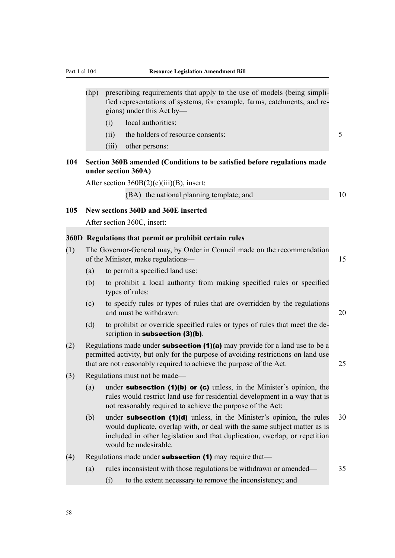| (hp) prescribing requirements that apply to the use of models (being simpli- |
|------------------------------------------------------------------------------|
| fied representations of systems, for example, farms, catchments, and re-     |
| gions) under this Act by— $\overline{\phantom{a}}$                           |

- (i) local authorities:
- (ii) the holders of resource consents: 5
- (iii) other persons:

### **104 Section 360B amended (Conditions to be satisfied before regulations made under section 360A)**

After section  $360B(2)(c)(iii)(B)$ , insert:

(BA) the national planning template; and 10

#### **105 New sections 360D and 360E inserted**

After section 360C, insert:

### **360D Regulations that permit or prohibit certain rules**

| (1) |                                    | The Governor-General may, by Order in Council made on the recommendation |  |
|-----|------------------------------------|--------------------------------------------------------------------------|--|
|     | of the Minister, make regulations— |                                                                          |  |
|     |                                    | to permit a specified land use:                                          |  |

- (b) to prohibit a local authority from making specified rules or specified types of rules:
- (c) to specify rules or types of rules that are overridden by the regulations and must be withdrawn: 20
- (d) to prohibit or override specified rules or types of rules that meet the description in subsection (3)(b).
- (2) Regulations made under **subsection (1)(a)** may provide for a land use to be a permitted activity, but only for the purpose of avoiding restrictions on land use that are not reasonably required to achieve the purpose of the Act. 25
- (3) Regulations must not be made—
	- (a) under **subsection (1)(b) or (c)** unless, in the Minister's opinion, the rules would restrict land use for residential development in a way that is not reasonably required to achieve the purpose of the Act:
	- (b) under **subsection (1)(d)** unless, in the Minister's opinion, the rules  $30$ would duplicate, overlap with, or deal with the same subject matter as is included in other legislation and that duplication, overlap, or repetition would be undesirable.
- (4) Regulations made under **subsection (1)** may require that—
	- (a) rules inconsistent with those regulations be withdrawn or amended— 35
		- (i) to the extent necessary to remove the inconsistency; and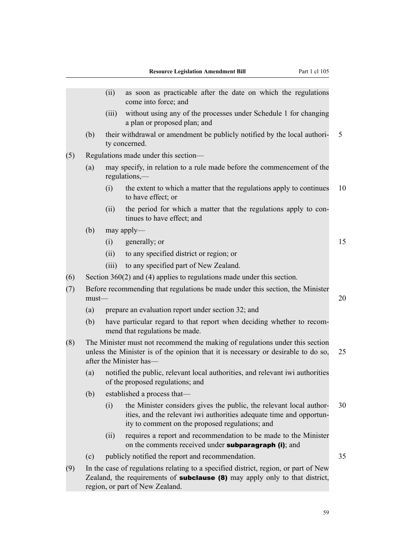|     |          | (ii)  | as soon as practicable after the date on which the regulations<br>come into force; and                                                                                                                       |    |
|-----|----------|-------|--------------------------------------------------------------------------------------------------------------------------------------------------------------------------------------------------------------|----|
|     |          | (iii) | without using any of the processes under Schedule 1 for changing<br>a plan or proposed plan; and                                                                                                             |    |
|     | (b)      |       | their withdrawal or amendment be publicly notified by the local authori-<br>ty concerned.                                                                                                                    | 5  |
| (5) |          |       | Regulations made under this section—                                                                                                                                                                         |    |
|     | (a)      |       | may specify, in relation to a rule made before the commencement of the<br>$regulations$ ,—                                                                                                                   |    |
|     |          | (i)   | the extent to which a matter that the regulations apply to continues<br>to have effect; or                                                                                                                   | 10 |
|     |          | (ii)  | the period for which a matter that the regulations apply to con-<br>tinues to have effect; and                                                                                                               |    |
|     | (b)      |       | may apply—                                                                                                                                                                                                   |    |
|     |          | (i)   | generally; or                                                                                                                                                                                                | 15 |
|     |          | (ii)  | to any specified district or region; or                                                                                                                                                                      |    |
|     |          | (iii) | to any specified part of New Zealand.                                                                                                                                                                        |    |
| (6) |          |       | Section $360(2)$ and (4) applies to regulations made under this section.                                                                                                                                     |    |
| (7) | $must$ — |       | Before recommending that regulations be made under this section, the Minister                                                                                                                                | 20 |
|     | (a)      |       | prepare an evaluation report under section 32; and                                                                                                                                                           |    |
|     | (b)      |       | have particular regard to that report when deciding whether to recom-<br>mend that regulations be made.                                                                                                      |    |
| (8) |          |       | The Minister must not recommend the making of regulations under this section<br>unless the Minister is of the opinion that it is necessary or desirable to do so,<br>after the Minister has-                 | 25 |
|     | (a)      |       | notified the public, relevant local authorities, and relevant iwi authorities<br>of the proposed regulations; and                                                                                            |    |
|     | (b)      |       | established a process that—                                                                                                                                                                                  |    |
|     |          | (i)   | the Minister considers gives the public, the relevant local author-<br>ities, and the relevant iwi authorities adequate time and opportun-<br>ity to comment on the proposed regulations; and                | 30 |
|     |          | (ii)  | requires a report and recommendation to be made to the Minister<br>on the comments received under <b>subparagraph</b> (i); and                                                                               |    |
|     | (c)      |       | publicly notified the report and recommendation.                                                                                                                                                             | 35 |
| (9) |          |       | In the case of regulations relating to a specified district, region, or part of New<br>Zealand, the requirements of <b>subclause (8)</b> may apply only to that district,<br>region, or part of New Zealand. |    |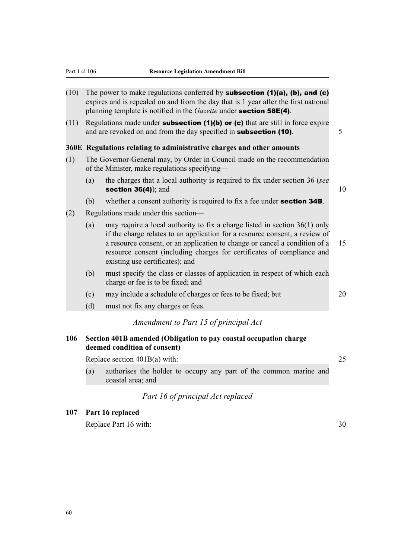- (10) The power to make regulations conferred by **subsection (1)(a), (b), and (c)** expires and is repealed on and from the day that is 1 year after the first national planning template is notified in the *Gazette* under section 58E(4).
- (11) Regulations made under **subsection (1)(b) or (c)** that are still in force expire and are revoked on and from the day specified in **subsection (10)**. 5

#### **360E Regulations relating to administrative charges and other amounts**

- (1) The Governor-General may, by Order in Council made on the recommendation of the Minister, make regulations specifying—
	- (a) the charges that a local authority is required to fix under section 36 (*see* section  $36(4)$ ; and  $10$

- (b) whether a consent authority is required to fix a fee under **section 34B**.
- (2) Regulations made under this section—
	- (a) may require a local authority to fix a charge listed in section 36(1) only if the charge relates to an application for a resource consent, a review of a resource consent, or an application to change or cancel a condition of a 15 resource consent (including charges for certificates of compliance and existing use certificates); and
	- (b) must specify the class or classes of application in respect of which each charge or fee is to be fixed; and
	- (c) may include a schedule of charges or fees to be fixed; but 20
	- (d) must not fix any charges or fees.

### *Amendment to Part 15 of principal Act*

### **106 Section 401B amended (Obligation to pay coastal occupation charge deemed condition of consent)**

Replace section 401B(a) with: 25

- 
- (a) authorises the holder to occupy any part of the common marine and coastal area; and

### *Part 16 of principal Act replaced*

### **107 Part 16 replaced**

Replace Part 16 with: 30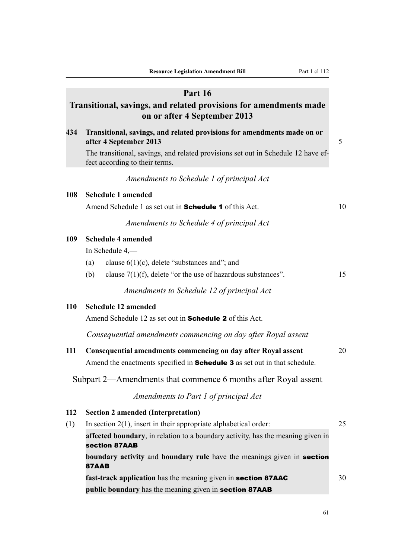### **Part 16**

# **Transitional, savings, and related provisions for amendments made on or after 4 September 2013**

**434 Transitional, savings, and related provisions for amendments made on or after 4 September 2013** 5 The transitional, savings, and related provisions set out in Schedule 12 have effect according to their terms. *Amendments to Schedule 1 of principal Act* **108 Schedule 1 amended** Amend Schedule 1 as set out in **Schedule 1** of this Act. 10 *Amendments to Schedule 4 of principal Act* **109 Schedule 4 amended** In Schedule 4,— (a) clause  $6(1)(c)$ , delete "substances and"; and (b) clause  $7(1)(f)$ , delete "or the use of hazardous substances". 15 *Amendments to Schedule 12 of principal Act* **110 Schedule 12 amended** Amend Schedule 12 as set out in Schedule 2 of this Act. *Consequential amendments commencing on day after Royal assent* **111 Consequential amendments commencing on day after Royal assent** 20 Amend the enactments specified in **Schedule 3** as set out in that schedule. Subpart 2—Amendments that commence 6 months after Royal assent *Amendments to Part 1 of principal Act* **112 Section 2 amended (Interpretation)** (1) In section 2(1), insert in their appropriate alphabetical order: 25 **affected boundary**, in relation to a boundary activity, has the meaning given in section 87AAB **boundary activity** and **boundary rule** have the meanings given in section 87AAB

**fast-track application** has the meaning given in **section 87AAC** 30 **public boundary** has the meaning given in **section 87AAB**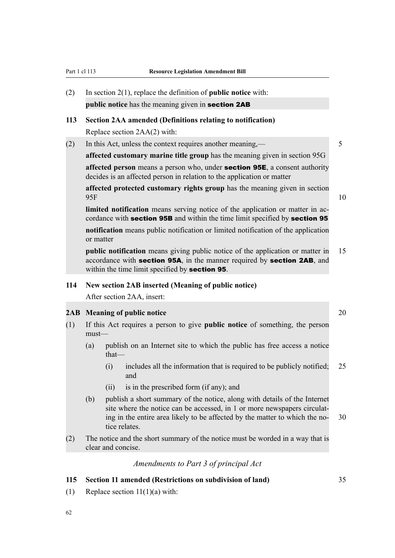# (2) In section 2(1), replace the definition of **public notice** with: **public notice** has the meaning given in section 2AB

### **113 Section 2AA amended (Definitions relating to notification)**

Replace section 2AA(2) with:

### (2) In this Act, unless the context requires another meaning,— 5

**affected customary marine title group** has the meaning given in section 95G

**affected person** means a person who, under section 95E, a consent authority decides is an affected person in relation to the application or matter

**affected protected customary rights group** has the meaning given in section  $95F$  10

**limited notification** means serving notice of the application or matter in accordance with section 95B and within the time limit specified by section 95

**notification** means public notification or limited notification of the application or matter

**public notification** means giving public notice of the application or matter in 15 accordance with section 95A, in the manner required by section 2AB, and within the time limit specified by **section 95**.

### **114 New section 2AB inserted (Meaning of public notice)**

After section 2AA, insert:

### **2AB Meaning of public notice** 20

- (1) If this Act requires a person to give **public notice** of something, the person must—
	- (a) publish on an Internet site to which the public has free access a notice that—
		- $(i)$  includes all the information that is required to be publicly notified: 25 and
		- (ii) is in the prescribed form (if any); and
	- (b) publish a short summary of the notice, along with details of the Internet site where the notice can be accessed, in 1 or more newspapers circulating in the entire area likely to be affected by the matter to which the no- 30 tice relates.
- (2) The notice and the short summary of the notice must be worded in a way that is clear and concise.

*Amendments to Part 3 of principal Act*

#### **115 Section 11 amended (Restrictions on subdivision of land)** 35

(1) Replace section  $11(1)(a)$  with:

62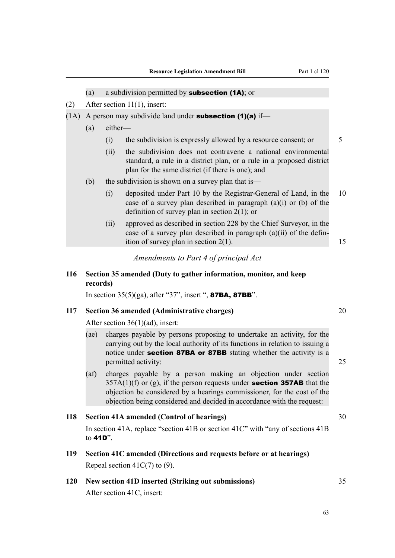|      | (a)                                                 |                                                  | a subdivision permitted by subsection (1A); or                                                                                                                                                                                                                                                        |    |  |  |
|------|-----------------------------------------------------|--------------------------------------------------|-------------------------------------------------------------------------------------------------------------------------------------------------------------------------------------------------------------------------------------------------------------------------------------------------------|----|--|--|
| (2)  | After section $11(1)$ , insert:                     |                                                  |                                                                                                                                                                                                                                                                                                       |    |  |  |
| (1A) |                                                     |                                                  | A person may subdivide land under subsection $(1)(a)$ if—                                                                                                                                                                                                                                             |    |  |  |
|      | (a)                                                 | either-                                          |                                                                                                                                                                                                                                                                                                       |    |  |  |
|      |                                                     | (i)                                              | the subdivision is expressly allowed by a resource consent; or                                                                                                                                                                                                                                        | 5  |  |  |
|      |                                                     | (ii)                                             | the subdivision does not contravene a national environmental<br>standard, a rule in a district plan, or a rule in a proposed district<br>plan for the same district (if there is one); and                                                                                                            |    |  |  |
|      | (b)                                                 |                                                  | the subdivision is shown on a survey plan that is—                                                                                                                                                                                                                                                    |    |  |  |
|      |                                                     | (i)                                              | deposited under Part 10 by the Registrar-General of Land, in the<br>case of a survey plan described in paragraph $(a)(i)$ or $(b)$ of the<br>definition of survey plan in section $2(1)$ ; or                                                                                                         | 10 |  |  |
|      |                                                     | (ii)                                             | approved as described in section 228 by the Chief Surveyor, in the<br>case of a survey plan described in paragraph $(a)(ii)$ of the defin-<br>ition of survey plan in section $2(1)$ .                                                                                                                | 15 |  |  |
|      |                                                     |                                                  | Amendments to Part 4 of principal Act                                                                                                                                                                                                                                                                 |    |  |  |
| 116  | records)                                            |                                                  | Section 35 amended (Duty to gather information, monitor, and keep                                                                                                                                                                                                                                     |    |  |  |
|      |                                                     |                                                  | In section 35(5)(ga), after "37", insert ", <b>87BA, 87BB</b> ".                                                                                                                                                                                                                                      |    |  |  |
| 117  |                                                     |                                                  | <b>Section 36 amended (Administrative charges)</b>                                                                                                                                                                                                                                                    | 20 |  |  |
|      | After section $36(1)(ad)$ , insert:                 |                                                  |                                                                                                                                                                                                                                                                                                       |    |  |  |
|      | (ae)                                                |                                                  | charges payable by persons proposing to undertake an activity, for the<br>carrying out by the local authority of its functions in relation to issuing a<br>notice under section 87BA or 87BB stating whether the activity is a<br>permitted activity:                                                 | 25 |  |  |
|      | (a f)                                               |                                                  | charges payable by a person making an objection under section<br>$357A(1)(f)$ or (g), if the person requests under <b>section 357AB</b> that the<br>objection be considered by a hearings commissioner, for the cost of the<br>objection being considered and decided in accordance with the request: |    |  |  |
| 118  |                                                     | <b>Section 41A amended (Control of hearings)</b> |                                                                                                                                                                                                                                                                                                       |    |  |  |
|      | to 41D".                                            |                                                  | In section 41A, replace "section 41B or section 41C" with "any of sections 41B                                                                                                                                                                                                                        |    |  |  |
| 119  |                                                     |                                                  | Section 41C amended (Directions and requests before or at hearings)                                                                                                                                                                                                                                   |    |  |  |
|      | Repeal section $41C(7)$ to (9).                     |                                                  |                                                                                                                                                                                                                                                                                                       |    |  |  |
| 120  | New section 41D inserted (Striking out submissions) |                                                  |                                                                                                                                                                                                                                                                                                       |    |  |  |
|      | After section 41C, insert:                          |                                                  |                                                                                                                                                                                                                                                                                                       |    |  |  |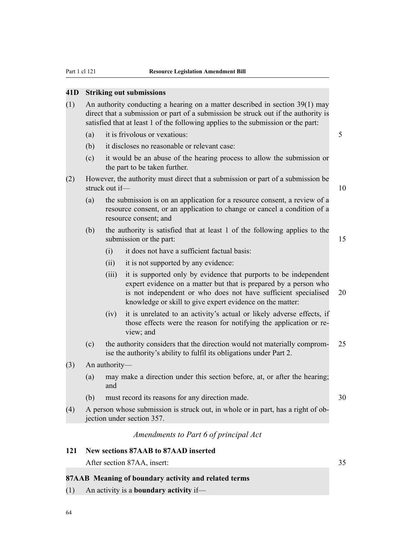### **41D Striking out submissions**

- (1) An authority conducting a hearing on a matter described in section 39(1) may direct that a submission or part of a submission be struck out if the authority is satisfied that at least 1 of the following applies to the submission or the part:
	- (a) it is frivolous or vexatious: 5
	- (b) it discloses no reasonable or relevant case:
	- (c) it would be an abuse of the hearing process to allow the submission or the part to be taken further.
- (2) However, the authority must direct that a submission or part of a submission be struck out if— 10
	- (a) the submission is on an application for a resource consent, a review of a resource consent, or an application to change or cancel a condition of a resource consent; and
	- (b) the authority is satisfied that at least 1 of the following applies to the submission or the part: 15

- (i) it does not have a sufficient factual basis:
- (ii) it is not supported by any evidence:
- (iii) it is supported only by evidence that purports to be independent expert evidence on a matter but that is prepared by a person who is not independent or who does not have sufficient specialised 20 knowledge or skill to give expert evidence on the matter:
- (iv) it is unrelated to an activity's actual or likely adverse effects, if those effects were the reason for notifying the application or review<sup>and</sup>
- (c) the authority considers that the direction would not materially comprom- 25 ise the authority's ability to fulfil its obligations under Part 2.
- (3) An authority—
	- (a) may make a direction under this section before, at, or after the hearing; and
	- (b) must record its reasons for any direction made. 30
		-
- (4) A person whose submission is struck out, in whole or in part, has a right of objection under section 357.

# *Amendments to Part 6 of principal Act*

# **121 New sections 87AAB to 87AAD inserted**

After section 87AA, insert: 35

### **87AAB Meaning of boundary activity and related terms**

(1) An activity is a **boundary activity** if—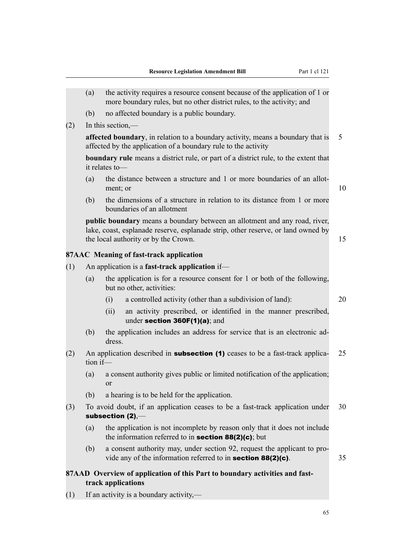- (a) the activity requires a resource consent because of the application of 1 or more boundary rules, but no other district rules, to the activity; and
- (b) no affected boundary is a public boundary.
- (2) In this section,—

**affected boundary**, in relation to a boundary activity, means a boundary that is 5 affected by the application of a boundary rule to the activity

**boundary rule** means a district rule, or part of a district rule, to the extent that it relates to—

- (a) the distance between a structure and 1 or more boundaries of an allotment; or  $10$
- (b) the dimensions of a structure in relation to its distance from 1 or more boundaries of an allotment

**public boundary** means a boundary between an allotment and any road, river, lake, coast, esplanade reserve, esplanade strip, other reserve, or land owned by the local authority or by the Crown. 15

#### **87AAC Meaning of fast-track application**

- (1) An application is a **fast-track application** if—
	- (a) the application is for a resource consent for 1 or both of the following, but no other, activities:
		- (i) a controlled activity (other than a subdivision of land): 20
		- (ii) an activity prescribed, or identified in the manner prescribed, under section 360F(1)(a); and
	- (b) the application includes an address for service that is an electronic address.
- (2) An application described in **subsection (1)** ceases to be a fast-track applica- 25 tion if—
	- (a) a consent authority gives public or limited notification of the application; or
	- (b) a hearing is to be held for the application.
- (3) To avoid doubt, if an application ceases to be a fast-track application under 30 subsection (2),—
	- (a) the application is not incomplete by reason only that it does not include the information referred to in **section 88(2)(c)**; but
	- (b) a consent authority may, under section 92, request the applicant to provide any of the information referred to in **section 88(2)(c)**. 35

### **87AAD Overview of application of this Part to boundary activities and fasttrack applications**

(1) If an activity is a boundary activity,—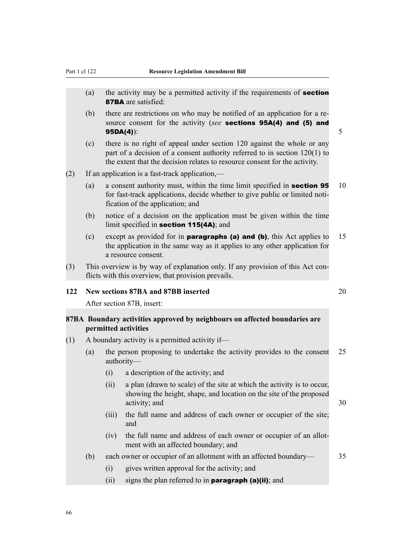- (a) the activity may be a permitted activity if the requirements of **section** 87BA are satisfied:
- (b) there are restrictions on who may be notified of an application for a resource consent for the activity (*see* sections 95A(4) and (5) and **95DA(4)**):  $5$
- (c) there is no right of appeal under section 120 against the whole or any part of a decision of a consent authority referred to in section 120(1) to the extent that the decision relates to resource consent for the activity.
- (2) If an application is a fast-track application,—
	- (a) a consent authority must, within the time limit specified in **section 95** 10 for fast-track applications, decide whether to give public or limited notification of the application; and
	- (b) notice of a decision on the application must be given within the time limit specified in section 115(4A); and
	- (c) except as provided for in **paragraphs (a) and (b)**, this Act applies to 15 the application in the same way as it applies to any other application for a resource consent.
- (3) This overview is by way of explanation only. If any provision of this Act conflicts with this overview, that provision prevails.

### **122 New sections 87BA and 87BB inserted** 20

After section 87B, insert:

### **87BA Boundary activities approved by neighbours on affected boundaries are permitted activities**

- $(1)$  A boundary activity is a permitted activity if—
	- (a) the person proposing to undertake the activity provides to the consent 25 authority—
		- (i) a description of the activity; and
		- (ii) a plan (drawn to scale) of the site at which the activity is to occur, showing the height, shape, and location on the site of the proposed activity; and 30
		- (iii) the full name and address of each owner or occupier of the site; and
		- (iv) the full name and address of each owner or occupier of an allotment with an affected boundary; and
	- (b) each owner or occupier of an allotment with an affected boundary— 35

- (i) gives written approval for the activity; and
- (ii) signs the plan referred to in **paragraph (a)(ii)**; and

66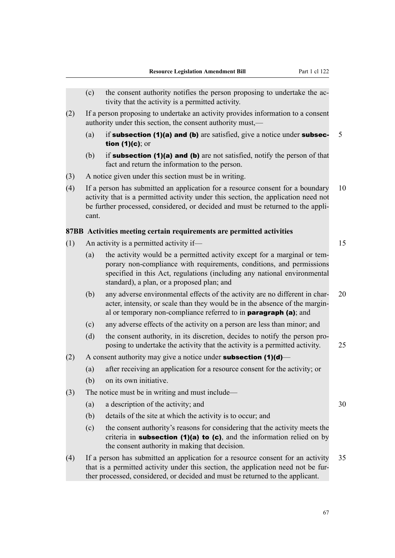- (c) the consent authority notifies the person proposing to undertake the activity that the activity is a permitted activity.
- (2) If a person proposing to undertake an activity provides information to a consent authority under this section, the consent authority must,—
	- (a) if **subsection (1)(a) and (b)** are satisfied, give a notice under **subsec-** 5 tion (1)(c); or
	- (b) if **subsection (1)(a) and (b)** are not satisfied, notify the person of that fact and return the information to the person.
- (3) A notice given under this section must be in writing.
- (4) If a person has submitted an application for a resource consent for a boundary 10 activity that is a permitted activity under this section, the application need not be further processed, considered, or decided and must be returned to the applicant.

#### **87BB Activities meeting certain requirements are permitted activities**

- (1) An activity is a permitted activity if—  $15$ 
	- (a) the activity would be a permitted activity except for a marginal or temporary non-compliance with requirements, conditions, and permissions specified in this Act, regulations (including any national environmental standard), a plan, or a proposed plan; and
	- (b) any adverse environmental effects of the activity are no different in char- 20 acter, intensity, or scale than they would be in the absence of the marginal or temporary non-compliance referred to in paragraph (a); and
	- (c) any adverse effects of the activity on a person are less than minor; and
	- (d) the consent authority, in its discretion, decides to notify the person proposing to undertake the activity that the activity is a permitted activity. 25
- (2) A consent authority may give a notice under **subsection (1)(d)**
	- (a) after receiving an application for a resource consent for the activity; or
	- (b) on its own initiative.
- (3) The notice must be in writing and must include—
	- (a) a description of the activity; and  $30$
	- (b) details of the site at which the activity is to occur; and
	- (c) the consent authority's reasons for considering that the activity meets the criteria in subsection  $(1)(a)$  to  $(c)$ , and the information relied on by the consent authority in making that decision.
- (4) If a person has submitted an application for a resource consent for an activity 35 that is a permitted activity under this section, the application need not be further processed, considered, or decided and must be returned to the applicant.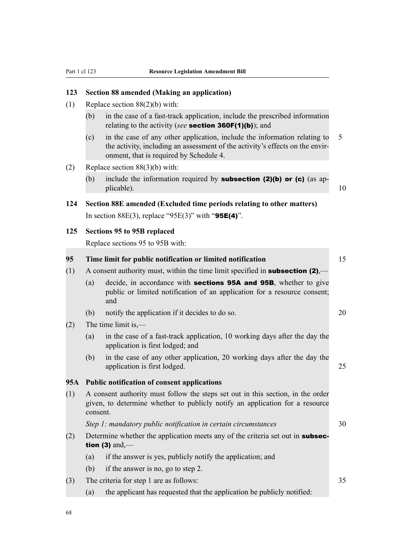# **123 Section 88 amended (Making an application)**

- (1) Replace section 88(2)(b) with:
	- (b) in the case of a fast-track application, include the prescribed information relating to the activity (*see* section 360F(1)(b)); and
	- (c) in the case of any other application, include the information relating to 5 the activity, including an assessment of the activity's effects on the environment, that is required by Schedule 4.
- (2) Replace section 88(3)(b) with:
	- (b) include the information required by **subsection (2)(b) or (c)** (as applicable). 10
- **124 Section 88E amended (Excluded time periods relating to other matters)** In section  $88E(3)$ , replace "95E(3)" with "95E(4)".

### **125 Sections 95 to 95B replaced**

Replace sections 95 to 95B with:

| 95  | Time limit for public notification or limited notification                                                                                                                  |                                                                                                                                                             |    |  |
|-----|-----------------------------------------------------------------------------------------------------------------------------------------------------------------------------|-------------------------------------------------------------------------------------------------------------------------------------------------------------|----|--|
| (1) | A consent authority must, within the time limit specified in <b>subsection (2)</b> ,—                                                                                       |                                                                                                                                                             |    |  |
|     | (a)                                                                                                                                                                         | decide, in accordance with <b>sections 95A and 95B</b> , whether to give<br>public or limited notification of an application for a resource consent;<br>and |    |  |
|     | (b)                                                                                                                                                                         | notify the application if it decides to do so.                                                                                                              | 20 |  |
| (2) | The time limit is,—                                                                                                                                                         |                                                                                                                                                             |    |  |
|     | (a)                                                                                                                                                                         | in the case of a fast-track application, 10 working days after the day the<br>application is first lodged; and                                              |    |  |
|     | (b)                                                                                                                                                                         | in the case of any other application, 20 working days after the day the<br>application is first lodged.                                                     | 25 |  |
| 95A | <b>Public notification of consent applications</b>                                                                                                                          |                                                                                                                                                             |    |  |
| (1) | A consent authority must follow the steps set out in this section, in the order<br>given, to determine whether to publicly notify an application for a resource<br>consent. |                                                                                                                                                             |    |  |
|     | Step 1: mandatory public notification in certain circumstances                                                                                                              |                                                                                                                                                             |    |  |
| (2) | Determine whether the application meets any of the criteria set out in <b>subsec-</b><br>tion (3) and,—                                                                     |                                                                                                                                                             |    |  |
|     | (a)                                                                                                                                                                         | if the answer is yes, publicly notify the application; and                                                                                                  |    |  |
|     | (b)                                                                                                                                                                         | if the answer is no, go to step 2.                                                                                                                          |    |  |
| (3) | The criteria for step 1 are as follows:                                                                                                                                     |                                                                                                                                                             |    |  |
|     | (a)                                                                                                                                                                         | the applicant has requested that the application be publicly notified:                                                                                      |    |  |
|     |                                                                                                                                                                             |                                                                                                                                                             |    |  |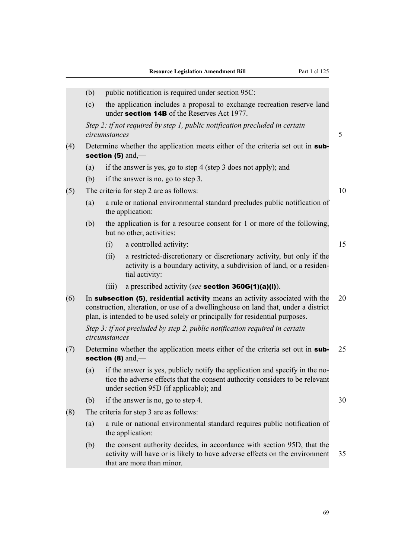- (b) public notification is required under section  $95C$ :
- (c) the application includes a proposal to exchange recreation reserve land under section 14B of the Reserves Act 1977.

*Step 2: if not required by step 1, public notification precluded in certain circumstances* 5

- (4) Determine whether the application meets either of the criteria set out in subsection (5) and,-
	- (a) if the answer is yes, go to step 4 (step 3 does not apply); and
	- (b) if the answer is no, go to step 3.
- (5) The criteria for step 2 are as follows: 10
	- (a) a rule or national environmental standard precludes public notification of the application:
	- (b) the application is for a resource consent for 1 or more of the following, but no other, activities:
		- (i) a controlled activity: 15
		- (ii) a restricted-discretionary or discretionary activity, but only if the activity is a boundary activity, a subdivision of land, or a residential activity:
		- (iii) a prescribed activity (*see* section 360G(1)(a)(i)).
- (6) In subsection (5), **residential activity** means an activity associated with the 20 construction, alteration, or use of a dwellinghouse on land that, under a district plan, is intended to be used solely or principally for residential purposes.

*Step 3: if not precluded by step 2, public notification required in certain circumstances*

- (7) Determine whether the application meets either of the criteria set out in sub- 25 section (8) and,-
	- (a) if the answer is yes, publicly notify the application and specify in the notice the adverse effects that the consent authority considers to be relevant under section 95D (if applicable); and
	- (b) if the answer is no, go to step 4.  $30$

- (8) The criteria for step 3 are as follows:
	- (a) a rule or national environmental standard requires public notification of the application:
	- (b) the consent authority decides, in accordance with section 95D, that the activity will have or is likely to have adverse effects on the environment 35 that are more than minor.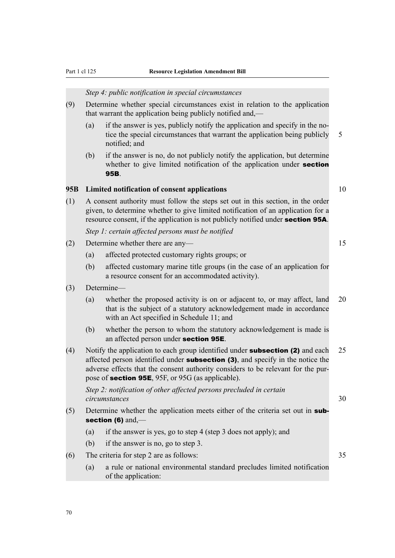### *Step 4: public notification in special circumstances*

- (9) Determine whether special circumstances exist in relation to the application that warrant the application being publicly notified and,—
	- (a) if the answer is yes, publicly notify the application and specify in the notice the special circumstances that warrant the application being publicly 5 notified; and
	- (b) if the answer is no, do not publicly notify the application, but determine whether to give limited notification of the application under **section** 95B.

### **95B Limited notification of consent applications** 10

(1) A consent authority must follow the steps set out in this section, in the order given, to determine whether to give limited notification of an application for a resource consent, if the application is not publicly notified under **section 95A**.

*Step 1: certain affected persons must be notified*

- (2) Determine whether there are any— 15
	- (a) affected protected customary rights groups; or
	- (b) affected customary marine title groups (in the case of an application for a resource consent for an accommodated activity).
- (3) Determine—
	- (a) whether the proposed activity is on or adjacent to, or may affect, land 20 that is the subject of a statutory acknowledgement made in accordance with an Act specified in Schedule 11; and
	- (b) whether the person to whom the statutory acknowledgement is made is an affected person under section 95E.
- (4) Notify the application to each group identified under subsection (2) and each 25 affected person identified under **subsection (3)**, and specify in the notice the adverse effects that the consent authority considers to be relevant for the purpose of section 95E, 95F, or 95G (as applicable).

*Step 2: notification of other affected persons precluded in certain circumstances* 30

- (5) Determine whether the application meets either of the criteria set out in subsection (6) and,-
	- (a) if the answer is yes, go to step 4 (step 3 does not apply); and
	- (b) if the answer is no, go to step 3.
- (6) The criteria for step 2 are as follows: 35
	- (a) a rule or national environmental standard precludes limited notification of the application: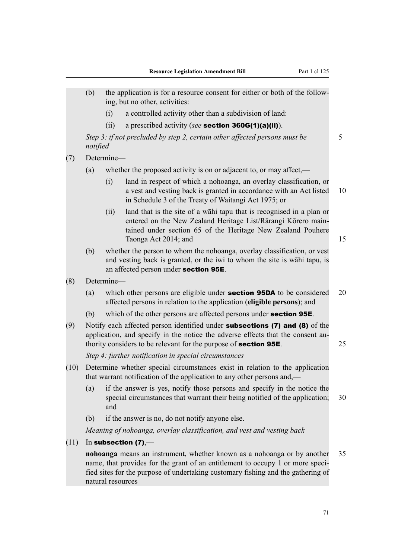|      | (b)      | the application is for a resource consent for either or both of the follow-<br>ing, but no other, activities: |                                                                                                                                                                                                                                                   |    |  |  |
|------|----------|---------------------------------------------------------------------------------------------------------------|---------------------------------------------------------------------------------------------------------------------------------------------------------------------------------------------------------------------------------------------------|----|--|--|
|      |          | (i)                                                                                                           | a controlled activity other than a subdivision of land:                                                                                                                                                                                           |    |  |  |
|      |          | (ii)                                                                                                          | a prescribed activity (see section $360G(1)(a)(ii)$ ).                                                                                                                                                                                            |    |  |  |
|      | notified |                                                                                                               | Step 3: if not precluded by step 2, certain other affected persons must be                                                                                                                                                                        | 5  |  |  |
| (7)  |          | Determine-                                                                                                    |                                                                                                                                                                                                                                                   |    |  |  |
|      | (a)      |                                                                                                               | whether the proposed activity is on or adjacent to, or may affect,—                                                                                                                                                                               |    |  |  |
|      |          | (i)                                                                                                           | land in respect of which a nohoanga, an overlay classification, or<br>a vest and vesting back is granted in accordance with an Act listed<br>in Schedule 3 of the Treaty of Waitangi Act 1975; or                                                 | 10 |  |  |
|      |          | (ii)                                                                                                          | land that is the site of a wahi tapu that is recognised in a plan or<br>entered on the New Zealand Heritage List/Rārangi Kōrero main-<br>tained under section 65 of the Heritage New Zealand Pouhere<br>Taonga Act 2014; and                      | 15 |  |  |
|      | (b)      |                                                                                                               | whether the person to whom the nohoanga, overlay classification, or vest<br>and vesting back is granted, or the iwi to whom the site is wahi tapu, is<br>an affected person under section 95E.                                                    |    |  |  |
| (8)  |          | Determine-                                                                                                    |                                                                                                                                                                                                                                                   |    |  |  |
|      | (a)      |                                                                                                               | which other persons are eligible under <b>section 95DA</b> to be considered<br>affected persons in relation to the application (eligible persons); and                                                                                            | 20 |  |  |
|      | (b)      |                                                                                                               | which of the other persons are affected persons under <b>section 95E</b> .                                                                                                                                                                        |    |  |  |
| (9)  |          |                                                                                                               | Notify each affected person identified under <b>subsections (7) and (8)</b> of the<br>application, and specify in the notice the adverse effects that the consent au-<br>thority considers to be relevant for the purpose of <b>section 95E</b> . | 25 |  |  |
|      |          |                                                                                                               | Step 4: further notification in special circumstances                                                                                                                                                                                             |    |  |  |
| (10) |          |                                                                                                               | Determine whether special circumstances exist in relation to the application<br>that warrant notification of the application to any other persons and,—                                                                                           |    |  |  |
|      | (a)      | and                                                                                                           | if the answer is yes, notify those persons and specify in the notice the<br>special circumstances that warrant their being notified of the application;                                                                                           | 30 |  |  |
|      | (b)      |                                                                                                               | if the answer is no, do not notify anyone else.                                                                                                                                                                                                   |    |  |  |
|      |          |                                                                                                               | Meaning of nohoanga, overlay classification, and vest and vesting back                                                                                                                                                                            |    |  |  |
| (11) |          |                                                                                                               | In subsection $(7)$ ,—                                                                                                                                                                                                                            |    |  |  |
|      |          | natural resources                                                                                             | nohoanga means an instrument, whether known as a nohoanga or by another<br>name, that provides for the grant of an entitlement to occupy 1 or more speci-<br>fied sites for the purpose of undertaking customary fishing and the gathering of     | 35 |  |  |
|      |          |                                                                                                               |                                                                                                                                                                                                                                                   |    |  |  |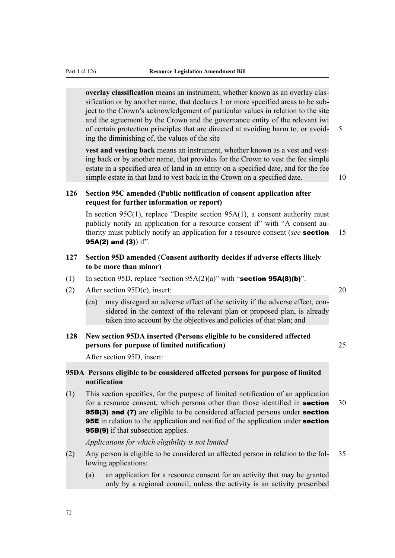**overlay classification** means an instrument, whether known as an overlay classification or by another name, that declares 1 or more specified areas to be subject to the Crown's acknowledgement of particular values in relation to the site and the agreement by the Crown and the governance entity of the relevant iwi of certain protection principles that are directed at avoiding harm to, or avoid- 5 ing the diminishing of, the values of the site

**vest and vesting back** means an instrument, whether known as a vest and vesting back or by another name, that provides for the Crown to vest the fee simple estate in a specified area of land in an entity on a specified date, and for the fee simple estate in that land to vest back in the Crown on a specified date. 10

## **126 Section 95C amended (Public notification of consent application after request for further information or report)**

In section  $95C(1)$ , replace "Despite section  $95A(1)$ , a consent authority must publicly notify an application for a resource consent if" with "A consent authority must publicly notify an application for a resource consent (*see* section 15 95A(2) and (3)) if".

## **127 Section 95D amended (Consent authority decides if adverse effects likely to be more than minor)**

- (1) In section 95D, replace "section 95A(2)(a)" with "section 95A(8)(b)".
- (2) After section 95D(c), insert: 20
	- (ca) may disregard an adverse effect of the activity if the adverse effect, considered in the context of the relevant plan or proposed plan, is already taken into account by the objectives and policies of that plan; and

## **128 New section 95DA inserted (Persons eligible to be considered affected persons for purpose of limited notification)** 25

After section 95D, insert:

## **95DA Persons eligible to be considered affected persons for purpose of limited notification**

(1) This section specifies, for the purpose of limited notification of an application for a resource consent, which persons other than those identified in **section** 30 **95B(3) and (7)** are eligible to be considered affected persons under **section 95E** in relation to the application and notified of the application under **section** 95B(9) if that subsection applies.

*Applications for which eligibility is not limited*

- (2) Any person is eligible to be considered an affected person in relation to the fol- 35 lowing applications:
	- (a) an application for a resource consent for an activity that may be granted only by a regional council, unless the activity is an activity prescribed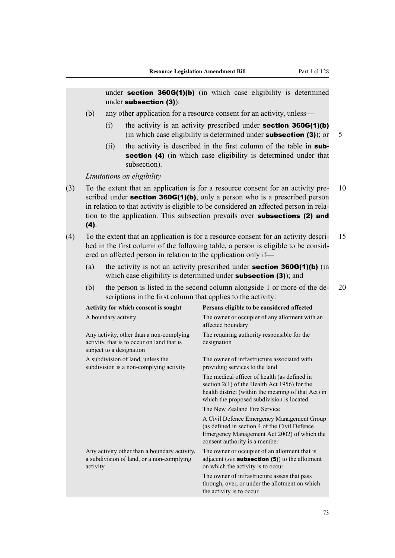under **section 360G(1)(b)** (in which case eligibility is determined under subsection (3)):

- (b) any other application for a resource consent for an activity, unless—
	- (i) the activity is an activity prescribed under **section 360G(1)(b)** (in which case eligibility is determined under **subsection (3)**); or  $5$
	- (ii) the activity is described in the first column of the table in **sub**section (4) (in which case eligibility is determined under that subsection).

*Limitations on eligibility*

- (3) To the extent that an application is for a resource consent for an activity pre- 10 scribed under **section 360G(1)(b)**, only a person who is a prescribed person in relation to that activity is eligible to be considered an affected person in relation to the application. This subsection prevails over subsections (2) and  $(4)$ .
- (4) To the extent that an application is for a resource consent for an activity descri- 15 bed in the first column of the following table, a person is eligible to be considered an affected person in relation to the application only if—
	- (a) the activity is not an activity prescribed under **section 360G(1)(b)** (in which case eligibility is determined under **subsection (3)**); and
	- (b) the person is listed in the second column alongside 1 or more of the de- 20 scriptions in the first column that applies to the activity:

| Activity for which consent is sought                                                                               | Persons eligible to be considered affected                                                                                                                                                         |
|--------------------------------------------------------------------------------------------------------------------|----------------------------------------------------------------------------------------------------------------------------------------------------------------------------------------------------|
| A boundary activity                                                                                                | The owner or occupier of any allotment with an<br>affected boundary                                                                                                                                |
| Any activity, other than a non-complying<br>activity, that is to occur on land that is<br>subject to a designation | The requiring authority responsible for the<br>designation                                                                                                                                         |
| A subdivision of land, unless the<br>subdivision is a non-complying activity                                       | The owner of infrastructure associated with<br>providing services to the land                                                                                                                      |
|                                                                                                                    | The medical officer of health (as defined in<br>section $2(1)$ of the Health Act 1956) for the<br>health district (within the meaning of that Act) in<br>which the proposed subdivision is located |
|                                                                                                                    | The New Zealand Fire Service                                                                                                                                                                       |
|                                                                                                                    | A Civil Defence Emergency Management Group<br>(as defined in section 4 of the Civil Defence<br>Emergency Management Act 2002) of which the<br>consent authority is a member                        |
| Any activity other than a boundary activity,<br>a subdivision of land, or a non-complying<br>activity              | The owner or occupier of an allotment that is<br>adjacent (see subsection $(5)$ ) to the allotment<br>on which the activity is to occur                                                            |
|                                                                                                                    | The owner of infrastructure assets that pass<br>through, over, or under the allotment on which<br>the activity is to occur                                                                         |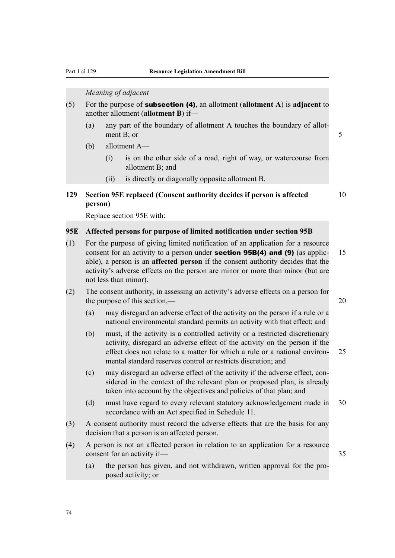*Meaning of adjacent*

- (5) For the purpose of subsection (4), an allotment (**allotment A**) is **adjacent** to another allotment (**allotment B**) if—
	- (a) any part of the boundary of allotment A touches the boundary of allotment B; or 5
	- (b) allotment A—
		- (i) is on the other side of a road, right of way, or watercourse from allotment B; and
		- (ii) is directly or diagonally opposite allotment B.

## **129 Section 95E replaced (Consent authority decides if person is affected** 10 **person)**

Replace section 95E with:

## **95E Affected persons for purpose of limited notification under section 95B**

- (1) For the purpose of giving limited notification of an application for a resource consent for an activity to a person under **section 95B(4) and (9)** (as applic-  $15$ able), a person is an **affected person** if the consent authority decides that the activity's adverse effects on the person are minor or more than minor (but are not less than minor).
- (2) The consent authority, in assessing an activity's adverse effects on a person for the purpose of this section,— 20
	- (a) may disregard an adverse effect of the activity on the person if a rule or a national environmental standard permits an activity with that effect; and
	- (b) must, if the activity is a controlled activity or a restricted discretionary activity, disregard an adverse effect of the activity on the person if the effect does not relate to a matter for which a rule or a national environ- 25 mental standard reserves control or restricts discretion; and
	- (c) may disregard an adverse effect of the activity if the adverse effect, considered in the context of the relevant plan or proposed plan, is already taken into account by the objectives and policies of that plan; and
	- (d) must have regard to every relevant statutory acknowledgement made in 30 accordance with an Act specified in Schedule 11.
- (3) A consent authority must record the adverse effects that are the basis for any decision that a person is an affected person.
- (4) A person is not an affected person in relation to an application for a resource consent for an activity if— 35
	- (a) the person has given, and not withdrawn, written approval for the proposed activity; or

74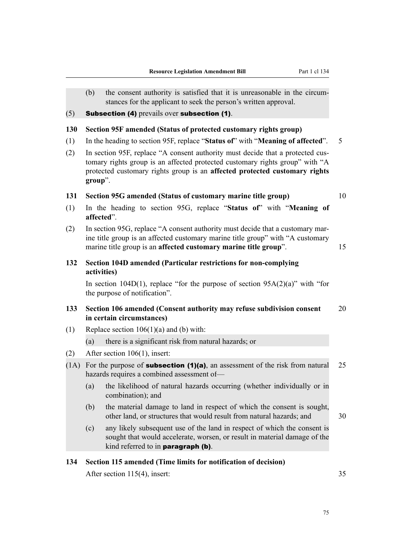- (b) the consent authority is satisfied that it is unreasonable in the circumstances for the applicant to seek the person's written approval.
- $(5)$  Subsection (4) prevails over subsection (1).

## **130 Section 95F amended (Status of protected customary rights group)**

- (1) In the heading to section 95F, replace "**Status of**" with "**Meaning of affected**". 5
- (2) In section 95F, replace "A consent authority must decide that a protected customary rights group is an affected protected customary rights group" with "A protected customary rights group is an **affected protected customary rights group**".

## **131 Section 95G amended (Status of customary marine title group)** 10

- (1) In the heading to section 95G, replace "**Status of**" with "**Meaning of affected**".
- (2) In section 95G, replace "A consent authority must decide that a customary marine title group is an affected customary marine title group" with "A customary marine title group is an **affected customary marine title group**". 15
- **132 Section 104D amended (Particular restrictions for non-complying activities)**

In section 104D(1), replace "for the purpose of section  $95A(2)(a)$ " with "for the purpose of notification".

## **133 Section 106 amended (Consent authority may refuse subdivision consent** 20 **in certain circumstances)**

(1) Replace section  $106(1)(a)$  and (b) with:

(a) there is a significant risk from natural hazards; or

- (2) After section 106(1), insert:
- (1A) For the purpose of **subsection (1)(a)**, an assessment of the risk from natural 25 hazards requires a combined assessment of—
	- (a) the likelihood of natural hazards occurring (whether individually or in combination); and
	- (b) the material damage to land in respect of which the consent is sought, other land, or structures that would result from natural hazards; and 30
	- (c) any likely subsequent use of the land in respect of which the consent is sought that would accelerate, worsen, or result in material damage of the kind referred to in paragraph (b).

## **134 Section 115 amended (Time limits for notification of decision)**

After section 115(4), insert: 35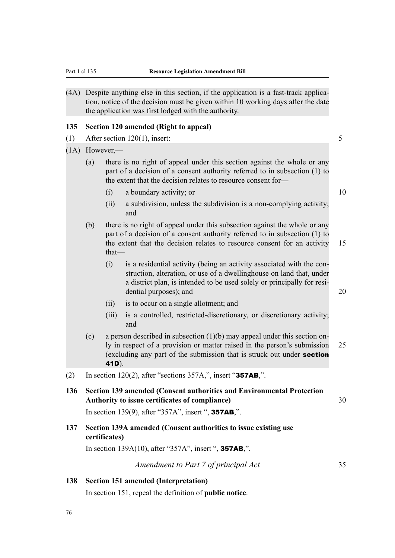(4A) Despite anything else in this section, if the application is a fast-track application, notice of the decision must be given within 10 working days after the date the application was first lodged with the authority.

## **135 Section 120 amended (Right to appeal)**

- (1) After section 120(1), insert: 5
- (1A) However,—
	- (a) there is no right of appeal under this section against the whole or any part of a decision of a consent authority referred to in subsection (1) to the extent that the decision relates to resource consent for—
		- (i) a boundary activity; or 10
		- (ii) a subdivision, unless the subdivision is a non-complying activity; and
	- (b) there is no right of appeal under this subsection against the whole or any part of a decision of a consent authority referred to in subsection (1) to the extent that the decision relates to resource consent for an activity 15 that—
		- (i) is a residential activity (being an activity associated with the construction, alteration, or use of a dwellinghouse on land that, under a district plan, is intended to be used solely or principally for residential purposes); and 20
		- (ii) is to occur on a single allotment; and
		- (iii) is a controlled, restricted-discretionary, or discretionary activity; and
	- (c) a person described in subsection (1)(b) may appeal under this section only in respect of a provision or matter raised in the person's submission 25 (excluding any part of the submission that is struck out under section 41D).
- (2) In section 120(2), after "sections  $357A$ ,", insert "357AB,".
- **136 Section 139 amended (Consent authorities and Environmental Protection Authority to issue certificates of compliance)** 30

In section 139(9), after "357A", insert ", 357AB,".

**137 Section 139A amended (Consent authorities to issue existing use certificates)**

In section 139A(10), after "357A", insert ", 357AB,".

## **138 Section 151 amended (Interpretation)**

In section 151, repeal the definition of **public notice**.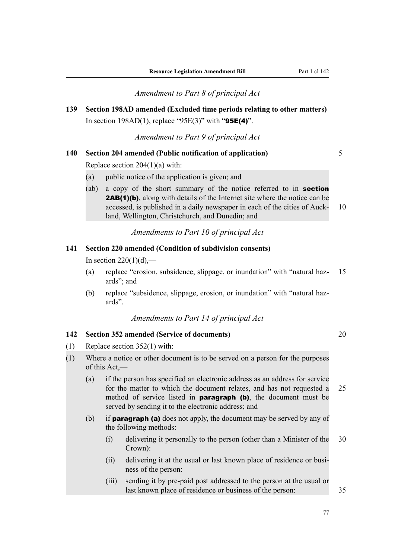*Amendment to Part 8 of principal Act*

**139 Section 198AD amended (Excluded time periods relating to other matters)** In section 198AD(1), replace "95E(3)" with "95E(4)".

*Amendment to Part 9 of principal Act*

## **140 Section 204 amended (Public notification of application)** 5

Replace section 204(1)(a) with:

- (a) public notice of the application is given; and
- (ab) a copy of the short summary of the notice referred to in **section** 2AB(1)(b), along with details of the Internet site where the notice can be accessed, is published in a daily newspaper in each of the cities of Auck- 10 land, Wellington, Christchurch, and Dunedin; and

*Amendments to Part 10 of principal Act*

## **141 Section 220 amended (Condition of subdivision consents)**

In section  $220(1)(d)$ ,—

- (a) replace "erosion, subsidence, slippage, or inundation" with "natural haz- 15 ards"; and
- (b) replace "subsidence, slippage, erosion, or inundation" with "natural hazards".

*Amendments to Part 14 of principal Act*

## **142 Section 352 amended (Service of documents)** 20

- (1) Replace section 352(1) with:
- (1) Where a notice or other document is to be served on a person for the purposes of this Act,—
	- (a) if the person has specified an electronic address as an address for service for the matter to which the document relates, and has not requested a 25 method of service listed in **paragraph (b)**, the document must be served by sending it to the electronic address; and
	- (b) if **paragraph (a)** does not apply, the document may be served by any of the following methods:
		- (i) delivering it personally to the person (other than a Minister of the 30 Crown):
		- (ii) delivering it at the usual or last known place of residence or business of the person:
		- (iii) sending it by pre-paid post addressed to the person at the usual or last known place of residence or business of the person: 35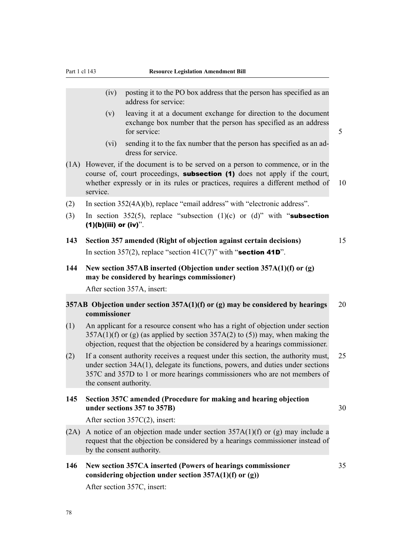- (iv) posting it to the PO box address that the person has specified as an address for service:
- (v) leaving it at a document exchange for direction to the document exchange box number that the person has specified as an address for service: 5
- (vi) sending it to the fax number that the person has specified as an address for service.
- (1A) However, if the document is to be served on a person to commence, or in the course of, court proceedings, **subsection (1)** does not apply if the court, whether expressly or in its rules or practices, requires a different method of 10 service.
- (2) In section 352(4A)(b), replace "email address" with "electronic address".
- (3) In section 352(5), replace "subsection (1)(c) or (d)" with "subsection  $(1)(b)(iii)$  or  $(iv)$ ".
- **143 Section 357 amended (Right of objection against certain decisions)** 15 In section 357(2), replace "section 41C(7)" with "section 41D".
- **144 New section 357AB inserted (Objection under section 357A(1)(f) or (g) may be considered by hearings commissioner)**

After section 357A, insert:

## **357AB Objection under section 357A(1)(f) or (g) may be considered by hearings** 20 **commissioner**

- (1) An applicant for a resource consent who has a right of objection under section  $357A(1)(f)$  or (g) (as applied by section  $357A(2)$  to (5)) may, when making the objection, request that the objection be considered by a hearings commissioner.
- (2) If a consent authority receives a request under this section, the authority must, 25 under section 34A(1), delegate its functions, powers, and duties under sections 357C and 357D to 1 or more hearings commissioners who are not members of the consent authority.

## **145 Section 357C amended (Procedure for making and hearing objection under sections 357 to 357B)** 30

After section 357C(2), insert:

- (2A) A notice of an objection made under section  $357A(1)(f)$  or (g) may include a request that the objection be considered by a hearings commissioner instead of by the consent authority.
- **146 New section 357CA inserted (Powers of hearings commissioner** 35 **considering objection under section 357A(1)(f) or (g))**

After section 357C, insert: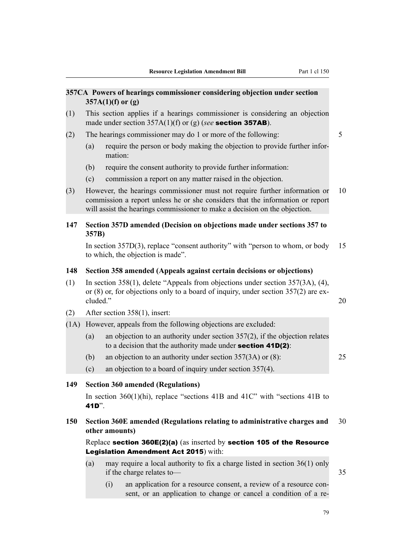|      |                                                                                                                                                                                                | 357CA Powers of hearings commissioner considering objection under section<br>$357A(1)(f)$ or $(g)$                                                                                                                                        |    |  |  |  |  |  |
|------|------------------------------------------------------------------------------------------------------------------------------------------------------------------------------------------------|-------------------------------------------------------------------------------------------------------------------------------------------------------------------------------------------------------------------------------------------|----|--|--|--|--|--|
| (1)  |                                                                                                                                                                                                | This section applies if a hearings commissioner is considering an objection<br>made under section $357A(1)(f)$ or (g) (see <b>section 357AB</b> ).                                                                                        |    |  |  |  |  |  |
| (2)  |                                                                                                                                                                                                | The hearings commissioner may do 1 or more of the following:                                                                                                                                                                              | 5  |  |  |  |  |  |
|      | (a)                                                                                                                                                                                            | require the person or body making the objection to provide further infor-<br>mation:                                                                                                                                                      |    |  |  |  |  |  |
|      | (b)                                                                                                                                                                                            | require the consent authority to provide further information:                                                                                                                                                                             |    |  |  |  |  |  |
|      | (c)                                                                                                                                                                                            | commission a report on any matter raised in the objection.                                                                                                                                                                                |    |  |  |  |  |  |
| (3)  |                                                                                                                                                                                                | However, the hearings commissioner must not require further information or<br>commission a report unless he or she considers that the information or report<br>will assist the hearings commissioner to make a decision on the objection. | 10 |  |  |  |  |  |
| 147  | 357B)                                                                                                                                                                                          | Section 357D amended (Decision on objections made under sections 357 to                                                                                                                                                                   |    |  |  |  |  |  |
|      |                                                                                                                                                                                                | In section $357D(3)$ , replace "consent authority" with "person to whom, or body<br>to which, the objection is made".                                                                                                                     | 15 |  |  |  |  |  |
| 148  | Section 358 amended (Appeals against certain decisions or objections)                                                                                                                          |                                                                                                                                                                                                                                           |    |  |  |  |  |  |
| (1)  | In section 358(1), delete "Appeals from objections under section $357(3A)$ , (4),<br>or $(8)$ or, for objections only to a board of inquiry, under section 357 $(2)$ are ex-<br>cluded."<br>20 |                                                                                                                                                                                                                                           |    |  |  |  |  |  |
| (2)  |                                                                                                                                                                                                | After section 358(1), insert:                                                                                                                                                                                                             |    |  |  |  |  |  |
| (1A) |                                                                                                                                                                                                | However, appeals from the following objections are excluded:                                                                                                                                                                              |    |  |  |  |  |  |
|      | (a)                                                                                                                                                                                            | an objection to an authority under section $357(2)$ , if the objection relates<br>to a decision that the authority made under section $41D(2)$ :                                                                                          |    |  |  |  |  |  |
|      | (b)                                                                                                                                                                                            | an objection to an authority under section $357(3A)$ or (8):                                                                                                                                                                              | 25 |  |  |  |  |  |
|      | (c)                                                                                                                                                                                            | an objection to a board of inquiry under section 357(4).                                                                                                                                                                                  |    |  |  |  |  |  |
| 149  |                                                                                                                                                                                                | <b>Section 360 amended (Regulations)</b>                                                                                                                                                                                                  |    |  |  |  |  |  |
|      | 41D".                                                                                                                                                                                          | In section $360(1)(hi)$ , replace "sections 41B and 41C" with "sections 41B to                                                                                                                                                            |    |  |  |  |  |  |
| 150  |                                                                                                                                                                                                | Section 360E amended (Regulations relating to administrative charges and<br>30<br>other amounts)                                                                                                                                          |    |  |  |  |  |  |
|      |                                                                                                                                                                                                | Replace section $360E(2)(a)$ (as inserted by section 105 of the Resource<br>Legislation Amendment Act 2015) with:                                                                                                                         |    |  |  |  |  |  |
|      | (a)                                                                                                                                                                                            | may require a local authority to fix a charge listed in section $36(1)$ only                                                                                                                                                              |    |  |  |  |  |  |

if the charge relates to — 35

(i) an application for a resource consent, a review of a resource consent, or an application to change or cancel a condition of a re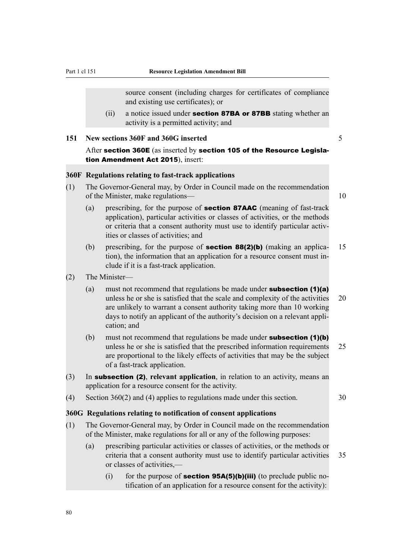source consent (including charges for certificates of compliance and existing use certificates); or

(ii) a notice issued under **section 87BA or 87BB** stating whether an activity is a permitted activity; and

**151 New sections 360F and 360G inserted** 5

After section 360E (as inserted by section 105 of the Resource Legislation Amendment Act 2015), insert:

## **360F Regulations relating to fast-track applications**

(1) The Governor-General may, by Order in Council made on the recommendation of the Minister, make regulations— 10

- (a) prescribing, for the purpose of section 87AAC (meaning of fast-track application), particular activities or classes of activities, or the methods or criteria that a consent authority must use to identify particular activities or classes of activities; and
- (b) prescribing, for the purpose of **section 88(2)(b)** (making an applica- 15 tion), the information that an application for a resource consent must include if it is a fast-track application.
- (2) The Minister—
	- (a) must not recommend that regulations be made under **subsection (1)(a)** unless he or she is satisfied that the scale and complexity of the activities 20 are unlikely to warrant a consent authority taking more than 10 working days to notify an applicant of the authority's decision on a relevant application; and
	- (b) must not recommend that regulations be made under **subsection (1)(b)** unless he or she is satisfied that the prescribed information requirements 25 are proportional to the likely effects of activities that may be the subject of a fast-track application.
- (3) In subsection (2), **relevant application**, in relation to an activity, means an application for a resource consent for the activity.
- (4) Section 360(2) and (4) applies to regulations made under this section. 30

### **360G Regulations relating to notification of consent applications**

- (1) The Governor-General may, by Order in Council made on the recommendation of the Minister, make regulations for all or any of the following purposes:
	- (a) prescribing particular activities or classes of activities, or the methods or criteria that a consent authority must use to identify particular activities 35 or classes of activities,—

(i) for the purpose of **section 95A(5)(b)(iii)** (to preclude public notification of an application for a resource consent for the activity):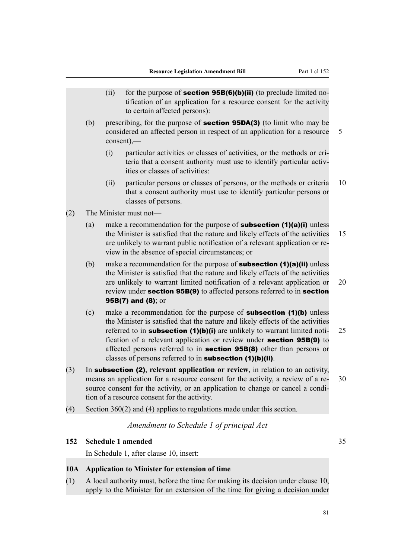|     | In Schedule 1, after clause 10, insert:                                                                                                                                                                                                                                                                                                                                                                                                                                |                                                                                                                                                                                                                                                                                                                                                   |
|-----|------------------------------------------------------------------------------------------------------------------------------------------------------------------------------------------------------------------------------------------------------------------------------------------------------------------------------------------------------------------------------------------------------------------------------------------------------------------------|---------------------------------------------------------------------------------------------------------------------------------------------------------------------------------------------------------------------------------------------------------------------------------------------------------------------------------------------------|
|     |                                                                                                                                                                                                                                                                                                                                                                                                                                                                        |                                                                                                                                                                                                                                                                                                                                                   |
|     | <b>Schedule 1 amended</b>                                                                                                                                                                                                                                                                                                                                                                                                                                              | 35                                                                                                                                                                                                                                                                                                                                                |
|     | Amendment to Schedule 1 of principal Act                                                                                                                                                                                                                                                                                                                                                                                                                               |                                                                                                                                                                                                                                                                                                                                                   |
|     | Section $360(2)$ and (4) applies to regulations made under this section.                                                                                                                                                                                                                                                                                                                                                                                               |                                                                                                                                                                                                                                                                                                                                                   |
|     | In subsection (2), relevant application or review, in relation to an activity,<br>means an application for a resource consent for the activity, a review of a re-<br>source consent for the activity, or an application to change or cancel a condi-<br>tion of a resource consent for the activity.                                                                                                                                                                   | 30                                                                                                                                                                                                                                                                                                                                                |
| (c) | make a recommendation for the purpose of <b>subsection</b> $(1)(b)$ unless<br>the Minister is satisfied that the nature and likely effects of the activities<br>referred to in <b>subsection</b> (1)(b)(i) are unlikely to warrant limited noti-<br>fication of a relevant application or review under section 95B(9) to<br>affected persons referred to in <b>section 95B(8)</b> other than persons or<br>classes of persons referred to in subsection $(1)(b)(ii)$ . | 25                                                                                                                                                                                                                                                                                                                                                |
| (b) | make a recommendation for the purpose of <b>subsection (1)(a)(ii)</b> unless<br>the Minister is satisfied that the nature and likely effects of the activities<br>are unlikely to warrant limited notification of a relevant application or<br>review under section 95B(9) to affected persons referred to in section<br>95B(7) and $(8)$ ; or                                                                                                                         | 20                                                                                                                                                                                                                                                                                                                                                |
| (a) | make a recommendation for the purpose of <b>subsection <math>(1)(a)(i)</math></b> unless<br>the Minister is satisfied that the nature and likely effects of the activities<br>are unlikely to warrant public notification of a relevant application or re-<br>view in the absence of special circumstances; or                                                                                                                                                         | 15                                                                                                                                                                                                                                                                                                                                                |
|     | classes of persons.                                                                                                                                                                                                                                                                                                                                                                                                                                                    |                                                                                                                                                                                                                                                                                                                                                   |
|     | teria that a consent authority must use to identify particular activ-<br>ities or classes of activities:<br>particular persons or classes of persons, or the methods or criteria<br>(ii)                                                                                                                                                                                                                                                                               | 10                                                                                                                                                                                                                                                                                                                                                |
| (b) | considered an affected person in respect of an application for a resource<br>$\text{consent})$ ,—                                                                                                                                                                                                                                                                                                                                                                      | 5                                                                                                                                                                                                                                                                                                                                                 |
|     | tification of an application for a resource consent for the activity<br>to certain affected persons):                                                                                                                                                                                                                                                                                                                                                                  |                                                                                                                                                                                                                                                                                                                                                   |
|     |                                                                                                                                                                                                                                                                                                                                                                                                                                                                        | (ii)<br>for the purpose of <b>section 95B(6)(b)(ii)</b> (to preclude limited no-<br>prescribing, for the purpose of <b>section 95DA(3)</b> (to limit who may be<br>particular activities or classes of activities, or the methods or cri-<br>(i)<br>that a consent authority must use to identify particular persons or<br>The Minister must not- |

(1) A local authority must, before the time for making its decision under clause 10, apply to the Minister for an extension of the time for giving a decision under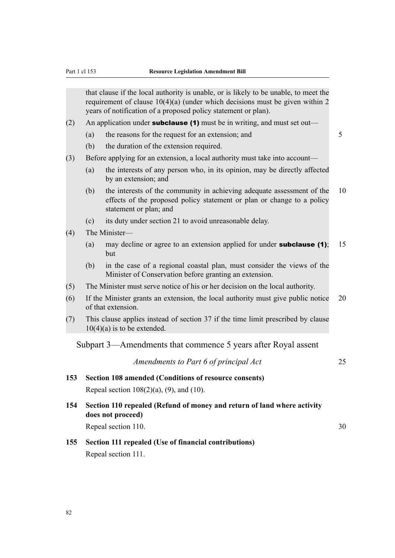that clause if the local authority is unable, or is likely to be unable, to meet the requirement of clause 10(4)(a) (under which decisions must be given within 2 years of notification of a proposed policy statement or plan).

- (2) An application under **subclause (1)** must be in writing, and must set out—
	- (a) the reasons for the request for an extension; and  $5$
	- (b) the duration of the extension required.
- (3) Before applying for an extension, a local authority must take into account—
	- (a) the interests of any person who, in its opinion, may be directly affected by an extension; and
	- (b) the interests of the community in achieving adequate assessment of the 10 effects of the proposed policy statement or plan or change to a policy statement or plan; and
	- (c) its duty under section 21 to avoid unreasonable delay.
- (4) The Minister—
	- (a) may decline or agree to an extension applied for under **subclause (1)**; 15 but
	- (b) in the case of a regional coastal plan, must consider the views of the Minister of Conservation before granting an extension.
- (5) The Minister must serve notice of his or her decision on the local authority.
- (6) If the Minister grants an extension, the local authority must give public notice 20 of that extension.
- (7) This clause applies instead of section 37 if the time limit prescribed by clause  $10(4)(a)$  is to be extended.

Subpart 3—Amendments that commence 5 years after Royal assent

*Amendments to Part 6 of principal Act* 25

## **153 Section 108 amended (Conditions of resource consents)** Repeal section  $108(2)(a)$ ,  $(9)$ , and  $(10)$ .

- **154 Section 110 repealed (Refund of money and return of land where activity does not proceed)** Repeal section 110. 30
- **155 Section 111 repealed (Use of financial contributions)** Repeal section 111.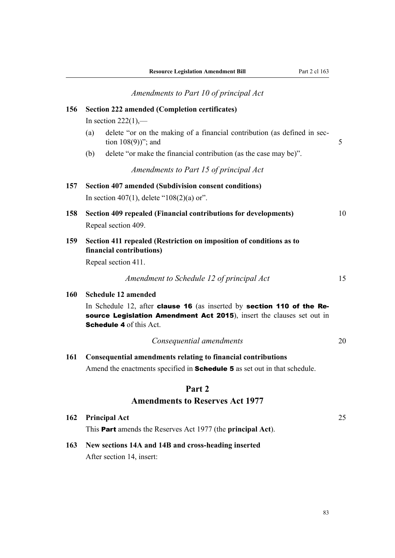*Amendments to Part 10 of principal Act* **156 Section 222 amended (Completion certificates)** In section  $222(1)$ ,— (a) delete "or on the making of a financial contribution (as defined in sec- $\text{tion } 108(9)$ "; and  $\text{5}$ (b) delete "or make the financial contribution (as the case may be)". *Amendments to Part 15 of principal Act* **157 Section 407 amended (Subdivision consent conditions)** In section 407(1), delete " $108(2)(a)$  or". **158 Section 409 repealed (Financial contributions for developments)** 10 Repeal section 409. **159 Section 411 repealed (Restriction on imposition of conditions as to financial contributions)** Repeal section 411. *Amendment to Schedule 12 of principal Act* 15 **160 Schedule 12 amended** In Schedule 12, after **clause 16** (as inserted by **section 110 of the Re**source Legislation Amendment Act 2015), insert the clauses set out in Schedule 4 of this Act. *Consequential amendments* 20 **161 Consequential amendments relating to financial contributions** Amend the enactments specified in **Schedule 5** as set out in that schedule. **Part 2 Amendments to Reserves Act 1977 162 Principal Act** 25

## **163 New sections 14A and 14B and cross-heading inserted**

This Part amends the Reserves Act 1977 (the **principal Act**).

After section 14, insert: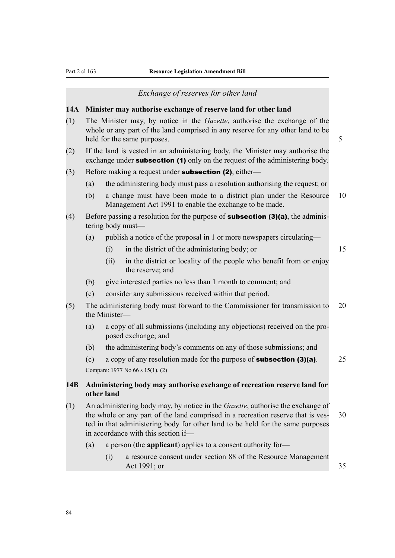#### *Exchange of reserves for other land*

## **14A Minister may authorise exchange of reserve land for other land**

- (1) The Minister may, by notice in the *Gazette*, authorise the exchange of the whole or any part of the land comprised in any reserve for any other land to be held for the same purposes. 5
- (2) If the land is vested in an administering body, the Minister may authorise the exchange under **subsection (1)** only on the request of the administering body.
- $(3)$  Before making a request under **subsection (2)**, either—
	- (a) the administering body must pass a resolution authorising the request; or
	- (b) a change must have been made to a district plan under the Resource 10 Management Act 1991 to enable the exchange to be made.
- (4) Before passing a resolution for the purpose of **subsection (3)(a)**, the administering body must—
	- (a) publish a notice of the proposal in 1 or more newspapers circulating—
		- (i) in the district of the administering body; or 15
		- (ii) in the district or locality of the people who benefit from or enjoy the reserve; and
	- (b) give interested parties no less than 1 month to comment; and
	- (c) consider any submissions received within that period.
- (5) The administering body must forward to the Commissioner for transmission to 20 the Minister—
	- (a) a copy of all submissions (including any objections) received on the proposed exchange; and
	- (b) the administering body's comments on any of those submissions; and

(c) a copy of any resolution made for the purpose of **subsection (3)(a)**.  $25$ Compare: 1977 No 66 s 15(1), (2)

## **14B Administering body may authorise exchange of recreation reserve land for other land**

- (1) An administering body may, by notice in the *Gazette*, authorise the exchange of the whole or any part of the land comprised in a recreation reserve that is ves- 30 ted in that administering body for other land to be held for the same purposes in accordance with this section if—
	- (a) a person (the **applicant**) applies to a consent authority for—
		- (i) a resource consent under section 88 of the Resource Management Act 1991; or 35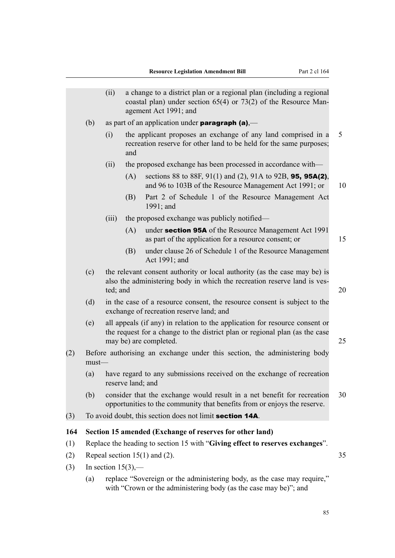|     |          | (ii)                  |                   | a change to a district plan or a regional plan (including a regional<br>coastal plan) under section $65(4)$ or $73(2)$ of the Resource Man-<br>agement Act 1991; and                 |    |
|-----|----------|-----------------------|-------------------|--------------------------------------------------------------------------------------------------------------------------------------------------------------------------------------|----|
|     | (b)      |                       |                   | as part of an application under <b>paragraph</b> (a),—                                                                                                                               |    |
|     |          | (i)                   | and               | the applicant proposes an exchange of any land comprised in a<br>recreation reserve for other land to be held for the same purposes;                                                 | 5  |
|     |          | (ii)                  |                   | the proposed exchange has been processed in accordance with—                                                                                                                         |    |
|     |          |                       | (A)               | sections 88 to 88F, 91(1) and (2), 91A to 92B, 95, 95A(2),<br>and 96 to 103B of the Resource Management Act 1991; or                                                                 | 10 |
|     |          |                       | (B)               | Part 2 of Schedule 1 of the Resource Management Act<br>1991; and                                                                                                                     |    |
|     |          | (iii)                 |                   | the proposed exchange was publicly notified—                                                                                                                                         |    |
|     |          |                       | (A)               | under section 95A of the Resource Management Act 1991<br>as part of the application for a resource consent; or                                                                       | 15 |
|     |          |                       | (B)               | under clause 26 of Schedule 1 of the Resource Management<br>Act 1991; and                                                                                                            |    |
|     | (c)      | ted; and              |                   | the relevant consent authority or local authority (as the case may be) is<br>also the administering body in which the recreation reserve land is ves-                                | 20 |
|     | (d)      |                       |                   | in the case of a resource consent, the resource consent is subject to the<br>exchange of recreation reserve land; and                                                                |    |
|     | (e)      |                       |                   | all appeals (if any) in relation to the application for resource consent or<br>the request for a change to the district plan or regional plan (as the case<br>may be) are completed. | 25 |
| (2) | $must$ — |                       |                   | Before authorising an exchange under this section, the administering body                                                                                                            |    |
|     | (a)      |                       | reserve land; and | have regard to any submissions received on the exchange of recreation                                                                                                                |    |
|     | (b)      |                       |                   | consider that the exchange would result in a net benefit for recreation<br>opportunities to the community that benefits from or enjoys the reserve.                                  | 30 |
| (3) |          |                       |                   | To avoid doubt, this section does not limit <b>section 14A</b> .                                                                                                                     |    |
| 164 |          |                       |                   | Section 15 amended (Exchange of reserves for other land)                                                                                                                             |    |
| (1) |          |                       |                   | Replace the heading to section 15 with "Giving effect to reserves exchanges".                                                                                                        |    |
| (2) |          |                       |                   | Repeal section $15(1)$ and (2).                                                                                                                                                      | 35 |
| (3) |          | In section $15(3)$ ,— |                   |                                                                                                                                                                                      |    |
|     |          |                       |                   | (a) replace "Sovereign or the administering hody as the case may require"                                                                                                            |    |

(a) replace "Sovereign or the administering body, as the case may require," with "Crown or the administering body (as the case may be)"; and

85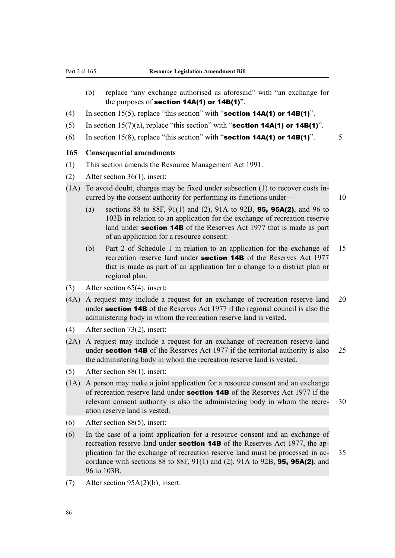- (b) replace "any exchange authorised as aforesaid" with "an exchange for the purposes of **section 14A(1)** or 14B(1)".
- (4) In section 15(5), replace "this section" with "**section 14A(1) or 14B(1)**".
- (5) In section 15(7)(a), replace "this section" with "**section 14A(1) or 14B(1)**".
- (6) In section 15(8), replace "this section" with "**section 14A(1) or 14B(1)**".  $\qquad$  5

#### **165 Consequential amendments**

- (1) This section amends the Resource Management Act 1991.
- (2) After section 36(1), insert:
- (1A) To avoid doubt, charges may be fixed under subsection (1) to recover costs incurred by the consent authority for performing its functions under— 10
	- (a) sections 88 to 88F, 91(1) and (2), 91A to 92B, **95, 95A(2)**, and 96 to 103B in relation to an application for the exchange of recreation reserve land under **section 14B** of the Reserves Act 1977 that is made as part of an application for a resource consent:
	- (b) Part 2 of Schedule 1 in relation to an application for the exchange of 15 recreation reserve land under **section 14B** of the Reserves Act 1977 that is made as part of an application for a change to a district plan or regional plan.
- (3) After section 65(4), insert:
- (4A) A request may include a request for an exchange of recreation reserve land 20 under **section 14B** of the Reserves Act 1977 if the regional council is also the administering body in whom the recreation reserve land is vested.
- (4) After section 73(2), insert:
- (2A) A request may include a request for an exchange of recreation reserve land under **section 14B** of the Reserves Act 1977 if the territorial authority is also 25 the administering body in whom the recreation reserve land is vested.
- (5) After section 88(1), insert:
- (1A) A person may make a joint application for a resource consent and an exchange of recreation reserve land under **section 14B** of the Reserves Act 1977 if the relevant consent authority is also the administering body in whom the recre- 30 ation reserve land is vested.
- (6) After section 88(5), insert:
- (6) In the case of a joint application for a resource consent and an exchange of recreation reserve land under **section 14B** of the Reserves Act 1977, the application for the exchange of recreation reserve land must be processed in ac- 35 cordance with sections 88 to 88F,  $91(1)$  and (2),  $91A$  to  $92B$ , **95, 95A(2)**, and 96 to 103B.
- (7) After section 95A(2)(b), insert: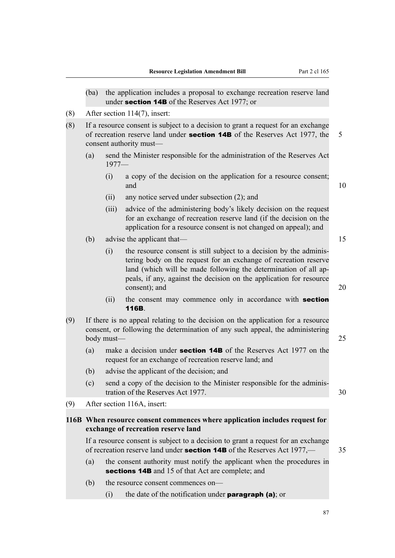- (ba) the application includes a proposal to exchange recreation reserve land under section 14B of the Reserves Act 1977; or
- (8) After section 114(7), insert:
- (8) If a resource consent is subject to a decision to grant a request for an exchange of recreation reserve land under **section 14B** of the Reserves Act 1977, the 5 consent authority must—
	- (a) send the Minister responsible for the administration of the Reserves Act 1977—
		- (i) a copy of the decision on the application for a resource consent; and  $10$
		- (ii) any notice served under subsection (2); and
		- (iii) advice of the administering body's likely decision on the request for an exchange of recreation reserve land (if the decision on the application for a resource consent is not changed on appeal); and
	- (b) advise the applicant that— 15
		- (i) the resource consent is still subject to a decision by the administering body on the request for an exchange of recreation reserve land (which will be made following the determination of all appeals, if any, against the decision on the application for resource consent); and 20
		- (ii) the consent may commence only in accordance with **section** 116B.
- (9) If there is no appeal relating to the decision on the application for a resource consent, or following the determination of any such appeal, the administering body must—25
	- (a) make a decision under **section 14B** of the Reserves Act 1977 on the request for an exchange of recreation reserve land; and
	- (b) advise the applicant of the decision; and

(9) After section 116A, insert:

- (c) send a copy of the decision to the Minister responsible for the administration of the Reserves Act 1977. 30
	-

## **116B When resource consent commences where application includes request for exchange of recreation reserve land**

If a resource consent is subject to a decision to grant a request for an exchange of recreation reserve land under section 14B of the Reserves Act 1977,— 35

- (a) the consent authority must notify the applicant when the procedures in sections **14B** and 15 of that Act are complete; and
- (b) the resource consent commences on—
	- (i) the date of the notification under **paragraph (a)**; or
-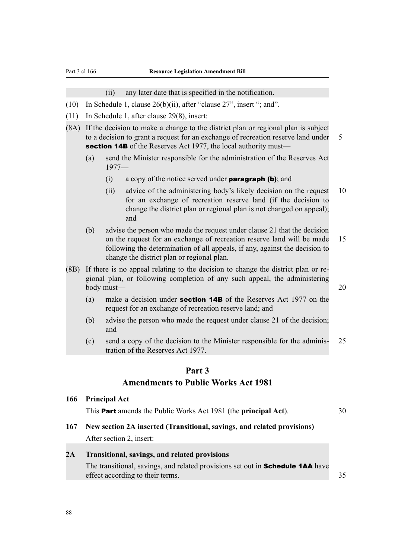(ii) any later date that is specified in the notification.

- (10) In Schedule 1, clause 26(b)(ii), after "clause 27", insert "; and".
- (11) In Schedule 1, after clause 29(8), insert:
- (8A) If the decision to make a change to the district plan or regional plan is subject to a decision to grant a request for an exchange of recreation reserve land under 5 section 14B of the Reserves Act 1977, the local authority must—
	- (a) send the Minister responsible for the administration of the Reserves Act 1977—
		- (i) a copy of the notice served under **paragraph (b)**; and
		- (ii) advice of the administering body's likely decision on the request 10 for an exchange of recreation reserve land (if the decision to change the district plan or regional plan is not changed on appeal); and
	- (b) advise the person who made the request under clause 21 that the decision on the request for an exchange of recreation reserve land will be made 15 following the determination of all appeals, if any, against the decision to change the district plan or regional plan.
- (8B) If there is no appeal relating to the decision to change the district plan or regional plan, or following completion of any such appeal, the administering body must—1. 20
	- (a) make a decision under **section 14B** of the Reserves Act 1977 on the request for an exchange of recreation reserve land; and
	- (b) advise the person who made the request under clause 21 of the decision; and
	- (c) send a copy of the decision to the Minister responsible for the adminis- 25 tration of the Reserves Act 1977.

## **Part 3 Amendments to Public Works Act 1981**

#### **166 Principal Act**

This Part amends the Public Works Act 1981 (the **principal Act**). 30

**167 New section 2A inserted (Transitional, savings, and related provisions)** After section 2, insert:

## **2A Transitional, savings, and related provisions**

The transitional, savings, and related provisions set out in **Schedule 1AA** have effect according to their terms. 35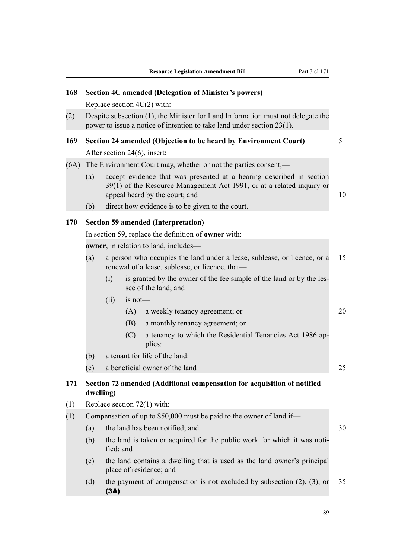| 168  | <b>Section 4C amended (Delegation of Minister's powers)</b> |                                                                                                           |            |                                                                                                                                                                                 |    |  |  |  |  |
|------|-------------------------------------------------------------|-----------------------------------------------------------------------------------------------------------|------------|---------------------------------------------------------------------------------------------------------------------------------------------------------------------------------|----|--|--|--|--|
|      |                                                             |                                                                                                           |            | Replace section $4C(2)$ with:                                                                                                                                                   |    |  |  |  |  |
| (2)  |                                                             |                                                                                                           |            | Despite subsection (1), the Minister for Land Information must not delegate the<br>power to issue a notice of intention to take land under section $23(1)$ .                    |    |  |  |  |  |
| 169  |                                                             |                                                                                                           |            | Section 24 amended (Objection to be heard by Environment Court)                                                                                                                 | 5  |  |  |  |  |
|      |                                                             |                                                                                                           |            | After section 24(6), insert:                                                                                                                                                    |    |  |  |  |  |
| (6A) |                                                             |                                                                                                           |            | The Environment Court may, whether or not the parties consent,—                                                                                                                 |    |  |  |  |  |
|      | (a)                                                         |                                                                                                           |            | accept evidence that was presented at a hearing described in section<br>39(1) of the Resource Management Act 1991, or at a related inquiry or<br>appeal heard by the court; and | 10 |  |  |  |  |
|      | (b)                                                         | direct how evidence is to be given to the court.                                                          |            |                                                                                                                                                                                 |    |  |  |  |  |
| 170  |                                                             |                                                                                                           |            |                                                                                                                                                                                 |    |  |  |  |  |
|      |                                                             | <b>Section 59 amended (Interpretation)</b><br>In section 59, replace the definition of <b>owner</b> with: |            |                                                                                                                                                                                 |    |  |  |  |  |
|      |                                                             |                                                                                                           |            | owner, in relation to land, includes—                                                                                                                                           |    |  |  |  |  |
|      | (a)                                                         |                                                                                                           |            | a person who occupies the land under a lease, sublease, or licence, or a<br>renewal of a lease, sublease, or licence, that-                                                     | 15 |  |  |  |  |
|      |                                                             | (i)                                                                                                       |            | is granted by the owner of the fee simple of the land or by the les-<br>see of the land; and                                                                                    |    |  |  |  |  |
|      |                                                             | (ii)                                                                                                      | $is not$ — |                                                                                                                                                                                 |    |  |  |  |  |
|      |                                                             |                                                                                                           | (A)        | a weekly tenancy agreement; or                                                                                                                                                  | 20 |  |  |  |  |
|      |                                                             |                                                                                                           | (B)        | a monthly tenancy agreement; or                                                                                                                                                 |    |  |  |  |  |
|      |                                                             |                                                                                                           | (C)        | a tenancy to which the Residential Tenancies Act 1986 ap-<br>plies:                                                                                                             |    |  |  |  |  |
|      | (b)                                                         |                                                                                                           |            | a tenant for life of the land:                                                                                                                                                  |    |  |  |  |  |
|      | (c)                                                         |                                                                                                           |            | a beneficial owner of the land                                                                                                                                                  | 25 |  |  |  |  |
| 171  | dwelling)                                                   |                                                                                                           |            | Section 72 amended (Additional compensation for acquisition of notified                                                                                                         |    |  |  |  |  |
| (1)  |                                                             |                                                                                                           |            | Replace section $72(1)$ with:                                                                                                                                                   |    |  |  |  |  |
| (1)  |                                                             | Compensation of up to \$50,000 must be paid to the owner of land if—                                      |            |                                                                                                                                                                                 |    |  |  |  |  |
|      | (a)                                                         | the land has been notified; and<br>30                                                                     |            |                                                                                                                                                                                 |    |  |  |  |  |
|      | (b)                                                         | fied; and                                                                                                 |            | the land is taken or acquired for the public work for which it was noti-                                                                                                        |    |  |  |  |  |
|      | (c)                                                         |                                                                                                           |            | the land contains a dwelling that is used as the land owner's principal<br>place of residence; and                                                                              |    |  |  |  |  |
|      | (d)                                                         | $(3A)$ .                                                                                                  |            | the payment of compensation is not excluded by subsection $(2)$ , $(3)$ , or                                                                                                    | 35 |  |  |  |  |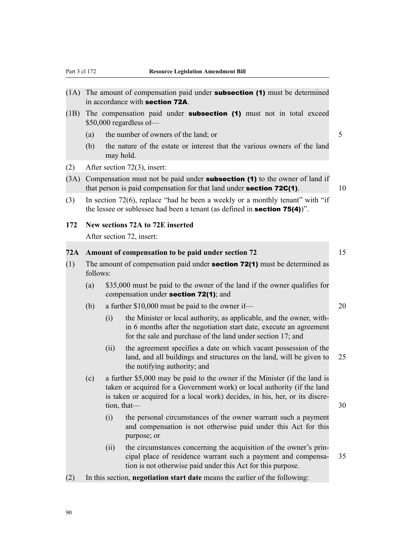| (1A) |                                                                                                                                                                         |      | The amount of compensation paid under <b>subsection (1)</b> must be determined<br>in accordance with section 72A.                                                                                                                                    |    |  |  |  |
|------|-------------------------------------------------------------------------------------------------------------------------------------------------------------------------|------|------------------------------------------------------------------------------------------------------------------------------------------------------------------------------------------------------------------------------------------------------|----|--|--|--|
| (1B) | The compensation paid under <b>subsection</b> (1) must not in total exceed<br>$$50,000$ regardless of —                                                                 |      |                                                                                                                                                                                                                                                      |    |  |  |  |
|      | (a)                                                                                                                                                                     |      | the number of owners of the land; or                                                                                                                                                                                                                 | 5  |  |  |  |
|      | (b)                                                                                                                                                                     |      | the nature of the estate or interest that the various owners of the land<br>may hold.                                                                                                                                                                |    |  |  |  |
| (2)  |                                                                                                                                                                         |      | After section $72(3)$ , insert:                                                                                                                                                                                                                      |    |  |  |  |
| (3A) | Compensation must not be paid under <b>subsection</b> (1) to the owner of land if<br>that person is paid compensation for that land under <b>section 72C(1)</b> .<br>10 |      |                                                                                                                                                                                                                                                      |    |  |  |  |
| (3)  |                                                                                                                                                                         |      | In section $72(6)$ , replace "had he been a weekly or a monthly tenant" with "if<br>the lessee or sublessee had been a tenant (as defined in <b>section 75(4)</b> )".                                                                                |    |  |  |  |
| 172  |                                                                                                                                                                         |      | New sections 72A to 72E inserted                                                                                                                                                                                                                     |    |  |  |  |
|      |                                                                                                                                                                         |      | After section 72, insert:                                                                                                                                                                                                                            |    |  |  |  |
| 72A  |                                                                                                                                                                         |      | Amount of compensation to be paid under section 72                                                                                                                                                                                                   | 15 |  |  |  |
| (1)  | The amount of compensation paid under <b>section 72(1)</b> must be determined as<br>follows:                                                                            |      |                                                                                                                                                                                                                                                      |    |  |  |  |
|      | (a)                                                                                                                                                                     |      | \$35,000 must be paid to the owner of the land if the owner qualifies for<br>compensation under section 72(1); and                                                                                                                                   |    |  |  |  |
|      | (b)                                                                                                                                                                     |      | a further \$10,000 must be paid to the owner if—                                                                                                                                                                                                     | 20 |  |  |  |
|      |                                                                                                                                                                         | (i)  | the Minister or local authority, as applicable, and the owner, with-<br>in 6 months after the negotiation start date, execute an agreement<br>for the sale and purchase of the land under section 17; and                                            |    |  |  |  |
|      |                                                                                                                                                                         | (ii) | the agreement specifies a date on which vacant possession of the<br>land, and all buildings and structures on the land, will be given to<br>the notifying authority; and                                                                             | 25 |  |  |  |
|      | (c)                                                                                                                                                                     |      | a further \$5,000 may be paid to the owner if the Minister (if the land is<br>taken or acquired for a Government work) or local authority (if the land<br>is taken or acquired for a local work) decides, in his, her, or its discre-<br>tion, that- | 30 |  |  |  |
|      |                                                                                                                                                                         | (i)  | the personal circumstances of the owner warrant such a payment<br>and compensation is not otherwise paid under this Act for this<br>purpose; or                                                                                                      |    |  |  |  |
|      |                                                                                                                                                                         | (ii) | the circumstances concerning the acquisition of the owner's prin-<br>cipal place of residence warrant such a payment and compensa-<br>tion is not otherwise paid under this Act for this purpose.                                                    | 35 |  |  |  |
| (2)  | In this section, negotiation start date means the earlier of the following:                                                                                             |      |                                                                                                                                                                                                                                                      |    |  |  |  |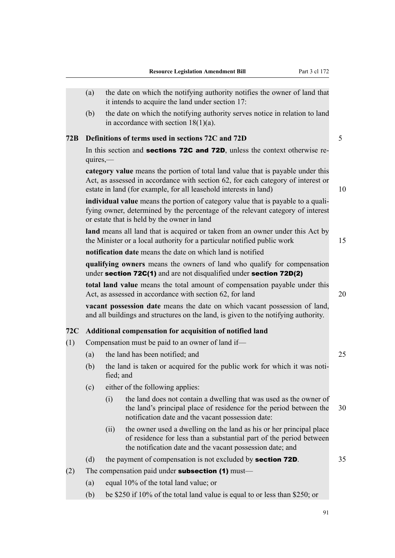|     | (a)        |           | the date on which the notifying authority notifies the owner of land that<br>it intends to acquire the land under section 17:                                                                                                            |    |
|-----|------------|-----------|------------------------------------------------------------------------------------------------------------------------------------------------------------------------------------------------------------------------------------------|----|
|     | (b)        |           | the date on which the notifying authority serves notice in relation to land<br>in accordance with section $18(1)(a)$ .                                                                                                                   |    |
| 72B |            |           | Definitions of terms used in sections 72C and 72D                                                                                                                                                                                        | 5  |
|     | $quires$ — |           | In this section and <b>sections 72C and 72D</b> , unless the context otherwise re-                                                                                                                                                       |    |
|     |            |           | category value means the portion of total land value that is payable under this<br>Act, as assessed in accordance with section 62, for each category of interest or<br>estate in land (for example, for all leasehold interests in land) | 10 |
|     |            |           | individual value means the portion of category value that is payable to a quali-<br>fying owner, determined by the percentage of the relevant category of interest<br>or estate that is held by the owner in land                        |    |
|     |            |           | land means all land that is acquired or taken from an owner under this Act by<br>the Minister or a local authority for a particular notified public work                                                                                 | 15 |
|     |            |           | <b>notification date</b> means the date on which land is notified                                                                                                                                                                        |    |
|     |            |           | qualifying owners means the owners of land who qualify for compensation<br>under section 72C(1) and are not disqualified under section 72D(2)                                                                                            |    |
|     |            |           | total land value means the total amount of compensation payable under this<br>Act, as assessed in accordance with section 62, for land                                                                                                   | 20 |
|     |            |           | vacant possession date means the date on which vacant possession of land,<br>and all buildings and structures on the land, is given to the notifying authority.                                                                          |    |
| 72C |            |           | Additional compensation for acquisition of notified land                                                                                                                                                                                 |    |
| (1) |            |           | Compensation must be paid to an owner of land if—                                                                                                                                                                                        |    |
|     | (a)        |           | the land has been notified; and                                                                                                                                                                                                          | 25 |
|     | (b)        | fied; and | the land is taken or acquired for the public work for which it was noti-                                                                                                                                                                 |    |
|     | (c)        |           | either of the following applies:                                                                                                                                                                                                         |    |
|     |            | (i)       | the land does not contain a dwelling that was used as the owner of<br>the land's principal place of residence for the period between the<br>notification date and the vacant possession date:                                            | 30 |
|     |            | (ii)      | the owner used a dwelling on the land as his or her principal place<br>of residence for less than a substantial part of the period between<br>the notification date and the vacant possession date; and                                  |    |
|     | (d)        |           | the payment of compensation is not excluded by <b>section 72D</b> .                                                                                                                                                                      | 35 |
| (2) |            |           | The compensation paid under <b>subsection</b> $(1)$ must—                                                                                                                                                                                |    |
|     | (a)        |           | equal 10% of the total land value; or                                                                                                                                                                                                    |    |
|     | (b)        |           | be \$250 if 10% of the total land value is equal to or less than \$250; or                                                                                                                                                               |    |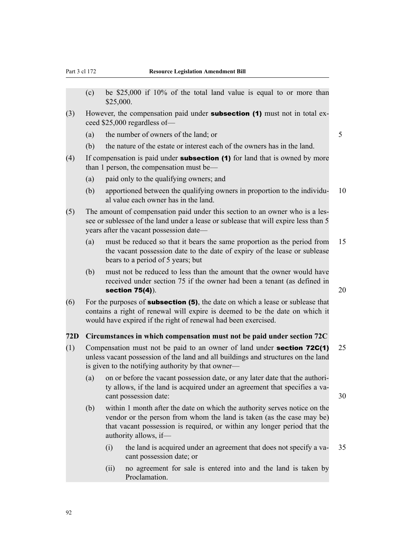- (c) be \$25,000 if 10% of the total land value is equal to or more than \$25,000.
- (3) However, the compensation paid under **subsection (1)** must not in total exceed \$25,000 regardless of—
	- (a) the number of owners of the land; or  $5<sub>5</sub>$
	- (b) the nature of the estate or interest each of the owners has in the land.
- (4) If compensation is paid under **subsection (1)** for land that is owned by more than 1 person, the compensation must be—
	- (a) paid only to the qualifying owners; and
	- (b) apportioned between the qualifying owners in proportion to the individu- 10 al value each owner has in the land.
- (5) The amount of compensation paid under this section to an owner who is a lessee or sublessee of the land under a lease or sublease that will expire less than 5 years after the vacant possession date—
	- (a) must be reduced so that it bears the same proportion as the period from 15 the vacant possession date to the date of expiry of the lease or sublease bears to a period of 5 years; but
	- (b) must not be reduced to less than the amount that the owner would have received under section 75 if the owner had been a tenant (as defined in section 75(4)).  $20$
- (6) For the purposes of **subsection (5)**, the date on which a lease or sublease that contains a right of renewal will expire is deemed to be the date on which it would have expired if the right of renewal had been exercised.

#### **72D Circumstances in which compensation must not be paid under section 72C**

- (1) Compensation must not be paid to an owner of land under section 72C(1) 25 unless vacant possession of the land and all buildings and structures on the land is given to the notifying authority by that owner—
	- (a) on or before the vacant possession date, or any later date that the authority allows, if the land is acquired under an agreement that specifies a vacant possession date: 30
	- (b) within 1 month after the date on which the authority serves notice on the vendor or the person from whom the land is taken (as the case may be) that vacant possession is required, or within any longer period that the authority allows, if—
		- (i) the land is acquired under an agreement that does not specify a va- 35 cant possession date; or
		- (ii) no agreement for sale is entered into and the land is taken by Proclamation.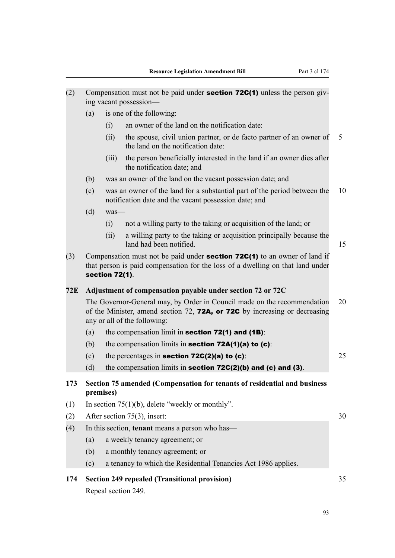| (2)        |                                                                                                                                                                                              |           | Compensation must not be paid under <b>section 72C(1)</b> unless the person giv-<br>ing vacant possession-                         |    |  |  |  |  |
|------------|----------------------------------------------------------------------------------------------------------------------------------------------------------------------------------------------|-----------|------------------------------------------------------------------------------------------------------------------------------------|----|--|--|--|--|
|            | (a)                                                                                                                                                                                          |           | is one of the following:                                                                                                           |    |  |  |  |  |
|            |                                                                                                                                                                                              | (i)       | an owner of the land on the notification date:                                                                                     |    |  |  |  |  |
|            |                                                                                                                                                                                              | (ii)      | the spouse, civil union partner, or de facto partner of an owner of<br>the land on the notification date:                          | 5  |  |  |  |  |
|            |                                                                                                                                                                                              | (iii)     | the person beneficially interested in the land if an owner dies after<br>the notification date; and                                |    |  |  |  |  |
|            | (b)                                                                                                                                                                                          |           | was an owner of the land on the vacant possession date; and                                                                        |    |  |  |  |  |
|            | (c)                                                                                                                                                                                          |           | was an owner of the land for a substantial part of the period between the<br>notification date and the vacant possession date; and | 10 |  |  |  |  |
|            | (d)                                                                                                                                                                                          | was-      |                                                                                                                                    |    |  |  |  |  |
|            |                                                                                                                                                                                              | (i)       | not a willing party to the taking or acquisition of the land; or                                                                   |    |  |  |  |  |
|            |                                                                                                                                                                                              | (ii)      | a willing party to the taking or acquisition principally because the<br>land had been notified.                                    | 15 |  |  |  |  |
| (3)        | Compensation must not be paid under <b>section 72C(1)</b> to an owner of land if<br>that person is paid compensation for the loss of a dwelling on that land under<br><b>section 72(1).</b>  |           |                                                                                                                                    |    |  |  |  |  |
| <b>72E</b> | Adjustment of compensation payable under section 72 or 72C                                                                                                                                   |           |                                                                                                                                    |    |  |  |  |  |
|            | 20<br>The Governor-General may, by Order in Council made on the recommendation<br>of the Minister, amend section 72, 72A, or 72C by increasing or decreasing<br>any or all of the following: |           |                                                                                                                                    |    |  |  |  |  |
|            | (a)                                                                                                                                                                                          |           | the compensation limit in section $72(1)$ and $(1B)$ :                                                                             |    |  |  |  |  |
|            | (b)                                                                                                                                                                                          |           | the compensation limits in section $72A(1)(a)$ to $(c)$ :                                                                          |    |  |  |  |  |
|            | (c)                                                                                                                                                                                          |           | the percentages in section $72C(2)(a)$ to $(c)$ :                                                                                  | 25 |  |  |  |  |
|            | (d)                                                                                                                                                                                          |           | the compensation limits in section $72C(2)(b)$ and $(c)$ and $(3)$ .                                                               |    |  |  |  |  |
| 173        |                                                                                                                                                                                              | premises) | Section 75 amended (Compensation for tenants of residential and business                                                           |    |  |  |  |  |
| (1)        |                                                                                                                                                                                              |           | In section $75(1)(b)$ , delete "weekly or monthly".                                                                                |    |  |  |  |  |
| (2)        |                                                                                                                                                                                              |           | After section $75(3)$ , insert:                                                                                                    | 30 |  |  |  |  |
| (4)        |                                                                                                                                                                                              |           | In this section, tenant means a person who has-                                                                                    |    |  |  |  |  |
|            | (a)                                                                                                                                                                                          |           | a weekly tenancy agreement; or                                                                                                     |    |  |  |  |  |
|            | (b)                                                                                                                                                                                          |           | a monthly tenancy agreement; or                                                                                                    |    |  |  |  |  |
|            | (c)                                                                                                                                                                                          |           | a tenancy to which the Residential Tenancies Act 1986 applies.                                                                     |    |  |  |  |  |
| 174        |                                                                                                                                                                                              |           | <b>Section 249 repealed (Transitional provision)</b><br>Repeal section 249.                                                        | 35 |  |  |  |  |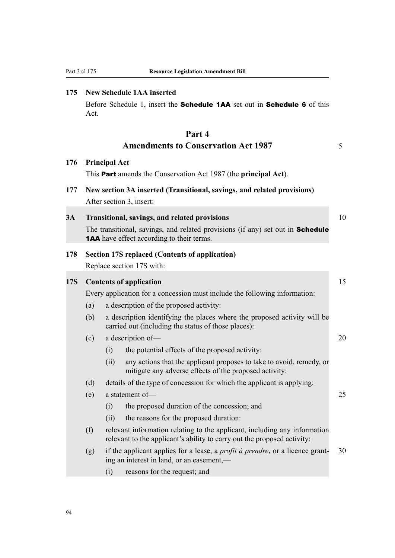## **175 New Schedule 1AA inserted**

Before Schedule 1, insert the Schedule 1AA set out in Schedule 6 of this Act.

## **Part 4 Amendments to Conservation Act 1987** 5

## **176 Principal Act**

This Part amends the Conservation Act 1987 (the **principal Act**).

# **177 New section 3A inserted (Transitional, savings, and related provisions)**

After section 3, insert:

## **3A Transitional, savings, and related provisions** 10

The transitional, savings, and related provisions (if any) set out in **Schedule** 1AA have effect according to their terms.

## **178 Section 17S replaced (Contents of application)**

Replace section 17S with:

## **17S Contents of application** 15 Every application for a concession must include the following information:

- (a) a description of the proposed activity:
- (b) a description identifying the places where the proposed activity will be carried out (including the status of those places):
- (c) a description of— 20 (i) the potential effects of the proposed activity:
	- (ii) any actions that the applicant proposes to take to avoid, remedy, or mitigate any adverse effects of the proposed activity:
- (d) details of the type of concession for which the applicant is applying:
- (e) a statement of— 25
	- (i) the proposed duration of the concession; and
	- (ii) the reasons for the proposed duration:
- (f) relevant information relating to the applicant, including any information relevant to the applicant's ability to carry out the proposed activity:
- (g) if the applicant applies for a lease, a *profit à prendre*, or a licence grant- 30 ing an interest in land, or an easement,—
	- (i) reasons for the request; and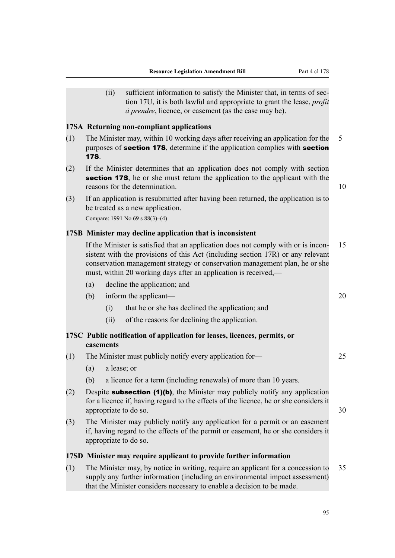(ii) sufficient information to satisfy the Minister that, in terms of section 17U, it is both lawful and appropriate to grant the lease, *profit à prendre*, licence, or easement (as the case may be).

## **17SA Returning non-compliant applications**

- (1) The Minister may, within 10 working days after receiving an application for the 5 purposes of **section 17S**, determine if the application complies with **section** 17S.
- (2) If the Minister determines that an application does not comply with section section 17S, he or she must return the application to the applicant with the reasons for the determination. The state of the state of the determination.
- (3) If an application is resubmitted after having been returned, the application is to be treated as a new application.

Compare: 1991 No 69 s 88(3)–(4)

## **17SB Minister may decline application that is inconsistent**

If the Minister is satisfied that an application does not comply with or is incon- 15 sistent with the provisions of this Act (including section 17R) or any relevant conservation management strategy or conservation management plan, he or she must, within 20 working days after an application is received,—

- (a) decline the application; and
- (b) inform the applicant— 20
	- (i) that he or she has declined the application; and
	- (ii) of the reasons for declining the application.

## **17SC Public notification of application for leases, licences, permits, or easements**

- (1) The Minister must publicly notify every application for— 25
	- (a) a lease; or
	- (b) a licence for a term (including renewals) of more than 10 years.
- (2) Despite **subsection (1)(b)**, the Minister may publicly notify any application for a licence if, having regard to the effects of the licence, he or she considers it appropriate to do so. 30
- (3) The Minister may publicly notify any application for a permit or an easement if, having regard to the effects of the permit or easement, he or she considers it appropriate to do so.

## **17SD Minister may require applicant to provide further information**

(1) The Minister may, by notice in writing, require an applicant for a concession to 35 supply any further information (including an environmental impact assessment) that the Minister considers necessary to enable a decision to be made.

95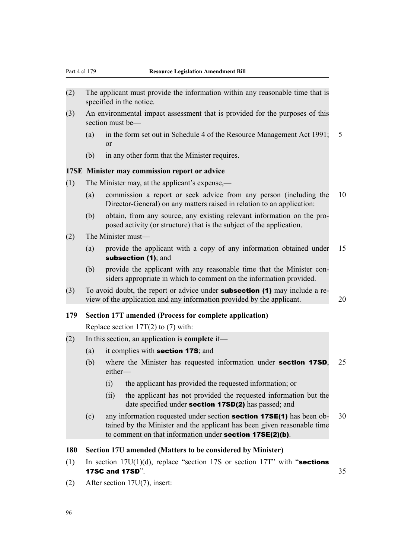- (2) The applicant must provide the information within any reasonable time that is specified in the notice.
- (3) An environmental impact assessment that is provided for the purposes of this section must be—
	- (a) in the form set out in Schedule 4 of the Resource Management Act 1991; 5 or
	- (b) in any other form that the Minister requires.

## **17SE Minister may commission report or advice**

- (1) The Minister may, at the applicant's expense,—
	- (a) commission a report or seek advice from any person (including the 10 Director-General) on any matters raised in relation to an application:
	- (b) obtain, from any source, any existing relevant information on the proposed activity (or structure) that is the subject of the application.
- (2) The Minister must—
	- (a) provide the applicant with a copy of any information obtained under 15 subsection (1); and
	- (b) provide the applicant with any reasonable time that the Minister considers appropriate in which to comment on the information provided.
- (3) To avoid doubt, the report or advice under **subsection (1)** may include a review of the application and any information provided by the applicant. 20

## **179 Section 17T amended (Process for complete application)**

Replace section  $17T(2)$  to (7) with:

- (2) In this section, an application is **complete** if—
	- (a) it complies with section 17S; and
	- (b) where the Minister has requested information under section 17SD, 25 either—
		- (i) the applicant has provided the requested information; or
		- (ii) the applicant has not provided the requested information but the date specified under **section 17SD(2)** has passed; and
	- (c) any information requested under section **section 17SE(1)** has been ob- 30 tained by the Minister and the applicant has been given reasonable time to comment on that information under section 17SE(2)(b).

#### **180 Section 17U amended (Matters to be considered by Minister)**

- (1) In section  $17U(1)(d)$ , replace "section 17S or section 17T" with "sections" **17SC and 17SD".** 35
- (2) After section 17U(7), insert: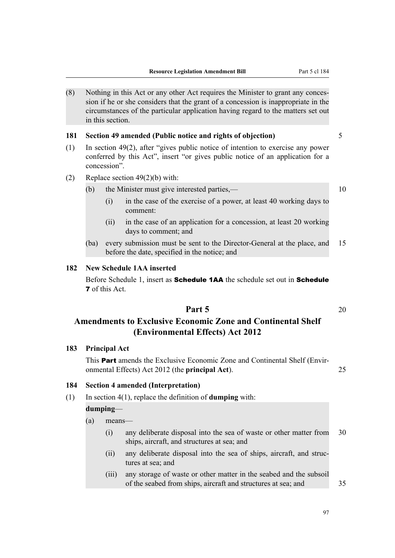(8) Nothing in this Act or any other Act requires the Minister to grant any concession if he or she considers that the grant of a concession is inappropriate in the circumstances of the particular application having regard to the matters set out in this section.

## **181 Section 49 amended (Public notice and rights of objection)** 5

- (1) In section 49(2), after "gives public notice of intention to exercise any power conferred by this Act", insert "or gives public notice of an application for a concession".
- (2) Replace section 49(2)(b) with:

## (b) the Minister must give interested parties,— 10

- (i) in the case of the exercise of a power, at least 40 working days to comment:
- (ii) in the case of an application for a concession, at least 20 working days to comment; and
- (ba) every submission must be sent to the Director-General at the place, and 15 before the date, specified in the notice; and

## **182 New Schedule 1AA inserted**

Before Schedule 1, insert as **Schedule 1AA** the schedule set out in **Schedule** 7 of this Act.

## **Part 5** 20

## **Amendments to Exclusive Economic Zone and Continental Shelf (Environmental Effects) Act 2012**

## **183 Principal Act**

This **Part** amends the Exclusive Economic Zone and Continental Shelf (Environmental Effects) Act 2012 (the **principal Act**). 25

## **184 Section 4 amended (Interpretation)**

(1) In section 4(1), replace the definition of **dumping** with:

#### **dumping**—

- (a) means—
	- (i) any deliberate disposal into the sea of waste or other matter from 30 ships, aircraft, and structures at sea; and
	- (ii) any deliberate disposal into the sea of ships, aircraft, and structures at sea; and
	- (iii) any storage of waste or other matter in the seabed and the subsoil of the seabed from ships, aircraft and structures at sea; and 35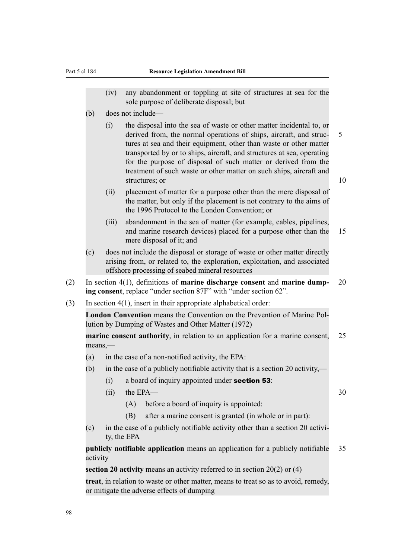- (iv) any abandonment or toppling at site of structures at sea for the sole purpose of deliberate disposal; but
- (b) does not include—
	- (i) the disposal into the sea of waste or other matter incidental to, or derived from, the normal operations of ships, aircraft, and struc- 5 tures at sea and their equipment, other than waste or other matter transported by or to ships, aircraft, and structures at sea, operating for the purpose of disposal of such matter or derived from the treatment of such waste or other matter on such ships, aircraft and structures; or 10
	- (ii) placement of matter for a purpose other than the mere disposal of the matter, but only if the placement is not contrary to the aims of the 1996 Protocol to the London Convention; or
	- (iii) abandonment in the sea of matter (for example, cables, pipelines, and marine research devices) placed for a purpose other than the 15 mere disposal of it; and
- (c) does not include the disposal or storage of waste or other matter directly arising from, or related to, the exploration, exploitation, and associated offshore processing of seabed mineral resources
- (2) In section 4(1), definitions of **marine discharge consent** and **marine dump-** 20 **ing consent**, replace "under section 87F" with "under section 62".
- (3) In section 4(1), insert in their appropriate alphabetical order:

**London Convention** means the Convention on the Prevention of Marine Pollution by Dumping of Wastes and Other Matter (1972)

**marine consent authority**, in relation to an application for a marine consent, 25 means,—

- (a) in the case of a non-notified activity, the EPA:
- (b) in the case of a publicly notifiable activity that is a section 20 activity,—
	- (i) a board of inquiry appointed under **section 53**:
	- $(iii)$  the EPA—  $30$ 
		- (A) before a board of inquiry is appointed:
		- (B) after a marine consent is granted (in whole or in part):
- (c) in the case of a publicly notifiable activity other than a section 20 activity, the EPA

**publicly notifiable application** means an application for a publicly notifiable 35 activity

**section 20 activity** means an activity referred to in section 20(2) or (4)

**treat**, in relation to waste or other matter, means to treat so as to avoid, remedy, or mitigate the adverse effects of dumping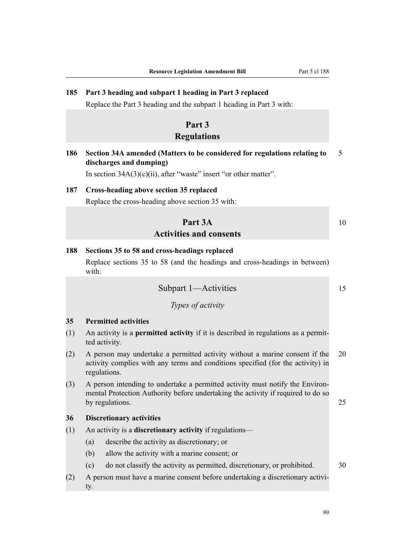## **185 Part 3 heading and subpart 1 heading in Part 3 replaced**

Replace the Part 3 heading and the subpart 1 heading in Part 3 with:

## **Part 3**

## **Regulations**

**186 Section 34A amended (Matters to be considered for regulations relating to** 5 **discharges and dumping)**

In section  $34A(3)(c)(ii)$ , after "waste" insert "or other matter".

## **187 Cross-heading above section 35 replaced**

Replace the cross-heading above section 35 with:

## **Part 3A** 10 **Activities and consents**

#### **188 Sections 35 to 58 and cross-headings replaced**

Replace sections 35 to 58 (and the headings and cross-headings in between) with:

Subpart 1—Activities 15

*Types of activity*

## **35 Permitted activities**

- (1) An activity is a **permitted activity** if it is described in regulations as a permitted activity.
- (2) A person may undertake a permitted activity without a marine consent if the 20 activity complies with any terms and conditions specified (for the activity) in regulations.
- (3) A person intending to undertake a permitted activity must notify the Environmental Protection Authority before undertaking the activity if required to do so by regulations. 25

## **36 Discretionary activities**

- (1) An activity is a **discretionary activity** if regulations—
	- (a) describe the activity as discretionary; or
	- (b) allow the activity with a marine consent; or
	- (c) do not classify the activity as permitted, discretionary, or prohibited. 30
- (2) A person must have a marine consent before undertaking a discretionary activity.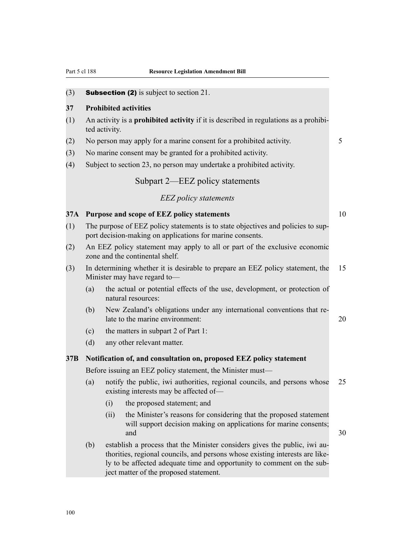(3) Subsection (2) is subject to section 21.

## **37 Prohibited activities**

- (1) An activity is a **prohibited activity** if it is described in regulations as a prohibited activity.
- (2) No person may apply for a marine consent for a prohibited activity. 5
- (3) No marine consent may be granted for a prohibited activity.
- (4) Subject to section 23, no person may undertake a prohibited activity.

## Subpart 2—EEZ policy statements

## *EEZ policy statements*

## **37A Purpose and scope of EEZ policy statements** 10

- (1) The purpose of EEZ policy statements is to state objectives and policies to support decision-making on applications for marine consents.
- (2) An EEZ policy statement may apply to all or part of the exclusive economic zone and the continental shelf.
- (3) In determining whether it is desirable to prepare an EEZ policy statement, the 15 Minister may have regard to—
	- (a) the actual or potential effects of the use, development, or protection of natural resources:
	- (b) New Zealand's obligations under any international conventions that relate to the marine environment: 20
	- (c) the matters in subpart 2 of Part 1:
	- (d) any other relevant matter.

## **37B Notification of, and consultation on, proposed EEZ policy statement**

Before issuing an EEZ policy statement, the Minister must—

- (a) notify the public, iwi authorities, regional councils, and persons whose 25 existing interests may be affected of—
	- (i) the proposed statement; and
	- (ii) the Minister's reasons for considering that the proposed statement will support decision making on applications for marine consents; and  $30$
- (b) establish a process that the Minister considers gives the public, iwi authorities, regional councils, and persons whose existing interests are likely to be affected adequate time and opportunity to comment on the subject matter of the proposed statement.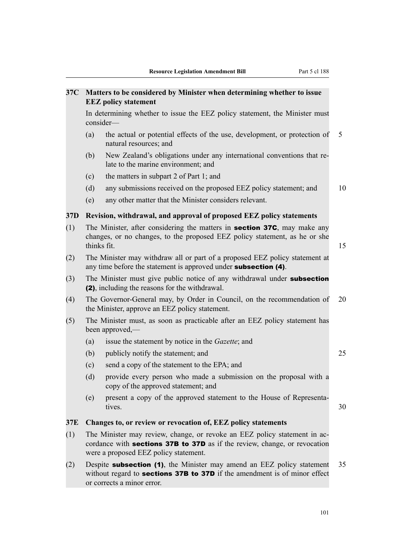| 37C             | Matters to be considered by Minister when determining whether to issue<br><b>EEZ</b> policy statement                                                                                                  |                                                                                                                                                                                                  |    |  |  |  |  |  |  |
|-----------------|--------------------------------------------------------------------------------------------------------------------------------------------------------------------------------------------------------|--------------------------------------------------------------------------------------------------------------------------------------------------------------------------------------------------|----|--|--|--|--|--|--|
|                 |                                                                                                                                                                                                        | In determining whether to issue the EEZ policy statement, the Minister must<br>consider-                                                                                                         |    |  |  |  |  |  |  |
|                 | (a)                                                                                                                                                                                                    | the actual or potential effects of the use, development, or protection of<br>natural resources; and                                                                                              | 5  |  |  |  |  |  |  |
|                 | (b)                                                                                                                                                                                                    | New Zealand's obligations under any international conventions that re-<br>late to the marine environment; and                                                                                    |    |  |  |  |  |  |  |
|                 | (c)                                                                                                                                                                                                    | the matters in subpart 2 of Part 1; and                                                                                                                                                          |    |  |  |  |  |  |  |
|                 | (d)                                                                                                                                                                                                    | any submissions received on the proposed EEZ policy statement; and                                                                                                                               | 10 |  |  |  |  |  |  |
|                 | (e)                                                                                                                                                                                                    | any other matter that the Minister considers relevant.                                                                                                                                           |    |  |  |  |  |  |  |
| 37 <sub>D</sub> |                                                                                                                                                                                                        | Revision, withdrawal, and approval of proposed EEZ policy statements                                                                                                                             |    |  |  |  |  |  |  |
| (1)             |                                                                                                                                                                                                        | The Minister, after considering the matters in <b>section 37C</b> , may make any<br>changes, or no changes, to the proposed EEZ policy statement, as he or she<br>thinks fit.                    | 15 |  |  |  |  |  |  |
| (2)             |                                                                                                                                                                                                        | The Minister may withdraw all or part of a proposed EEZ policy statement at<br>any time before the statement is approved under <b>subsection</b> (4).                                            |    |  |  |  |  |  |  |
| (3)             |                                                                                                                                                                                                        | The Minister must give public notice of any withdrawal under <b>subsection</b><br>(2), including the reasons for the withdrawal.                                                                 |    |  |  |  |  |  |  |
| (4)             |                                                                                                                                                                                                        | The Governor-General may, by Order in Council, on the recommendation of<br>the Minister, approve an EEZ policy statement.                                                                        | 20 |  |  |  |  |  |  |
| (5)             | The Minister must, as soon as practicable after an EEZ policy statement has<br>been approved,—                                                                                                         |                                                                                                                                                                                                  |    |  |  |  |  |  |  |
|                 | (a)                                                                                                                                                                                                    | issue the statement by notice in the <i>Gazette</i> ; and                                                                                                                                        |    |  |  |  |  |  |  |
|                 | (b)                                                                                                                                                                                                    | publicly notify the statement; and                                                                                                                                                               | 25 |  |  |  |  |  |  |
|                 | (c)                                                                                                                                                                                                    | send a copy of the statement to the EPA; and                                                                                                                                                     |    |  |  |  |  |  |  |
|                 | (d)                                                                                                                                                                                                    | provide every person who made a submission on the proposal with a<br>copy of the approved statement; and                                                                                         |    |  |  |  |  |  |  |
|                 | (e)                                                                                                                                                                                                    | present a copy of the approved statement to the House of Representa-<br>tives.                                                                                                                   | 30 |  |  |  |  |  |  |
| 37E             |                                                                                                                                                                                                        | Changes to, or review or revocation of, EEZ policy statements                                                                                                                                    |    |  |  |  |  |  |  |
| (1)             | The Minister may review, change, or revoke an EEZ policy statement in ac-<br>cordance with <b>sections 37B to 37D</b> as if the review, change, or revocation<br>were a proposed EEZ policy statement. |                                                                                                                                                                                                  |    |  |  |  |  |  |  |
| (2)             |                                                                                                                                                                                                        | Despite <b>subsection (1)</b> , the Minister may amend an EEZ policy statement<br>without regard to <b>sections 37B to 37D</b> if the amendment is of minor effect<br>or corrects a minor error. | 35 |  |  |  |  |  |  |
|                 |                                                                                                                                                                                                        |                                                                                                                                                                                                  |    |  |  |  |  |  |  |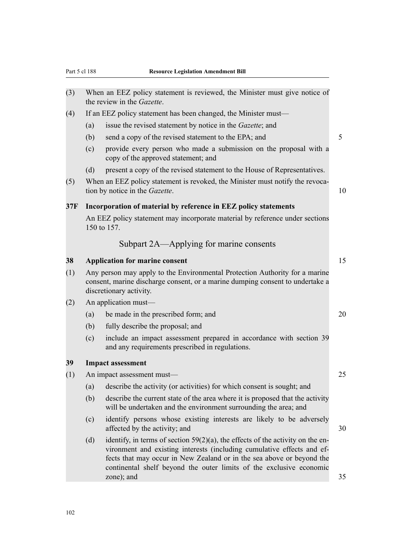| (3) |                                       | When an EEZ policy statement is reviewed, the Minister must give notice of<br>the review in the Gazette.                                                                                                                                                                                                                  |                 |  |
|-----|---------------------------------------|---------------------------------------------------------------------------------------------------------------------------------------------------------------------------------------------------------------------------------------------------------------------------------------------------------------------------|-----------------|--|
| (4) |                                       | If an EEZ policy statement has been changed, the Minister must—                                                                                                                                                                                                                                                           |                 |  |
|     | (a)                                   | issue the revised statement by notice in the <i>Gazette</i> ; and                                                                                                                                                                                                                                                         |                 |  |
|     | (b)                                   | send a copy of the revised statement to the EPA; and                                                                                                                                                                                                                                                                      | $5\overline{)}$ |  |
|     | (c)                                   | provide every person who made a submission on the proposal with a<br>copy of the approved statement; and                                                                                                                                                                                                                  |                 |  |
|     | (d)                                   | present a copy of the revised statement to the House of Representatives.                                                                                                                                                                                                                                                  |                 |  |
| (5) |                                       | When an EEZ policy statement is revoked, the Minister must notify the revoca-<br>tion by notice in the Gazette.                                                                                                                                                                                                           | 10              |  |
| 37F |                                       | Incorporation of material by reference in EEZ policy statements                                                                                                                                                                                                                                                           |                 |  |
|     |                                       | An EEZ policy statement may incorporate material by reference under sections<br>150 to 157.                                                                                                                                                                                                                               |                 |  |
|     |                                       | Subpart 2A—Applying for marine consents                                                                                                                                                                                                                                                                                   |                 |  |
| 38  | <b>Application for marine consent</b> |                                                                                                                                                                                                                                                                                                                           |                 |  |
| (1) |                                       | Any person may apply to the Environmental Protection Authority for a marine<br>consent, marine discharge consent, or a marine dumping consent to undertake a<br>discretionary activity.                                                                                                                                   |                 |  |
| (2) |                                       | An application must—                                                                                                                                                                                                                                                                                                      |                 |  |
|     | (a)                                   | be made in the prescribed form; and                                                                                                                                                                                                                                                                                       | 20              |  |
|     | (b)                                   | fully describe the proposal; and                                                                                                                                                                                                                                                                                          |                 |  |
|     | (c)                                   | include an impact assessment prepared in accordance with section 39<br>and any requirements prescribed in regulations.                                                                                                                                                                                                    |                 |  |
| 39  |                                       | <b>Impact assessment</b>                                                                                                                                                                                                                                                                                                  |                 |  |
| (1) |                                       | An impact assessment must-                                                                                                                                                                                                                                                                                                | 25              |  |
|     | (a)                                   | describe the activity (or activities) for which consent is sought; and                                                                                                                                                                                                                                                    |                 |  |
|     | (b)                                   | describe the current state of the area where it is proposed that the activity<br>will be undertaken and the environment surrounding the area; and                                                                                                                                                                         |                 |  |
|     | (c)                                   | identify persons whose existing interests are likely to be adversely<br>affected by the activity; and                                                                                                                                                                                                                     | 30              |  |
|     | (d)                                   | identify, in terms of section $59(2)(a)$ , the effects of the activity on the en-<br>vironment and existing interests (including cumulative effects and ef-<br>fects that may occur in New Zealand or in the sea above or beyond the<br>continental shelf beyond the outer limits of the exclusive economic<br>zone); and | 35              |  |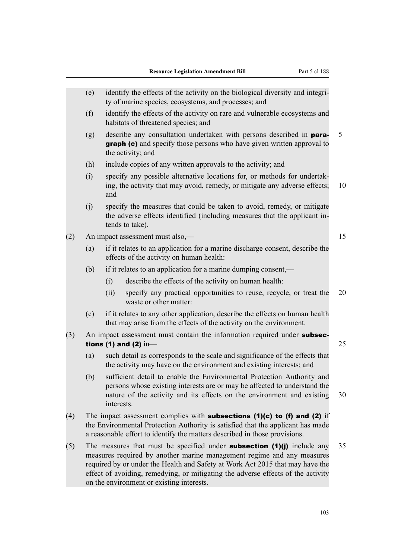|     | (e) |            | identify the effects of the activity on the biological diversity and integri-<br>ty of marine species, ecosystems, and processes; and                                                                                                                                                                                                                                        |    |
|-----|-----|------------|------------------------------------------------------------------------------------------------------------------------------------------------------------------------------------------------------------------------------------------------------------------------------------------------------------------------------------------------------------------------------|----|
|     | (f) |            | identify the effects of the activity on rare and vulnerable ecosystems and<br>habitats of threatened species; and                                                                                                                                                                                                                                                            |    |
|     | (g) |            | describe any consultation undertaken with persons described in <b>para-</b><br>graph (c) and specify those persons who have given written approval to<br>the activity; and                                                                                                                                                                                                   | 5  |
|     | (h) |            | include copies of any written approvals to the activity; and                                                                                                                                                                                                                                                                                                                 |    |
|     | (i) | and        | specify any possible alternative locations for, or methods for undertak-<br>ing, the activity that may avoid, remedy, or mitigate any adverse effects;                                                                                                                                                                                                                       | 10 |
|     | (j) |            | specify the measures that could be taken to avoid, remedy, or mitigate<br>the adverse effects identified (including measures that the applicant in-<br>tends to take).                                                                                                                                                                                                       |    |
| (2) |     |            | An impact assessment must also,—                                                                                                                                                                                                                                                                                                                                             | 15 |
|     | (a) |            | if it relates to an application for a marine discharge consent, describe the<br>effects of the activity on human health:                                                                                                                                                                                                                                                     |    |
|     | (b) |            | if it relates to an application for a marine dumping consent,—                                                                                                                                                                                                                                                                                                               |    |
|     |     | (i)        | describe the effects of the activity on human health:                                                                                                                                                                                                                                                                                                                        |    |
|     |     | (ii)       | specify any practical opportunities to reuse, recycle, or treat the<br>waste or other matter:                                                                                                                                                                                                                                                                                | 20 |
|     | (c) |            | if it relates to any other application, describe the effects on human health<br>that may arise from the effects of the activity on the environment.                                                                                                                                                                                                                          |    |
| (3) |     |            | An impact assessment must contain the information required under subsec-<br>tions (1) and (2) $in$                                                                                                                                                                                                                                                                           | 25 |
|     | (a) |            | such detail as corresponds to the scale and significance of the effects that<br>the activity may have on the environment and existing interests; and                                                                                                                                                                                                                         |    |
|     | (b) | interests. | sufficient detail to enable the Environmental Protection Authority and<br>persons whose existing interests are or may be affected to understand the<br>nature of the activity and its effects on the environment and existing                                                                                                                                                | 30 |
| (4) |     |            | The impact assessment complies with <b>subsections (1)(c) to (f) and (2)</b> if<br>the Environmental Protection Authority is satisfied that the applicant has made<br>a reasonable effort to identify the matters described in those provisions.                                                                                                                             |    |
| (5) |     |            | The measures that must be specified under <b>subsection</b> $(1)(j)$ include any<br>measures required by another marine management regime and any measures<br>required by or under the Health and Safety at Work Act 2015 that may have the<br>effect of avoiding, remedying, or mitigating the adverse effects of the activity<br>on the environment or existing interests. | 35 |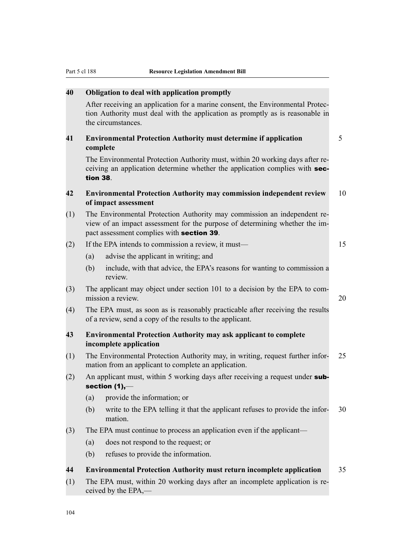| 40  | Obligation to deal with application promptly                                                                                                                                                         |    |
|-----|------------------------------------------------------------------------------------------------------------------------------------------------------------------------------------------------------|----|
|     | After receiving an application for a marine consent, the Environmental Protec-<br>tion Authority must deal with the application as promptly as is reasonable in<br>the circumstances.                |    |
| 41  | <b>Environmental Protection Authority must determine if application</b><br>complete                                                                                                                  | 5  |
|     | The Environmental Protection Authority must, within 20 working days after re-<br>ceiving an application determine whether the application complies with sec-<br>tion 38.                             |    |
| 42  | <b>Environmental Protection Authority may commission independent review</b><br>of impact assessment                                                                                                  | 10 |
| (1) | The Environmental Protection Authority may commission an independent re-<br>view of an impact assessment for the purpose of determining whether the im-<br>pact assessment complies with section 39. |    |
| (2) | If the EPA intends to commission a review, it must—                                                                                                                                                  | 15 |
|     | (a)<br>advise the applicant in writing; and                                                                                                                                                          |    |
|     | (b)<br>include, with that advice, the EPA's reasons for wanting to commission a<br>review.                                                                                                           |    |
| (3) | The applicant may object under section 101 to a decision by the EPA to com-<br>mission a review.                                                                                                     | 20 |
| (4) | The EPA must, as soon as is reasonably practicable after receiving the results<br>of a review, send a copy of the results to the applicant.                                                          |    |
| 43  | <b>Environmental Protection Authority may ask applicant to complete</b><br>incomplete application                                                                                                    |    |
| (1) | The Environmental Protection Authority may, in writing, request further infor-<br>mation from an applicant to complete an application.                                                               | 25 |
| (2) | An applicant must, within 5 working days after receiving a request under sub-<br>section $(1),$ —                                                                                                    |    |
|     | provide the information; or<br>(a)                                                                                                                                                                   |    |
|     | write to the EPA telling it that the applicant refuses to provide the infor-<br>(b)<br>mation.                                                                                                       | 30 |
| (3) | The EPA must continue to process an application even if the applicant—                                                                                                                               |    |
|     | does not respond to the request; or<br>(a)                                                                                                                                                           |    |
|     | refuses to provide the information.<br>(b)                                                                                                                                                           |    |
| 44  | <b>Environmental Protection Authority must return incomplete application</b>                                                                                                                         | 35 |
| (1) | The EPA must, within 20 working days after an incomplete application is re-<br>ceived by the EPA,—                                                                                                   |    |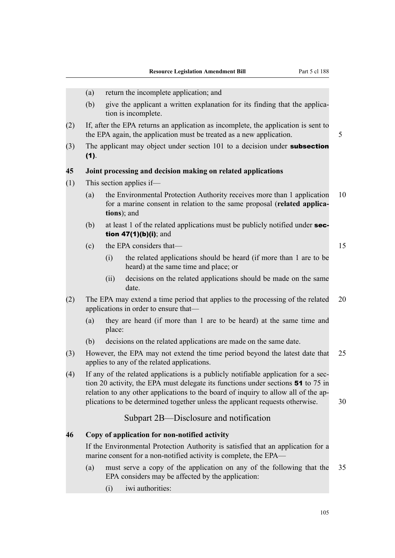(a) return the incomplete application; and (b) give the applicant a written explanation for its finding that the application is incomplete. (2) If, after the EPA returns an application as incomplete, the application is sent to the EPA again, the application must be treated as a new application.  $\frac{5}{5}$ (3) The applicant may object under section 101 to a decision under subsection (1). **45 Joint processing and decision making on related applications** (1) This section applies if— (a) the Environmental Protection Authority receives more than 1 application 10 for a marine consent in relation to the same proposal (**related applications**); and (b) at least 1 of the related applications must be publicly notified under  $sec$ tion 47(1)(b)(i); and (c) the EPA considers that— 15 (i) the related applications should be heard (if more than 1 are to be heard) at the same time and place; or (ii) decisions on the related applications should be made on the same date. (2) The EPA may extend a time period that applies to the processing of the related 20 applications in order to ensure that— (a) they are heard (if more than 1 are to be heard) at the same time and place: (b) decisions on the related applications are made on the same date. (3) However, the EPA may not extend the time period beyond the latest date that 25 applies to any of the related applications. (4) If any of the related applications is a publicly notifiable application for a section 20 activity, the EPA must delegate its functions under sections 51 to 75 in relation to any other applications to the board of inquiry to allow all of the applications to be determined together unless the applicant requests otherwise. 30 Subpart 2B—Disclosure and notification **46 Copy of application for non-notified activity** If the Environmental Protection Authority is satisfied that an application for a marine consent for a non-notified activity is complete, the EPA— (a) must serve a copy of the application on any of the following that the 35 EPA considers may be affected by the application: (i) iwi authorities: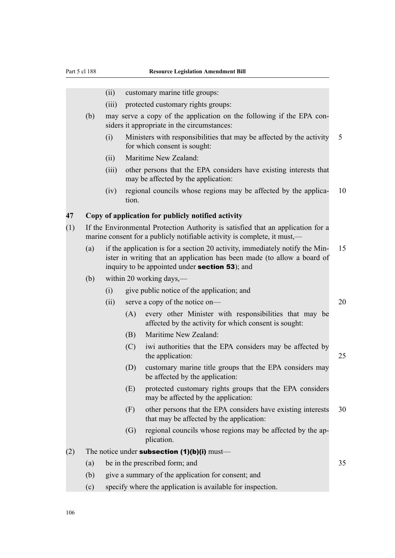- (ii) customary marine title groups:
- (iii) protected customary rights groups:
- (b) may serve a copy of the application on the following if the EPA considers it appropriate in the circumstances:
	- (i) Ministers with responsibilities that may be affected by the activity 5 for which consent is sought:
	- (ii) Maritime New Zealand:
	- (iii) other persons that the EPA considers have existing interests that may be affected by the application:
	- (iv) regional councils whose regions may be affected by the applica- 10 tion.

#### **47 Copy of application for publicly notified activity**

- (1) If the Environmental Protection Authority is satisfied that an application for a marine consent for a publicly notifiable activity is complete, it must.—
	- (a) if the application is for a section 20 activity, immediately notify the Min- 15 ister in writing that an application has been made (to allow a board of inquiry to be appointed under section 53); and
	- (b) within 20 working days,—
		- (i) give public notice of the application; and
		- (ii) serve a copy of the notice on— 20
			- (A) every other Minister with responsibilities that may be affected by the activity for which consent is sought:
			- (B) Maritime New Zealand:
			- (C) iwi authorities that the EPA considers may be affected by the application: 25
			- (D) customary marine title groups that the EPA considers may be affected by the application:
			- (E) protected customary rights groups that the EPA considers may be affected by the application:
			- (F) other persons that the EPA considers have existing interests 30 that may be affected by the application:
			- (G) regional councils whose regions may be affected by the application.
- (2) The notice under **subsection (1)(b)(i)** must—
	- (a) be in the prescribed form; and 35
	- (b) give a summary of the application for consent; and
	- (c) specify where the application is available for inspection.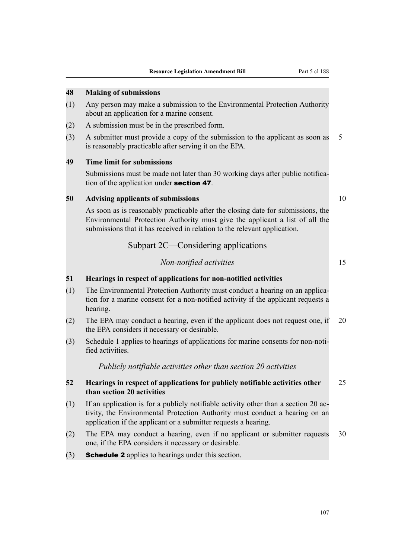# **48 Making of submissions**

- (1) Any person may make a submission to the Environmental Protection Authority about an application for a marine consent.
- (2) A submission must be in the prescribed form.
- (3) A submitter must provide a copy of the submission to the applicant as soon as 5 is reasonably practicable after serving it on the EPA.

#### **49 Time limit for submissions**

Submissions must be made not later than 30 working days after public notification of the application under section 47.

#### **50 Advising applicants of submissions** 10

As soon as is reasonably practicable after the closing date for submissions, the Environmental Protection Authority must give the applicant a list of all the submissions that it has received in relation to the relevant application.

Subpart 2C—Considering applications

# *Non-notified activities* 15

#### **51 Hearings in respect of applications for non-notified activities**

- (1) The Environmental Protection Authority must conduct a hearing on an application for a marine consent for a non-notified activity if the applicant requests a hearing.
- (2) The EPA may conduct a hearing, even if the applicant does not request one, if 20 the EPA considers it necessary or desirable.
- (3) Schedule 1 applies to hearings of applications for marine consents for non-notified activities.

*Publicly notifiable activities other than section 20 activities*

# **52 Hearings in respect of applications for publicly notifiable activities other** 25 **than section 20 activities**

- (1) If an application is for a publicly notifiable activity other than a section 20 activity, the Environmental Protection Authority must conduct a hearing on an application if the applicant or a submitter requests a hearing.
- (2) The EPA may conduct a hearing, even if no applicant or submitter requests 30 one, if the EPA considers it necessary or desirable.
- (3) Schedule 2 applies to hearings under this section.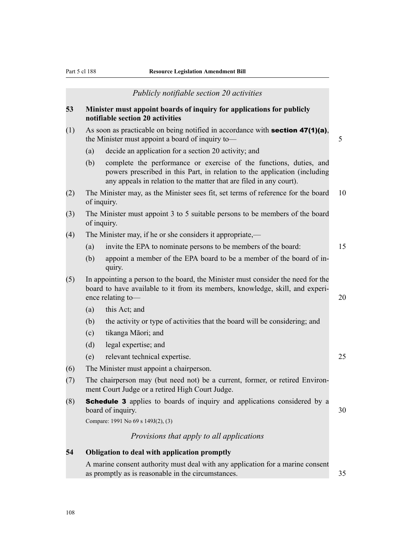|     |     | Publicly notifiable section 20 activities                                                                                                                                                                              |
|-----|-----|------------------------------------------------------------------------------------------------------------------------------------------------------------------------------------------------------------------------|
| 53  |     | Minister must appoint boards of inquiry for applications for publicly<br>notifiable section 20 activities                                                                                                              |
| (1) |     | As soon as practicable on being notified in accordance with <b>section 47(1)(a)</b> ,<br>the Minister must appoint a board of inquiry to-                                                                              |
|     | (a) | decide an application for a section 20 activity; and                                                                                                                                                                   |
|     | (b) | complete the performance or exercise of the functions, duties, and<br>powers prescribed in this Part, in relation to the application (including<br>any appeals in relation to the matter that are filed in any court). |
| (2) |     | The Minister may, as the Minister sees fit, set terms of reference for the board<br>of inquiry.                                                                                                                        |
| (3) |     | The Minister must appoint 3 to 5 suitable persons to be members of the board<br>of inquiry.                                                                                                                            |
| (4) |     | The Minister may, if he or she considers it appropriate,—                                                                                                                                                              |
|     | (a) | invite the EPA to nominate persons to be members of the board:                                                                                                                                                         |
|     | (b) | appoint a member of the EPA board to be a member of the board of in-<br>quiry.                                                                                                                                         |
| (5) |     | In appointing a person to the board, the Minister must consider the need for the<br>board to have available to it from its members, knowledge, skill, and experi-<br>ence relating to-                                 |
|     | (a) | this Act; and                                                                                                                                                                                                          |
|     | (b) | the activity or type of activities that the board will be considering; and                                                                                                                                             |
|     | (c) | tikanga Māori; and                                                                                                                                                                                                     |
|     | (d) | legal expertise; and                                                                                                                                                                                                   |
|     | (e) | relevant technical expertise.                                                                                                                                                                                          |
| (6) |     | The Minister must appoint a chairperson.                                                                                                                                                                               |
| (7) |     | The chairperson may (but need not) be a current, former, or retired Environ-<br>ment Court Judge or a retired High Court Judge.                                                                                        |
| (8) |     | <b>Schedule 3</b> applies to boards of inquiry and applications considered by a<br>board of inquiry.                                                                                                                   |
|     |     | Compare: 1991 No 69 s 149J(2), (3)                                                                                                                                                                                     |
|     |     | Provisions that apply to all applications                                                                                                                                                                              |
| 54  |     | Obligation to deal with application promptly                                                                                                                                                                           |
|     |     | A marine consent authority must deal with any application for a marine consent<br>as promptly as is reasonable in the circumstances.                                                                                   |
|     |     |                                                                                                                                                                                                                        |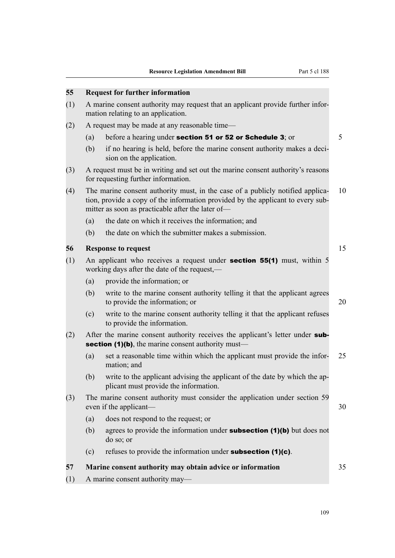#### **55 Request for further information**

- (1) A marine consent authority may request that an applicant provide further information relating to an application.
- (2) A request may be made at any reasonable time—
	- (a) before a hearing under **section 51 or 52 or Schedule 3**; or  $5$
	- (b) if no hearing is held, before the marine consent authority makes a decision on the application.
- (3) A request must be in writing and set out the marine consent authority's reasons for requesting further information.
- (4) The marine consent authority must, in the case of a publicly notified applica- 10 tion, provide a copy of the information provided by the applicant to every submitter as soon as practicable after the later of—
	- (a) the date on which it receives the information; and
	- (b) the date on which the submitter makes a submission.

# **56 Response to request** 15

- (1) An applicant who receives a request under section 55(1) must, within 5 working days after the date of the request,—
	- (a) provide the information; or
	- (b) write to the marine consent authority telling it that the applicant agrees to provide the information; or 20
	- (c) write to the marine consent authority telling it that the applicant refuses to provide the information.
- (2) After the marine consent authority receives the applicant's letter under subsection (1)(b), the marine consent authority must—
	- (a) set a reasonable time within which the applicant must provide the infor- 25 mation; and
	- (b) write to the applicant advising the applicant of the date by which the applicant must provide the information.
- (3) The marine consent authority must consider the application under section 59 even if the applicant— 30
	- (a) does not respond to the request; or
	- (b) agrees to provide the information under **subsection (1)(b)** but does not do so; or
	- (c) refuses to provide the information under **subsection (1)(c)**.

| 57<br>Marine consent authority may obtain advice or information |  |
|-----------------------------------------------------------------|--|
|-----------------------------------------------------------------|--|

(1) A marine consent authority may—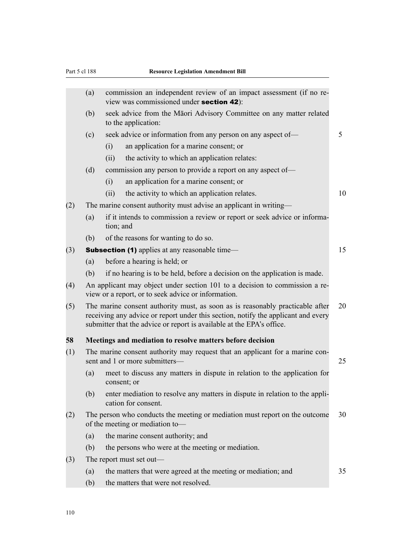|     | (a) |             | commission an independent review of an impact assessment (if no re-<br>view was commissioned under section 42):                                                                                                                             |    |
|-----|-----|-------------|---------------------------------------------------------------------------------------------------------------------------------------------------------------------------------------------------------------------------------------------|----|
|     | (b) |             | seek advice from the Māori Advisory Committee on any matter related<br>to the application:                                                                                                                                                  |    |
|     | (c) |             | seek advice or information from any person on any aspect of—                                                                                                                                                                                | 5  |
|     |     | (i)         | an application for a marine consent; or                                                                                                                                                                                                     |    |
|     |     | (ii)        | the activity to which an application relates:                                                                                                                                                                                               |    |
|     | (d) |             | commission any person to provide a report on any aspect of-                                                                                                                                                                                 |    |
|     |     | (i)         | an application for a marine consent; or                                                                                                                                                                                                     |    |
|     |     | (ii)        | the activity to which an application relates.                                                                                                                                                                                               | 10 |
| (2) |     |             | The marine consent authority must advise an applicant in writing—                                                                                                                                                                           |    |
|     | (a) | tion; and   | if it intends to commission a review or report or seek advice or informa-                                                                                                                                                                   |    |
|     | (b) |             | of the reasons for wanting to do so.                                                                                                                                                                                                        |    |
| (3) |     |             | <b>Subsection (1)</b> applies at any reasonable time—                                                                                                                                                                                       | 15 |
|     | (a) |             | before a hearing is held; or                                                                                                                                                                                                                |    |
|     | (b) |             | if no hearing is to be held, before a decision on the application is made.                                                                                                                                                                  |    |
| (4) |     |             | An applicant may object under section 101 to a decision to commission a re-<br>view or a report, or to seek advice or information.                                                                                                          |    |
| (5) |     |             | The marine consent authority must, as soon as is reasonably practicable after<br>receiving any advice or report under this section, notify the applicant and every<br>submitter that the advice or report is available at the EPA's office. | 20 |
| 58  |     |             | Meetings and mediation to resolve matters before decision                                                                                                                                                                                   |    |
| (1) |     |             | The marine consent authority may request that an applicant for a marine con-<br>sent and 1 or more submitters-                                                                                                                              | 25 |
|     | (a) | consent; or | meet to discuss any matters in dispute in relation to the application for                                                                                                                                                                   |    |
|     | (b) |             | enter mediation to resolve any matters in dispute in relation to the appli-<br>cation for consent.                                                                                                                                          |    |
| (2) |     |             | The person who conducts the meeting or mediation must report on the outcome<br>of the meeting or mediation to-                                                                                                                              | 30 |
|     | (a) |             | the marine consent authority; and                                                                                                                                                                                                           |    |
|     | (b) |             | the persons who were at the meeting or mediation.                                                                                                                                                                                           |    |
| (3) |     |             | The report must set out—                                                                                                                                                                                                                    |    |
|     | (a) |             | the matters that were agreed at the meeting or mediation; and                                                                                                                                                                               | 35 |
|     | (b) |             | the matters that were not resolved.                                                                                                                                                                                                         |    |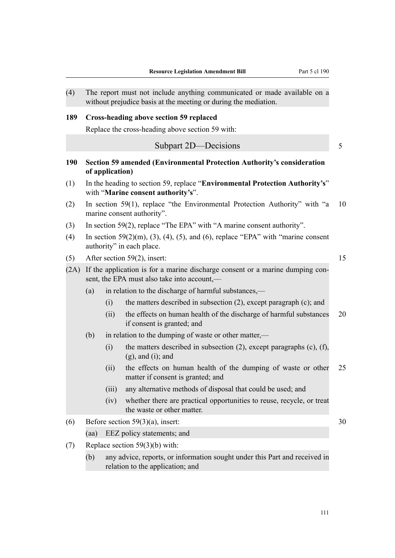| (4)  |      |                                                                                                                              | The report must not include anything communicated or made available on a<br>without prejudice basis at the meeting or during the mediation. |    |  |  |  |
|------|------|------------------------------------------------------------------------------------------------------------------------------|---------------------------------------------------------------------------------------------------------------------------------------------|----|--|--|--|
| 189  |      |                                                                                                                              | <b>Cross-heading above section 59 replaced</b><br>Replace the cross-heading above section 59 with:                                          |    |  |  |  |
|      |      |                                                                                                                              | Subpart 2D-Decisions                                                                                                                        | 5  |  |  |  |
| 190  |      | of application)                                                                                                              | Section 59 amended (Environmental Protection Authority's consideration                                                                      |    |  |  |  |
| (1)  |      |                                                                                                                              | In the heading to section 59, replace "Environmental Protection Authority's"<br>with "Marine consent authority's".                          |    |  |  |  |
| (2)  |      |                                                                                                                              | In section 59(1), replace "the Environmental Protection Authority" with "a<br>marine consent authority".                                    | 10 |  |  |  |
| (3)  |      |                                                                                                                              | In section 59(2), replace "The EPA" with "A marine consent authority".                                                                      |    |  |  |  |
| (4)  |      |                                                                                                                              | In section $59(2)(m)$ , (3), (4), (5), and (6), replace "EPA" with "marine consent<br>authority" in each place.                             |    |  |  |  |
| (5)  |      |                                                                                                                              | After section 59(2), insert:                                                                                                                | 15 |  |  |  |
| (2A) |      | If the application is for a marine discharge consent or a marine dumping con-<br>sent, the EPA must also take into account,— |                                                                                                                                             |    |  |  |  |
|      | (a)  |                                                                                                                              | in relation to the discharge of harmful substances,—                                                                                        |    |  |  |  |
|      |      | (i)                                                                                                                          | the matters described in subsection $(2)$ , except paragraph $(c)$ ; and                                                                    |    |  |  |  |
|      |      | (ii)                                                                                                                         | the effects on human health of the discharge of harmful substances<br>if consent is granted; and                                            | 20 |  |  |  |
|      | (b)  |                                                                                                                              | in relation to the dumping of waste or other matter,—                                                                                       |    |  |  |  |
|      |      | (i)                                                                                                                          | the matters described in subsection $(2)$ , except paragraphs $(c)$ , $(f)$ ,<br>$(g)$ , and $(i)$ ; and                                    |    |  |  |  |
|      |      | (ii)                                                                                                                         | the effects on human health of the dumping of waste or other<br>matter if consent is granted; and                                           | 25 |  |  |  |
|      |      | (iii)                                                                                                                        | any alternative methods of disposal that could be used; and                                                                                 |    |  |  |  |
|      |      | (iv)                                                                                                                         | whether there are practical opportunities to reuse, recycle, or treat<br>the waste or other matter.                                         |    |  |  |  |
| (6)  |      |                                                                                                                              | Before section $59(3)(a)$ , insert:                                                                                                         | 30 |  |  |  |
|      | (aa) |                                                                                                                              | EEZ policy statements; and                                                                                                                  |    |  |  |  |
| (7)  |      |                                                                                                                              | Replace section $59(3)(b)$ with:                                                                                                            |    |  |  |  |
|      | (b)  |                                                                                                                              | any advice, reports, or information sought under this Part and received in<br>relation to the application; and                              |    |  |  |  |
|      |      |                                                                                                                              |                                                                                                                                             |    |  |  |  |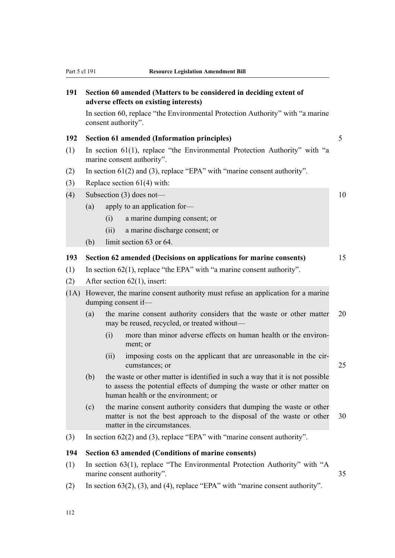| 191  |     | adverse effects on existing interests)                                    | Section 60 amended (Matters to be considered in deciding extent of                                                                                       |    |  |
|------|-----|---------------------------------------------------------------------------|----------------------------------------------------------------------------------------------------------------------------------------------------------|----|--|
|      |     | consent authority".                                                       | In section 60, replace "the Environmental Protection Authority" with "a marine"                                                                          |    |  |
| 192  |     | <b>Section 61 amended (Information principles)</b>                        |                                                                                                                                                          | 5  |  |
| (1)  |     | marine consent authority".                                                | In section 61(1), replace "the Environmental Protection Authority" with "a                                                                               |    |  |
| (2)  |     |                                                                           | In section $61(2)$ and (3), replace "EPA" with "marine consent authority".                                                                               |    |  |
| (3)  |     | Replace section $61(4)$ with:                                             |                                                                                                                                                          |    |  |
| (4)  |     | Subsection $(3)$ does not—                                                |                                                                                                                                                          | 10 |  |
|      | (a) | apply to an application for-                                              |                                                                                                                                                          |    |  |
|      |     | a marine dumping consent; or<br>(i)                                       |                                                                                                                                                          |    |  |
|      |     | (ii)<br>a marine discharge consent; or                                    |                                                                                                                                                          |    |  |
|      | (b) | limit section 63 or 64.                                                   |                                                                                                                                                          |    |  |
| 193  |     |                                                                           | Section 62 amended (Decisions on applications for marine consents)                                                                                       | 15 |  |
| (1)  |     | In section $62(1)$ , replace "the EPA" with "a marine consent authority". |                                                                                                                                                          |    |  |
| (2)  |     | After section $62(1)$ , insert:                                           |                                                                                                                                                          |    |  |
| (1A) |     | dumping consent if—                                                       | However, the marine consent authority must refuse an application for a marine                                                                            |    |  |
|      | (a) |                                                                           | the marine consent authority considers that the waste or other matter<br>may be reused, recycled, or treated without—                                    | 20 |  |
|      |     | (i)<br>ment; or                                                           | more than minor adverse effects on human health or the environ-                                                                                          |    |  |
|      |     | (ii)<br>cumstances; or                                                    | imposing costs on the applicant that are unreasonable in the cir-                                                                                        | 25 |  |
|      | (b) | human health or the environment; or                                       | the waste or other matter is identified in such a way that it is not possible<br>to assess the potential effects of dumping the waste or other matter on |    |  |
|      | (c) | matter in the circumstances.                                              | the marine consent authority considers that dumping the waste or other<br>matter is not the best approach to the disposal of the waste or other          | 30 |  |
| (3)  |     |                                                                           | In section $62(2)$ and (3), replace "EPA" with "marine consent authority".                                                                               |    |  |
| 194  |     |                                                                           | Section 63 amended (Conditions of marine consents)                                                                                                       |    |  |
| (1)  |     | marine consent authority".                                                | In section 63(1), replace "The Environmental Protection Authority" with "A                                                                               | 35 |  |
| (2)  |     |                                                                           | In section $63(2)$ , $(3)$ , and $(4)$ , replace "EPA" with "marine consent authority".                                                                  |    |  |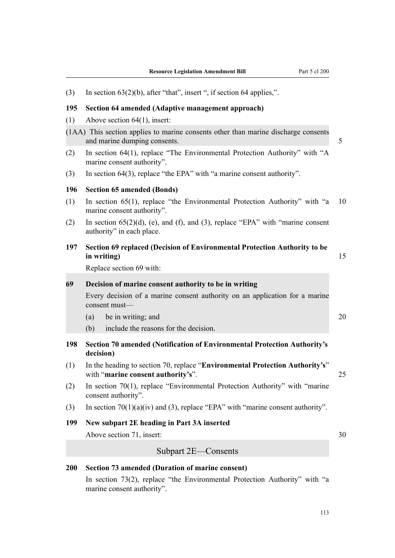| (3) | In section $63(2)(b)$ , after "that", insert ", if section 64 applies,".                                           |    |
|-----|--------------------------------------------------------------------------------------------------------------------|----|
| 195 | Section 64 amended (Adaptive management approach)                                                                  |    |
| (1) | Above section $64(1)$ , insert:                                                                                    |    |
|     | (1AA) This section applies to marine consents other than marine discharge consents<br>and marine dumping consents. | 5  |
| (2) | In section 64(1), replace "The Environmental Protection Authority" with "A<br>marine consent authority".           |    |
| (3) | In section 64(3), replace "the EPA" with "a marine consent authority".                                             |    |
| 196 | <b>Section 65 amended (Bonds)</b>                                                                                  |    |
| (1) | In section 65(1), replace "the Environmental Protection Authority" with "a<br>marine consent authority".           | 10 |
| (2) | In section $65(2)(d)$ , (e), and (f), and (3), replace "EPA" with "marine consent<br>authority" in each place.     |    |
| 197 | Section 69 replaced (Decision of Environmental Protection Authority to be<br>in writing)                           | 15 |
|     | Replace section 69 with:                                                                                           |    |
| 69  | Decision of marine consent authority to be in writing                                                              |    |
|     | Every decision of a marine consent authority on an application for a marine<br>consent must-                       |    |
|     | (a)<br>be in writing; and                                                                                          | 20 |
|     | include the reasons for the decision.<br>(b)                                                                       |    |
| 198 | Section 70 amended (Notification of Environmental Protection Authority's<br>decision)                              |    |
| (1) | In the heading to section 70, replace "Environmental Protection Authority's"<br>with "marine consent authority's". | 25 |
| (2) | In section 70(1), replace "Environmental Protection Authority" with "marine"<br>consent authority".                |    |
| (3) | In section $70(1)(a)(iv)$ and (3), replace "EPA" with "marine consent authority".                                  |    |
| 199 | New subpart 2E heading in Part 3A inserted                                                                         |    |
|     | Above section 71, insert:                                                                                          | 30 |
|     | Subpart 2E—Consents                                                                                                |    |
| 200 | <b>Section 73 amended (Duration of marine consent)</b>                                                             |    |
|     | In section 73(2), replace "the Environmental Protection Authority" with "a                                         |    |

marine consent authority".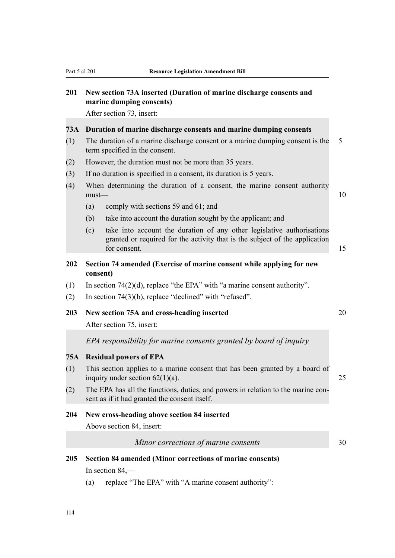# **201 New section 73A inserted (Duration of marine discharge consents and marine dumping consents)**

After section 73, insert:

#### **73A Duration of marine discharge consents and marine dumping consents**

- (1) The duration of a marine discharge consent or a marine dumping consent is the 5 term specified in the consent.
- (2) However, the duration must not be more than 35 years.
- (3) If no duration is specified in a consent, its duration is 5 years.
- (4) When determining the duration of a consent, the marine consent authority  ${\sf must}$  and  ${\sf must}$  and  ${\sf not}$  are  ${\sf not}$  and  ${\sf not}$  and  ${\sf not}$  are  ${\sf not}$  and  ${\sf not}$  are  ${\sf not}$  and  ${\sf not}$  are  ${\sf not}$  and  ${\sf not}$  are  ${\sf not}$  and  ${\sf not}$  are  ${\sf not}$  and  ${\sf not}$  are  ${\sf not}$  and  ${\sf not}$  are  ${\sf not}$  and  ${\sf not}$  are
	- (a) comply with sections 59 and 61; and
	- (b) take into account the duration sought by the applicant; and
	- (c) take into account the duration of any other legislative authorisations granted or required for the activity that is the subject of the application for consent. 15

# **202 Section 74 amended (Exercise of marine consent while applying for new consent)**

- (1) In section 74(2)(d), replace "the EPA" with "a marine consent authority".
- (2) In section 74(3)(b), replace "declined" with "refused".

## **203 New section 75A and cross-heading inserted** 20

After section 75, insert:

# *EPA responsibility for marine consents granted by board of inquiry*

#### **75A Residual powers of EPA**

- (1) This section applies to a marine consent that has been granted by a board of inquiry under section  $62(1)(a)$ . 25
- (2) The EPA has all the functions, duties, and powers in relation to the marine consent as if it had granted the consent itself.

### **204 New cross-heading above section 84 inserted**

Above section 84, insert:

*Minor corrections of marine consents* 30

- **205 Section 84 amended (Minor corrections of marine consents)** In section 84,—
	- (a) replace "The EPA" with "A marine consent authority":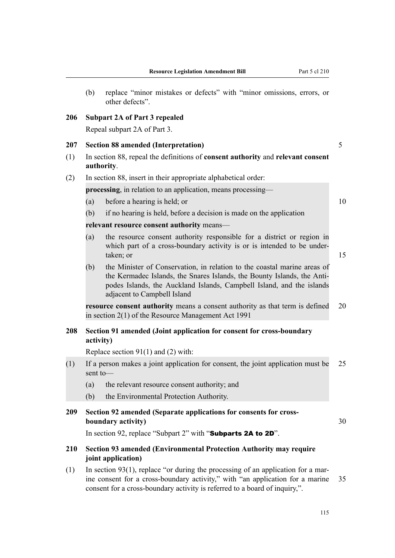(b) replace "minor mistakes or defects" with "minor omissions, errors, or other defects".

# **206 Subpart 2A of Part 3 repealed**

Repeal subpart 2A of Part 3.

#### **207 Section 88 amended (Interpretation)** 5

(1) In section 88, repeal the definitions of **consent authority** and **relevant consent authority**.

#### (2) In section 88, insert in their appropriate alphabetical order:

**processing**, in relation to an application, means processing—

- (a) before a hearing is held; or  $10$
- (b) if no hearing is held, before a decision is made on the application

**relevant resource consent authority** means—

- (a) the resource consent authority responsible for a district or region in which part of a cross-boundary activity is or is intended to be undertaken; or 15
- (b) the Minister of Conservation, in relation to the coastal marine areas of the Kermadec Islands, the Snares Islands, the Bounty Islands, the Antipodes Islands, the Auckland Islands, Campbell Island, and the islands adjacent to Campbell Island

**resource consent authority** means a consent authority as that term is defined 20 in section 2(1) of the Resource Management Act 1991

# **208 Section 91 amended (Joint application for consent for cross-boundary activity)**

Replace section 91(1) and (2) with:

- (1) If a person makes a joint application for consent, the joint application must be 25 sent to—
	- (a) the relevant resource consent authority; and
	- (b) the Environmental Protection Authority.

# **209 Section 92 amended (Separate applications for consents for crossboundary activity)** 30

In section 92, replace "Subpart 2" with "Subparts 2A to 2D".

# **210 Section 93 amended (Environmental Protection Authority may require joint application)**

 $(1)$  In section 93(1), replace "or during the processing of an application for a marine consent for a cross-boundary activity," with "an application for a marine 35 consent for a cross-boundary activity is referred to a board of inquiry,".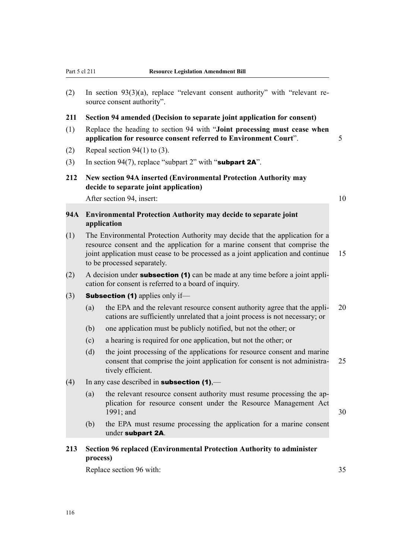- (2) In section 93(3)(a), replace "relevant consent authority" with "relevant resource consent authority".
- **211 Section 94 amended (Decision to separate joint application for consent)**
- (1) Replace the heading to section 94 with "**Joint processing must cease when application for resource consent referred to Environment Court**". 5
- (2) Repeal section  $94(1)$  to (3).
- (3) In section 94(7), replace "subpart 2" with "subpart  $2A$ ".
- **212 New section 94A inserted (Environmental Protection Authority may decide to separate joint application)**

After section 94, insert: 10

# **94A Environmental Protection Authority may decide to separate joint application**

- (1) The Environmental Protection Authority may decide that the application for a resource consent and the application for a marine consent that comprise the joint application must cease to be processed as a joint application and continue 15 to be processed separately.
- (2) A decision under **subsection (1)** can be made at any time before a joint application for consent is referred to a board of inquiry.
- (3) **Subsection (1)** applies only if—
	- (a) the EPA and the relevant resource consent authority agree that the appli- 20 cations are sufficiently unrelated that a joint process is not necessary; or
	- (b) one application must be publicly notified, but not the other; or
	- (c) a hearing is required for one application, but not the other; or
	- (d) the joint processing of the applications for resource consent and marine consent that comprise the joint application for consent is not administra- 25 tively efficient.
- (4) In any case described in **subsection (1)**,—
	- (a) the relevant resource consent authority must resume processing the application for resource consent under the Resource Management Act 1991; and 30
	- (b) the EPA must resume processing the application for a marine consent under subpart 2A.

# **213 Section 96 replaced (Environmental Protection Authority to administer process)**

Replace section 96 with: 35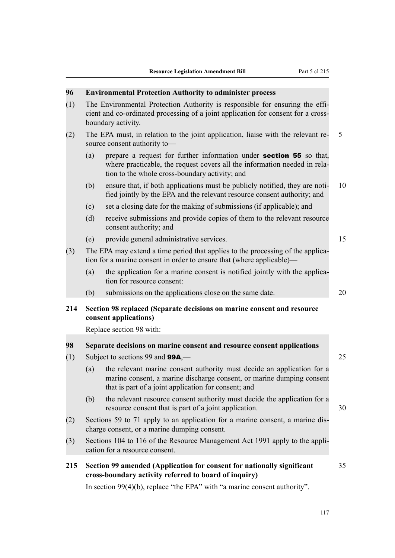| 96  |     | <b>Environmental Protection Authority to administer process</b>                                                                                                                                           |    |
|-----|-----|-----------------------------------------------------------------------------------------------------------------------------------------------------------------------------------------------------------|----|
| (1) |     | The Environmental Protection Authority is responsible for ensuring the effi-<br>cient and co-ordinated processing of a joint application for consent for a cross-<br>boundary activity.                   |    |
| (2) |     | The EPA must, in relation to the joint application, liaise with the relevant re-<br>source consent authority to-                                                                                          | 5  |
|     | (a) | prepare a request for further information under <b>section 55</b> so that,<br>where practicable, the request covers all the information needed in rela-<br>tion to the whole cross-boundary activity; and |    |
|     | (b) | ensure that, if both applications must be publicly notified, they are noti-<br>fied jointly by the EPA and the relevant resource consent authority; and                                                   | 10 |
|     | (c) | set a closing date for the making of submissions (if applicable); and                                                                                                                                     |    |
|     | (d) | receive submissions and provide copies of them to the relevant resource<br>consent authority; and                                                                                                         |    |
|     | (e) | provide general administrative services.                                                                                                                                                                  | 15 |
| (3) |     | The EPA may extend a time period that applies to the processing of the applica-<br>tion for a marine consent in order to ensure that (where applicable)—                                                  |    |
|     | (a) | the application for a marine consent is notified jointly with the applica-<br>tion for resource consent:                                                                                                  |    |
|     | (b) | submissions on the applications close on the same date.                                                                                                                                                   | 20 |
| 214 |     | Section 98 replaced (Separate decisions on marine consent and resource<br>consent applications)                                                                                                           |    |
|     |     | Replace section 98 with:                                                                                                                                                                                  |    |
| 98  |     | Separate decisions on marine consent and resource consent applications                                                                                                                                    |    |
| (1) |     | Subject to sections 99 and <b>99A</b> ,—                                                                                                                                                                  | 25 |
|     | (a) | the relevant marine consent authority must decide an application for a<br>marine consent, a marine discharge consent, or marine dumping consent<br>that is part of a joint application for consent; and   |    |
|     | (b) | the relevant resource consent authority must decide the application for a<br>resource consent that is part of a joint application.                                                                        | 30 |
| (2) |     | Sections 59 to 71 apply to an application for a marine consent, a marine dis-<br>charge consent, or a marine dumping consent.                                                                             |    |
| (3) |     | Sections 104 to 116 of the Resource Management Act 1991 apply to the appli-<br>cation for a resource consent.                                                                                             |    |
| 215 |     | Section 99 amended (Application for consent for nationally significant<br>cross-boundary activity referred to board of inquiry)                                                                           | 35 |
|     |     | In section $99(4)(b)$ , replace "the EPA" with "a marine consent authority".                                                                                                                              |    |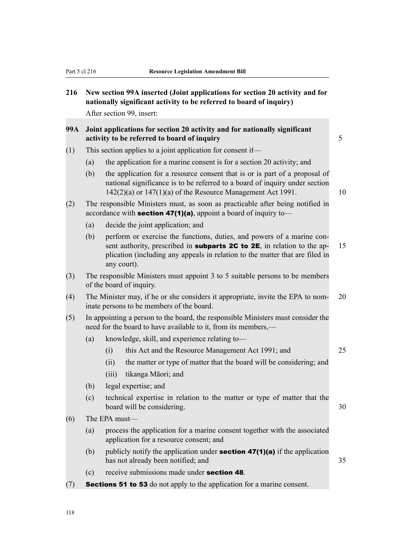- **216 New section 99A inserted (Joint applications for section 20 activity and for nationally significant activity to be referred to board of inquiry)** After section 99 insert:
- **99A Joint applications for section 20 activity and for nationally significant activity to be referred to board of inquiry** 5
- (1) This section applies to a joint application for consent if—
	- (a) the application for a marine consent is for a section 20 activity; and
	- (b) the application for a resource consent that is or is part of a proposal of national significance is to be referred to a board of inquiry under section  $142(2)(a)$  or  $147(1)(a)$  of the Resource Management Act 1991.
- (2) The responsible Ministers must, as soon as practicable after being notified in accordance with **section 47(1)(a)**, appoint a board of inquiry to-
	- (a) decide the joint application; and
	- (b) perform or exercise the functions, duties, and powers of a marine consent authority, prescribed in **subparts 2C to 2E**, in relation to the ap- 15 plication (including any appeals in relation to the matter that are filed in any court).
- (3) The responsible Ministers must appoint 3 to 5 suitable persons to be members of the board of inquiry.
- (4) The Minister may, if he or she considers it appropriate, invite the EPA to nom- 20 inate persons to be members of the board.
- (5) In appointing a person to the board, the responsible Ministers must consider the need for the board to have available to it, from its members,—
	- (a) knowledge, skill, and experience relating to—
		- (i) this Act and the Resource Management Act 1991; and 25
		- (ii) the matter or type of matter that the board will be considering; and
		- (iii) tikanga Māori; and
	- (b) legal expertise; and
	- (c) technical expertise in relation to the matter or type of matter that the board will be considering.  $30$
- (6) The EPA must—
	- (a) process the application for a marine consent together with the associated application for a resource consent; and
	- (b) publicly notify the application under **section 47(1)(a)** if the application has not already been notified; and 35
	- (c) receive submissions made under section 48.
- $(7)$  Sections 51 to 53 do not apply to the application for a marine consent.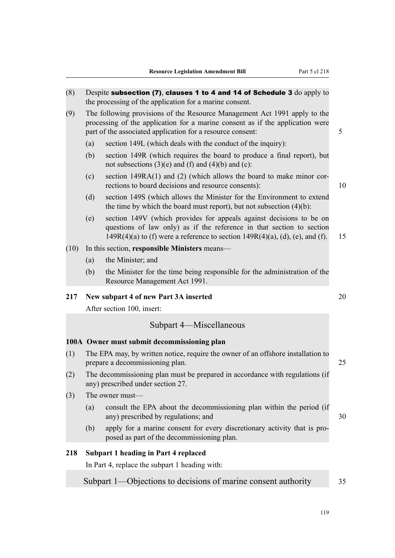| (8)  |     | Despite subsection (7), clauses 1 to 4 and 14 of Schedule 3 do apply to<br>the processing of the application for a marine consent.                                                                                                |    |
|------|-----|-----------------------------------------------------------------------------------------------------------------------------------------------------------------------------------------------------------------------------------|----|
| (9)  |     | The following provisions of the Resource Management Act 1991 apply to the<br>processing of the application for a marine consent as if the application were<br>part of the associated application for a resource consent:          | 5  |
|      | (a) | section 149L (which deals with the conduct of the inquiry):                                                                                                                                                                       |    |
|      | (b) | section 149R (which requires the board to produce a final report), but<br>not subsections $(3)(e)$ and $(f)$ and $(4)(b)$ and $(c)$ :                                                                                             |    |
|      | (c) | section $149RA(1)$ and (2) (which allows the board to make minor cor-<br>rections to board decisions and resource consents):                                                                                                      | 10 |
|      | (d) | section 149S (which allows the Minister for the Environment to extend<br>the time by which the board must report), but not subsection $(4)(b)$ :                                                                                  |    |
|      | (e) | section 149V (which provides for appeals against decisions to be on<br>questions of law only) as if the reference in that section to section<br>$149R(4)(a)$ to (f) were a reference to section $149R(4)(a)$ , (d), (e), and (f). | 15 |
| (10) |     | In this section, responsible Ministers means—                                                                                                                                                                                     |    |
|      | (a) | the Minister; and                                                                                                                                                                                                                 |    |
|      | (b) | the Minister for the time being responsible for the administration of the<br>Resource Management Act 1991.                                                                                                                        |    |
| 217  |     | New subpart 4 of new Part 3A inserted                                                                                                                                                                                             | 20 |
|      |     | After section 100, insert:                                                                                                                                                                                                        |    |
|      |     | Subpart 4-Miscellaneous                                                                                                                                                                                                           |    |
|      |     | 100A Owner must submit decommissioning plan                                                                                                                                                                                       |    |
| (1)  |     | The EPA may, by written notice, require the owner of an offshore installation to<br>prepare a decommissioning plan.                                                                                                               | 25 |
| (2)  |     | The decommissioning plan must be prepared in accordance with regulations (if<br>any) prescribed under section 27.                                                                                                                 |    |
| (3)  |     | The owner must-                                                                                                                                                                                                                   |    |
|      | (a) | consult the EPA about the decommissioning plan within the period (if<br>any) prescribed by regulations; and                                                                                                                       | 30 |
|      | (b) | apply for a marine consent for every discretionary activity that is pro-<br>posed as part of the decommissioning plan.                                                                                                            |    |
| 218  |     | <b>Subpart 1 heading in Part 4 replaced</b>                                                                                                                                                                                       |    |
|      |     | In Part 4, replace the subpart 1 heading with:                                                                                                                                                                                    |    |
|      |     | Subpart 1—Objections to decisions of marine consent authority                                                                                                                                                                     | 35 |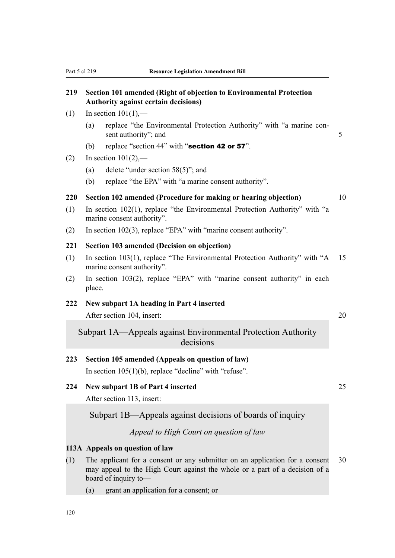# **219 Section 101 amended (Right of objection to Environmental Protection Authority against certain decisions)**

- $(1)$  In section  $101(1)$ .
	- (a) replace "the Environmental Protection Authority" with "a marine consent authority"; and 5
	- (b) replace "section 44" with "section 42 or 57".
- (2) In section  $101(2)$ ,—
	- (a) delete "under section 58(5)"; and
	- (b) replace "the EPA" with "a marine consent authority".

#### **220 Section 102 amended (Procedure for making or hearing objection)** 10

- (1) In section 102(1), replace "the Environmental Protection Authority" with "a marine consent authority".
- (2) In section 102(3), replace "EPA" with "marine consent authority".

# **221 Section 103 amended (Decision on objection)**

- (1) In section 103(1), replace "The Environmental Protection Authority" with "A 15 marine consent authority".
- (2) In section 103(2), replace "EPA" with "marine consent authority" in each place.

# **222 New subpart 1A heading in Part 4 inserted**

After section 104, insert: 20

Subpart 1A—Appeals against Environmental Protection Authority decisions

# **223 Section 105 amended (Appeals on question of law)**

In section  $105(1)(b)$ , replace "decline" with "refuse".

# **224 New subpart 1B of Part 4 inserted** 25

After section 113, insert:

Subpart 1B—Appeals against decisions of boards of inquiry

*Appeal to High Court on question of law*

# **113A Appeals on question of law**

- (1) The applicant for a consent or any submitter on an application for a consent 30 may appeal to the High Court against the whole or a part of a decision of a board of inquiry to—
	- (a) grant an application for a consent; or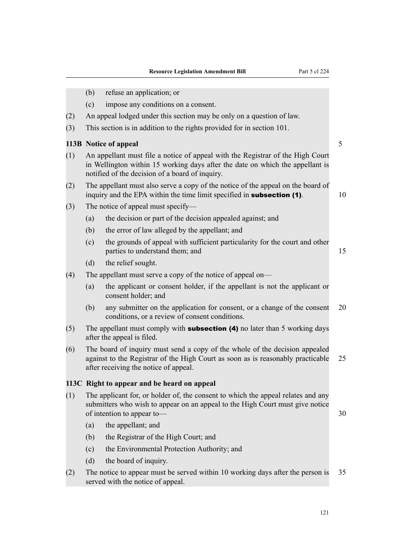|     | (b) | refuse an application; or                                                                                                                                                                                          |    |  |  |  |
|-----|-----|--------------------------------------------------------------------------------------------------------------------------------------------------------------------------------------------------------------------|----|--|--|--|
|     | (c) | impose any conditions on a consent.                                                                                                                                                                                |    |  |  |  |
| (2) |     | An appeal lodged under this section may be only on a question of law.                                                                                                                                              |    |  |  |  |
| (3) |     | This section is in addition to the rights provided for in section 101.                                                                                                                                             |    |  |  |  |
|     |     | 113B Notice of appeal                                                                                                                                                                                              | 5  |  |  |  |
| (1) |     | An appellant must file a notice of appeal with the Registrar of the High Court<br>in Wellington within 15 working days after the date on which the appellant is<br>notified of the decision of a board of inquiry. |    |  |  |  |
| (2) |     | The appellant must also serve a copy of the notice of the appeal on the board of<br>inquiry and the EPA within the time limit specified in <b>subsection</b> (1).                                                  | 10 |  |  |  |
| (3) |     | The notice of appeal must specify—                                                                                                                                                                                 |    |  |  |  |
|     | (a) | the decision or part of the decision appealed against; and                                                                                                                                                         |    |  |  |  |
|     | (b) | the error of law alleged by the appellant; and                                                                                                                                                                     |    |  |  |  |
|     | (c) | the grounds of appeal with sufficient particularity for the court and other<br>parties to understand them; and                                                                                                     | 15 |  |  |  |
|     | (d) | the relief sought.                                                                                                                                                                                                 |    |  |  |  |
| (4) |     | The appellant must serve a copy of the notice of appeal on—                                                                                                                                                        |    |  |  |  |
|     | (a) | the applicant or consent holder, if the appellant is not the applicant or<br>consent holder; and                                                                                                                   |    |  |  |  |
|     | (b) | any submitter on the application for consent, or a change of the consent<br>conditions, or a review of consent conditions.                                                                                         | 20 |  |  |  |
| (5) |     | The appellant must comply with <b>subsection (4)</b> no later than 5 working days<br>after the appeal is filed.                                                                                                    |    |  |  |  |
| (6) |     | The board of inquiry must send a copy of the whole of the decision appealed<br>against to the Registrar of the High Court as soon as is reasonably practicable<br>after receiving the notice of appeal.            | 25 |  |  |  |
|     |     | 113C Right to appear and be heard on appeal                                                                                                                                                                        |    |  |  |  |
| (1) |     | The applicant for, or holder of, the consent to which the appeal relates and any<br>submitters who wish to appear on an appeal to the High Court must give notice<br>of intention to appear to-                    | 30 |  |  |  |
|     | (a) | the appellant; and                                                                                                                                                                                                 |    |  |  |  |
|     | (b) | the Registrar of the High Court; and                                                                                                                                                                               |    |  |  |  |
|     | (c) | the Environmental Protection Authority; and                                                                                                                                                                        |    |  |  |  |
|     | (d) | the board of inquiry.                                                                                                                                                                                              |    |  |  |  |
| (2) |     | The notice to appear must be served within 10 working days after the person is<br>served with the notice of appeal.                                                                                                | 35 |  |  |  |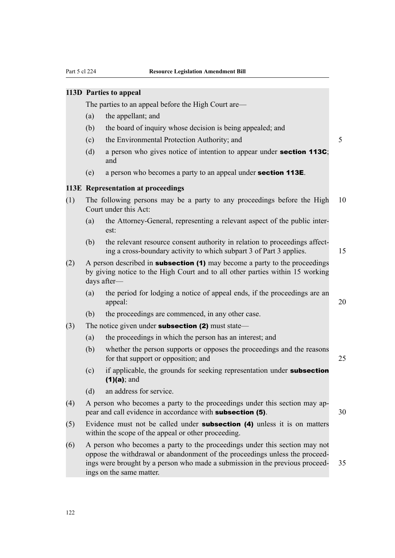#### **113D Parties to appeal**

The parties to an appeal before the High Court are—

- (a) the appellant; and
- (b) the board of inquiry whose decision is being appealed; and
- (c) the Environmental Protection Authority; and 5
- (d) a person who gives notice of intention to appear under **section 113C**; and
- (e) a person who becomes a party to an appeal under section 113E.

# **113E Representation at proceedings**

- (1) The following persons may be a party to any proceedings before the High 10 Court under this Act:
	- (a) the Attorney-General, representing a relevant aspect of the public interest:
	- (b) the relevant resource consent authority in relation to proceedings affecting a cross-boundary activity to which subpart 3 of Part 3 applies. 15
- (2) A person described in **subsection (1)** may become a party to the proceedings by giving notice to the High Court and to all other parties within 15 working days after—
	- (a) the period for lodging a notice of appeal ends, if the proceedings are an appeal:  $20$
	- (b) the proceedings are commenced, in any other case.
- (3) The notice given under **subsection (2)** must state—
	- (a) the proceedings in which the person has an interest; and
	- (b) whether the person supports or opposes the proceedings and the reasons for that support or opposition; and 25
	- (c) if applicable, the grounds for seeking representation under subsection  $(1)(a)$ ; and
	- (d) an address for service.
- (4) A person who becomes a party to the proceedings under this section may appear and call evidence in accordance with **subsection (5)**.  $30$
- $(5)$  Evidence must not be called under **subsection (4)** unless it is on matters within the scope of the appeal or other proceeding.
- (6) A person who becomes a party to the proceedings under this section may not oppose the withdrawal or abandonment of the proceedings unless the proceedings were brought by a person who made a submission in the previous proceed- 35 ings on the same matter.

122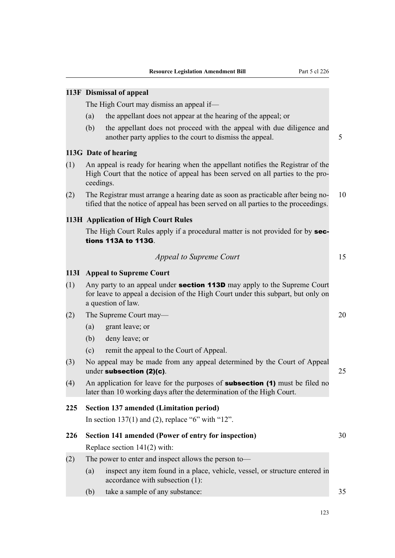|     |           | 113F Dismissal of appeal                                                                                                                                                                  |    |
|-----|-----------|-------------------------------------------------------------------------------------------------------------------------------------------------------------------------------------------|----|
|     |           | The High Court may dismiss an appeal if—                                                                                                                                                  |    |
|     | (a)       | the appellant does not appear at the hearing of the appeal; or                                                                                                                            |    |
|     | (b)       | the appellant does not proceed with the appeal with due diligence and<br>another party applies to the court to dismiss the appeal.                                                        | 5  |
|     |           | 113G Date of hearing                                                                                                                                                                      |    |
| (1) | ceedings. | An appeal is ready for hearing when the appellant notifies the Registrar of the<br>High Court that the notice of appeal has been served on all parties to the pro-                        |    |
| (2) |           | The Registrar must arrange a hearing date as soon as practicable after being no-<br>tified that the notice of appeal has been served on all parties to the proceedings.                   | 10 |
|     |           | <b>113H Application of High Court Rules</b>                                                                                                                                               |    |
|     |           | The High Court Rules apply if a procedural matter is not provided for by sec-<br>tions 113A to 113G.                                                                                      |    |
|     |           | <b>Appeal to Supreme Court</b>                                                                                                                                                            | 15 |
|     |           | 113I Appeal to Supreme Court                                                                                                                                                              |    |
| (1) |           | Any party to an appeal under <b>section 113D</b> may apply to the Supreme Court<br>for leave to appeal a decision of the High Court under this subpart, but only on<br>a question of law. |    |
| (2) |           | The Supreme Court may—                                                                                                                                                                    | 20 |
|     | (a)       | grant leave; or                                                                                                                                                                           |    |
|     | (b)       | deny leave; or                                                                                                                                                                            |    |
|     | (c)       | remit the appeal to the Court of Appeal.                                                                                                                                                  |    |
| (3) |           | No appeal may be made from any appeal determined by the Court of Appeal<br>under subsection (2)(c).                                                                                       | 25 |
| (4) |           | An application for leave for the purposes of <b>subsection (1)</b> must be filed no<br>later than 10 working days after the determination of the High Court.                              |    |
| 225 |           | <b>Section 137 amended (Limitation period)</b>                                                                                                                                            |    |
|     |           | In section 137(1) and (2), replace "6" with "12".                                                                                                                                         |    |
| 226 |           | Section 141 amended (Power of entry for inspection)                                                                                                                                       | 30 |
|     |           | Replace section $141(2)$ with:                                                                                                                                                            |    |
| (2) |           | The power to enter and inspect allows the person to-                                                                                                                                      |    |
|     | (a)       | inspect any item found in a place, vehicle, vessel, or structure entered in<br>accordance with subsection (1):                                                                            |    |
|     | (b)       | take a sample of any substance:                                                                                                                                                           | 35 |
|     |           |                                                                                                                                                                                           |    |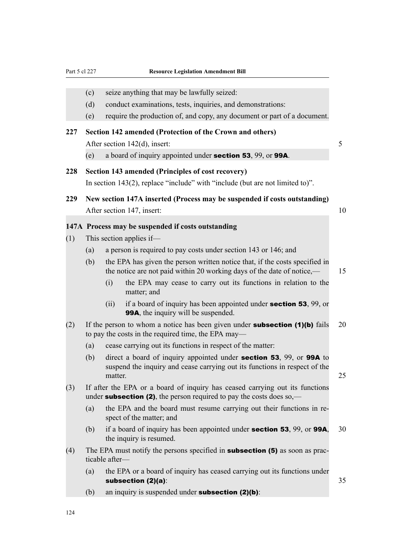|     | (c) | seize anything that may be lawfully seized:                                                                                                                                 |    |
|-----|-----|-----------------------------------------------------------------------------------------------------------------------------------------------------------------------------|----|
|     | (d) | conduct examinations, tests, inquiries, and demonstrations:                                                                                                                 |    |
|     | (e) | require the production of, and copy, any document or part of a document.                                                                                                    |    |
| 227 |     | Section 142 amended (Protection of the Crown and others)                                                                                                                    |    |
|     |     | After section 142(d), insert:                                                                                                                                               | 5  |
|     | (e) | a board of inquiry appointed under <b>section 53</b> , 99, or <b>99A</b> .                                                                                                  |    |
| 228 |     | Section 143 amended (Principles of cost recovery)<br>In section $143(2)$ , replace "include" with "include (but are not limited to)".                                       |    |
| 229 |     | New section 147A inserted (Process may be suspended if costs outstanding)                                                                                                   |    |
|     |     | After section 147, insert:                                                                                                                                                  | 10 |
|     |     | 147A Process may be suspended if costs outstanding                                                                                                                          |    |
| (1) |     | This section applies if—                                                                                                                                                    |    |
|     | (a) | a person is required to pay costs under section 143 or 146; and                                                                                                             |    |
|     | (b) | the EPA has given the person written notice that, if the costs specified in<br>the notice are not paid within 20 working days of the date of notice,—                       | 15 |
|     |     | the EPA may cease to carry out its functions in relation to the<br>(i)<br>matter; and                                                                                       |    |
|     |     | if a board of inquiry has been appointed under <b>section 53</b> , 99, or<br>(ii)<br><b>99A</b> , the inquiry will be suspended.                                            |    |
| (2) |     | If the person to whom a notice has been given under <b>subsection</b> $(1)(b)$ fails<br>to pay the costs in the required time, the EPA may—                                 | 20 |
|     | (a) | cease carrying out its functions in respect of the matter:                                                                                                                  |    |
|     | (b) | direct a board of inquiry appointed under <b>section 53</b> , 99, or <b>99A</b> to<br>suspend the inquiry and cease carrying out its functions in respect of the<br>matter. | 25 |
| (3) |     | If after the EPA or a board of inquiry has ceased carrying out its functions<br>under <b>subsection (2)</b> , the person required to pay the costs does so,—                |    |
|     | (a) | the EPA and the board must resume carrying out their functions in re-<br>spect of the matter; and                                                                           |    |
|     | (b) | if a board of inquiry has been appointed under <b>section 53</b> , 99, or 99A,<br>the inquiry is resumed.                                                                   | 30 |
| (4) |     | The EPA must notify the persons specified in <b>subsection (5)</b> as soon as prac-<br>ticable after-                                                                       |    |
|     | (a) | the EPA or a board of inquiry has ceased carrying out its functions under<br>subsection $(2)(a)$ :                                                                          | 35 |
|     | (b) | an inquiry is suspended under subsection $(2)(b)$ :                                                                                                                         |    |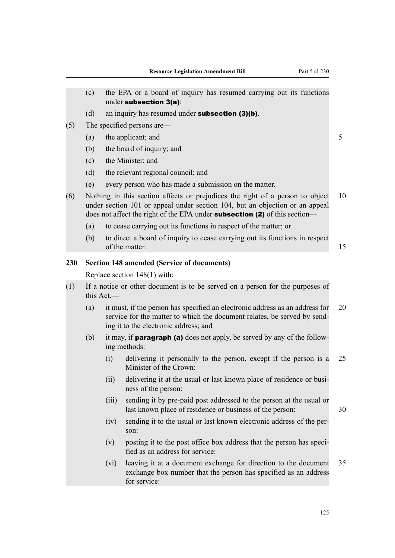| the EPA or a board of inquiry has resumed carrying out its functions                                                                                                |
|---------------------------------------------------------------------------------------------------------------------------------------------------------------------|
|                                                                                                                                                                     |
|                                                                                                                                                                     |
| 5                                                                                                                                                                   |
|                                                                                                                                                                     |
|                                                                                                                                                                     |
|                                                                                                                                                                     |
|                                                                                                                                                                     |
| 10<br>Nothing in this section affects or prejudices the right of a person to object<br>under section 101 or appeal under section 104, but an objection or an appeal |
|                                                                                                                                                                     |
| to direct a board of inquiry to cease carrying out its functions in respect<br>15                                                                                   |
|                                                                                                                                                                     |
|                                                                                                                                                                     |
| If a notice or other document is to be served on a person for the purposes of                                                                                       |
| 20<br>it must, if the person has specified an electronic address as an address for<br>service for the matter to which the document relates, be served by send-      |
| it may, if <b>paragraph (a)</b> does not apply, be served by any of the follow-                                                                                     |
| 25<br>delivering it personally to the person, except if the person is a                                                                                             |
| delivering it at the usual or last known place of residence or busi-                                                                                                |
| sending it by pre-paid post addressed to the person at the usual or<br>30                                                                                           |
| sending it to the usual or last known electronic address of the per-                                                                                                |
| posting it to the post office box address that the person has speci-                                                                                                |
| 35<br>leaving it at a document exchange for direction to the document<br>exchange box number that the person has specified as an address                            |
|                                                                                                                                                                     |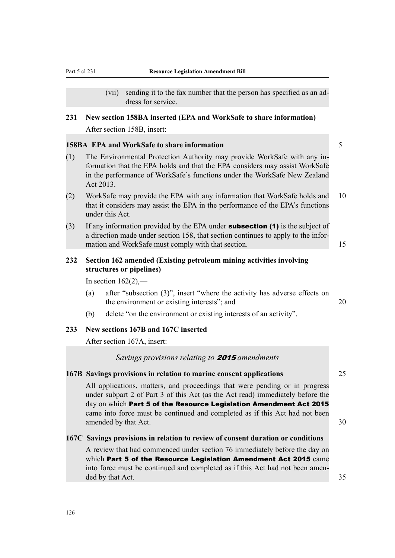(vii) sending it to the fax number that the person has specified as an address for service.

# **231 New section 158BA inserted (EPA and WorkSafe to share information)**

After section 158B, insert:

#### **158BA EPA and WorkSafe to share information** 5

- (1) The Environmental Protection Authority may provide WorkSafe with any information that the EPA holds and that the EPA considers may assist WorkSafe in the performance of WorkSafe's functions under the WorkSafe New Zealand Act 2013.
- (2) WorkSafe may provide the EPA with any information that WorkSafe holds and 10 that it considers may assist the EPA in the performance of the EPA's functions under this Act.
- (3) If any information provided by the EPA under **subsection (1)** is the subject of a direction made under section 158, that section continues to apply to the information and WorkSafe must comply with that section. 15

# **232 Section 162 amended (Existing petroleum mining activities involving structures or pipelines)**

In section  $162(2)$ ,—

- (a) after "subsection (3)", insert "where the activity has adverse effects on the environment or existing interests"; and  $20$
- (b) delete "on the environment or existing interests of an activity".

# **233 New sections 167B and 167C inserted**

After section 167A, insert:

# *Savings provisions relating to* 2015 *amendments*

# **167B Savings provisions in relation to marine consent applications** 25

All applications, matters, and proceedings that were pending or in progress under subpart 2 of Part 3 of this Act (as the Act read) immediately before the day on which Part 5 of the Resource Legislation Amendment Act 2015 came into force must be continued and completed as if this Act had not been amended by that Act. 30

#### **167C Savings provisions in relation to review of consent duration or conditions**

A review that had commenced under section 76 immediately before the day on which Part 5 of the Resource Legislation Amendment Act 2015 came into force must be continued and completed as if this Act had not been amended by that Act. 35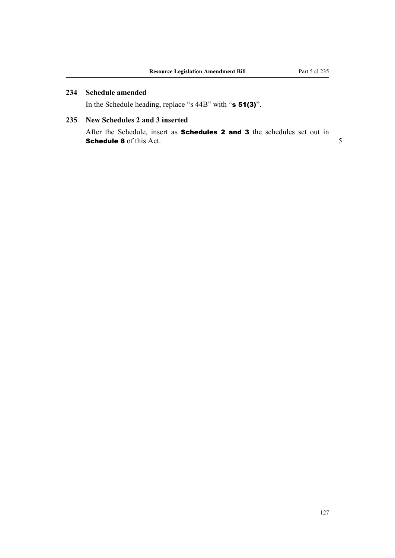127

# **234 Schedule amended**

In the Schedule heading, replace "s 44B" with "s 51(3)".

# **235 New Schedules 2 and 3 inserted**

After the Schedule, insert as **Schedules 2 and 3** the schedules set out in Schedule 8 of this Act.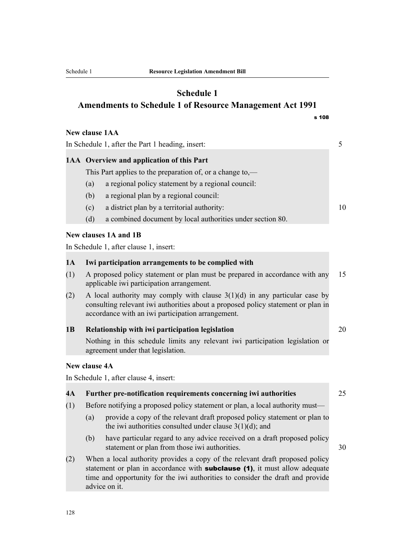# **Schedule 1 Amendments to Schedule 1 of Resource Management Act 1991**

|                                                  |                                                                                                                                                                  | <b>New clause 1AA</b>                                      |    |
|--------------------------------------------------|------------------------------------------------------------------------------------------------------------------------------------------------------------------|------------------------------------------------------------|----|
| In Schedule 1, after the Part 1 heading, insert: |                                                                                                                                                                  |                                                            | 5  |
|                                                  | 1AA Overview and application of this Part                                                                                                                        |                                                            |    |
|                                                  |                                                                                                                                                                  | This Part applies to the preparation of, or a change to,—  |    |
|                                                  | (a)                                                                                                                                                              | a regional policy statement by a regional council:         |    |
|                                                  | (b)                                                                                                                                                              | a regional plan by a regional council:                     |    |
|                                                  | (c)                                                                                                                                                              | a district plan by a territorial authority:                | 10 |
|                                                  | (d)                                                                                                                                                              | a combined document by local authorities under section 80. |    |
|                                                  |                                                                                                                                                                  | <b>New clauses 1A and 1B</b>                               |    |
|                                                  |                                                                                                                                                                  | In Schedule 1, after clause 1, insert:                     |    |
| 1A                                               |                                                                                                                                                                  | Iwi participation arrangements to be complied with         |    |
|                                                  |                                                                                                                                                                  |                                                            |    |
| (1)                                              | A proposed policy statement or plan must be prepared in accordance with any<br>applicable iwi participation arrangement.                                         |                                                            | 15 |
| (2)                                              | A local authority may comply with clause $3(1)(d)$ in any particular case by<br>consulting relevant iwi authorities about a proposed policy statement or plan in |                                                            |    |

#### **1B Relationship with iwi participation legislation** 20

accordance with an iwi participation arrangement.

Nothing in this schedule limits any relevant iwi participation legislation or agreement under that legislation.

# **New clause 4A**

In Schedule 1, after clause 4, insert:

# **4A Further pre-notification requirements concerning iwi authorities** 25

- (1) Before notifying a proposed policy statement or plan, a local authority must—
	- (a) provide a copy of the relevant draft proposed policy statement or plan to the iwi authorities consulted under clause  $3(1)(d)$ ; and
	- (b) have particular regard to any advice received on a draft proposed policy statement or plan from those iwi authorities. 30
- (2) When a local authority provides a copy of the relevant draft proposed policy statement or plan in accordance with **subclause (1)**, it must allow adequate time and opportunity for the iwi authorities to consider the draft and provide advice on it.

s 108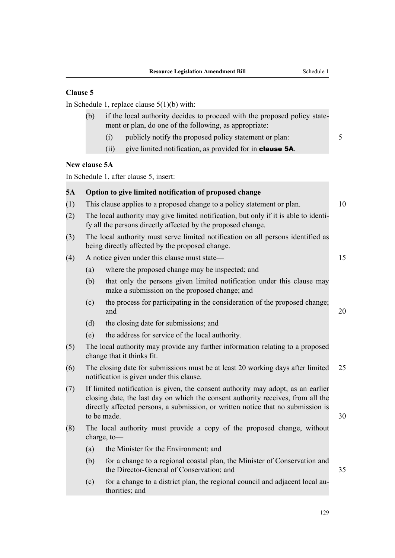# **Clause 5**

In Schedule 1, replace clause 5(1)(b) with:

- (b) if the local authority decides to proceed with the proposed policy statement or plan, do one of the following, as appropriate:
	- (i) publicly notify the proposed policy statement or plan: 5
	- (ii) give limited notification, as provided for in clause 5A.

# **New clause 5A**

In Schedule 1, after clause 5, insert:

# **5A Option to give limited notification of proposed change** (1) This clause applies to a proposed change to a policy statement or plan. 10 (2) The local authority may give limited notification, but only if it is able to identify all the persons directly affected by the proposed change. (3) The local authority must serve limited notification on all persons identified as being directly affected by the proposed change. (4) A notice given under this clause must state— 15 (a) where the proposed change may be inspected; and (b) that only the persons given limited notification under this clause may make a submission on the proposed change; and (c) the process for participating in the consideration of the proposed change; and  $20$ (d) the closing date for submissions; and (e) the address for service of the local authority. (5) The local authority may provide any further information relating to a proposed change that it thinks fit. (6) The closing date for submissions must be at least 20 working days after limited 25 notification is given under this clause. (7) If limited notification is given, the consent authority may adopt, as an earlier closing date, the last day on which the consent authority receives, from all the directly affected persons, a submission, or written notice that no submission is to be made.  $30$ (8) The local authority must provide a copy of the proposed change, without charge, to— (a) the Minister for the Environment; and

- (b) for a change to a regional coastal plan, the Minister of Conservation and the Director-General of Conservation; and 35
- (c) for a change to a district plan, the regional council and adjacent local authorities; and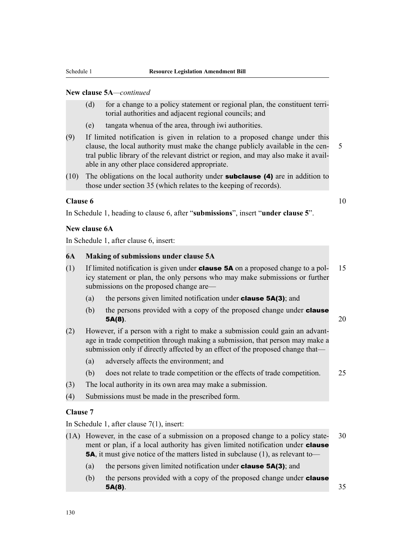# **New clause 5A***—continued*

- (d) for a change to a policy statement or regional plan, the constituent territorial authorities and adjacent regional councils; and
- (e) tangata whenua of the area, through iwi authorities.
- (9) If limited notification is given in relation to a proposed change under this clause, the local authority must make the change publicly available in the cen- 5 tral public library of the relevant district or region, and may also make it available in any other place considered appropriate.
- (10) The obligations on the local authority under subclause (4) are in addition to those under section 35 (which relates to the keeping of records).

#### **Clause 6** 10

In Schedule 1, heading to clause 6, after "**submissions**", insert "**under clause 5**".

#### **New clause 6A**

In Schedule 1, after clause 6, insert:

#### **6A Making of submissions under clause 5A**

- (1) If limited notification is given under **clause 5A** on a proposed change to a pol- 15 icy statement or plan, the only persons who may make submissions or further submissions on the proposed change are—
	- (a) the persons given limited notification under clause 5A(3); and
	- (b) the persons provided with a copy of the proposed change under **clause** 5A(8).  $20$
- (2) However, if a person with a right to make a submission could gain an advantage in trade competition through making a submission, that person may make a submission only if directly affected by an effect of the proposed change that—
	- (a) adversely affects the environment; and
	- (b) does not relate to trade competition or the effects of trade competition. 25
- (3) The local authority in its own area may make a submission.
- (4) Submissions must be made in the prescribed form.

#### **Clause 7**

In Schedule 1, after clause 7(1), insert:

- (1A) However, in the case of a submission on a proposed change to a policy state- 30 ment or plan, if a local authority has given limited notification under **clause** 5A, it must give notice of the matters listed in subclause (1), as relevant to—
	- (a) the persons given limited notification under **clause 5A(3)**; and
	- (b) the persons provided with a copy of the proposed change under **clause 5A(8)**.  $35$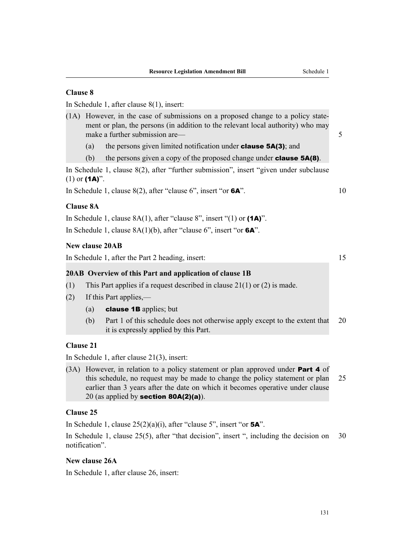# **Clause 8**

In Schedule 1, after clause 8(1), insert:

- (1A) However, in the case of submissions on a proposed change to a policy statement or plan, the persons (in addition to the relevant local authority) who may make a further submission are—
	- (a) the persons given limited notification under **clause 5A(3)**; and
	- (b) the persons given a copy of the proposed change under **clause 5A(8)**.

In Schedule 1, clause 8(2), after "further submission", insert "given under subclause  $(1)$  or  $(1A)$ ".

In Schedule 1, clause  $8(2)$ , after "clause 6", insert "or  $6A$ ". 10

# **Clause 8A**

In Schedule 1, clause  $8A(1)$ , after "clause 8", insert "(1) or  $(1A)$ ". In Schedule 1, clause 8A(1)(b), after "clause 6", insert "or 6A".

#### **New clause 20AB**

In Schedule 1, after the Part 2 heading, insert: 15

#### **20AB Overview of this Part and application of clause 1B**

- (1) This Part applies if a request described in clause 21(1) or (2) is made.
- (2) If this Part applies,—
	- (a) **clause 1B** applies; but
	- (b) Part 1 of this schedule does not otherwise apply except to the extent that 20 it is expressly applied by this Part.

# **Clause 21**

In Schedule 1, after clause 21(3), insert:

(3A) However, in relation to a policy statement or plan approved under **Part 4** of this schedule, no request may be made to change the policy statement or plan 25 earlier than 3 years after the date on which it becomes operative under clause 20 (as applied by section  $80A(2)(a)$ ).

#### **Clause 25**

In Schedule 1, clause  $25(2)(a)(i)$ , after "clause 5", insert "or **5A**".

In Schedule 1, clause 25(5), after "that decision", insert ", including the decision on 30 notification".

# **New clause 26A**

In Schedule 1, after clause 26, insert: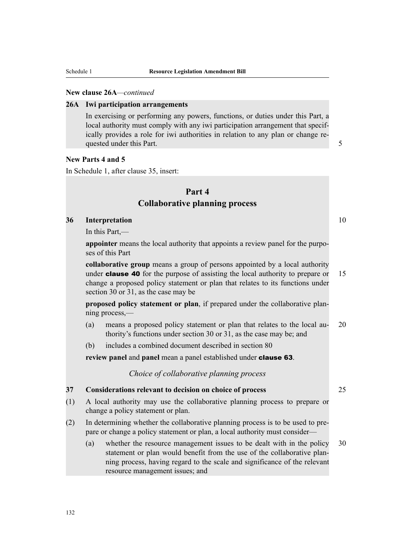#### **New clause 26A***—continued*

#### **26A Iwi participation arrangements**

In exercising or performing any powers, functions, or duties under this Part, a local authority must comply with any iwi participation arrangement that specifically provides a role for iwi authorities in relation to any plan or change requested under this Part. 5 and 5 and 5 and 5 and 5 and 5 and 5 and 5 and 5 and 5 and 5 and 5 and 5 and 5 and 5 and 5 and 5 and 5 and 5 and 5 and 5 and 5 and 5 and 5 and 5 and 5 and 5 and 5 and 5 and 5 and 5 and 5 and 5 and

## **New Parts 4 and 5**

In Schedule 1, after clause 35, insert:

# **Part 4 Collaborative planning process**

#### **36 Interpretation** 10

In this Part,—

**appointer** means the local authority that appoints a review panel for the purposes of this Part

**collaborative group** means a group of persons appointed by a local authority under **clause 40** for the purpose of assisting the local authority to prepare or  $15$ change a proposed policy statement or plan that relates to its functions under section 30 or 31, as the case may be

**proposed policy statement or plan**, if prepared under the collaborative planning process,—

- (a) means a proposed policy statement or plan that relates to the local au- 20 thority's functions under section 30 or 31, as the case may be; and
- (b) includes a combined document described in section 80

**review panel** and **panel** mean a panel established under clause 63.

*Choice of collaborative planning process*

# **37 Considerations relevant to decision on choice of process** 25

- (1) A local authority may use the collaborative planning process to prepare or change a policy statement or plan.
- (2) In determining whether the collaborative planning process is to be used to prepare or change a policy statement or plan, a local authority must consider—
	- (a) whether the resource management issues to be dealt with in the policy 30 statement or plan would benefit from the use of the collaborative planning process, having regard to the scale and significance of the relevant resource management issues; and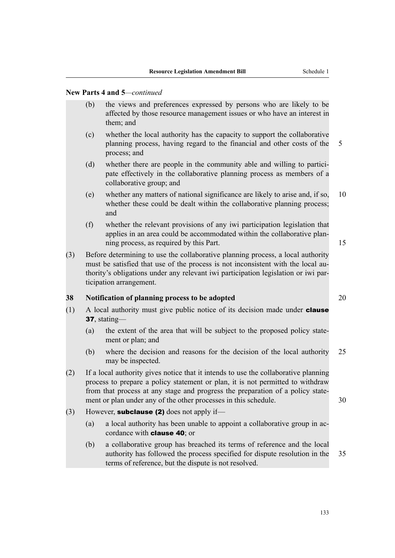- (b) the views and preferences expressed by persons who are likely to be affected by those resource management issues or who have an interest in them; and
- (c) whether the local authority has the capacity to support the collaborative planning process, having regard to the financial and other costs of the 5 process; and
- (d) whether there are people in the community able and willing to participate effectively in the collaborative planning process as members of a collaborative group; and
- (e) whether any matters of national significance are likely to arise and, if so, 10 whether these could be dealt within the collaborative planning process; and
- (f) whether the relevant provisions of any iwi participation legislation that applies in an area could be accommodated within the collaborative planning process, as required by this Part. 15
- (3) Before determining to use the collaborative planning process, a local authority must be satisfied that use of the process is not inconsistent with the local authority's obligations under any relevant iwi participation legislation or iwi participation arrangement.

# **38 Notification of planning process to be adopted** 20

- $(1)$  A local authority must give public notice of its decision made under **clause** 37, stating—
	- (a) the extent of the area that will be subject to the proposed policy statement or plan; and
	- (b) where the decision and reasons for the decision of the local authority 25 may be inspected.
- (2) If a local authority gives notice that it intends to use the collaborative planning process to prepare a policy statement or plan, it is not permitted to withdraw from that process at any stage and progress the preparation of a policy statement or plan under any of the other processes in this schedule. 30
- (3) However, **subclause (2)** does not apply if—
	- (a) a local authority has been unable to appoint a collaborative group in accordance with clause 40; or
	- (b) a collaborative group has breached its terms of reference and the local authority has followed the process specified for dispute resolution in the 35 terms of reference, but the dispute is not resolved.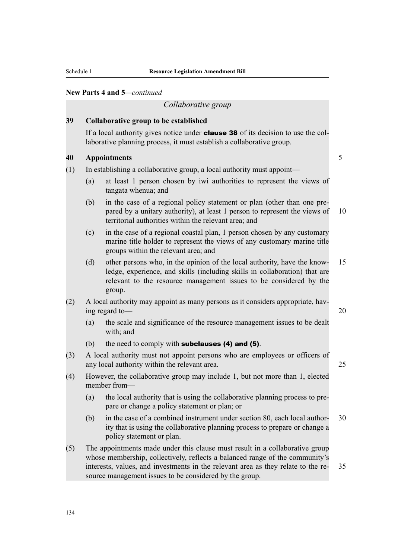*Collaborative group*

# **39 Collaborative group to be established**

If a local authority gives notice under **clause 38** of its decision to use the collaborative planning process, it must establish a collaborative group.

# **40 Appointments** 5

- (1) In establishing a collaborative group, a local authority must appoint—
	- (a) at least 1 person chosen by iwi authorities to represent the views of tangata whenua; and
	- (b) in the case of a regional policy statement or plan (other than one prepared by a unitary authority), at least 1 person to represent the views of 10 territorial authorities within the relevant area; and
	- (c) in the case of a regional coastal plan, 1 person chosen by any customary marine title holder to represent the views of any customary marine title groups within the relevant area; and
	- (d) other persons who, in the opinion of the local authority, have the know- 15 ledge, experience, and skills (including skills in collaboration) that are relevant to the resource management issues to be considered by the group.
- (2) A local authority may appoint as many persons as it considers appropriate, having regard to— 20

(a) the scale and significance of the resource management issues to be dealt with; and

- (b) the need to comply with **subclauses (4) and (5)**.
- (3) A local authority must not appoint persons who are employees or officers of any local authority within the relevant area. 25
- (4) However, the collaborative group may include 1, but not more than 1, elected member from—
	- (a) the local authority that is using the collaborative planning process to prepare or change a policy statement or plan; or
	- (b) in the case of a combined instrument under section 80, each local author- 30 ity that is using the collaborative planning process to prepare or change a policy statement or plan.
- (5) The appointments made under this clause must result in a collaborative group whose membership, collectively, reflects a balanced range of the community's interests, values, and investments in the relevant area as they relate to the re- 35 source management issues to be considered by the group.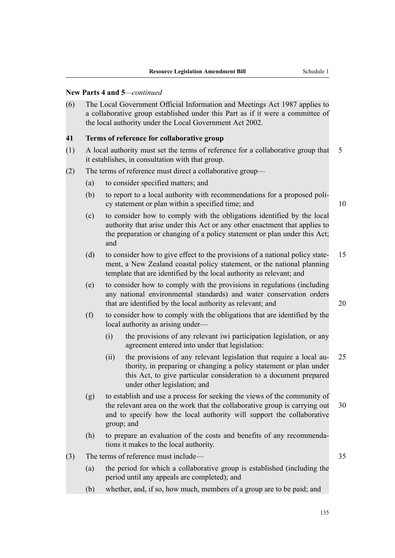(6) The Local Government Official Information and Meetings Act 1987 applies to a collaborative group established under this Part as if it were a committee of the local authority under the Local Government Act 2002.

# **41 Terms of reference for collaborative group**

- (1) A local authority must set the terms of reference for a collaborative group that 5 it establishes, in consultation with that group.
- (2) The terms of reference must direct a collaborative group—
	- (a) to consider specified matters; and
	- (b) to report to a local authority with recommendations for a proposed policy statement or plan within a specified time; and 10
	- (c) to consider how to comply with the obligations identified by the local authority that arise under this Act or any other enactment that applies to the preparation or changing of a policy statement or plan under this Act; and
	- (d) to consider how to give effect to the provisions of a national policy state- 15 ment, a New Zealand coastal policy statement, or the national planning template that are identified by the local authority as relevant; and
	- (e) to consider how to comply with the provisions in regulations (including any national environmental standards) and water conservation orders that are identified by the local authority as relevant; and 20
	- (f) to consider how to comply with the obligations that are identified by the local authority as arising under—
		- (i) the provisions of any relevant iwi participation legislation, or any agreement entered into under that legislation:
		- (ii) the provisions of any relevant legislation that require a local au- 25 thority, in preparing or changing a policy statement or plan under this Act, to give particular consideration to a document prepared under other legislation; and
	- (g) to establish and use a process for seeking the views of the community of the relevant area on the work that the collaborative group is carrying out 30 and to specify how the local authority will support the collaborative group; and
	- (h) to prepare an evaluation of the costs and benefits of any recommendations it makes to the local authority.
- (3) The terms of reference must include— 35
	- (a) the period for which a collaborative group is established (including the period until any appeals are completed); and
	- (b) whether, and, if so, how much, members of a group are to be paid; and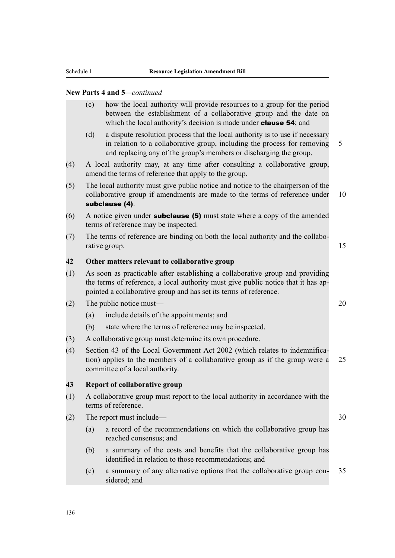- (c) how the local authority will provide resources to a group for the period between the establishment of a collaborative group and the date on which the local authority's decision is made under **clause 54**; and
- (d) a dispute resolution process that the local authority is to use if necessary in relation to a collaborative group, including the process for removing 5 and replacing any of the group's members or discharging the group.
- (4) A local authority may, at any time after consulting a collaborative group, amend the terms of reference that apply to the group.
- (5) The local authority must give public notice and notice to the chairperson of the collaborative group if amendments are made to the terms of reference under 10 subclause (4).
- $(6)$  A notice given under **subclause (5)** must state where a copy of the amended terms of reference may be inspected.
- (7) The terms of reference are binding on both the local authority and the collaborative group. 15

# **42 Other matters relevant to collaborative group**

- (1) As soon as practicable after establishing a collaborative group and providing the terms of reference, a local authority must give public notice that it has appointed a collaborative group and has set its terms of reference.
- (2) The public notice must— 20
	- (a) include details of the appointments; and
	- (b) state where the terms of reference may be inspected.
- (3) A collaborative group must determine its own procedure.
- (4) Section 43 of the Local Government Act 2002 (which relates to indemnification) applies to the members of a collaborative group as if the group were a 25 committee of a local authority.

# **43 Report of collaborative group**

- (1) A collaborative group must report to the local authority in accordance with the terms of reference.
- (2) The report must include— 30
	- (a) a record of the recommendations on which the collaborative group has reached consensus; and
	- (b) a summary of the costs and benefits that the collaborative group has identified in relation to those recommendations; and
	- (c) a summary of any alternative options that the collaborative group con- 35 sidered; and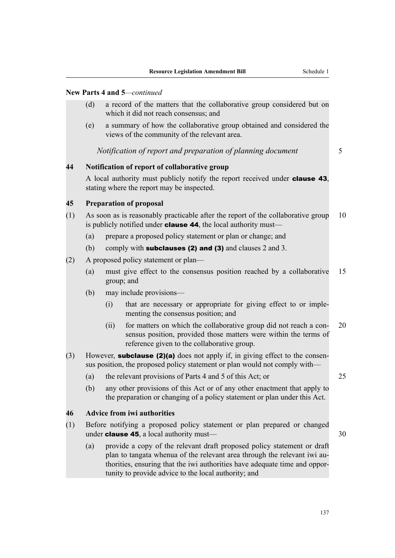- (d) a record of the matters that the collaborative group considered but on which it did not reach consensus; and
- (e) a summary of how the collaborative group obtained and considered the views of the community of the relevant area.

*Notification of report and preparation of planning document* 5

# **44 Notification of report of collaborative group**

A local authority must publicly notify the report received under clause 43, stating where the report may be inspected.

# **45 Preparation of proposal**

- (1) As soon as is reasonably practicable after the report of the collaborative group 10 is publicly notified under **clause 44**, the local authority must—
	- (a) prepare a proposed policy statement or plan or change; and
	- (b) comply with **subclauses (2) and (3)** and clauses 2 and 3.
- (2) A proposed policy statement or plan—
	- (a) must give effect to the consensus position reached by a collaborative 15 group; and
	- (b) may include provisions—
		- (i) that are necessary or appropriate for giving effect to or implementing the consensus position; and
		- (ii) for matters on which the collaborative group did not reach a con- 20 sensus position, provided those matters were within the terms of reference given to the collaborative group.
- (3) However, **subclause (2)(a)** does not apply if, in giving effect to the consensus position, the proposed policy statement or plan would not comply with—
	- (a) the relevant provisions of Parts 4 and 5 of this Act; or 25
	- (b) any other provisions of this Act or of any other enactment that apply to the preparation or changing of a policy statement or plan under this Act.

# **46 Advice from iwi authorities**

- (1) Before notifying a proposed policy statement or plan prepared or changed under **clause 45**, a local authority must— $\qquad$  30
	- (a) provide a copy of the relevant draft proposed policy statement or draft plan to tangata whenua of the relevant area through the relevant iwi authorities, ensuring that the iwi authorities have adequate time and opportunity to provide advice to the local authority; and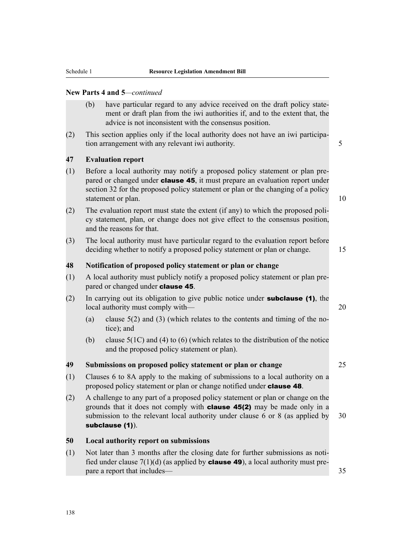- (b) have particular regard to any advice received on the draft policy statement or draft plan from the iwi authorities if, and to the extent that, the advice is not inconsistent with the consensus position.
- (2) This section applies only if the local authority does not have an iwi participation arrangement with any relevant iwi authority.

# **47 Evaluation report**

- (1) Before a local authority may notify a proposed policy statement or plan prepared or changed under **clause 45**, it must prepare an evaluation report under section 32 for the proposed policy statement or plan or the changing of a policy statement or plan. 10
- (2) The evaluation report must state the extent (if any) to which the proposed policy statement, plan, or change does not give effect to the consensus position, and the reasons for that.
- (3) The local authority must have particular regard to the evaluation report before deciding whether to notify a proposed policy statement or plan or change. 15

# **48 Notification of proposed policy statement or plan or change**

- (1) A local authority must publicly notify a proposed policy statement or plan prepared or changed under **clause 45**.
- (2) In carrying out its obligation to give public notice under **subclause (1)**, the local authority must comply with— 20
	- (a) clause 5(2) and (3) (which relates to the contents and timing of the notice); and
	- (b) clause 5(1C) and (4) to (6) (which relates to the distribution of the notice and the proposed policy statement or plan).

# **49 Submissions on proposed policy statement or plan or change** 25

- (1) Clauses 6 to 8A apply to the making of submissions to a local authority on a proposed policy statement or plan or change notified under **clause 48**.
- (2) A challenge to any part of a proposed policy statement or plan or change on the grounds that it does not comply with clause 45(2) may be made only in a submission to the relevant local authority under clause 6 or 8 (as applied by 30 subclause (1)).

# **50 Local authority report on submissions**

(1) Not later than 3 months after the closing date for further submissions as notified under clause  $7(1)(d)$  (as applied by **clause 49**), a local authority must prepare a report that includes— 35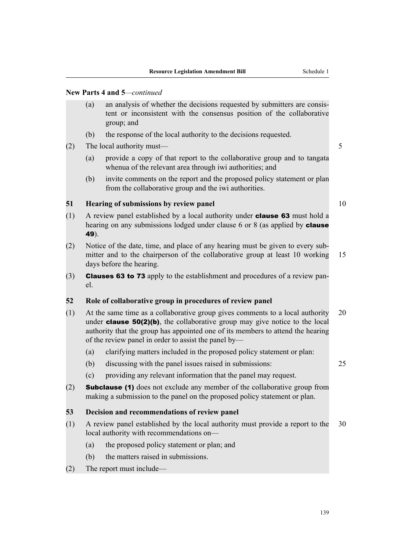- (a) an analysis of whether the decisions requested by submitters are consistent or inconsistent with the consensus position of the collaborative group; and
- (b) the response of the local authority to the decisions requested.
- (2) The local authority must— 5
	- (a) provide a copy of that report to the collaborative group and to tangata whenua of the relevant area through iwi authorities; and
	- (b) invite comments on the report and the proposed policy statement or plan from the collaborative group and the iwi authorities.

# **51 Hearing of submissions by review panel** 10

- (1) A review panel established by a local authority under clause 63 must hold a hearing on any submissions lodged under clause 6 or 8 (as applied by **clause** 49).
- (2) Notice of the date, time, and place of any hearing must be given to every submitter and to the chairperson of the collaborative group at least 10 working 15 days before the hearing.
- (3) Clauses 63 to 73 apply to the establishment and procedures of a review panel.

# **52 Role of collaborative group in procedures of review panel**

- (1) At the same time as a collaborative group gives comments to a local authority 20 under **clause 50(2)(b)**, the collaborative group may give notice to the local authority that the group has appointed one of its members to attend the hearing of the review panel in order to assist the panel by—
	- (a) clarifying matters included in the proposed policy statement or plan:
	- (b) discussing with the panel issues raised in submissions: 25
	- (c) providing any relevant information that the panel may request.
- (2) Subclause (1) does not exclude any member of the collaborative group from making a submission to the panel on the proposed policy statement or plan.

# **53 Decision and recommendations of review panel**

- (1) A review panel established by the local authority must provide a report to the 30 local authority with recommendations on—
	- (a) the proposed policy statement or plan; and
	- (b) the matters raised in submissions.
- (2) The report must include—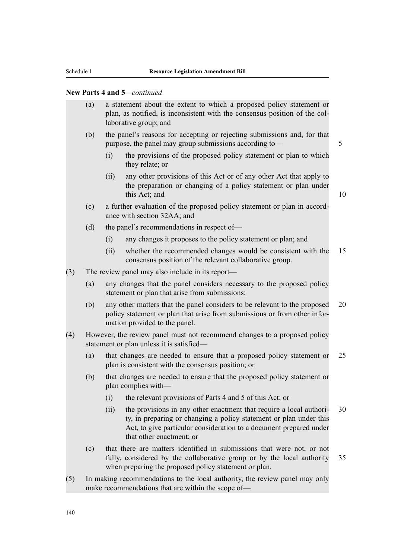- (a) a statement about the extent to which a proposed policy statement or plan, as notified, is inconsistent with the consensus position of the collaborative group; and
- (b) the panel's reasons for accepting or rejecting submissions and, for that purpose, the panel may group submissions according to— 5
	- (i) the provisions of the proposed policy statement or plan to which they relate; or
	- (ii) any other provisions of this Act or of any other Act that apply to the preparation or changing of a policy statement or plan under this Act; and 10

- (c) a further evaluation of the proposed policy statement or plan in accordance with section 32AA; and
- (d) the panel's recommendations in respect of—
	- (i) any changes it proposes to the policy statement or plan; and
	- (ii) whether the recommended changes would be consistent with the 15 consensus position of the relevant collaborative group.
- (3) The review panel may also include in its report—
	- (a) any changes that the panel considers necessary to the proposed policy statement or plan that arise from submissions:
	- (b) any other matters that the panel considers to be relevant to the proposed 20 policy statement or plan that arise from submissions or from other information provided to the panel.
- (4) However, the review panel must not recommend changes to a proposed policy statement or plan unless it is satisfied—
	- (a) that changes are needed to ensure that a proposed policy statement or 25 plan is consistent with the consensus position; or
	- (b) that changes are needed to ensure that the proposed policy statement or plan complies with—
		- (i) the relevant provisions of Parts 4 and 5 of this Act; or
		- (ii) the provisions in any other enactment that require a local authori- 30 ty, in preparing or changing a policy statement or plan under this Act, to give particular consideration to a document prepared under that other enactment; or
	- (c) that there are matters identified in submissions that were not, or not fully, considered by the collaborative group or by the local authority 35 when preparing the proposed policy statement or plan.
- (5) In making recommendations to the local authority, the review panel may only make recommendations that are within the scope of—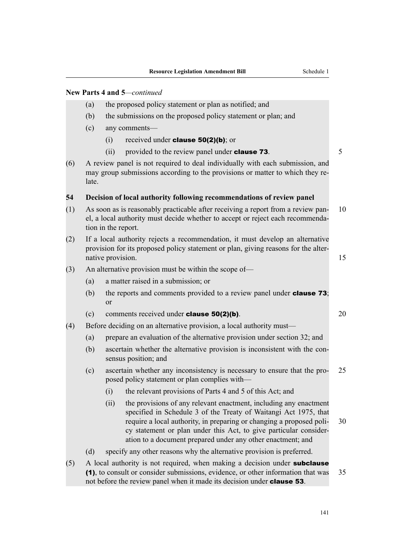- (a) the proposed policy statement or plan as notified; and
- (b) the submissions on the proposed policy statement or plan; and
- (c) any comments—
	- (i) received under **clause 50(2)(b)**; or
	- (ii) provided to the review panel under **clause 73**.  $5$
- (6) A review panel is not required to deal individually with each submission, and may group submissions according to the provisions or matter to which they relate.

#### **54 Decision of local authority following recommendations of review panel**

- (1) As soon as is reasonably practicable after receiving a report from a review pan- 10 el, a local authority must decide whether to accept or reject each recommendation in the report.
- (2) If a local authority rejects a recommendation, it must develop an alternative provision for its proposed policy statement or plan, giving reasons for the alternative provision. 15
- (3) An alternative provision must be within the scope of—
	- (a) a matter raised in a submission; or
	- (b) the reports and comments provided to a review panel under **clause 73**; or
	- (c) comments received under **clause 50(2)(b)**. 20
- (4) Before deciding on an alternative provision, a local authority must—
	- (a) prepare an evaluation of the alternative provision under section 32; and
	- (b) ascertain whether the alternative provision is inconsistent with the consensus position; and
	- (c) ascertain whether any inconsistency is necessary to ensure that the pro- 25 posed policy statement or plan complies with—
		- (i) the relevant provisions of Parts 4 and 5 of this Act; and
		- (ii) the provisions of any relevant enactment, including any enactment specified in Schedule 3 of the Treaty of Waitangi Act 1975, that require a local authority, in preparing or changing a proposed poli- 30 cy statement or plan under this Act, to give particular consideration to a document prepared under any other enactment; and
	- (d) specify any other reasons why the alternative provision is preferred.
- $(5)$  A local authority is not required, when making a decision under **subclause** (1), to consult or consider submissions, evidence, or other information that was 35 not before the review panel when it made its decision under clause 53.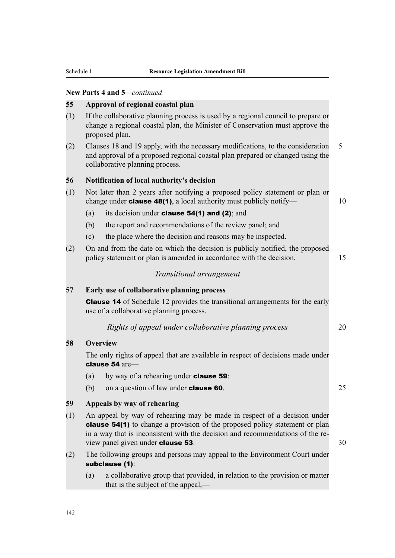#### **55 Approval of regional coastal plan**

- (1) If the collaborative planning process is used by a regional council to prepare or change a regional coastal plan, the Minister of Conservation must approve the proposed plan.
- (2) Clauses 18 and 19 apply, with the necessary modifications, to the consideration 5 and approval of a proposed regional coastal plan prepared or changed using the collaborative planning process.

# **56 Notification of local authority's decision**

- (1) Not later than 2 years after notifying a proposed policy statement or plan or change under **clause 48(1)**, a local authority must publicly notify—  $10$ 
	- (a) its decision under **clause 54(1) and (2)**; and
	- (b) the report and recommendations of the review panel; and
	- (c) the place where the decision and reasons may be inspected.
- (2) On and from the date on which the decision is publicly notified, the proposed policy statement or plan is amended in accordance with the decision. 15

#### *Transitional arrangement*

# **57 Early use of collaborative planning process**

Clause 14 of Schedule 12 provides the transitional arrangements for the early use of a collaborative planning process.

# *Rights of appeal under collaborative planning process* 20

#### **58 Overview**

The only rights of appeal that are available in respect of decisions made under clause 54 are—

- (a) by way of a rehearing under **clause 59**:
- (b) on a question of law under **clause 60**.  $25$

#### **59 Appeals by way of rehearing**

- (1) An appeal by way of rehearing may be made in respect of a decision under clause 54(1) to change a provision of the proposed policy statement or plan in a way that is inconsistent with the decision and recommendations of the review panel given under **clause 53**. 30
- (2) The following groups and persons may appeal to the Environment Court under subclause (1):
	- (a) a collaborative group that provided, in relation to the provision or matter that is the subject of the appeal,—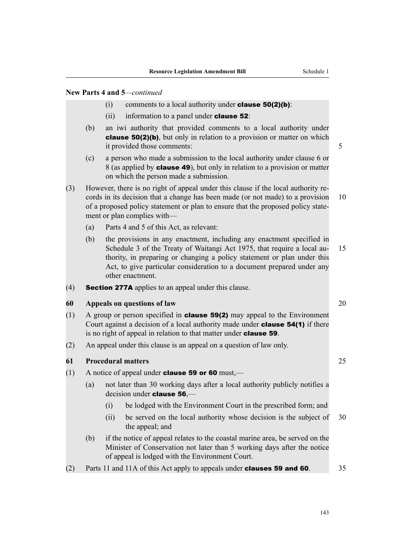- (i) comments to a local authority under **clause 50(2)(b)**:
- (ii) information to a panel under **clause 52**:
- (b) an iwi authority that provided comments to a local authority under clause 50(2)(b), but only in relation to a provision or matter on which it provided those comments: 5
- (c) a person who made a submission to the local authority under clause 6 or 8 (as applied by clause 49), but only in relation to a provision or matter on which the person made a submission.
- (3) However, there is no right of appeal under this clause if the local authority records in its decision that a change has been made (or not made) to a provision 10 of a proposed policy statement or plan to ensure that the proposed policy statement or plan complies with—
	- (a) Parts 4 and 5 of this Act, as relevant:
	- (b) the provisions in any enactment, including any enactment specified in Schedule 3 of the Treaty of Waitangi Act 1975, that require a local au-<br>15 thority, in preparing or changing a policy statement or plan under this Act, to give particular consideration to a document prepared under any other enactment.
- (4) Section 277A applies to an appeal under this clause.

### **60 Appeals on questions of law** 20

- (1) A group or person specified in **clause 59(2)** may appeal to the Environment Court against a decision of a local authority made under **clause 54(1)** if there is no right of appeal in relation to that matter under clause 59.
- (2) An appeal under this clause is an appeal on a question of law only.

### **61 Procedural matters** 25

- (1) A notice of appeal under **clause 59 or 60** must,—
	- (a) not later than 30 working days after a local authority publicly notifies a decision under clause 56,—
		- (i) be lodged with the Environment Court in the prescribed form; and
		- (ii) be served on the local authority whose decision is the subject of 30 the appeal; and
	- (b) if the notice of appeal relates to the coastal marine area, be served on the Minister of Conservation not later than 5 working days after the notice of appeal is lodged with the Environment Court.
- (2) Parts 11 and 11A of this Act apply to appeals under **clauses 59 and 60**.  $\frac{35}{2}$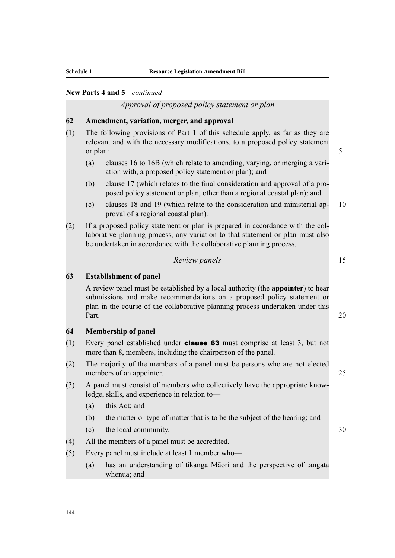### *Approval of proposed policy statement or plan*

### **62 Amendment, variation, merger, and approval**

- (1) The following provisions of Part 1 of this schedule apply, as far as they are relevant and with the necessary modifications, to a proposed policy statement or plan: 5
	- (a) clauses 16 to 16B (which relate to amending, varying, or merging a variation with, a proposed policy statement or plan); and
	- (b) clause 17 (which relates to the final consideration and approval of a proposed policy statement or plan, other than a regional coastal plan); and
	- (c) clauses 18 and 19 (which relate to the consideration and ministerial ap- 10 proval of a regional coastal plan).
- (2) If a proposed policy statement or plan is prepared in accordance with the collaborative planning process, any variation to that statement or plan must also be undertaken in accordance with the collaborative planning process.

#### *Review panels* 15

#### **63 Establishment of panel**

A review panel must be established by a local authority (the **appointer**) to hear submissions and make recommendations on a proposed policy statement or plan in the course of the collaborative planning process undertaken under this Part. 20

### **64 Membership of panel**

- (1) Every panel established under clause 63 must comprise at least 3, but not more than 8, members, including the chairperson of the panel.
- (2) The majority of the members of a panel must be persons who are not elected members of an appointer. 25
- (3) A panel must consist of members who collectively have the appropriate knowledge, skills, and experience in relation to—
	- (a) this Act; and
	- (b) the matter or type of matter that is to be the subject of the hearing; and
	- (c) the local community. 30
- (4) All the members of a panel must be accredited.
- (5) Every panel must include at least 1 member who—
	- (a) has an understanding of tikanga Māori and the perspective of tangata whenua; and

144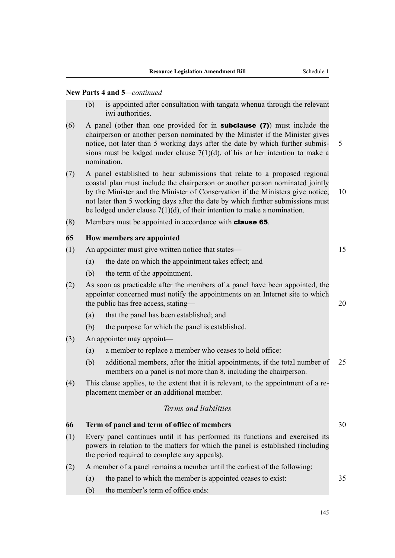- (b) is appointed after consultation with tangata whenua through the relevant iwi authorities.
- (6) A panel (other than one provided for in subclause (7)) must include the chairperson or another person nominated by the Minister if the Minister gives notice, not later than 5 working days after the date by which further submis- 5 sions must be lodged under clause  $7(1)(d)$ , of his or her intention to make a nomination.
- (7) A panel established to hear submissions that relate to a proposed regional coastal plan must include the chairperson or another person nominated jointly by the Minister and the Minister of Conservation if the Ministers give notice, 10 not later than 5 working days after the date by which further submissions must be lodged under clause  $7(1)(d)$ , of their intention to make a nomination.
- (8) Members must be appointed in accordance with clause 65.

#### **65 How members are appointed**

| (1) |                                                                                                                                                                                                                  | An appointer must give written notice that states—                                                                                                                                                    | 15 |  |
|-----|------------------------------------------------------------------------------------------------------------------------------------------------------------------------------------------------------------------|-------------------------------------------------------------------------------------------------------------------------------------------------------------------------------------------------------|----|--|
|     | (a)                                                                                                                                                                                                              | the date on which the appointment takes effect; and                                                                                                                                                   |    |  |
|     | (b)                                                                                                                                                                                                              | the term of the appointment.                                                                                                                                                                          |    |  |
| (2) |                                                                                                                                                                                                                  | As soon as practicable after the members of a panel have been appointed, the<br>appointer concerned must notify the appointments on an Internet site to which<br>the public has free access, stating— | 20 |  |
|     | (a)                                                                                                                                                                                                              | that the panel has been established; and                                                                                                                                                              |    |  |
|     | (b)                                                                                                                                                                                                              | the purpose for which the panel is established.                                                                                                                                                       |    |  |
| (3) |                                                                                                                                                                                                                  | An appointer may appoint—                                                                                                                                                                             |    |  |
|     | (a)                                                                                                                                                                                                              | a member to replace a member who ceases to hold office:                                                                                                                                               |    |  |
|     | (b)                                                                                                                                                                                                              | additional members, after the initial appointments, if the total number of<br>members on a panel is not more than 8, including the chairperson.                                                       | 25 |  |
| (4) |                                                                                                                                                                                                                  | This clause applies, to the extent that it is relevant, to the appointment of a re-<br>placement member or an additional member.                                                                      |    |  |
|     |                                                                                                                                                                                                                  | Terms and liabilities                                                                                                                                                                                 |    |  |
| 66  |                                                                                                                                                                                                                  | Term of panel and term of office of members                                                                                                                                                           | 30 |  |
| (1) | Every panel continues until it has performed its functions and exercised its<br>powers in relation to the matters for which the panel is established (including<br>the period required to complete any appeals). |                                                                                                                                                                                                       |    |  |
| (2) | A member of a panel remains a member until the earliest of the following:                                                                                                                                        |                                                                                                                                                                                                       |    |  |
|     | (a)                                                                                                                                                                                                              | the panel to which the member is appointed ceases to exist:                                                                                                                                           | 35 |  |
|     | (b)                                                                                                                                                                                                              | the member's term of office ends:                                                                                                                                                                     |    |  |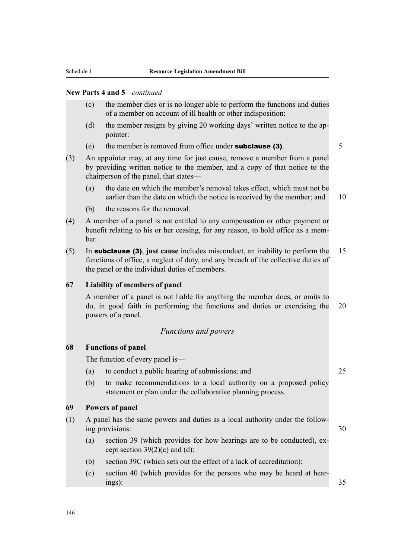- (c) the member dies or is no longer able to perform the functions and duties of a member on account of ill health or other indisposition:
- (d) the member resigns by giving 20 working days' written notice to the appointer:
- (e) the member is removed from office under **subclause (3)**.  $\frac{5}{5}$
- (3) An appointer may, at any time for just cause, remove a member from a panel by providing written notice to the member, and a copy of that notice to the chairperson of the panel, that states—
	- (a) the date on which the member's removal takes effect, which must not be earlier than the date on which the notice is received by the member; and 10
	- (b) the reasons for the removal.
- (4) A member of a panel is not entitled to any compensation or other payment or benefit relating to his or her ceasing, for any reason, to hold office as a member.
- (5) In subclause (3), **just cause** includes misconduct, an inability to perform the 15 functions of office, a neglect of duty, and any breach of the collective duties of the panel or the individual duties of members.

#### **67 Liability of members of panel**

A member of a panel is not liable for anything the member does, or omits to do, in good faith in performing the functions and duties or exercising the 20 powers of a panel.

#### *Functions and powers*

#### **68 Functions of panel**

The function of every panel is—

- (a) to conduct a public hearing of submissions; and 25
- (b) to make recommendations to a local authority on a proposed policy statement or plan under the collaborative planning process.

#### **69 Powers of panel**

- (1) A panel has the same powers and duties as a local authority under the following provisions: 30
	- (a) section 39 (which provides for how hearings are to be conducted), except section  $39(2)(c)$  and (d):
	- (b) section 39C (which sets out the effect of a lack of accreditation):
	- (c) section 40 (which provides for the persons who may be heard at hearings): 35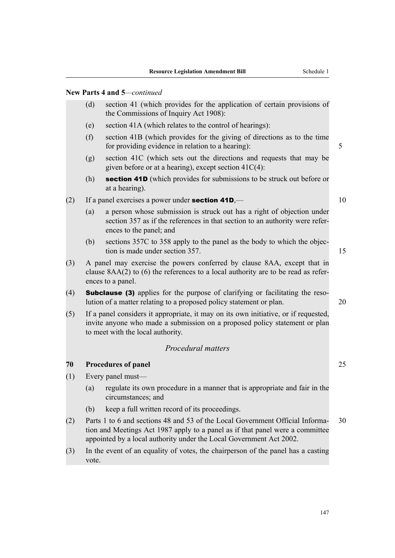- (d) section 41 (which provides for the application of certain provisions of the Commissions of Inquiry Act 1908):
- (e) section 41A (which relates to the control of hearings):
- (f) section 41B (which provides for the giving of directions as to the time for providing evidence in relation to a hearing): 5
- (g) section 41C (which sets out the directions and requests that may be given before or at a hearing), except section 41C(4):
- (h) **section 41D** (which provides for submissions to be struck out before or at a hearing).
- (2) If a panel exercises a power under **section 41D**,—
	- (a) a person whose submission is struck out has a right of objection under section 357 as if the references in that section to an authority were references to the panel; and
	- (b) sections 357C to 358 apply to the panel as the body to which the objection is made under section 357. 15
- (3) A panel may exercise the powers conferred by clause 8AA, except that in clause 8AA(2) to (6) the references to a local authority are to be read as references to a panel.
- (4) Subclause (3) applies for the purpose of clarifying or facilitating the resolution of a matter relating to a proposed policy statement or plan. 20
- (5) If a panel considers it appropriate, it may on its own initiative, or if requested, invite anyone who made a submission on a proposed policy statement or plan to meet with the local authority.

#### *Procedural matters*

#### **70 Procedures of panel** 25

- (1) Every panel must—
	- (a) regulate its own procedure in a manner that is appropriate and fair in the circumstances; and
	- (b) keep a full written record of its proceedings.
- (2) Parts 1 to 6 and sections 48 and 53 of the Local Government Official Informa- 30 tion and Meetings Act 1987 apply to a panel as if that panel were a committee appointed by a local authority under the Local Government Act 2002.
- (3) In the event of an equality of votes, the chairperson of the panel has a casting vote.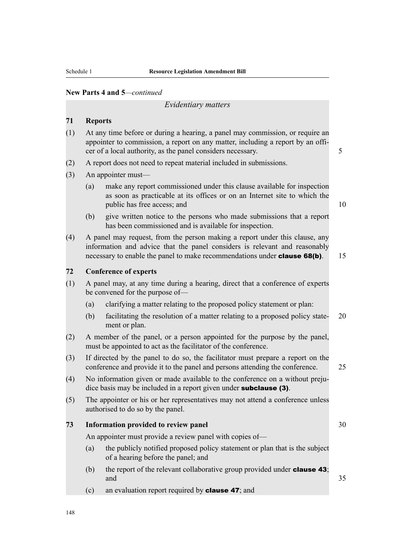#### *Evidentiary matters*

#### **71 Reports**

- (1) At any time before or during a hearing, a panel may commission, or require an appointer to commission, a report on any matter, including a report by an officer of a local authority, as the panel considers necessary. 5
- (2) A report does not need to repeat material included in submissions.
- (3) An appointer must—
	- (a) make any report commissioned under this clause available for inspection as soon as practicable at its offices or on an Internet site to which the public has free access; and 10
	- (b) give written notice to the persons who made submissions that a report has been commissioned and is available for inspection.
- (4) A panel may request, from the person making a report under this clause, any information and advice that the panel considers is relevant and reasonably necessary to enable the panel to make recommendations under **clause 68(b)**. 15

### **72 Conference of experts**

- (1) A panel may, at any time during a hearing, direct that a conference of experts be convened for the purpose of—
	- (a) clarifying a matter relating to the proposed policy statement or plan:
	- (b) facilitating the resolution of a matter relating to a proposed policy state- 20 ment or plan.
- (2) A member of the panel, or a person appointed for the purpose by the panel, must be appointed to act as the facilitator of the conference.
- (3) If directed by the panel to do so, the facilitator must prepare a report on the conference and provide it to the panel and persons attending the conference. 25
- (4) No information given or made available to the conference on a without prejudice basis may be included in a report given under **subclause** (3).
- (5) The appointer or his or her representatives may not attend a conference unless authorised to do so by the panel.

### **73 Information provided to review panel** 30

An appointer must provide a review panel with copies of—

- (a) the publicly notified proposed policy statement or plan that is the subject of a hearing before the panel; and
- (b) the report of the relevant collaborative group provided under **clause 43**; and  $35$
- (c) an evaluation report required by clause 47; and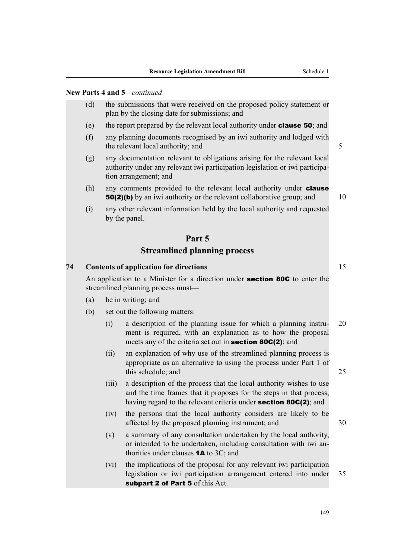- (d) the submissions that were received on the proposed policy statement or plan by the closing date for submissions; and
- (e) the report prepared by the relevant local authority under clause 50; and
- (f) any planning documents recognised by an iwi authority and lodged with the relevant local authority; and 5
- (g) any documentation relevant to obligations arising for the relevant local authority under any relevant iwi participation legislation or iwi participation arrangement; and
- (h) any comments provided to the relevant local authority under **clause 50(2)(b)** by an iwi authority or the relevant collaborative group; and 10

(i) any other relevant information held by the local authority and requested by the panel.

### **Part 5**

### **Streamlined planning process**

#### **74 Contents of application for directions** 15

An application to a Minister for a direction under **section 80C** to enter the streamlined planning process must—

- (a) be in writing; and
- (b) set out the following matters:
	- (i) a description of the planning issue for which a planning instru- 20 ment is required, with an explanation as to how the proposal meets any of the criteria set out in **section 80C(2)**; and
	- (ii) an explanation of why use of the streamlined planning process is appropriate as an alternative to using the process under Part 1 of this schedule; and 25
	- (iii) a description of the process that the local authority wishes to use and the time frames that it proposes for the steps in that process, having regard to the relevant criteria under **section 80C(2)**; and
	- (iv) the persons that the local authority considers are likely to be affected by the proposed planning instrument; and 30
	- (v) a summary of any consultation undertaken by the local authority, or intended to be undertaken, including consultation with iwi authorities under clauses 1A to 3C; and
	- (vi) the implications of the proposal for any relevant iwi participation legislation or iwi participation arrangement entered into under 35 subpart 2 of Part 5 of this Act.

149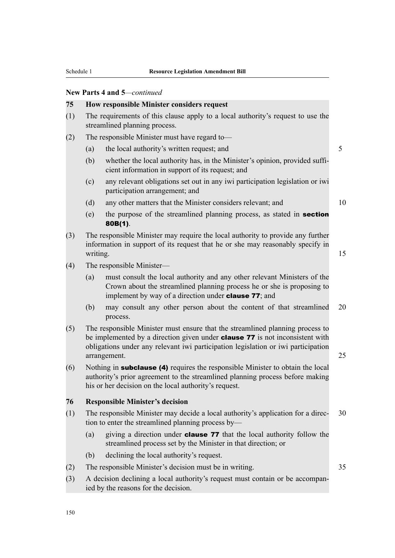#### **75 How responsible Minister considers request**

- (1) The requirements of this clause apply to a local authority's request to use the streamlined planning process.
- (2) The responsible Minister must have regard to—
	- (a) the local authority's written request; and 5
	- (b) whether the local authority has, in the Minister's opinion, provided sufficient information in support of its request; and
	- (c) any relevant obligations set out in any iwi participation legislation or iwi participation arrangement; and
	- (d) any other matters that the Minister considers relevant; and 10
	- (e) the purpose of the streamlined planning process, as stated in section 80B(1).
- (3) The responsible Minister may require the local authority to provide any further information in support of its request that he or she may reasonably specify in writing. The contract of the contract of the contract of the contract of the contract of the contract of the contract of the contract of the contract of the contract of the contract of the contract of the contract of the c
- (4) The responsible Minister—
	- (a) must consult the local authority and any other relevant Ministers of the Crown about the streamlined planning process he or she is proposing to implement by way of a direction under **clause 77**; and
	- (b) may consult any other person about the content of that streamlined 20 process.
- (5) The responsible Minister must ensure that the streamlined planning process to be implemented by a direction given under **clause 77** is not inconsistent with obligations under any relevant iwi participation legislation or iwi participation arrangement. 25
- (6) Nothing in subclause (4) requires the responsible Minister to obtain the local authority's prior agreement to the streamlined planning process before making his or her decision on the local authority's request.

#### **76 Responsible Minister's decision**

- (1) The responsible Minister may decide a local authority's application for a direc- 30 tion to enter the streamlined planning process by—
	- (a) giving a direction under clause 77 that the local authority follow the streamlined process set by the Minister in that direction; or
	- (b) declining the local authority's request.
- (2) The responsible Minister's decision must be in writing. 35
- (3) A decision declining a local authority's request must contain or be accompanied by the reasons for the decision.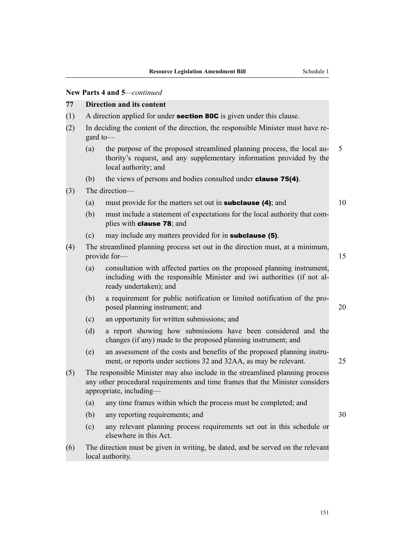#### **77 Direction and its content**

- (1) A direction applied for under **section 80C** is given under this clause.
- (2) In deciding the content of the direction, the responsible Minister must have regard to—
	- (a) the purpose of the proposed streamlined planning process, the local au- 5 thority's request, and any supplementary information provided by the local authority; and
	- (b) the views of persons and bodies consulted under **clause 75(4)**.

#### (3) The direction—

- (a) must provide for the matters set out in **subclause (4)**; and  $10$
- (b) must include a statement of expectations for the local authority that complies with clause 78; and
- (c) may include any matters provided for in subclause (5).
- (4) The streamlined planning process set out in the direction must, at a minimum, provide for— 15
	- (a) consultation with affected parties on the proposed planning instrument, including with the responsible Minister and iwi authorities (if not already undertaken); and
	- (b) a requirement for public notification or limited notification of the proposed planning instrument; and 20
	- (c) an opportunity for written submissions; and
	- (d) a report showing how submissions have been considered and the changes (if any) made to the proposed planning instrument; and
	- (e) an assessment of the costs and benefits of the proposed planning instrument, or reports under sections 32 and 32AA, as may be relevant. 25
- (5) The responsible Minister may also include in the streamlined planning process any other procedural requirements and time frames that the Minister considers appropriate, including—
	- (a) any time frames within which the process must be completed; and
	- (b) any reporting requirements; and 30
	- (c) any relevant planning process requirements set out in this schedule or elsewhere in this Act.
- (6) The direction must be given in writing, be dated, and be served on the relevant local authority.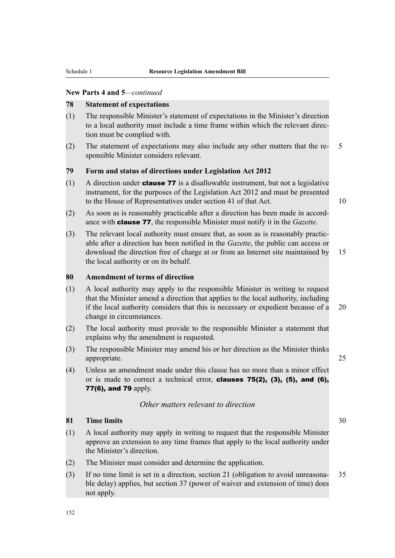#### **78 Statement of expectations**

- (1) The responsible Minister's statement of expectations in the Minister's direction to a local authority must include a time frame within which the relevant direction must be complied with.
- (2) The statement of expectations may also include any other matters that the re- 5 sponsible Minister considers relevant.

### **79 Form and status of directions under Legislation Act 2012**

- $(1)$  A direction under **clause 77** is a disallowable instrument, but not a legislative instrument, for the purposes of the Legislation Act 2012 and must be presented to the House of Representatives under section 41 of that Act. 10
- (2) As soon as is reasonably practicable after a direction has been made in accordance with clause 77, the responsible Minister must notify it in the *Gazette*.
- (3) The relevant local authority must ensure that, as soon as is reasonably practicable after a direction has been notified in the *Gazette*, the public can access or download the direction free of charge at or from an Internet site maintained by 15 the local authority or on its behalf.

#### **80 Amendment of terms of direction**

- (1) A local authority may apply to the responsible Minister in writing to request that the Minister amend a direction that applies to the local authority, including if the local authority considers that this is necessary or expedient because of a 20 change in circumstances.
- (2) The local authority must provide to the responsible Minister a statement that explains why the amendment is requested.
- (3) The responsible Minister may amend his or her direction as the Minister thinks appropriate. 25
- (4) Unless an amendment made under this clause has no more than a minor effect or is made to correct a technical error, **clauses 75(2), (3), (5), and (6),** 77(6), and 79 apply.

### *Other matters relevant to direction*

#### **81 Time limits** 30

- (1) A local authority may apply in writing to request that the responsible Minister approve an extension to any time frames that apply to the local authority under the Minister's direction.
- (2) The Minister must consider and determine the application.
- (3) If no time limit is set in a direction, section 21 (obligation to avoid unreasona- 35 ble delay) applies, but section 37 (power of waiver and extension of time) does not apply.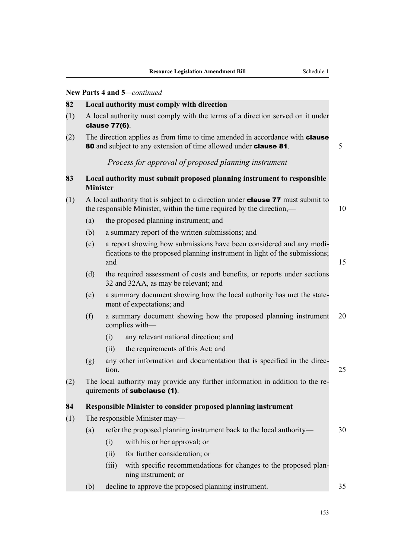#### **82 Local authority must comply with direction**

- (1) A local authority must comply with the terms of a direction served on it under clause 77(6).
- (2) The direction applies as from time to time amended in accordance with **clause** 80 and subject to any extension of time allowed under **clause 81**. 5

### *Process for approval of proposed planning instrument*

| 83 | Local authority must submit proposed planning instrument to responsible |
|----|-------------------------------------------------------------------------|
|    | <b>Minister</b>                                                         |

- (1) A local authority that is subject to a direction under **clause 77** must submit to the responsible Minister, within the time required by the direction,— 10
	- (a) the proposed planning instrument; and
	- (b) a summary report of the written submissions; and
	- (c) a report showing how submissions have been considered and any modifications to the proposed planning instrument in light of the submissions; and  $15$
	- (d) the required assessment of costs and benefits, or reports under sections 32 and 32AA, as may be relevant; and
	- (e) a summary document showing how the local authority has met the statement of expectations; and
	- (f) a summary document showing how the proposed planning instrument 20 complies with—
		- (i) any relevant national direction; and
		- (ii) the requirements of this Act; and
	- (g) any other information and documentation that is specified in the direction. 25
- (2) The local authority may provide any further information in addition to the requirements of subclause (1).

#### **84 Responsible Minister to consider proposed planning instrument**

(1) The responsible Minister may—

| refer the proposed planning instrument back to the local authority—<br>(a) |  |
|----------------------------------------------------------------------------|--|
|----------------------------------------------------------------------------|--|

- (i) with his or her approval; or
- (ii) for further consideration; or
- (iii) with specific recommendations for changes to the proposed planning instrument; or
- (b) decline to approve the proposed planning instrument. 35

153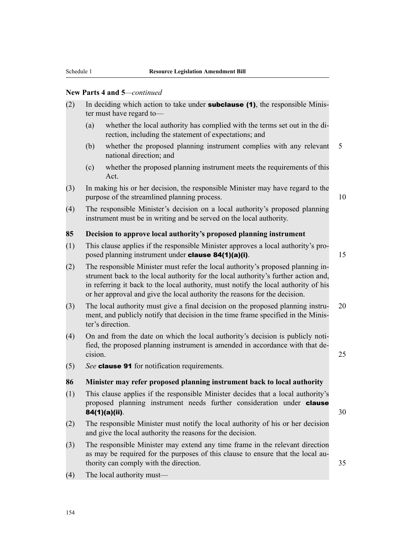- (2) In deciding which action to take under **subclause (1)**, the responsible Minister must have regard to—
	- (a) whether the local authority has complied with the terms set out in the direction, including the statement of expectations; and
	- (b) whether the proposed planning instrument complies with any relevant 5 national direction; and
	- (c) whether the proposed planning instrument meets the requirements of this Act.
- (3) In making his or her decision, the responsible Minister may have regard to the purpose of the streamlined planning process. 10

(4) The responsible Minister's decision on a local authority's proposed planning instrument must be in writing and be served on the local authority.

### **85 Decision to approve local authority's proposed planning instrument**

(1) This clause applies if the responsible Minister approves a local authority's proposed planning instrument under **clause 84(1)(a)(i)**. 15

(2) The responsible Minister must refer the local authority's proposed planning instrument back to the local authority for the local authority's further action and, in referring it back to the local authority, must notify the local authority of his or her approval and give the local authority the reasons for the decision.

- (3) The local authority must give a final decision on the proposed planning instru- 20 ment, and publicly notify that decision in the time frame specified in the Minister's direction.
- (4) On and from the date on which the local authority's decision is publicly notified, the proposed planning instrument is amended in accordance with that decision. 25
- (5) *See* clause 91 for notification requirements.

### **86 Minister may refer proposed planning instrument back to local authority**

- (1) This clause applies if the responsible Minister decides that a local authority's proposed planning instrument needs further consideration under **clause 84(1)(a)(ii).**  $30$
- (2) The responsible Minister must notify the local authority of his or her decision and give the local authority the reasons for the decision.
- (3) The responsible Minister may extend any time frame in the relevant direction as may be required for the purposes of this clause to ensure that the local authority can comply with the direction.  $35$
- (4) The local authority must—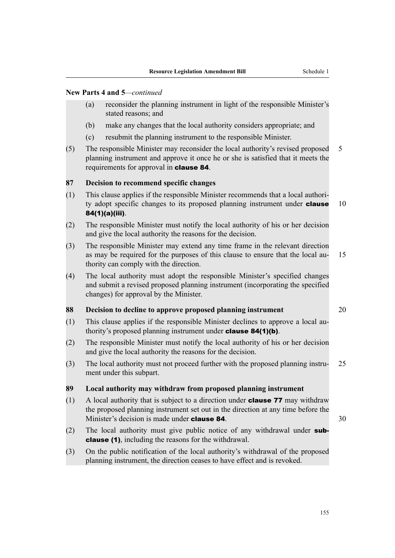- (a) reconsider the planning instrument in light of the responsible Minister's stated reasons; and
- (b) make any changes that the local authority considers appropriate; and
- (c) resubmit the planning instrument to the responsible Minister.
- (5) The responsible Minister may reconsider the local authority's revised proposed 5 planning instrument and approve it once he or she is satisfied that it meets the requirements for approval in clause 84.

### **87 Decision to recommend specific changes**

- (1) This clause applies if the responsible Minister recommends that a local authority adopt specific changes to its proposed planning instrument under **clause** 10 84(1)(a)(iii).
- (2) The responsible Minister must notify the local authority of his or her decision and give the local authority the reasons for the decision.
- (3) The responsible Minister may extend any time frame in the relevant direction as may be required for the purposes of this clause to ensure that the local au- 15 thority can comply with the direction.
- (4) The local authority must adopt the responsible Minister's specified changes and submit a revised proposed planning instrument (incorporating the specified changes) for approval by the Minister.

### **88 Decision to decline to approve proposed planning instrument** 20

- (1) This clause applies if the responsible Minister declines to approve a local authority's proposed planning instrument under clause 84(1)(b).
- (2) The responsible Minister must notify the local authority of his or her decision and give the local authority the reasons for the decision.
- (3) The local authority must not proceed further with the proposed planning instru- 25 ment under this subpart.

### **89 Local authority may withdraw from proposed planning instrument**

- (1) A local authority that is subject to a direction under **clause 77** may withdraw the proposed planning instrument set out in the direction at any time before the Minister's decision is made under **clause 84**.  $\bullet$  30
- (2) The local authority must give public notice of any withdrawal under subclause (1), including the reasons for the withdrawal.
- (3) On the public notification of the local authority's withdrawal of the proposed planning instrument, the direction ceases to have effect and is revoked.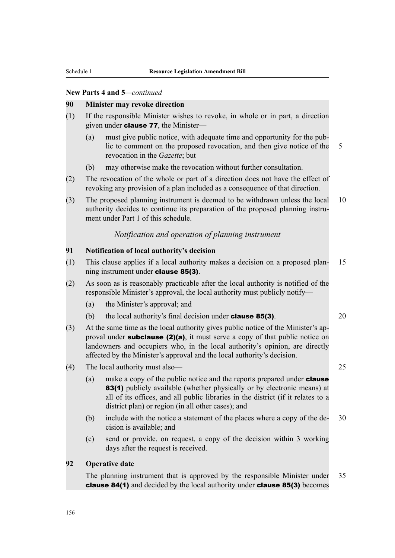#### **90 Minister may revoke direction**

- (1) If the responsible Minister wishes to revoke, in whole or in part, a direction given under clause 77, the Minister—
	- (a) must give public notice, with adequate time and opportunity for the public to comment on the proposed revocation, and then give notice of the 5 revocation in the *Gazette*; but
	- (b) may otherwise make the revocation without further consultation.
- (2) The revocation of the whole or part of a direction does not have the effect of revoking any provision of a plan included as a consequence of that direction.
- (3) The proposed planning instrument is deemed to be withdrawn unless the local 10 authority decides to continue its preparation of the proposed planning instrument under Part 1 of this schedule.

#### *Notification and operation of planning instrument*

### **91 Notification of local authority's decision**

- (1) This clause applies if a local authority makes a decision on a proposed plan- 15 ning instrument under clause 85(3).
- (2) As soon as is reasonably practicable after the local authority is notified of the responsible Minister's approval, the local authority must publicly notify—
	- (a) the Minister's approval; and
	- (b) the local authority's final decision under **clause 85(3)**.  $20$
- (3) At the same time as the local authority gives public notice of the Minister's approval under **subclause (2)(a)**, it must serve a copy of that public notice on landowners and occupiers who, in the local authority's opinion, are directly affected by the Minister's approval and the local authority's decision.
- (4) The local authority must also— 25
	- (a) make a copy of the public notice and the reports prepared under **clause** 83(1) publicly available (whether physically or by electronic means) at all of its offices, and all public libraries in the district (if it relates to a district plan) or region (in all other cases); and
	- (b) include with the notice a statement of the places where a copy of the de- 30 cision is available; and
	- (c) send or provide, on request, a copy of the decision within 3 working days after the request is received.

#### **92 Operative date**

The planning instrument that is approved by the responsible Minister under 35 clause 84(1) and decided by the local authority under clause 85(3) becomes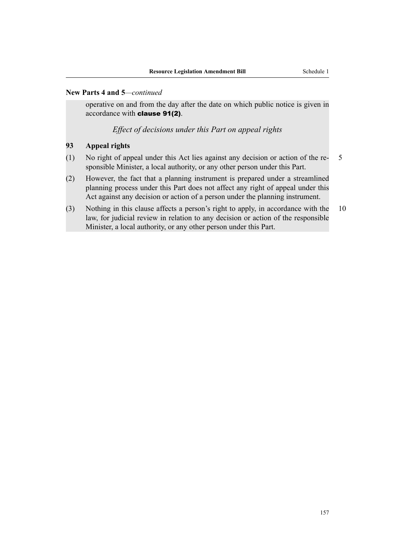operative on and from the day after the date on which public notice is given in accordance with clause 91(2).

*Effect of decisions under this Part on appeal rights*

### **93 Appeal rights**

- (1) No right of appeal under this Act lies against any decision or action of the re- 5 sponsible Minister, a local authority, or any other person under this Part.
- (2) However, the fact that a planning instrument is prepared under a streamlined planning process under this Part does not affect any right of appeal under this Act against any decision or action of a person under the planning instrument.
- (3) Nothing in this clause affects a person's right to apply, in accordance with the 10 law, for judicial review in relation to any decision or action of the responsible Minister, a local authority, or any other person under this Part.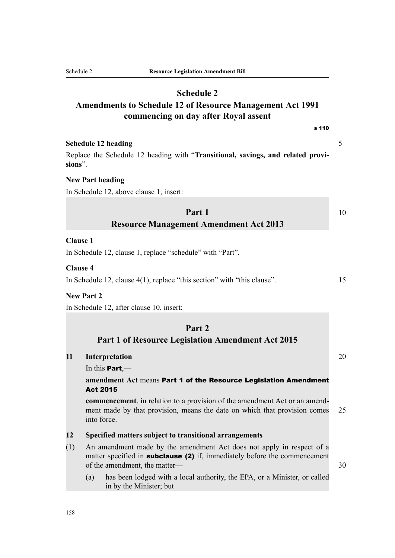# **Schedule 2**

# **Amendments to Schedule 12 of Resource Management Act 1991 commencing on day after Royal assent**

s 110

### **Schedule 12 heading** 5

Replace the Schedule 12 heading with "**Transitional, savings, and related provisions**".

### **New Part heading**

In Schedule 12, above clause 1, insert:

# **Part 1** 10 **Resource Management Amendment Act 2013**

#### **Clause 1**

In Schedule 12, clause 1, replace "schedule" with "Part".

### **Clause 4**

In Schedule 12, clause 4(1), replace "this section" with "this clause". 15

### **New Part 2**

In Schedule 12, after clause 10, insert:

### **Part 2**

### **Part 1 of Resource Legislation Amendment Act 2015**

#### **11 Interpretation** 20

In this  $Part$ —

### **amendment Act** means Part 1 of the Resource Legislation Amendment Act 2015

**commencement**, in relation to a provision of the amendment Act or an amendment made by that provision, means the date on which that provision comes 25 into force.

#### **12 Specified matters subject to transitional arrangements**

- (1) An amendment made by the amendment Act does not apply in respect of a matter specified in **subclause (2)** if, immediately before the commencement of the amendment, the matter— 30 and 30 and 30 and 30 and 30 and 30 and 30 and 30 and 30 and 30 and 30 and 30 and 30 and 30 and 30 and 30 and 30 and 30 and 30 and 30 and 30 and 30 and 30 and 30 and 30 and 30 and 30 and 30
	- (a) has been lodged with a local authority, the EPA, or a Minister, or called in by the Minister; but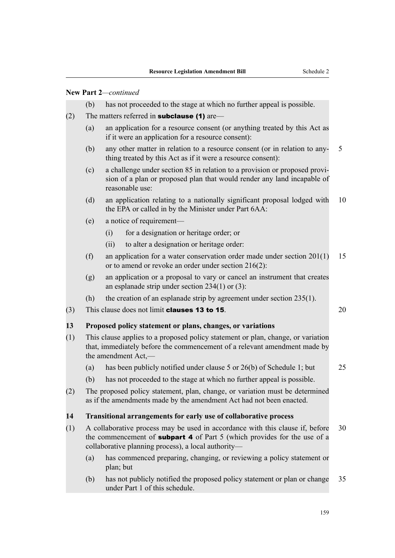### **New Part 2***—continued*

- (b) has not proceeded to the stage at which no further appeal is possible.
- (2) The matters referred in **subclause (1)** are—
	- (a) an application for a resource consent (or anything treated by this Act as if it were an application for a resource consent):
	- (b) any other matter in relation to a resource consent (or in relation to any- 5 thing treated by this Act as if it were a resource consent):
	- (c) a challenge under section 85 in relation to a provision or proposed provision of a plan or proposed plan that would render any land incapable of reasonable use:
	- (d) an application relating to a nationally significant proposal lodged with 10 the EPA or called in by the Minister under Part 6AA:
	- (e) a notice of requirement—
		- (i) for a designation or heritage order; or
		- (ii) to alter a designation or heritage order:
	- (f) an application for a water conservation order made under section 201(1) 15 or to amend or revoke an order under section 216(2):
	- (g) an application or a proposal to vary or cancel an instrument that creates an esplanade strip under section 234(1) or (3):
	- (h) the creation of an esplanade strip by agreement under section 235(1).
- (3) This clause does not limit **clauses 13 to 15**.  $20$

### **13 Proposed policy statement or plans, changes, or variations**

- (1) This clause applies to a proposed policy statement or plan, change, or variation that, immediately before the commencement of a relevant amendment made by the amendment Act,—
	- (a) has been publicly notified under clause 5 or 26(b) of Schedule 1; but 25
	- (b) has not proceeded to the stage at which no further appeal is possible.
- (2) The proposed policy statement, plan, change, or variation must be determined as if the amendments made by the amendment Act had not been enacted.

#### **14 Transitional arrangements for early use of collaborative process**

- (1) A collaborative process may be used in accordance with this clause if, before 30 the commencement of **subpart 4** of Part 5 (which provides for the use of a collaborative planning process), a local authority—
	- (a) has commenced preparing, changing, or reviewing a policy statement or plan; but
	- (b) has not publicly notified the proposed policy statement or plan or change 35 under Part 1 of this schedule.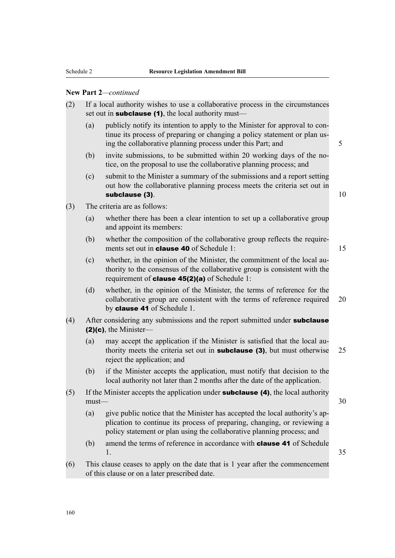### **New Part 2***—continued*

| (2) | If a local authority wishes to use a collaborative process in the circumstances<br>set out in <b>subclause</b> $(1)$ , the local authority must— |                                                                                                                                                                                                                                   |    |  |  |  |
|-----|--------------------------------------------------------------------------------------------------------------------------------------------------|-----------------------------------------------------------------------------------------------------------------------------------------------------------------------------------------------------------------------------------|----|--|--|--|
|     | (a)                                                                                                                                              | publicly notify its intention to apply to the Minister for approval to con-<br>tinue its process of preparing or changing a policy statement or plan us-<br>ing the collaborative planning process under this Part; and           | 5  |  |  |  |
|     | (b)                                                                                                                                              | invite submissions, to be submitted within 20 working days of the no-<br>tice, on the proposal to use the collaborative planning process; and                                                                                     |    |  |  |  |
|     | (c)                                                                                                                                              | submit to the Minister a summary of the submissions and a report setting<br>out how the collaborative planning process meets the criteria set out in<br>subclause (3).                                                            | 10 |  |  |  |
| (3) |                                                                                                                                                  | The criteria are as follows:                                                                                                                                                                                                      |    |  |  |  |
|     | (a)                                                                                                                                              | whether there has been a clear intention to set up a collaborative group<br>and appoint its members:                                                                                                                              |    |  |  |  |
|     | (b)                                                                                                                                              | whether the composition of the collaborative group reflects the require-<br>ments set out in <b>clause 40</b> of Schedule 1:                                                                                                      | 15 |  |  |  |
|     | (c)                                                                                                                                              | whether, in the opinion of the Minister, the commitment of the local au-<br>thority to the consensus of the collaborative group is consistent with the<br>requirement of <b>clause 45(2)(a)</b> of Schedule 1:                    |    |  |  |  |
|     | (d)                                                                                                                                              | whether, in the opinion of the Minister, the terms of reference for the<br>collaborative group are consistent with the terms of reference required<br>by clause 41 of Schedule 1.                                                 | 20 |  |  |  |
| (4) |                                                                                                                                                  | After considering any submissions and the report submitted under subclause<br>$(2)(c)$ , the Minister-                                                                                                                            |    |  |  |  |
|     | (a)                                                                                                                                              | may accept the application if the Minister is satisfied that the local au-<br>thority meets the criteria set out in <b>subclause</b> (3), but must otherwise<br>reject the application; and                                       | 25 |  |  |  |
|     | (b)                                                                                                                                              | if the Minister accepts the application, must notify that decision to the<br>local authority not later than 2 months after the date of the application.                                                                           |    |  |  |  |
| (5) | must-                                                                                                                                            | If the Minister accepts the application under <b>subclause</b> (4), the local authority                                                                                                                                           | 30 |  |  |  |
|     | (a)                                                                                                                                              | give public notice that the Minister has accepted the local authority's ap-<br>plication to continue its process of preparing, changing, or reviewing a<br>policy statement or plan using the collaborative planning process; and |    |  |  |  |
|     | (b)                                                                                                                                              | amend the terms of reference in accordance with <b>clause 41</b> of Schedule<br>1.                                                                                                                                                | 35 |  |  |  |
| (6) |                                                                                                                                                  | This clause ceases to apply on the date that is 1 year after the commencement<br>of this clause or on a later prescribed date.                                                                                                    |    |  |  |  |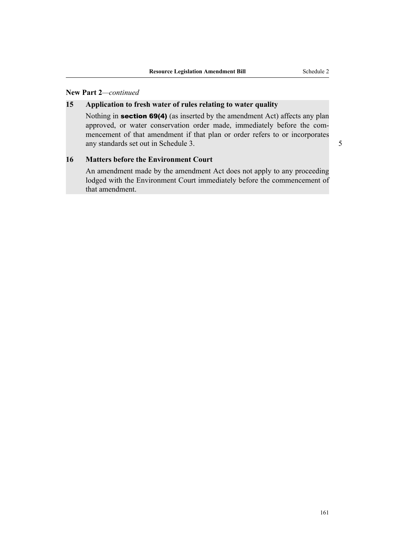### **New Part 2***—continued*

### **15 Application to fresh water of rules relating to water quality**

Nothing in section 69(4) (as inserted by the amendment Act) affects any plan approved, or water conservation order made, immediately before the commencement of that amendment if that plan or order refers to or incorporates any standards set out in Schedule 3. 5

#### **16 Matters before the Environment Court**

An amendment made by the amendment Act does not apply to any proceeding lodged with the Environment Court immediately before the commencement of that amendment.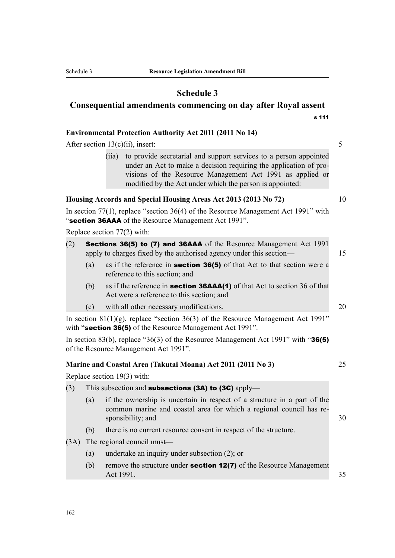### **Schedule 3**

# **Consequential amendments commencing on day after Royal assent** s 111

#### **Environmental Protection Authority Act 2011 (2011 No 14)**

After section  $13(c)(ii)$ , insert: 5

(iia) to provide secretarial and support services to a person appointed under an Act to make a decision requiring the application of provisions of the Resource Management Act 1991 as applied or modified by the Act under which the person is appointed:

### **Housing Accords and Special Housing Areas Act 2013 (2013 No 72)** 10

In section 77(1), replace "section 36(4) of the Resource Management Act 1991" with "section 36AAA of the Resource Management Act 1991".

Replace section 77(2) with:

- (2) Sections 36(5) to (7) and 36AAA of the Resource Management Act 1991 apply to charges fixed by the authorised agency under this section— 15
	- (a) as if the reference in section 36(5) of that Act to that section were a reference to this section; and
	- (b) as if the reference in **section 36AAA(1)** of that Act to section 36 of that Act were a reference to this section; and
	- (c) with all other necessary modifications. 20

In section  $81(1)(g)$ , replace "section 36(3) of the Resource Management Act 1991" with "section 36(5) of the Resource Management Act 1991".

In section 83(b), replace "36(3) of the Resource Management Act 1991" with "36(5) of the Resource Management Act 1991".

#### **Marine and Coastal Area (Takutai Moana) Act 2011 (2011 No 3)** 25

Replace section 19(3) with:

- (3) This subsection and **subsections (3A) to (3C)** apply—
	- (a) if the ownership is uncertain in respect of a structure in a part of the common marine and coastal area for which a regional council has responsibility; and 30
	- (b) there is no current resource consent in respect of the structure.
- (3A) The regional council must—
	- (a) undertake an inquiry under subsection (2); or
	- (b) remove the structure under **section 12(7)** of the Resource Management Act 1991. 35

162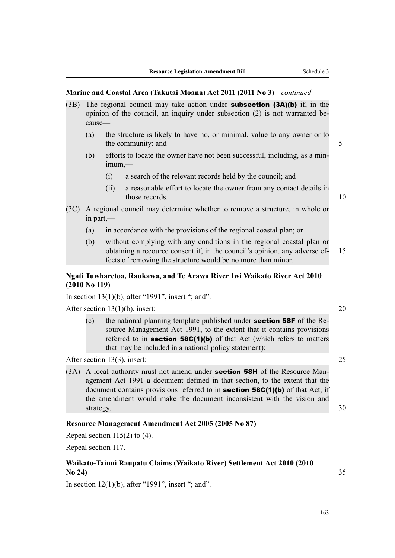#### **Marine and Coastal Area (Takutai Moana) Act 2011 (2011 No 3)***—continued*

- (3B) The regional council may take action under **subsection (3A)(b)** if, in the opinion of the council, an inquiry under subsection (2) is not warranted because—
	- (a) the structure is likely to have no, or minimal, value to any owner or to the community; and 5
	- (b) efforts to locate the owner have not been successful, including, as a minimum,—
		- (i) a search of the relevant records held by the council; and
		- (ii) a reasonable effort to locate the owner from any contact details in those records. The contract of the contract of the contract of the contract of the contract of the contract of the contract of the contract of the contract of the contract of the contract of the contract of the contract of
			-
- (3C) A regional council may determine whether to remove a structure, in whole or in part,—
	- (a) in accordance with the provisions of the regional coastal plan; or
	- (b) without complying with any conditions in the regional coastal plan or obtaining a recource consent if, in the council's opinion, any adverse ef- 15 fects of removing the structure would be no more than minor.

### **Ngati Tuwharetoa, Raukawa, and Te Arawa River Iwi Waikato River Act 2010 (2010 No 119)**

In section  $13(1)(b)$ , after "1991", insert "; and".

After section 13(1)(b), insert: 20

(c) the national planning template published under section 58F of the Resource Management Act 1991, to the extent that it contains provisions referred to in **section 58C(1)(b)** of that Act (which refers to matters that may be included in a national policy statement):

After section 13(3), insert: 25

(3A) A local authority must not amend under **section 58H** of the Resource Management Act 1991 a document defined in that section, to the extent that the document contains provisions referred to in **section 58C(1)(b)** of that Act, if the amendment would make the document inconsistent with the vision and strategy. 30

### **Resource Management Amendment Act 2005 (2005 No 87)**

Repeal section  $115(2)$  to (4).

Repeal section 117.

### **Waikato-Tainui Raupatu Claims (Waikato River) Settlement Act 2010 (2010 No 24)** 35

In section  $12(1)(b)$ , after "1991", insert "; and".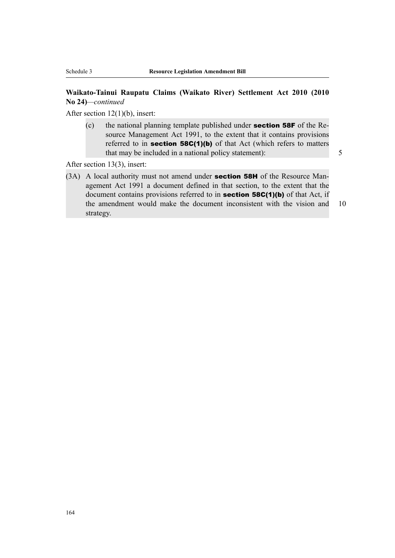### **Waikato-Tainui Raupatu Claims (Waikato River) Settlement Act 2010 (2010 No 24)***—continued*

After section 12(1)(b), insert:

(c) the national planning template published under section 58F of the Resource Management Act 1991, to the extent that it contains provisions referred to in **section 58C(1)(b)** of that Act (which refers to matters that may be included in a national policy statement): 5

After section 13(3), insert:

(3A) A local authority must not amend under **section 58H** of the Resource Management Act 1991 a document defined in that section, to the extent that the document contains provisions referred to in **section 58C(1)(b)** of that Act, if the amendment would make the document inconsistent with the vision and 10 strategy.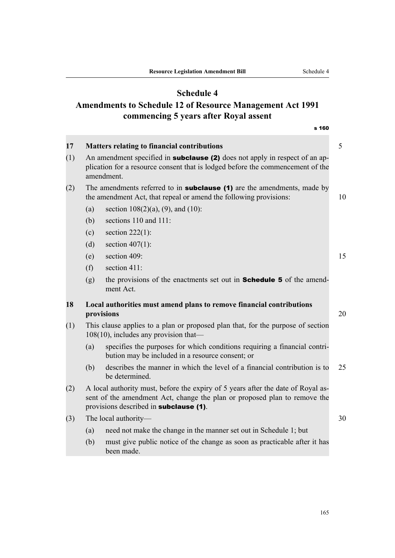# **Schedule 4**

# **Amendments to Schedule 12 of Resource Management Act 1991 commencing 5 years after Royal assent**

| 17<br><b>Matters relating to financial contributions</b><br>An amendment specified in <b>subclause (2)</b> does not apply in respect of an ap-<br>(1)<br>plication for a resource consent that is lodged before the commencement of the<br>amendment.<br>The amendments referred to in <b>subclause</b> (1) are the amendments, made by<br>(2)<br>the amendment Act, that repeal or amend the following provisions:<br>(a)<br>section $108(2)(a)$ , (9), and (10):<br>sections 110 and 111:<br>(b)<br>section $222(1)$ :<br>(c) |    |  |
|---------------------------------------------------------------------------------------------------------------------------------------------------------------------------------------------------------------------------------------------------------------------------------------------------------------------------------------------------------------------------------------------------------------------------------------------------------------------------------------------------------------------------------|----|--|
|                                                                                                                                                                                                                                                                                                                                                                                                                                                                                                                                 | 5  |  |
|                                                                                                                                                                                                                                                                                                                                                                                                                                                                                                                                 |    |  |
|                                                                                                                                                                                                                                                                                                                                                                                                                                                                                                                                 | 10 |  |
|                                                                                                                                                                                                                                                                                                                                                                                                                                                                                                                                 |    |  |
|                                                                                                                                                                                                                                                                                                                                                                                                                                                                                                                                 |    |  |
|                                                                                                                                                                                                                                                                                                                                                                                                                                                                                                                                 |    |  |
| section $407(1)$ :<br>(d)                                                                                                                                                                                                                                                                                                                                                                                                                                                                                                       |    |  |
| section 409:<br>(e)                                                                                                                                                                                                                                                                                                                                                                                                                                                                                                             | 15 |  |
| (f)<br>section 411:                                                                                                                                                                                                                                                                                                                                                                                                                                                                                                             |    |  |
| (g)<br>the provisions of the enactments set out in <b>Schedule 5</b> of the amend-<br>ment Act.                                                                                                                                                                                                                                                                                                                                                                                                                                 |    |  |
| Local authorities must amend plans to remove financial contributions<br>provisions                                                                                                                                                                                                                                                                                                                                                                                                                                              |    |  |
| (1)<br>This clause applies to a plan or proposed plan that, for the purpose of section<br>$108(10)$ , includes any provision that—                                                                                                                                                                                                                                                                                                                                                                                              |    |  |
| specifies the purposes for which conditions requiring a financial contri-<br>(a)<br>bution may be included in a resource consent; or                                                                                                                                                                                                                                                                                                                                                                                            |    |  |
| describes the manner in which the level of a financial contribution is to<br>(b)<br>be determined.                                                                                                                                                                                                                                                                                                                                                                                                                              | 25 |  |
| A local authority must, before the expiry of 5 years after the date of Royal as-<br>(2)<br>sent of the amendment Act, change the plan or proposed plan to remove the<br>provisions described in subclause (1).                                                                                                                                                                                                                                                                                                                  |    |  |
| The local authority-<br>(3)                                                                                                                                                                                                                                                                                                                                                                                                                                                                                                     | 30 |  |
| need not make the change in the manner set out in Schedule 1; but<br>(a)                                                                                                                                                                                                                                                                                                                                                                                                                                                        |    |  |
| must give public notice of the change as soon as practicable after it has<br>(b)<br>been made.                                                                                                                                                                                                                                                                                                                                                                                                                                  |    |  |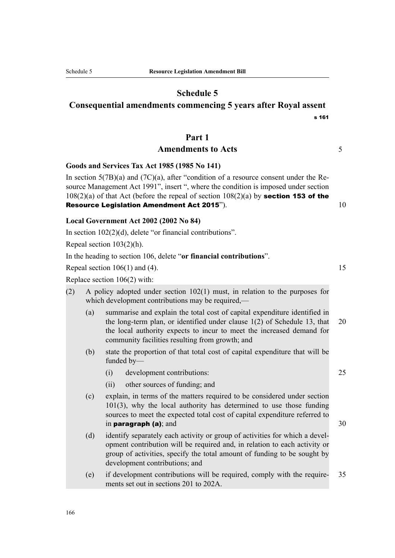### **Schedule 5**

# **Consequential amendments commencing 5 years after Royal assent** s 161

### **Part 1**

### Amendments to Acts 5

**Goods and Services Tax Act 1985 (1985 No 141)**

In section  $5(7B)(a)$  and  $(7C)(a)$ , after "condition of a resource consent under the Resource Management Act 1991", insert ", where the condition is imposed under section  $108(2)(a)$  of that Act (before the repeal of section  $108(2)(a)$  by **section 153 of the Resource Legislation Amendment Act 2015").**  $10$ 

### **Local Government Act 2002 (2002 No 84)**

In section 102(2)(d), delete "or financial contributions".

Repeal section 103(2)(h).

In the heading to section 106, delete "**or financial contributions**".

Repeal section  $106(1)$  and  $(4)$ . 15

Replace section 106(2) with:

- (2) A policy adopted under section 102(1) must, in relation to the purposes for which development contributions may be required,—
	- (a) summarise and explain the total cost of capital expenditure identified in the long-term plan, or identified under clause 1(2) of Schedule 13, that 20 the local authority expects to incur to meet the increased demand for community facilities resulting from growth; and
	- (b) state the proportion of that total cost of capital expenditure that will be funded by—
		- (i) development contributions: 25
		- (ii) other sources of funding; and
	- (c) explain, in terms of the matters required to be considered under section 101(3), why the local authority has determined to use those funding sources to meet the expected total cost of capital expenditure referred to in **paragraph (a)**; and  $30$
	- (d) identify separately each activity or group of activities for which a development contribution will be required and, in relation to each activity or group of activities, specify the total amount of funding to be sought by development contributions; and
	- (e) if development contributions will be required, comply with the require- 35 ments set out in sections 201 to 202A.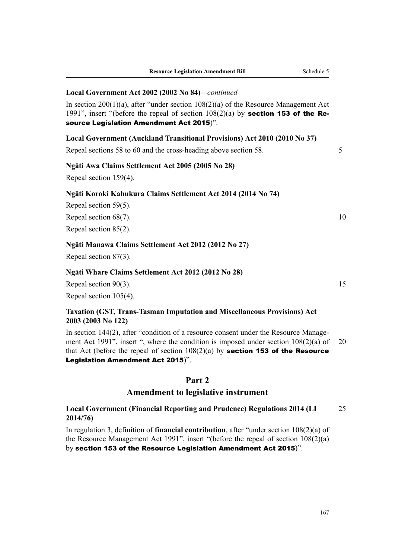#### **Local Government Act 2002 (2002 No 84)***—continued*

In section 200(1)(a), after "under section 108(2)(a) of the Resource Management Act 1991", insert "(before the repeal of section  $108(2)(a)$  by **section 153 of the Re**source Legislation Amendment Act 2015)".

#### **Local Government (Auckland Transitional Provisions) Act 2010 (2010 No 37)**

Repeal sections 58 to 60 and the cross-heading above section 58. 5

#### **Ngāti Awa Claims Settlement Act 2005 (2005 No 28)**

Repeal section 159(4).

#### **Ngāti Koroki Kahukura Claims Settlement Act 2014 (2014 No 74)**

Repeal section 59(5).

Repeal section  $68(7)$ . 10

Repeal section 85(2).

### **Ngāti Manawa Claims Settlement Act 2012 (2012 No 27)**

Repeal section 87(3).

#### **Ngāti Whare Claims Settlement Act 2012 (2012 No 28)**

Repeal section  $90(3)$ . 15 Repeal section 105(4).

### **Taxation (GST, Trans-Tasman Imputation and Miscellaneous Provisions) Act 2003 (2003 No 122)**

In section 144(2), after "condition of a resource consent under the Resource Management Act 1991", insert ", where the condition is imposed under section 108(2)(a) of 20 that Act (before the repeal of section  $108(2)(a)$  by **section 153 of the Resource** Legislation Amendment Act 2015)".

### **Part 2**

### **Amendment to legislative instrument**

**Local Government (Financial Reporting and Prudence) Regulations 2014 (LI** 25 **2014/76)**

In regulation 3, definition of **financial contribution**, after "under section 108(2)(a) of the Resource Management Act 1991", insert "(before the repeal of section 108(2)(a) by section 153 of the Resource Legislation Amendment Act 2015)".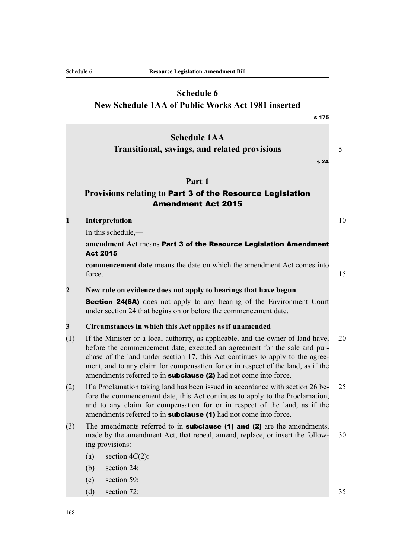# **Schedule 6 New Schedule 1AA of Public Works Act 1981 inserted**

|                         | s 175                                                                                                                                                                                                                                                                                                                                                                                                               |    |  |
|-------------------------|---------------------------------------------------------------------------------------------------------------------------------------------------------------------------------------------------------------------------------------------------------------------------------------------------------------------------------------------------------------------------------------------------------------------|----|--|
|                         | <b>Schedule 1AA</b><br><b>Transitional, savings, and related provisions</b><br>s 2A                                                                                                                                                                                                                                                                                                                                 | 5  |  |
|                         | Part 1                                                                                                                                                                                                                                                                                                                                                                                                              |    |  |
|                         | Provisions relating to Part 3 of the Resource Legislation<br><b>Amendment Act 2015</b>                                                                                                                                                                                                                                                                                                                              |    |  |
| $\mathbf{1}$            | Interpretation                                                                                                                                                                                                                                                                                                                                                                                                      | 10 |  |
|                         | In this schedule,-                                                                                                                                                                                                                                                                                                                                                                                                  |    |  |
|                         | amendment Act means Part 3 of the Resource Legislation Amendment<br><b>Act 2015</b>                                                                                                                                                                                                                                                                                                                                 |    |  |
|                         | <b>commencement date</b> means the date on which the amendment Act comes into<br>force.                                                                                                                                                                                                                                                                                                                             | 15 |  |
| $\overline{2}$          | New rule on evidence does not apply to hearings that have begun                                                                                                                                                                                                                                                                                                                                                     |    |  |
|                         | <b>Section 24(6A)</b> does not apply to any hearing of the Environment Court<br>under section 24 that begins on or before the commencement date.                                                                                                                                                                                                                                                                    |    |  |
| $\overline{\mathbf{3}}$ | Circumstances in which this Act applies as if unamended                                                                                                                                                                                                                                                                                                                                                             |    |  |
| (1)                     | If the Minister or a local authority, as applicable, and the owner of land have,<br>20<br>before the commencement date, executed an agreement for the sale and pur-<br>chase of the land under section 17, this Act continues to apply to the agree-<br>ment, and to any claim for compensation for or in respect of the land, as if the<br>amendments referred to in <b>subclause</b> (2) had not come into force. |    |  |
| (2)                     | If a Proclamation taking land has been issued in accordance with section 26 be-<br>fore the commencement date, this Act continues to apply to the Proclamation,<br>and to any claim for compensation for or in respect of the land, as if the<br>amendments referred to in <b>subclause</b> (1) had not come into force.                                                                                            |    |  |
| (3)                     | The amendments referred to in <b>subclause</b> (1) and (2) are the amendments,<br>made by the amendment Act, that repeal, amend, replace, or insert the follow-<br>ing provisions:                                                                                                                                                                                                                                  | 30 |  |
|                         | section $4C(2)$ :<br>(a)                                                                                                                                                                                                                                                                                                                                                                                            |    |  |
|                         | section 24:<br>(b)                                                                                                                                                                                                                                                                                                                                                                                                  |    |  |
|                         | section 59:<br>(c)                                                                                                                                                                                                                                                                                                                                                                                                  |    |  |
|                         | section 72:<br>(d)                                                                                                                                                                                                                                                                                                                                                                                                  | 35 |  |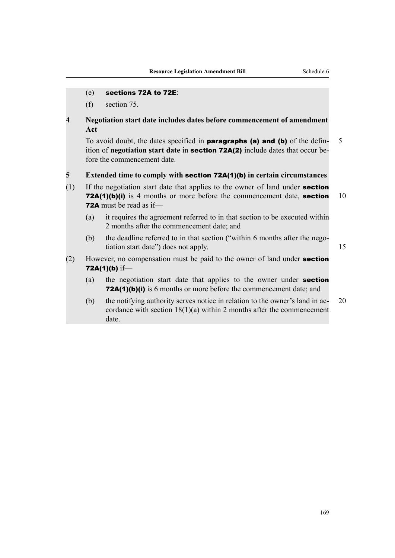### (e) sections 72A to 72E:

(f) section 75.

### **4 Negotiation start date includes dates before commencement of amendment Act**

To avoid doubt, the dates specified in **paragraphs (a) and (b)** of the defin- 5 ition of **negotiation start date** in section 72A(2) include dates that occur before the commencement date.

#### **5 Extended time to comply with** section 72A(1)(b) **in certain circumstances**

- (1) If the negotiation start date that applies to the owner of land under section 72A(1)(b)(i) is 4 months or more before the commencement date, section 10 72A must be read as if—
	- (a) it requires the agreement referred to in that section to be executed within 2 months after the commencement date; and
	- (b) the deadline referred to in that section ("within 6 months after the negotiation start date") does not apply. 15
- (2) However, no compensation must be paid to the owner of land under section 72A(1)(b) if—
	- (a) the negotiation start date that applies to the owner under section 72A(1)(b)(i) is 6 months or more before the commencement date; and
	- (b) the notifying authority serves notice in relation to the owner's land in ac- 20 cordance with section 18(1)(a) within 2 months after the commencement date.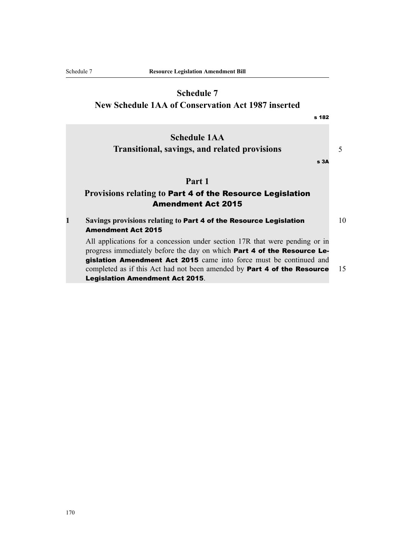# **Schedule 7**

**New Schedule 1AA of Conservation Act 1987 inserted**

|   | s <sub>182</sub>                                                                                                                                              |    |
|---|---------------------------------------------------------------------------------------------------------------------------------------------------------------|----|
|   | <b>Schedule 1AA</b><br><b>Transitional, savings, and related provisions</b>                                                                                   | 5  |
|   | s <sub>3A</sub>                                                                                                                                               |    |
|   | Part 1                                                                                                                                                        |    |
|   | Provisions relating to Part 4 of the Resource Legislation                                                                                                     |    |
|   | <b>Amendment Act 2015</b>                                                                                                                                     |    |
| 1 | Savings provisions relating to Part 4 of the Resource Legislation                                                                                             | 10 |
|   | <b>Amendment Act 2015</b>                                                                                                                                     |    |
|   | All applications for a concession under section 17R that were pending or in<br>progress immediately before the day on which <b>Part 4 of the Resource Le-</b> |    |
|   | gislation Amendment Act 2015 came into force must be continued and                                                                                            |    |
|   | completed as if this Act had not been amended by <b>Part 4 of the Resource</b>                                                                                | 15 |
|   | <b>Legislation Amendment Act 2015.</b>                                                                                                                        |    |
|   |                                                                                                                                                               |    |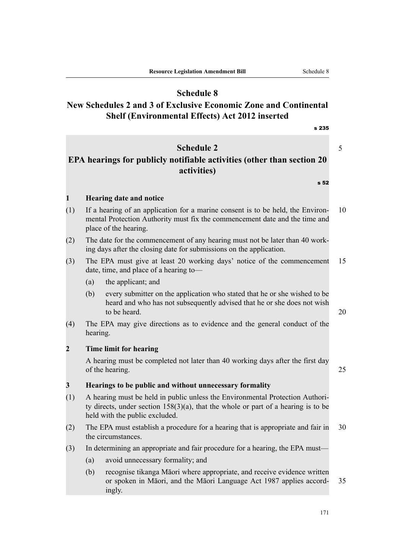## **Schedule 8**

# **New Schedules 2 and 3 of Exclusive Economic Zone and Continental Shelf (Environmental Effects) Act 2012 inserted**

s 235

# **Schedule 2** 5

# **EPA hearings for publicly notifiable activities (other than section 20 activities)**

s 52

### **1 Hearing date and notice**

- (1) If a hearing of an application for a marine consent is to be held, the Environ- 10 mental Protection Authority must fix the commencement date and the time and place of the hearing.
- (2) The date for the commencement of any hearing must not be later than 40 working days after the closing date for submissions on the application.
- (3) The EPA must give at least 20 working days' notice of the commencement 15 date, time, and place of a hearing to—
	- (a) the applicant; and
	- (b) every submitter on the application who stated that he or she wished to be heard and who has not subsequently advised that he or she does not wish to be heard.  $20$
- (4) The EPA may give directions as to evidence and the general conduct of the hearing.

### **2 Time limit for hearing**

A hearing must be completed not later than 40 working days after the first day of the hearing. 25

### **3 Hearings to be public and without unnecessary formality**

- (1) A hearing must be held in public unless the Environmental Protection Authority directs, under section  $158(3)(a)$ , that the whole or part of a hearing is to be held with the public excluded.
- (2) The EPA must establish a procedure for a hearing that is appropriate and fair in 30 the circumstances.
- (3) In determining an appropriate and fair procedure for a hearing, the EPA must—
	- (a) avoid unnecessary formality; and
	- (b) recognise tikanga Māori where appropriate, and receive evidence written or spoken in Māori, and the Māori Language Act 1987 applies accord- 35 ingly.

171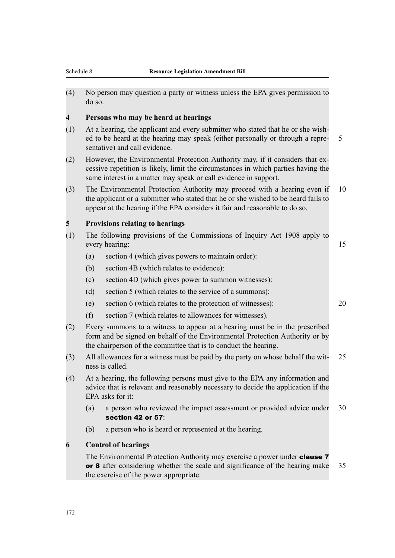(4) No person may question a party or witness unless the EPA gives permission to do so.

#### **4 Persons who may be heard at hearings**

- (1) At a hearing, the applicant and every submitter who stated that he or she wished to be heard at the hearing may speak (either personally or through a repre- 5 sentative) and call evidence.
- (2) However, the Environmental Protection Authority may, if it considers that excessive repetition is likely, limit the circumstances in which parties having the same interest in a matter may speak or call evidence in support.
- (3) The Environmental Protection Authority may proceed with a hearing even if 10 the applicant or a submitter who stated that he or she wished to be heard fails to appear at the hearing if the EPA considers it fair and reasonable to do so.

### **5 Provisions relating to hearings**

- (1) The following provisions of the Commissions of Inquiry Act 1908 apply to every hearing: 15
	- (a) section 4 (which gives powers to maintain order):
	- (b) section 4B (which relates to evidence):
	- (c) section 4D (which gives power to summon witnesses):
	- (d) section 5 (which relates to the service of a summons):
	- (e) section 6 (which relates to the protection of witnesses): 20
	- (f) section 7 (which relates to allowances for witnesses).
- (2) Every summons to a witness to appear at a hearing must be in the prescribed form and be signed on behalf of the Environmental Protection Authority or by the chairperson of the committee that is to conduct the hearing.
- (3) All allowances for a witness must be paid by the party on whose behalf the wit- 25 ness is called.
- (4) At a hearing, the following persons must give to the EPA any information and advice that is relevant and reasonably necessary to decide the application if the EPA asks for it:
	- (a) a person who reviewed the impact assessment or provided advice under 30 section 42 or 57:
	- (b) a person who is heard or represented at the hearing.

### **6 Control of hearings**

The Environmental Protection Authority may exercise a power under **clause 7** or 8 after considering whether the scale and significance of the hearing make 35 the exercise of the power appropriate.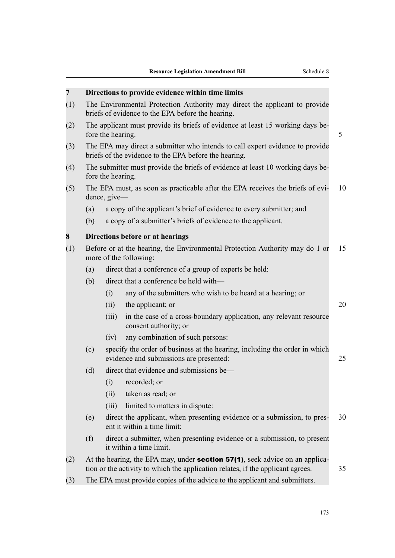| $\overline{7}$ | Directions to provide evidence within time limits                                                                                                                             |                                                                                                          |                                                                                                                                        |    |  |  |  |
|----------------|-------------------------------------------------------------------------------------------------------------------------------------------------------------------------------|----------------------------------------------------------------------------------------------------------|----------------------------------------------------------------------------------------------------------------------------------------|----|--|--|--|
| (1)            | The Environmental Protection Authority may direct the applicant to provide<br>briefs of evidence to the EPA before the hearing.                                               |                                                                                                          |                                                                                                                                        |    |  |  |  |
| (2)            |                                                                                                                                                                               | The applicant must provide its briefs of evidence at least 15 working days be-<br>fore the hearing.<br>5 |                                                                                                                                        |    |  |  |  |
| (3)            |                                                                                                                                                                               |                                                                                                          | The EPA may direct a submitter who intends to call expert evidence to provide<br>briefs of the evidence to the EPA before the hearing. |    |  |  |  |
| (4)            | The submitter must provide the briefs of evidence at least 10 working days be-<br>fore the hearing.                                                                           |                                                                                                          |                                                                                                                                        |    |  |  |  |
| (5)            | The EPA must, as soon as practicable after the EPA receives the briefs of evi-<br>dence, give-                                                                                |                                                                                                          |                                                                                                                                        |    |  |  |  |
|                | a copy of the applicant's brief of evidence to every submitter; and<br>(a)                                                                                                    |                                                                                                          |                                                                                                                                        |    |  |  |  |
|                | (b)<br>a copy of a submitter's briefs of evidence to the applicant.                                                                                                           |                                                                                                          |                                                                                                                                        |    |  |  |  |
| 8              | Directions before or at hearings                                                                                                                                              |                                                                                                          |                                                                                                                                        |    |  |  |  |
| (1)            | Before or at the hearing, the Environmental Protection Authority may do 1 or<br>more of the following:                                                                        |                                                                                                          |                                                                                                                                        |    |  |  |  |
|                | (a)                                                                                                                                                                           |                                                                                                          | direct that a conference of a group of experts be held:                                                                                |    |  |  |  |
|                | (b)                                                                                                                                                                           |                                                                                                          | direct that a conference be held with—                                                                                                 |    |  |  |  |
|                |                                                                                                                                                                               | (i)                                                                                                      | any of the submitters who wish to be heard at a hearing; or                                                                            |    |  |  |  |
|                |                                                                                                                                                                               | (ii)                                                                                                     | the applicant; or                                                                                                                      | 20 |  |  |  |
|                |                                                                                                                                                                               | (iii)                                                                                                    | in the case of a cross-boundary application, any relevant resource<br>consent authority; or                                            |    |  |  |  |
|                |                                                                                                                                                                               | (iv)                                                                                                     | any combination of such persons:                                                                                                       |    |  |  |  |
|                | specify the order of business at the hearing, including the order in which<br>(c)<br>evidence and submissions are presented:                                                  |                                                                                                          |                                                                                                                                        |    |  |  |  |
|                | (d)                                                                                                                                                                           |                                                                                                          | direct that evidence and submissions be-                                                                                               |    |  |  |  |
|                |                                                                                                                                                                               | (i)                                                                                                      | recorded; or                                                                                                                           |    |  |  |  |
|                |                                                                                                                                                                               | (ii)                                                                                                     | taken as read; or                                                                                                                      |    |  |  |  |
|                |                                                                                                                                                                               | (iii)                                                                                                    | limited to matters in dispute:                                                                                                         |    |  |  |  |
|                | direct the applicant, when presenting evidence or a submission, to pres-<br>(e)<br>ent it within a time limit:                                                                |                                                                                                          |                                                                                                                                        |    |  |  |  |
|                | direct a submitter, when presenting evidence or a submission, to present<br>(f)<br>it within a time limit.                                                                    |                                                                                                          |                                                                                                                                        |    |  |  |  |
| (2)            | At the hearing, the EPA may, under <b>section 57(1)</b> , seek advice on an applica-<br>tion or the activity to which the application relates, if the applicant agrees.<br>35 |                                                                                                          |                                                                                                                                        |    |  |  |  |
| (3)            | The EPA must provide copies of the advice to the applicant and submitters.                                                                                                    |                                                                                                          |                                                                                                                                        |    |  |  |  |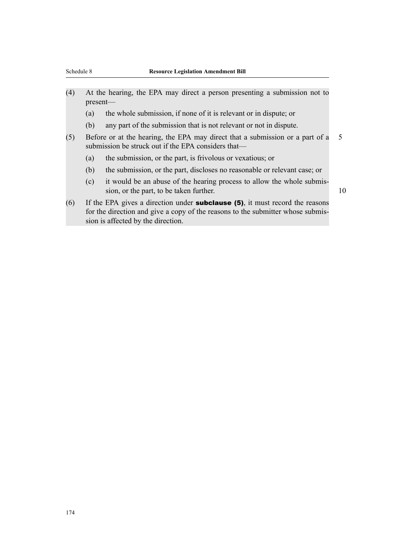- (4) At the hearing, the EPA may direct a person presenting a submission not to present—
	- (a) the whole submission, if none of it is relevant or in dispute; or
	- (b) any part of the submission that is not relevant or not in dispute.
- (5) Before or at the hearing, the EPA may direct that a submission or a part of a 5 submission be struck out if the EPA considers that—
	- (a) the submission, or the part, is frivolous or vexatious; or
	- (b) the submission, or the part, discloses no reasonable or relevant case; or
	- (c) it would be an abuse of the hearing process to allow the whole submission, or the part, to be taken further. 10
- (6) If the EPA gives a direction under **subclause (5)**, it must record the reasons for the direction and give a copy of the reasons to the submitter whose submission is affected by the direction.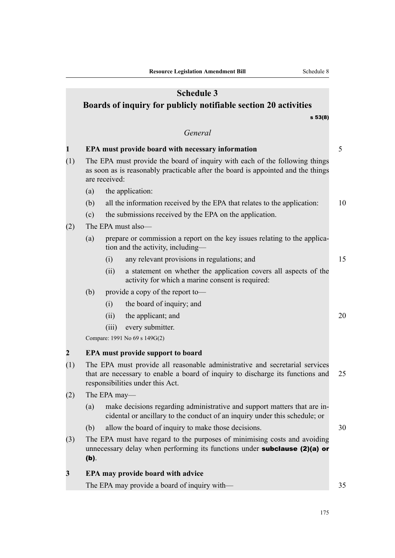|              |                                                                                                                                                                                                   |               | <b>Schedule 3</b><br>Boards of inquiry for publicly notifiable section 20 activities                                                                            |    |  |  |  |
|--------------|---------------------------------------------------------------------------------------------------------------------------------------------------------------------------------------------------|---------------|-----------------------------------------------------------------------------------------------------------------------------------------------------------------|----|--|--|--|
|              |                                                                                                                                                                                                   |               | s 53(8)                                                                                                                                                         |    |  |  |  |
|              |                                                                                                                                                                                                   |               | General                                                                                                                                                         |    |  |  |  |
| $\mathbf{1}$ |                                                                                                                                                                                                   |               | EPA must provide board with necessary information                                                                                                               | 5  |  |  |  |
| (1)          |                                                                                                                                                                                                   | are received: | The EPA must provide the board of inquiry with each of the following things<br>as soon as is reasonably practicable after the board is appointed and the things |    |  |  |  |
|              | (a)                                                                                                                                                                                               |               | the application:                                                                                                                                                |    |  |  |  |
|              | (b)                                                                                                                                                                                               |               | all the information received by the EPA that relates to the application:                                                                                        | 10 |  |  |  |
|              | (c)                                                                                                                                                                                               |               | the submissions received by the EPA on the application.                                                                                                         |    |  |  |  |
| (2)          |                                                                                                                                                                                                   |               | The EPA must also-                                                                                                                                              |    |  |  |  |
|              | (a)                                                                                                                                                                                               |               | prepare or commission a report on the key issues relating to the applica-<br>tion and the activity, including—                                                  |    |  |  |  |
|              |                                                                                                                                                                                                   | (i)           | any relevant provisions in regulations; and                                                                                                                     | 15 |  |  |  |
|              |                                                                                                                                                                                                   | (ii)          | a statement on whether the application covers all aspects of the<br>activity for which a marine consent is required:                                            |    |  |  |  |
|              | (b)                                                                                                                                                                                               |               | provide a copy of the report to-                                                                                                                                |    |  |  |  |
|              |                                                                                                                                                                                                   | (i)           | the board of inquiry; and                                                                                                                                       |    |  |  |  |
|              |                                                                                                                                                                                                   | (ii)          | the applicant; and                                                                                                                                              | 20 |  |  |  |
|              |                                                                                                                                                                                                   | (iii)         | every submitter.                                                                                                                                                |    |  |  |  |
|              |                                                                                                                                                                                                   |               | Compare: 1991 No 69 s 149G(2)                                                                                                                                   |    |  |  |  |
| $\mathbf{2}$ |                                                                                                                                                                                                   |               | <b>EPA must provide support to board</b>                                                                                                                        |    |  |  |  |
| (1)          | The EPA must provide all reasonable administrative and secretarial services<br>that are necessary to enable a board of inquiry to discharge its functions and<br>responsibilities under this Act. |               |                                                                                                                                                                 | 25 |  |  |  |
| (2)          |                                                                                                                                                                                                   | The EPA may—  |                                                                                                                                                                 |    |  |  |  |
|              | (a)                                                                                                                                                                                               |               | make decisions regarding administrative and support matters that are in-<br>cidental or ancillary to the conduct of an inquiry under this schedule; or          |    |  |  |  |
|              | (b)                                                                                                                                                                                               |               | allow the board of inquiry to make those decisions.                                                                                                             | 30 |  |  |  |
| (3)          | $(b)$ .                                                                                                                                                                                           |               | The EPA must have regard to the purposes of minimising costs and avoiding<br>unnecessary delay when performing its functions under subclause (2)(a) or          |    |  |  |  |
| 3            |                                                                                                                                                                                                   |               | <b>EPA may provide board with advice</b>                                                                                                                        |    |  |  |  |
|              |                                                                                                                                                                                                   |               | The EPA may provide a board of inquiry with—                                                                                                                    | 35 |  |  |  |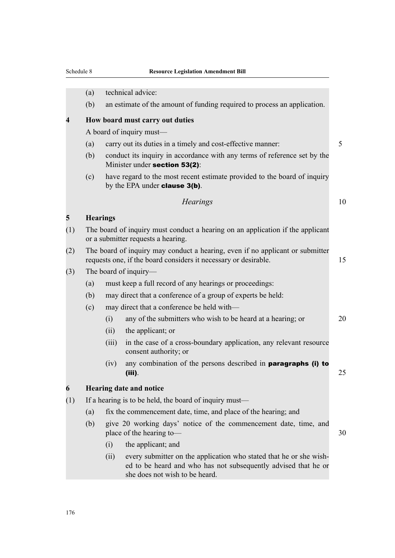|     | (a)                                                                                                 |                                                                                                                                                        | technical advice:                                                                                                                                                      |    |  |  |
|-----|-----------------------------------------------------------------------------------------------------|--------------------------------------------------------------------------------------------------------------------------------------------------------|------------------------------------------------------------------------------------------------------------------------------------------------------------------------|----|--|--|
|     | (b)                                                                                                 |                                                                                                                                                        | an estimate of the amount of funding required to process an application.                                                                                               |    |  |  |
| 4   |                                                                                                     |                                                                                                                                                        |                                                                                                                                                                        |    |  |  |
|     | How board must carry out duties<br>A board of inquiry must—                                         |                                                                                                                                                        |                                                                                                                                                                        |    |  |  |
|     | (a)                                                                                                 |                                                                                                                                                        | carry out its duties in a timely and cost-effective manner:                                                                                                            | 5  |  |  |
|     | (b)                                                                                                 |                                                                                                                                                        | conduct its inquiry in accordance with any terms of reference set by the<br>Minister under section 53(2):                                                              |    |  |  |
|     | (c)                                                                                                 |                                                                                                                                                        | have regard to the most recent estimate provided to the board of inquiry<br>by the EPA under <b>clause 3(b)</b> .                                                      |    |  |  |
|     |                                                                                                     |                                                                                                                                                        | <b>Hearings</b>                                                                                                                                                        | 10 |  |  |
| 5   |                                                                                                     | <b>Hearings</b>                                                                                                                                        |                                                                                                                                                                        |    |  |  |
| (1) |                                                                                                     | The board of inquiry must conduct a hearing on an application if the applicant<br>or a submitter requests a hearing.                                   |                                                                                                                                                                        |    |  |  |
| (2) |                                                                                                     | The board of inquiry may conduct a hearing, even if no applicant or submitter<br>requests one, if the board considers it necessary or desirable.<br>15 |                                                                                                                                                                        |    |  |  |
| (3) | The board of inquiry—                                                                               |                                                                                                                                                        |                                                                                                                                                                        |    |  |  |
|     | (a)                                                                                                 |                                                                                                                                                        | must keep a full record of any hearings or proceedings:                                                                                                                |    |  |  |
|     | (b)                                                                                                 |                                                                                                                                                        | may direct that a conference of a group of experts be held:                                                                                                            |    |  |  |
|     | (c)                                                                                                 |                                                                                                                                                        | may direct that a conference be held with—                                                                                                                             |    |  |  |
|     |                                                                                                     | (i)                                                                                                                                                    | any of the submitters who wish to be heard at a hearing; or                                                                                                            | 20 |  |  |
|     |                                                                                                     | (ii)                                                                                                                                                   | the applicant; or                                                                                                                                                      |    |  |  |
|     |                                                                                                     | (iii)                                                                                                                                                  | in the case of a cross-boundary application, any relevant resource<br>consent authority; or                                                                            |    |  |  |
|     |                                                                                                     | (iv)                                                                                                                                                   | any combination of the persons described in paragraphs (i) to<br>(iii).                                                                                                | 25 |  |  |
| 6   |                                                                                                     |                                                                                                                                                        | <b>Hearing date and notice</b>                                                                                                                                         |    |  |  |
| (1) | If a hearing is to be held, the board of inquiry must—                                              |                                                                                                                                                        |                                                                                                                                                                        |    |  |  |
|     | (a)                                                                                                 | fix the commencement date, time, and place of the hearing; and                                                                                         |                                                                                                                                                                        |    |  |  |
|     | (b)<br>give 20 working days' notice of the commencement date, time, and<br>place of the hearing to- |                                                                                                                                                        |                                                                                                                                                                        |    |  |  |
|     |                                                                                                     | (i)                                                                                                                                                    | the applicant; and                                                                                                                                                     |    |  |  |
|     |                                                                                                     | (ii)                                                                                                                                                   | every submitter on the application who stated that he or she wish-<br>ed to be heard and who has not subsequently advised that he or<br>she does not wish to be heard. |    |  |  |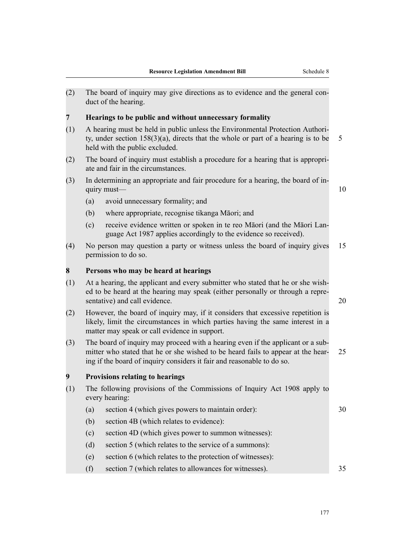(2) The board of inquiry may give directions as to evidence and the general conduct of the hearing.

### **7 Hearings to be public and without unnecessary formality**

- (1) A hearing must be held in public unless the Environmental Protection Authority, under section  $158(3)(a)$ , directs that the whole or part of a hearing is to be 5 held with the public excluded.
- (2) The board of inquiry must establish a procedure for a hearing that is appropriate and fair in the circumstances.
- (3) In determining an appropriate and fair procedure for a hearing, the board of inquiry must— $\qquad \qquad$  10

- (a) avoid unnecessary formality; and
- (b) where appropriate, recognise tikanga Māori; and
- (c) receive evidence written or spoken in te reo Māori (and the Māori Language Act 1987 applies accordingly to the evidence so received).
- (4) No person may question a party or witness unless the board of inquiry gives 15 permission to do so.

#### **8 Persons who may be heard at hearings**

- (1) At a hearing, the applicant and every submitter who stated that he or she wished to be heard at the hearing may speak (either personally or through a representative) and call evidence. 20
- (2) However, the board of inquiry may, if it considers that excessive repetition is likely, limit the circumstances in which parties having the same interest in a matter may speak or call evidence in support.
- (3) The board of inquiry may proceed with a hearing even if the applicant or a submitter who stated that he or she wished to be heard fails to appear at the hear- 25 ing if the board of inquiry considers it fair and reasonable to do so.

#### **9 Provisions relating to hearings**

- (1) The following provisions of the Commissions of Inquiry Act 1908 apply to every hearing:
	- (a) section 4 (which gives powers to maintain order): 30
		- (b) section 4B (which relates to evidence):
		- (c) section 4D (which gives power to summon witnesses):
		- (d) section 5 (which relates to the service of a summons):
		- (e) section 6 (which relates to the protection of witnesses):
		- (f) section 7 (which relates to allowances for witnesses). 35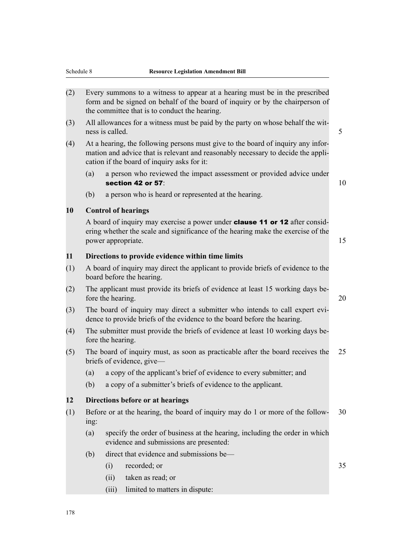- (2) Every summons to a witness to appear at a hearing must be in the prescribed form and be signed on behalf of the board of inquiry or by the chairperson of the committee that is to conduct the hearing.
- (3) All allowances for a witness must be paid by the party on whose behalf the witness is called. 5 and 5 and 5 and 5 and 5 and 5 and 5 and 5 and 5 and 5 and 5 and 5 and 5 and 5 and 5 and 5 and 5 and 5 and 5 and 5 and 5 and 5 and 5 and 5 and 5 and 5 and 5 and 5 and 5 and 5 and 5 and 5 and 5 and 5 and 5
- (4) At a hearing, the following persons must give to the board of inquiry any information and advice that is relevant and reasonably necessary to decide the application if the board of inquiry asks for it:
	- (a) a person who reviewed the impact assessment or provided advice under section 42 or 57:  $\sim$  100  $\sim$  100  $\sim$  100  $\sim$  100  $\sim$  100  $\sim$  100  $\sim$  100  $\sim$  100  $\sim$  100  $\sim$  100  $\sim$  100  $\sim$  100  $\sim$  100  $\sim$  100  $\sim$  100  $\sim$  100  $\sim$  100  $\sim$  100  $\sim$  100  $\sim$  100  $\sim$  100  $\sim$  100  $\sim$

(b) a person who is heard or represented at the hearing.

#### **10 Control of hearings**

A board of inquiry may exercise a power under **clause 11 or 12** after considering whether the scale and significance of the hearing make the exercise of the power appropriate. 15

#### **11 Directions to provide evidence within time limits**

- (1) A board of inquiry may direct the applicant to provide briefs of evidence to the board before the hearing.
- (2) The applicant must provide its briefs of evidence at least 15 working days before the hearing. 20
- (3) The board of inquiry may direct a submitter who intends to call expert evidence to provide briefs of the evidence to the board before the hearing.
- (4) The submitter must provide the briefs of evidence at least 10 working days before the hearing.
- (5) The board of inquiry must, as soon as practicable after the board receives the 25 briefs of evidence, give—
	- (a) a copy of the applicant's brief of evidence to every submitter; and
	- (b) a copy of a submitter's briefs of evidence to the applicant.

#### **12 Directions before or at hearings**

- (1) Before or at the hearing, the board of inquiry may do 1 or more of the follow- 30 ing:
	- (a) specify the order of business at the hearing, including the order in which evidence and submissions are presented:
	- (b) direct that evidence and submissions be—
		- (i) recorded; or 35
		- (ii) taken as read; or
		- (iii) limited to matters in dispute: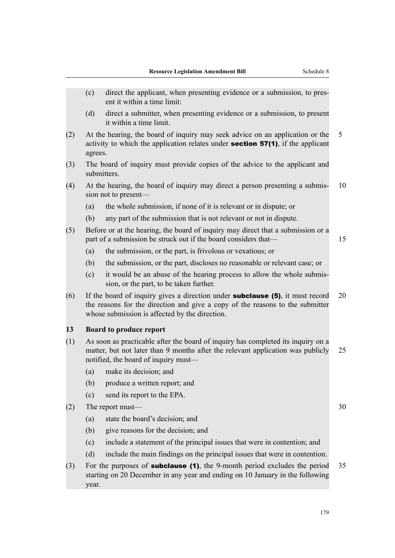|     | (c)                                                                                                                                                                                                                     | direct the applicant, when presenting evidence or a submission, to pres-<br>ent it within a time limit:                                                            |    |
|-----|-------------------------------------------------------------------------------------------------------------------------------------------------------------------------------------------------------------------------|--------------------------------------------------------------------------------------------------------------------------------------------------------------------|----|
|     | (d)                                                                                                                                                                                                                     | direct a submitter, when presenting evidence or a submission, to present<br>it within a time limit.                                                                |    |
| (2) | At the hearing, the board of inquiry may seek advice on an application or the<br>activity to which the application relates under <b>section 57(1)</b> , if the applicant<br>agrees.                                     |                                                                                                                                                                    | 5  |
| (3) | The board of inquiry must provide copies of the advice to the applicant and<br>submitters.                                                                                                                              |                                                                                                                                                                    |    |
| (4) | At the hearing, the board of inquiry may direct a person presenting a submis-<br>sion not to present—                                                                                                                   |                                                                                                                                                                    | 10 |
|     | (a)                                                                                                                                                                                                                     | the whole submission, if none of it is relevant or in dispute; or                                                                                                  |    |
|     | (b)                                                                                                                                                                                                                     | any part of the submission that is not relevant or not in dispute.                                                                                                 |    |
| (5) | Before or at the hearing, the board of inquiry may direct that a submission or a<br>part of a submission be struck out if the board considers that—                                                                     |                                                                                                                                                                    | 15 |
|     | (a)                                                                                                                                                                                                                     | the submission, or the part, is frivolous or vexatious; or                                                                                                         |    |
|     | (b)                                                                                                                                                                                                                     | the submission, or the part, discloses no reasonable or relevant case; or                                                                                          |    |
|     | (c)                                                                                                                                                                                                                     | it would be an abuse of the hearing process to allow the whole submis-<br>sion, or the part, to be taken further.                                                  |    |
| (6) | If the board of inquiry gives a direction under <b>subclause</b> (5), it must record<br>the reasons for the direction and give a copy of the reasons to the submitter<br>whose submission is affected by the direction. |                                                                                                                                                                    | 20 |
| 13  |                                                                                                                                                                                                                         | <b>Board to produce report</b>                                                                                                                                     |    |
| (1) | As soon as practicable after the board of inquiry has completed its inquiry on a<br>matter, but not later than 9 months after the relevant application was publicly<br>notified, the board of inquiry must—             |                                                                                                                                                                    | 25 |
|     | (a)                                                                                                                                                                                                                     | make its decision; and                                                                                                                                             |    |
|     | (b)                                                                                                                                                                                                                     | produce a written report; and                                                                                                                                      |    |
|     | (c)                                                                                                                                                                                                                     | send its report to the EPA.                                                                                                                                        |    |
| (2) | The report must-                                                                                                                                                                                                        |                                                                                                                                                                    | 30 |
|     | (a)                                                                                                                                                                                                                     | state the board's decision; and                                                                                                                                    |    |
|     | (b)                                                                                                                                                                                                                     | give reasons for the decision; and                                                                                                                                 |    |
|     | (c)                                                                                                                                                                                                                     | include a statement of the principal issues that were in contention; and                                                                                           |    |
|     | (d)                                                                                                                                                                                                                     | include the main findings on the principal issues that were in contention.                                                                                         |    |
| (3) | year.                                                                                                                                                                                                                   | For the purposes of <b>subclause (1)</b> , the 9-month period excludes the period<br>starting on 20 December in any year and ending on 10 January in the following | 35 |